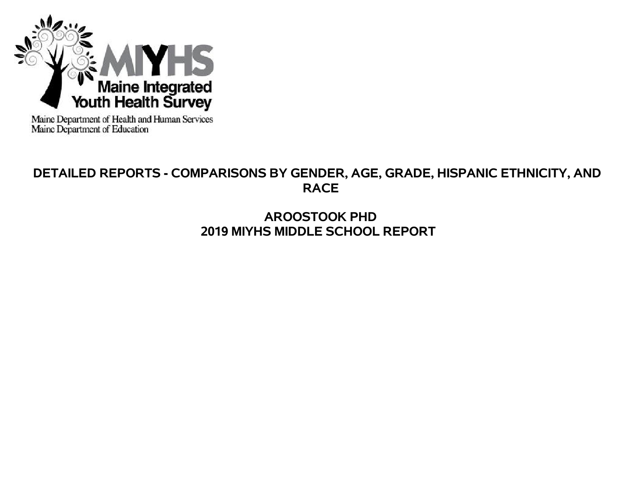

Maine Department of Health and Human Services<br>Maine Department of Education

# **DETAILED REPORTS - COMPARISONS BY GENDER, AGE, GRADE, HISPANIC ETHNICITY, AND RACE**

# **AROOSTOOK PHD 2019 MIYHS MIDDLE SCHOOL REPORT**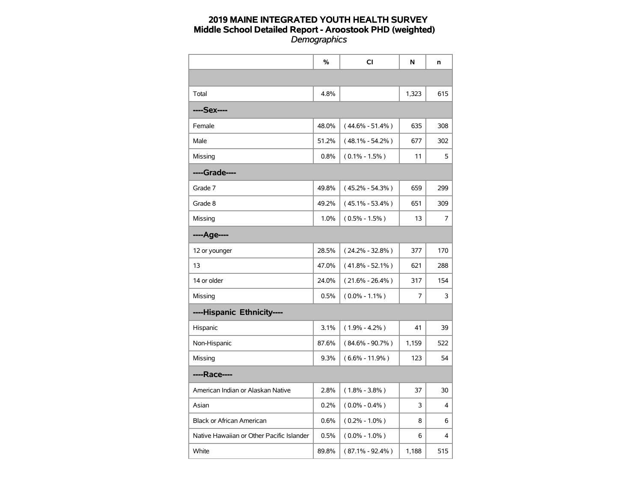|                                           | %     | CI                  | N     | n   |
|-------------------------------------------|-------|---------------------|-------|-----|
|                                           |       |                     |       |     |
| Total                                     | 4.8%  |                     | 1,323 | 615 |
| ----Sex----                               |       |                     |       |     |
| Female                                    | 48.0% | $(44.6\% - 51.4\%)$ | 635   | 308 |
| Male                                      | 51.2% | $(48.1\% - 54.2\%)$ | 677   | 302 |
| Missing                                   | 0.8%  | $(0.1\% - 1.5\%)$   | 11    | 5   |
| ----Grade----                             |       |                     |       |     |
| Grade 7                                   | 49.8% | $(45.2\% - 54.3\%)$ | 659   | 299 |
| Grade 8                                   | 49.2% | $(45.1\% - 53.4\%)$ | 651   | 309 |
| Missing                                   | 1.0%  | $(0.5\% - 1.5\%)$   | 13    | 7   |
| ----Age----                               |       |                     |       |     |
| 12 or younger                             | 28.5% | $(24.2\% - 32.8\%)$ | 377   | 170 |
| 13                                        | 47.0% | $(41.8\% - 52.1\%)$ | 621   | 288 |
| 14 or older                               | 24.0% | $(21.6\% - 26.4\%)$ | 317   | 154 |
| Missing                                   | 0.5%  | $(0.0\% - 1.1\%)$   | 7     | 3   |
| ----Hispanic Ethnicity----                |       |                     |       |     |
| Hispanic                                  | 3.1%  | $(1.9\% - 4.2\%)$   | 41    | 39  |
| Non-Hispanic                              | 87.6% | $(84.6\% - 90.7\%)$ | 1,159 | 522 |
| Missing                                   | 9.3%  | $(6.6\% - 11.9\%)$  | 123   | 54  |
| ----Race----                              |       |                     |       |     |
| American Indian or Alaskan Native         | 2.8%  | $(1.8\% - 3.8\%)$   | 37    | 30  |
| Asian                                     | 0.2%  | $(0.0\% - 0.4\%)$   | 3     | 4   |
| <b>Black or African American</b>          | 0.6%  | $(0.2\% - 1.0\%)$   | 8     | 6   |
| Native Hawaiian or Other Pacific Islander | 0.5%  | $(0.0\% - 1.0\%)$   | 6     | 4   |
| White                                     | 89.8% | $(87.1\% - 92.4\%)$ | 1,188 | 515 |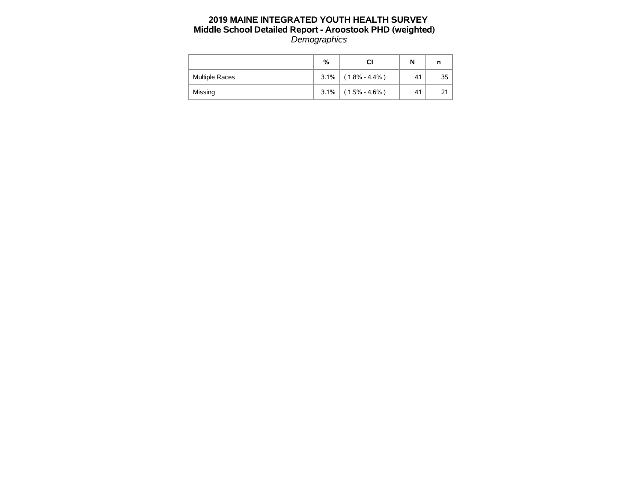|                       | %    |                   | N  | n  |
|-----------------------|------|-------------------|----|----|
| <b>Multiple Races</b> | 3.1% | $(1.8\% - 4.4\%)$ | 41 | 35 |
| Missing               | 3.1% | $(1.5\% - 4.6\%)$ | 41 |    |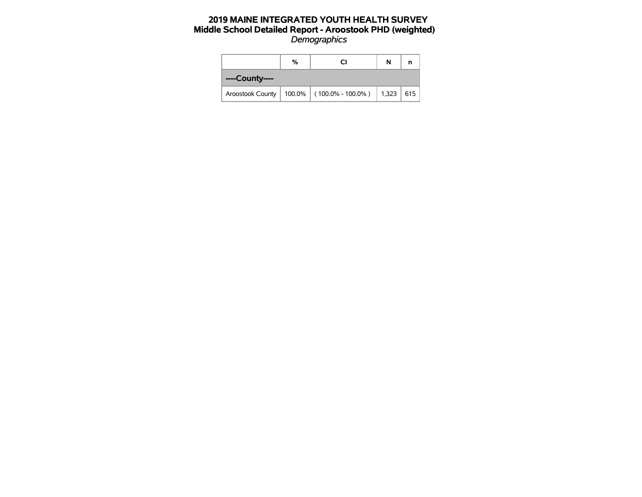|                | % | СI                                                    | N |     |
|----------------|---|-------------------------------------------------------|---|-----|
| ----County---- |   |                                                       |   |     |
|                |   | Aroostook County   100.0%   (100.0% - 100.0%)   1,323 |   | 615 |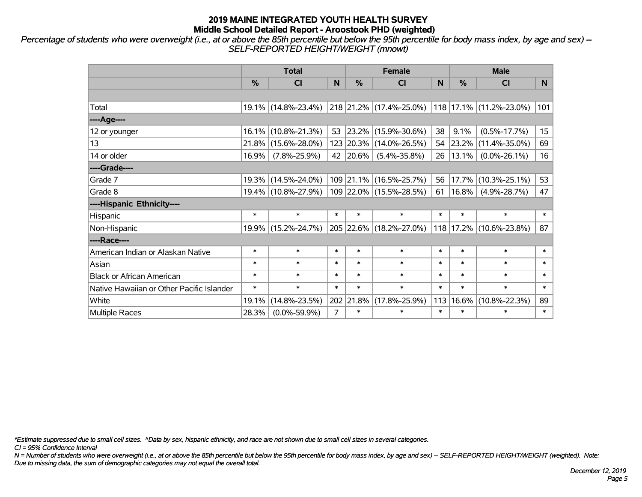*Percentage of students who were overweight (i.e., at or above the 85th percentile but below the 95th percentile for body mass index, by age and sex) -- SELF-REPORTED HEIGHT/WEIGHT (mnowt)*

|                                           |        | <b>Total</b>        |                |               | <b>Female</b>           |        | <b>Male</b>   |                             |        |  |
|-------------------------------------------|--------|---------------------|----------------|---------------|-------------------------|--------|---------------|-----------------------------|--------|--|
|                                           | %      | <b>CI</b>           | N              | $\frac{9}{6}$ | <b>CI</b>               | N      | $\frac{0}{0}$ | <b>CI</b>                   | N      |  |
|                                           |        |                     |                |               |                         |        |               |                             |        |  |
| Total                                     |        | 19.1% (14.8%-23.4%) |                |               | 218 21.2% (17.4%-25.0%) |        |               | 118   17.1%   (11.2%-23.0%) | 101    |  |
| ----Age----                               |        |                     |                |               |                         |        |               |                             |        |  |
| 12 or younger                             |        | 16.1% (10.8%-21.3%) | 53             | 23.2%         | $(15.9\% - 30.6\%)$     | 38     | 9.1%          | $(0.5\% - 17.7\%)$          | 15     |  |
| 13                                        |        | 21.8% (15.6%-28.0%) |                |               | 123 20.3% (14.0%-26.5%) |        | 54 23.2%      | $(11.4\% - 35.0\%)$         | 69     |  |
| 14 or older                               | 16.9%  | $(7.8\% - 25.9\%)$  |                | 42 20.6%      | $(5.4\% - 35.8\%)$      | 26     | 13.1%         | $(0.0\% - 26.1\%)$          | 16     |  |
| ----Grade----                             |        |                     |                |               |                         |        |               |                             |        |  |
| Grade 7                                   |        | 19.3% (14.5%-24.0%) |                |               | 109 21.1% (16.5%-25.7%) | 56     | 17.7%         | $(10.3\% - 25.1\%)$         | 53     |  |
| Grade 8                                   |        | 19.4% (10.8%-27.9%) |                |               | 109 22.0% (15.5%-28.5%) | 61     | $16.8\%$      | $(4.9\% - 28.7\%)$          | 47     |  |
| ----Hispanic Ethnicity----                |        |                     |                |               |                         |        |               |                             |        |  |
| Hispanic                                  | $\ast$ | $\ast$              | $\ast$         | $\ast$        | $\ast$                  | $\ast$ | $\ast$        | $\ast$                      | $\ast$ |  |
| Non-Hispanic                              |        | 19.9% (15.2%-24.7%) |                |               | 205 22.6% (18.2%-27.0%) | 118    |               | 17.2% (10.6%-23.8%)         | 87     |  |
| ----Race----                              |        |                     |                |               |                         |        |               |                             |        |  |
| American Indian or Alaskan Native         | $\ast$ | $\ast$              | $\ast$         | $\ast$        | $\ast$                  | $\ast$ | $\ast$        | $\ast$                      | $\ast$ |  |
| Asian                                     | $\ast$ | $\ast$              | $\ast$         | $\ast$        | $\ast$                  | $\ast$ | $\ast$        | $\ast$                      | $\ast$ |  |
| <b>Black or African American</b>          | $\ast$ | $\ast$              | $\ast$         | $\ast$        | $\ast$                  | $\ast$ | $\ast$        | $\ast$                      | $\ast$ |  |
| Native Hawaiian or Other Pacific Islander | $\ast$ | $\ast$              | $\ast$         | $\ast$        | $\ast$                  | $\ast$ | $\ast$        | $\ast$                      | $\ast$ |  |
| White                                     | 19.1%  | $(14.8\% - 23.5\%)$ |                | 202 21.8%     | $(17.8\% - 25.9\%)$     | 113    | 16.6%         | $(10.8\% - 22.3\%)$         | 89     |  |
| <b>Multiple Races</b>                     | 28.3%  | $(0.0\% - 59.9\%)$  | $\overline{7}$ | $\ast$        | $\ast$                  | $\ast$ | $\ast$        | $\ast$                      | $\ast$ |  |

*\*Estimate suppressed due to small cell sizes. ^Data by sex, hispanic ethnicity, and race are not shown due to small cell sizes in several categories.*

*CI = 95% Confidence Interval*

*N = Number of students who were overweight (i.e., at or above the 85th percentile but below the 95th percentile for body mass index, by age and sex) -- SELF-REPORTED HEIGHT/WEIGHT (weighted). Note: Due to missing data, the sum of demographic categories may not equal the overall total.*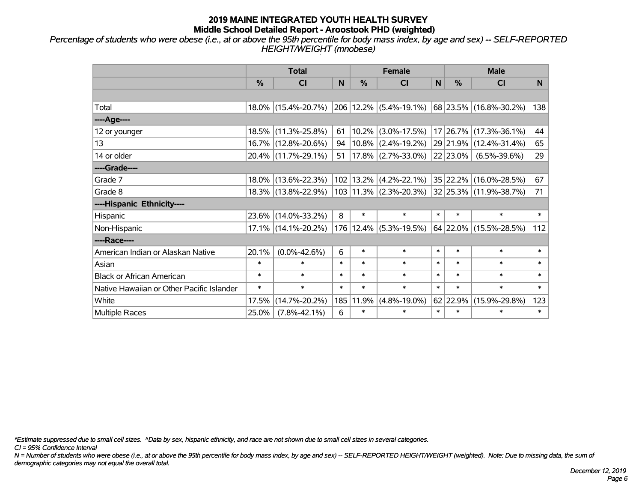*Percentage of students who were obese (i.e., at or above the 95th percentile for body mass index, by age and sex) -- SELF-REPORTED HEIGHT/WEIGHT (mnobese)*

|                                           |        | <b>Total</b>           |        |           | <b>Female</b>              |        | <b>Male</b> |                        |        |  |
|-------------------------------------------|--------|------------------------|--------|-----------|----------------------------|--------|-------------|------------------------|--------|--|
|                                           | $\%$   | <b>CI</b>              | N      | %         | <b>CI</b>                  | N      | %           | <b>CI</b>              | N.     |  |
|                                           |        |                        |        |           |                            |        |             |                        |        |  |
| Total                                     |        | 18.0% (15.4%-20.7%)    |        |           | 206 12.2% (5.4%-19.1%)     |        |             | 68 23.5% (16.8%-30.2%) | 138    |  |
| ----Age----                               |        |                        |        |           |                            |        |             |                        |        |  |
| 12 or younger                             | 18.5%  | $(11.3\% - 25.8\%)$    | 61     | $10.2\%$  | $(3.0\% - 17.5\%)$         |        |             | 17 26.7% (17.3%-36.1%) | 44     |  |
| 13                                        |        | 16.7% (12.8%-20.6%)    | 94     |           | $10.8\%$ (2.4%-19.2%)      |        |             | 29 21.9% (12.4%-31.4%) | 65     |  |
| 14 or older                               |        | 20.4% (11.7%-29.1%)    | 51     |           | $17.8\%$ (2.7%-33.0%)      |        | 22 23.0%    | $(6.5\% - 39.6\%)$     | 29     |  |
| ----Grade----                             |        |                        |        |           |                            |        |             |                        |        |  |
| Grade 7                                   |        | 18.0% (13.6%-22.3%)    | 102    |           | $13.2\%$ (4.2%-22.1%)      |        |             | 35 22.2% (16.0%-28.5%) | 67     |  |
| Grade 8                                   |        | 18.3% (13.8%-22.9%)    |        |           | $103 11.3\% $ (2.3%-20.3%) |        |             | 32 25.3% (11.9%-38.7%) | 71     |  |
| ----Hispanic Ethnicity----                |        |                        |        |           |                            |        |             |                        |        |  |
| Hispanic                                  | 23.6%  | $(14.0\% - 33.2\%)$    | 8      | $\ast$    | $\ast$                     | $\ast$ | $\ast$      | $\ast$                 | $\ast$ |  |
| Non-Hispanic                              |        | $17.1\%$ (14.1%-20.2%) |        | 176 12.4% | $(5.3\% - 19.5\%)$         |        |             | 64 22.0% (15.5%-28.5%) | 112    |  |
| ----Race----                              |        |                        |        |           |                            |        |             |                        |        |  |
| American Indian or Alaskan Native         | 20.1%  | $(0.0\% - 42.6\%)$     | 6      | $\ast$    | $\ast$                     | $\ast$ | $\ast$      | $\ast$                 | $\ast$ |  |
| Asian                                     | $\ast$ | $\ast$                 | $\ast$ | $\ast$    | $\ast$                     | $\ast$ | $\ast$      | $\ast$                 | $\ast$ |  |
| <b>Black or African American</b>          | $\ast$ | $\ast$                 | $\ast$ | $\ast$    | $\ast$                     | $\ast$ | $\ast$      | $\ast$                 | $\ast$ |  |
| Native Hawaiian or Other Pacific Islander | $\ast$ | $\ast$                 | $\ast$ | $\ast$    | $\ast$                     | $\ast$ | $\ast$      | $\ast$                 | $\ast$ |  |
| White                                     | 17.5%  | $(14.7\% - 20.2\%)$    | 185    | 11.9%     | $(4.8\% - 19.0\%)$         |        | 62 22.9%    | $(15.9\% - 29.8\%)$    | 123    |  |
| Multiple Races                            | 25.0%  | $(7.8\% - 42.1\%)$     | 6      | $\ast$    | $\ast$                     | $\ast$ | $\ast$      | $\ast$                 | $\ast$ |  |

*\*Estimate suppressed due to small cell sizes. ^Data by sex, hispanic ethnicity, and race are not shown due to small cell sizes in several categories.*

*CI = 95% Confidence Interval*

*N = Number of students who were obese (i.e., at or above the 95th percentile for body mass index, by age and sex) -- SELF-REPORTED HEIGHT/WEIGHT (weighted). Note: Due to missing data, the sum of demographic categories may not equal the overall total.*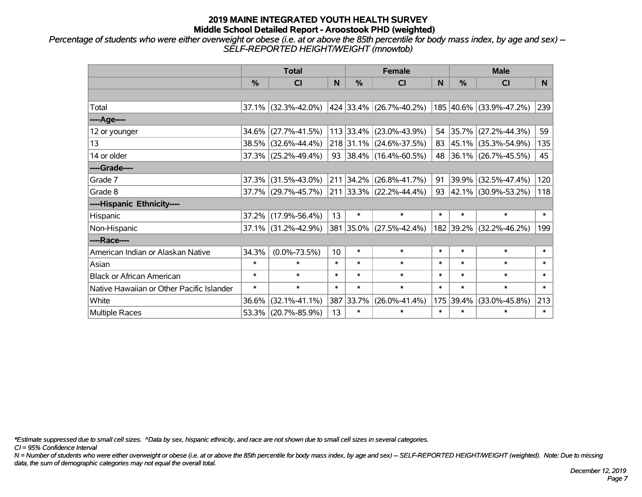*Percentage of students who were either overweight or obese (i.e. at or above the 85th percentile for body mass index, by age and sex) -- SELF-REPORTED HEIGHT/WEIGHT (mnowtob)*

|                                           |               | <b>Total</b>           |        |               | <b>Female</b>             |        | <b>Male</b> |                         |        |  |
|-------------------------------------------|---------------|------------------------|--------|---------------|---------------------------|--------|-------------|-------------------------|--------|--|
|                                           | $\frac{0}{0}$ | CI                     | N      | $\frac{9}{6}$ | <b>CI</b>                 | N      | %           | <b>CI</b>               | N.     |  |
|                                           |               |                        |        |               |                           |        |             |                         |        |  |
| Total                                     |               | 37.1% (32.3%-42.0%)    |        |               | 424 33.4% (26.7%-40.2%)   |        |             | 185 40.6% (33.9%-47.2%) | 239    |  |
| ----Age----                               |               |                        |        |               |                           |        |             |                         |        |  |
| 12 or younger                             | 34.6%         | $(27.7\% - 41.5\%)$    |        |               | 113 33.4% (23.0%-43.9%)   | 54     | 35.7%       | $(27.2\% - 44.3\%)$     | 59     |  |
| 13                                        |               | 38.5% (32.6%-44.4%)    |        |               | 218 31.1% (24.6%-37.5%)   |        |             | 83 45.1% (35.3%-54.9%)  | 135    |  |
| 14 or older                               |               | $37.3\%$ (25.2%-49.4%) |        |               | 93 38.4% (16.4%-60.5%)    |        |             | 48 36.1% (26.7%-45.5%)  | 45     |  |
| ----Grade----                             |               |                        |        |               |                           |        |             |                         |        |  |
| Grade 7                                   | 37.3%         | $(31.5\% - 43.0\%)$    |        |               | 211 34.2% (26.8%-41.7%)   | 91     | 39.9%       | $(32.5\% - 47.4\%)$     | 120    |  |
| Grade 8                                   |               | 37.7% (29.7%-45.7%)    |        |               | $211$ 33.3% (22.2%-44.4%) |        |             | 93 42.1% (30.9%-53.2%)  | 118    |  |
| ----Hispanic Ethnicity----                |               |                        |        |               |                           |        |             |                         |        |  |
| Hispanic                                  | 37.2%         | $(17.9\% - 56.4\%)$    | 13     | $\ast$        | $\ast$                    | $\ast$ | $\ast$      | $\ast$                  | $\ast$ |  |
| Non-Hispanic                              |               | $37.1\%$ (31.2%-42.9%) |        |               | 381 35.0% (27.5%-42.4%)   |        | 182 39.2%   | $(32.2\% - 46.2\%)$     | 199    |  |
| ----Race----                              |               |                        |        |               |                           |        |             |                         |        |  |
| American Indian or Alaskan Native         | 34.3%         | $(0.0\% - 73.5\%)$     | 10     | $\ast$        | $\ast$                    | $\ast$ | $\ast$      | $\ast$                  | $\ast$ |  |
| Asian                                     | $\ast$        | $\ast$                 | $\ast$ | $\ast$        | $\ast$                    | $\ast$ | $\ast$      | $\ast$                  | $\ast$ |  |
| <b>Black or African American</b>          | $\ast$        | $\ast$                 | $\ast$ | $\ast$        | $\ast$                    | $\ast$ | $\ast$      | $\ast$                  | $\ast$ |  |
| Native Hawaiian or Other Pacific Islander | $\ast$        | $\ast$                 | $\ast$ | $\ast$        | $\ast$                    | $\ast$ | $\ast$      | $\ast$                  | $\ast$ |  |
| White                                     | 36.6%         | $(32.1\% - 41.1\%)$    | 387    | 33.7%         | $(26.0\% - 41.4\%)$       | 175    | 39.4%       | $(33.0\% - 45.8\%)$     | 213    |  |
| Multiple Races                            |               | 53.3% (20.7%-85.9%)    | 13     | $\ast$        | $\ast$                    | $\ast$ | $\ast$      | *                       | $\ast$ |  |

*\*Estimate suppressed due to small cell sizes. ^Data by sex, hispanic ethnicity, and race are not shown due to small cell sizes in several categories.*

*CI = 95% Confidence Interval*

*N = Number of students who were either overweight or obese (i.e. at or above the 85th percentile for body mass index, by age and sex) -- SELF-REPORTED HEIGHT/WEIGHT (weighted). Note: Due to missing data, the sum of demographic categories may not equal the overall total.*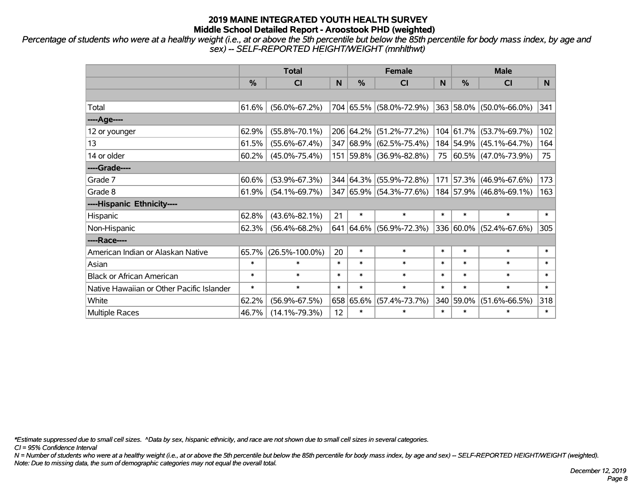*Percentage of students who were at a healthy weight (i.e., at or above the 5th percentile but below the 85th percentile for body mass index, by age and sex) -- SELF-REPORTED HEIGHT/WEIGHT (mnhlthwt)*

|                                           |               | <b>Total</b>         |        |               | <b>Female</b>           |        | <b>Male</b> |                         |        |  |
|-------------------------------------------|---------------|----------------------|--------|---------------|-------------------------|--------|-------------|-------------------------|--------|--|
|                                           | $\frac{0}{0}$ | <b>CI</b>            | N      | $\frac{0}{0}$ | <b>CI</b>               | N      | %           | <b>CI</b>               | N.     |  |
|                                           |               |                      |        |               |                         |        |             |                         |        |  |
| Total                                     | 61.6%         | $(56.0\% - 67.2\%)$  |        |               | 704 65.5% (58.0%-72.9%) |        |             | 363 58.0% (50.0%-66.0%) | 341    |  |
| ----Age----                               |               |                      |        |               |                         |        |             |                         |        |  |
| 12 or younger                             | 62.9%         | $(55.8\% - 70.1\%)$  |        | 206 64.2%     | $(51.2\% - 77.2\%)$     |        | 104 61.7%   | $(53.7\% - 69.7\%)$     | 102    |  |
| 13                                        | 61.5%         | $(55.6\% - 67.4\%)$  |        |               | 347 68.9% (62.5%-75.4%) |        | 184 54.9%   | $(45.1\% - 64.7\%)$     | 164    |  |
| 14 or older                               | 60.2%         | $(45.0\% - 75.4\%)$  |        |               | 151 59.8% (36.9%-82.8%) |        |             | 75 60.5% (47.0%-73.9%)  | 75     |  |
| ----Grade----                             |               |                      |        |               |                         |        |             |                         |        |  |
| Grade 7                                   | 60.6%         | $(53.9\% - 67.3\%)$  |        | 344 64.3%     | $(55.9\% - 72.8\%)$     | 171    | 57.3%       | $(46.9\% - 67.6\%)$     | 173    |  |
| Grade 8                                   | 61.9%         | $(54.1\% - 69.7\%)$  |        |               | 347 65.9% (54.3%-77.6%) |        |             | 184 57.9% (46.8%-69.1%) | 163    |  |
| ----Hispanic Ethnicity----                |               |                      |        |               |                         |        |             |                         |        |  |
| Hispanic                                  | 62.8%         | $(43.6\% - 82.1\%)$  | 21     | $\ast$        | $\ast$                  | $\ast$ | $\ast$      | $\ast$                  | $\ast$ |  |
| Non-Hispanic                              | 62.3%         | $(56.4\% - 68.2\%)$  | 641    |               | 64.6% (56.9%-72.3%)     |        | 336 60.0%   | $(52.4\% - 67.6\%)$     | 305    |  |
| ----Race----                              |               |                      |        |               |                         |        |             |                         |        |  |
| American Indian or Alaskan Native         | 65.7%         | $(26.5\% - 100.0\%)$ | 20     | $\ast$        | $\ast$                  | $\ast$ | $\ast$      | $\ast$                  | $\ast$ |  |
| Asian                                     | $\ast$        | $\ast$               | $\ast$ | $\ast$        | $\ast$                  | $\ast$ | $\ast$      | $\ast$                  | $\ast$ |  |
| <b>Black or African American</b>          | $\ast$        | $\ast$               | $\ast$ | $\ast$        | $\ast$                  | $\ast$ | $\ast$      | $\ast$                  | $\ast$ |  |
| Native Hawaiian or Other Pacific Islander | $\ast$        | $\ast$               | $\ast$ | $\ast$        | $\ast$                  | $\ast$ | $\ast$      | $\ast$                  | $\ast$ |  |
| White                                     | 62.2%         | $(56.9\% - 67.5\%)$  |        | 658 65.6%     | $(57.4\% - 73.7\%)$     |        | 340 59.0%   | $(51.6\% - 66.5\%)$     | 318    |  |
| Multiple Races                            | 46.7%         | $(14.1\% - 79.3\%)$  | 12     | $\ast$        | $\ast$                  | $\ast$ | $\ast$      | $\ast$                  | $\ast$ |  |

*\*Estimate suppressed due to small cell sizes. ^Data by sex, hispanic ethnicity, and race are not shown due to small cell sizes in several categories.*

*CI = 95% Confidence Interval*

*N = Number of students who were at a healthy weight (i.e., at or above the 5th percentile but below the 85th percentile for body mass index, by age and sex) -- SELF-REPORTED HEIGHT/WEIGHT (weighted). Note: Due to missing data, the sum of demographic categories may not equal the overall total.*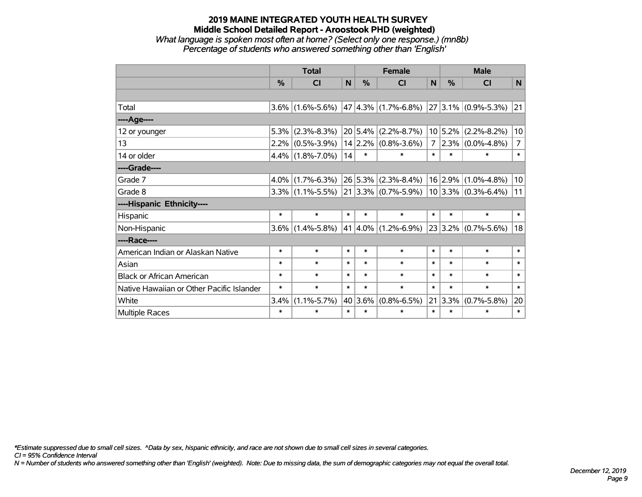#### **2019 MAINE INTEGRATED YOUTH HEALTH SURVEY Middle School Detailed Report - Aroostook PHD (weighted)** *What language is spoken most often at home? (Select only one response.) (mn8b) Percentage of students who answered something other than 'English'*

|                                           |               | <b>Total</b>                            |              |               | <b>Female</b>                                |             |                 | <b>Male</b>                  |                |  |
|-------------------------------------------|---------------|-----------------------------------------|--------------|---------------|----------------------------------------------|-------------|-----------------|------------------------------|----------------|--|
|                                           | $\frac{0}{2}$ | <b>CI</b>                               | $\mathsf{N}$ | $\frac{0}{0}$ | <b>CI</b>                                    | N           | $\%$            | CI                           | N              |  |
|                                           |               |                                         |              |               |                                              |             |                 |                              |                |  |
| Total                                     |               | $3.6\%$ (1.6%-5.6%) 47 4.3% (1.7%-6.8%) |              |               |                                              |             |                 | $ 27 3.1\%  (0.9\% - 5.3\%)$ | 21             |  |
| ----Age----                               |               |                                         |              |               |                                              |             |                 |                              |                |  |
| 12 or younger                             | 5.3%          | $(2.3\% - 8.3\%)$                       |              | 20 5.4%       | $(2.2\% - 8.7\%)$                            |             | 10 5.2%         | $(2.2\% - 8.2\%)$            | 10             |  |
| 13                                        |               | $2.2\%$ (0.5%-3.9%)                     |              |               | $14$ 2.2% (0.8%-3.6%)                        | $7^{\circ}$ |                 | $2.3\%$ (0.0%-4.8%)          | $\overline{7}$ |  |
| 14 or older                               |               | $4.4\%$ (1.8%-7.0%)                     | 14           | $\ast$        | $\ast$                                       | $\ast$      | $\ast$          | $\ast$                       | $\ast$         |  |
| ----Grade----                             |               |                                         |              |               |                                              |             |                 |                              |                |  |
| Grade 7                                   | 4.0%          | $(1.7\% - 6.3\%)$                       |              | 26 5.3%       | $(2.3\% - 8.4\%)$                            |             | $16 \mid 2.9\%$ | $(1.0\% - 4.8\%)$            | 10             |  |
| Grade 8                                   |               | $3.3\%$ (1.1%-5.5%)                     |              |               | $ 21 3.3\% $ (0.7%-5.9%) 10 3.3% (0.3%-6.4%) |             |                 |                              | 11             |  |
| ----Hispanic Ethnicity----                |               |                                         |              |               |                                              |             |                 |                              |                |  |
| Hispanic                                  | $\ast$        | $\ast$                                  | $\ast$       | $\ast$        | $\ast$                                       | $\ast$      | $\ast$          | $\ast$                       | $\ast$         |  |
| Non-Hispanic                              | $3.6\%$       | $(1.4\% - 5.8\%)$                       |              |               | 41 $ 4.0\% $ (1.2%-6.9%)                     |             |                 | $23 3.2\% $ (0.7%-5.6%)      | 18             |  |
| ----Race----                              |               |                                         |              |               |                                              |             |                 |                              |                |  |
| American Indian or Alaskan Native         | $\ast$        | $\ast$                                  | $\ast$       | $\ast$        | $\ast$                                       | $\ast$      | $\ast$          | $\ast$                       | $\ast$         |  |
| Asian                                     | $\ast$        | $\ast$                                  | $\ast$       | $\ast$        | $\ast$                                       | $\ast$      | $\ast$          | $\ast$                       | $\ast$         |  |
| <b>Black or African American</b>          | $\ast$        | $\ast$                                  | $\ast$       | $\ast$        | $\ast$                                       | $\ast$      | $\ast$          | $\ast$                       | $\ast$         |  |
| Native Hawaiian or Other Pacific Islander | $\ast$        | $\ast$                                  | $\ast$       | $\ast$        | $\ast$                                       | $\ast$      | $\ast$          | $\ast$                       | $\ast$         |  |
| White                                     | 3.4%          | $(1.1\% - 5.7\%)$                       | 40           | 3.6%          | $(0.8\% - 6.5\%)$                            |             | 21 3.3%         | $(0.7\% - 5.8\%)$            | 20             |  |
| <b>Multiple Races</b>                     | $\ast$        | $\ast$                                  | $\ast$       | $\ast$        | $\ast$                                       | $\ast$      | $\ast$          | $\ast$                       | $\ast$         |  |

*\*Estimate suppressed due to small cell sizes. ^Data by sex, hispanic ethnicity, and race are not shown due to small cell sizes in several categories.*

*CI = 95% Confidence Interval*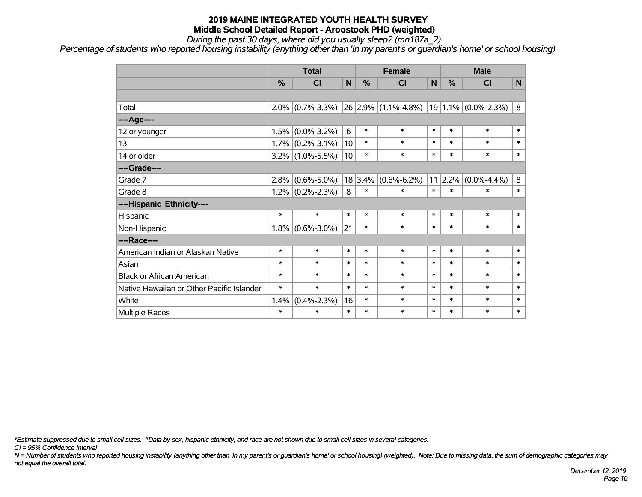*During the past 30 days, where did you usually sleep? (mn187a\_2)*

*Percentage of students who reported housing instability (anything other than 'In my parent's or guardian's home' or school housing)*

|                                           | <b>Total</b> |                   |        |         | <b>Female</b>           |        | <b>Male</b>     |                         |         |
|-------------------------------------------|--------------|-------------------|--------|---------|-------------------------|--------|-----------------|-------------------------|---------|
|                                           | %            | CI                | N      | %       | <b>CI</b>               | N      | %               | <b>CI</b>               | N       |
|                                           |              |                   |        |         |                         |        |                 |                         |         |
| Total                                     | $2.0\%$      | $(0.7\% - 3.3\%)$ |        |         | $26 2.9\% $ (1.1%-4.8%) |        |                 | $19 1.1\% $ (0.0%-2.3%) | 8       |
| ----Age----                               |              |                   |        |         |                         |        |                 |                         |         |
| 12 or younger                             | 1.5%         | $(0.0\% - 3.2\%)$ | 6      | $\ast$  | $\ast$                  | $\ast$ | $\ast$          | $\ast$                  | $\ast$  |
| 13                                        | 1.7%         | $(0.2\% - 3.1\%)$ | 10     | $\ast$  | $\ast$                  | $\ast$ | $\ast$          | $\ast$                  | $\ast$  |
| 14 or older                               | $3.2\%$      | $(1.0\% - 5.5\%)$ | 10     | $\ast$  | $\ast$                  | $\ast$ | $\ast$          | $\ast$                  | $\ast$  |
| ----Grade----                             |              |                   |        |         |                         |        |                 |                         |         |
| Grade 7                                   | 2.8%         | $(0.6\% - 5.0\%)$ |        | 18 3.4% | $(0.6\% - 6.2\%)$       |        | $11 \mid 2.2\%$ | $(0.0\% - 4.4\%)$       | $\bf 8$ |
| Grade 8                                   | $1.2\%$      | $(0.2\% - 2.3\%)$ | 8      | $\ast$  | $\ast$                  | $\ast$ | $\ast$          | $\ast$                  | $\ast$  |
| ----Hispanic Ethnicity----                |              |                   |        |         |                         |        |                 |                         |         |
| Hispanic                                  | $\ast$       | $\ast$            | $\ast$ | $\ast$  | $\ast$                  | $\ast$ | $\ast$          | $\ast$                  | $\ast$  |
| Non-Hispanic                              | 1.8%         | $(0.6\% - 3.0\%)$ | 21     | $\ast$  | $\ast$                  | $\ast$ | $\ast$          | $\ast$                  | $\ast$  |
| ----Race----                              |              |                   |        |         |                         |        |                 |                         |         |
| American Indian or Alaskan Native         | $\ast$       | $\ast$            | $\ast$ | $\ast$  | $\ast$                  | $\ast$ | $\ast$          | $\ast$                  | $\ast$  |
| Asian                                     | $\ast$       | $\ast$            | $\ast$ | $\ast$  | $\ast$                  | $\ast$ | $\ast$          | $\ast$                  | $\ast$  |
| <b>Black or African American</b>          | $\ast$       | $\ast$            | $\ast$ | $\ast$  | $\ast$                  | $\ast$ | $\ast$          | $\ast$                  | $\ast$  |
| Native Hawaiian or Other Pacific Islander | $\ast$       | $\ast$            | $\ast$ | $\ast$  | $\ast$                  | $\ast$ | $\ast$          | $\ast$                  | $\ast$  |
| White                                     | 1.4%         | $(0.4\% - 2.3\%)$ | 16     | $\ast$  | $\ast$                  | $\ast$ | $\ast$          | $\ast$                  | $\ast$  |
| <b>Multiple Races</b>                     | $\ast$       | $\ast$            | $\ast$ | $\ast$  | $\ast$                  | $\ast$ | $\ast$          | $\ast$                  | $\ast$  |

*\*Estimate suppressed due to small cell sizes. ^Data by sex, hispanic ethnicity, and race are not shown due to small cell sizes in several categories.*

*CI = 95% Confidence Interval*

*N = Number of students who reported housing instability (anything other than 'In my parent's or guardian's home' or school housing) (weighted). Note: Due to missing data, the sum of demographic categories may not equal the overall total.*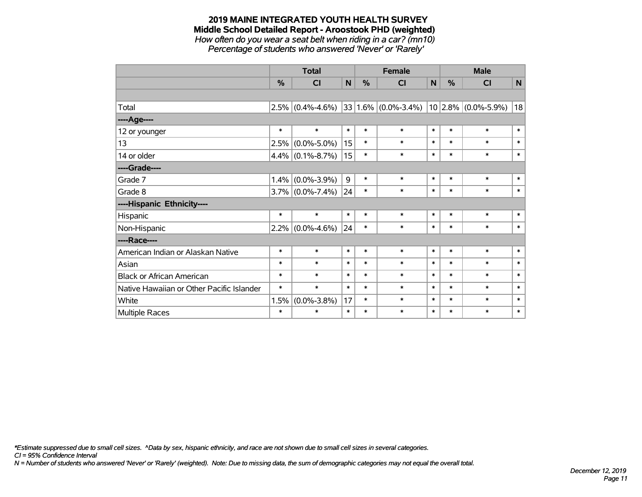# **2019 MAINE INTEGRATED YOUTH HEALTH SURVEY Middle School Detailed Report - Aroostook PHD (weighted)** *How often do you wear a seat belt when riding in a car? (mn10)*

*Percentage of students who answered 'Never' or 'Rarely'*

|                                           |           | <b>Total</b>        |              |        | <b>Female</b>           |        |        | <b>Male</b>           |              |  |
|-------------------------------------------|-----------|---------------------|--------------|--------|-------------------------|--------|--------|-----------------------|--------------|--|
|                                           | $\%$      | C <sub>l</sub>      | $\mathsf{N}$ | %      | CI                      | N      | $\%$   | <b>CI</b>             | $\mathsf{N}$ |  |
|                                           |           |                     |              |        |                         |        |        |                       |              |  |
| Total                                     | 2.5%      | $(0.4\% - 4.6\%)$   |              |        | $33 1.6\% $ (0.0%-3.4%) |        |        | $10$ 2.8% (0.0%-5.9%) | 18           |  |
| ----Age----                               |           |                     |              |        |                         |        |        |                       |              |  |
| 12 or younger                             | $\ast$    | $\ast$              | $\ast$       | $\ast$ | $\ast$                  | $\ast$ | $\ast$ | $\ast$                | $\ast$       |  |
| 13                                        | 2.5%      | $(0.0\% - 5.0\%)$   | 15           | $\ast$ | $\ast$                  | $\ast$ | $\ast$ | $\ast$                | $\ast$       |  |
| 14 or older                               |           | $4.4\%$ (0.1%-8.7%) | 15           | $\ast$ | $\ast$                  | $\ast$ | $\ast$ | $\ast$                | $\ast$       |  |
| ----Grade----                             |           |                     |              |        |                         |        |        |                       |              |  |
| Grade 7                                   | 1.4%      | $(0.0\% - 3.9\%)$   | 9            | $\ast$ | $\ast$                  | $\ast$ | $\ast$ | $\ast$                | $\ast$       |  |
| Grade 8                                   |           | $3.7\%$ (0.0%-7.4%) | 24           | $\ast$ | $\ast$                  | $\ast$ | $\ast$ | $\ast$                | $\ast$       |  |
| ----Hispanic Ethnicity----                |           |                     |              |        |                         |        |        |                       |              |  |
| Hispanic                                  | $\ast$    | $\ast$              | $\ast$       | $\ast$ | $\ast$                  | $\ast$ | $\ast$ | $\ast$                | $\ast$       |  |
| Non-Hispanic                              | $ 2.2\% $ | $(0.0\% - 4.6\%)$   | 24           | $\ast$ | $\ast$                  | $\ast$ | $\ast$ | $\ast$                | $\ast$       |  |
| ----Race----                              |           |                     |              |        |                         |        |        |                       |              |  |
| American Indian or Alaskan Native         | $\ast$    | $\ast$              | $\ast$       | $\ast$ | $\ast$                  | $\ast$ | $\ast$ | $\ast$                | $\ast$       |  |
| Asian                                     | $\ast$    | $\ast$              | $\ast$       | $\ast$ | $\ast$                  | $\ast$ | $\ast$ | $\ast$                | $\ast$       |  |
| <b>Black or African American</b>          | $\ast$    | $\ast$              | $\ast$       | $\ast$ | $\ast$                  | $\ast$ | $\ast$ | $\ast$                | $\ast$       |  |
| Native Hawaiian or Other Pacific Islander | $\ast$    | $\ast$              | $\ast$       | $\ast$ | $\ast$                  | $\ast$ | $\ast$ | $\ast$                | $\ast$       |  |
| White                                     | 1.5%      | $(0.0\% - 3.8\%)$   | 17           | $\ast$ | $\ast$                  | $\ast$ | $\ast$ | $\ast$                | $\ast$       |  |
| <b>Multiple Races</b>                     | $\ast$    | $\ast$              | $\ast$       | $\ast$ | $\ast$                  | $\ast$ | $\ast$ | $\ast$                | $\ast$       |  |

*\*Estimate suppressed due to small cell sizes. ^Data by sex, hispanic ethnicity, and race are not shown due to small cell sizes in several categories.*

*CI = 95% Confidence Interval*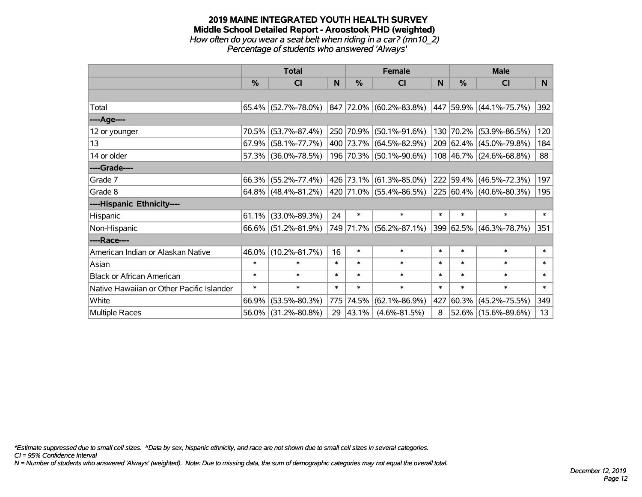#### **2019 MAINE INTEGRATED YOUTH HEALTH SURVEY Middle School Detailed Report - Aroostook PHD (weighted)** *How often do you wear a seat belt when riding in a car? (mn10\_2) Percentage of students who answered 'Always'*

|                                           |               | <b>Total</b>           |        |               | <b>Female</b>                                             |              | <b>Male</b> |                         |          |  |
|-------------------------------------------|---------------|------------------------|--------|---------------|-----------------------------------------------------------|--------------|-------------|-------------------------|----------|--|
|                                           | $\frac{0}{0}$ | <b>CI</b>              | N      | $\frac{0}{0}$ | <b>CI</b>                                                 | <sub>N</sub> | %           | <b>CI</b>               | <b>N</b> |  |
|                                           |               |                        |        |               |                                                           |              |             |                         |          |  |
| Total                                     |               | $65.4\%$ (52.7%-78.0%) |        |               | $ 847 72.0\% $ (60.2%-83.8%) $ 447 59.9\% $ (44.1%-75.7%) |              |             |                         | 392      |  |
| ----Age----                               |               |                        |        |               |                                                           |              |             |                         |          |  |
| 12 or younger                             | 70.5%         | $(53.7\% - 87.4\%)$    |        |               | 250 70.9% (50.1%-91.6%)                                   |              |             | 130 70.2% (53.9%-86.5%) | 120      |  |
| 13                                        | 67.9%         | $(58.1\% - 77.7\%)$    |        |               | 400 73.7% (64.5%-82.9%)                                   |              |             | 209 62.4% (45.0%-79.8%) | 184      |  |
| 14 or older                               |               | 57.3% (36.0%-78.5%)    |        |               | 196 70.3% (50.1%-90.6%)                                   |              |             | 108 46.7% (24.6%-68.8%) | 88       |  |
| ----Grade----                             |               |                        |        |               |                                                           |              |             |                         |          |  |
| Grade 7                                   | 66.3%         | $(55.2\% - 77.4\%)$    |        |               | 426 73.1% (61.3%-85.0%)                                   |              |             | 222 59.4% (46.5%-72.3%) | 197      |  |
| Grade 8                                   |               | $64.8\%$ (48.4%-81.2%) |        |               | 420 71.0% (55.4%-86.5%)                                   |              |             | 225 60.4% (40.6%-80.3%) | 195      |  |
| ----Hispanic Ethnicity----                |               |                        |        |               |                                                           |              |             |                         |          |  |
| Hispanic                                  | 61.1%         | $(33.0\% - 89.3\%)$    | 24     | $\ast$        | $\ast$                                                    | $\ast$       | $\ast$      | $\ast$                  | $\ast$   |  |
| Non-Hispanic                              |               | 66.6% (51.2%-81.9%)    |        |               | 749 71.7% (56.2%-87.1%)                                   |              |             | 399 62.5% (46.3%-78.7%) | 351      |  |
| ----Race----                              |               |                        |        |               |                                                           |              |             |                         |          |  |
| American Indian or Alaskan Native         | 46.0%         | $(10.2\% - 81.7\%)$    | 16     | $\ast$        | $\ast$                                                    | $\ast$       | $\ast$      | $\ast$                  | $\ast$   |  |
| Asian                                     | $\ast$        | $\ast$                 | $\ast$ | $\ast$        | $\ast$                                                    | $\ast$       | $\ast$      | $\ast$                  | $\ast$   |  |
| <b>Black or African American</b>          | $\ast$        | $\ast$                 | $\ast$ | $\ast$        | $\ast$                                                    | $\ast$       | $\ast$      | $\ast$                  | $\ast$   |  |
| Native Hawaiian or Other Pacific Islander | $\ast$        | $\ast$                 | $\ast$ | $\ast$        | $\ast$                                                    | $\ast$       | $\ast$      | $\ast$                  | $\ast$   |  |
| White                                     | 66.9%         | $(53.5\% - 80.3\%)$    |        | 775 74.5%     | $(62.1\% - 86.9\%)$                                       | 427          | 60.3%       | $(45.2\% - 75.5\%)$     | 349      |  |
| <b>Multiple Races</b>                     |               | 56.0% (31.2%-80.8%)    |        | 29 43.1%      | $(4.6\% - 81.5\%)$                                        | 8            |             | 52.6% (15.6%-89.6%)     | 13       |  |

*\*Estimate suppressed due to small cell sizes. ^Data by sex, hispanic ethnicity, and race are not shown due to small cell sizes in several categories.*

*CI = 95% Confidence Interval*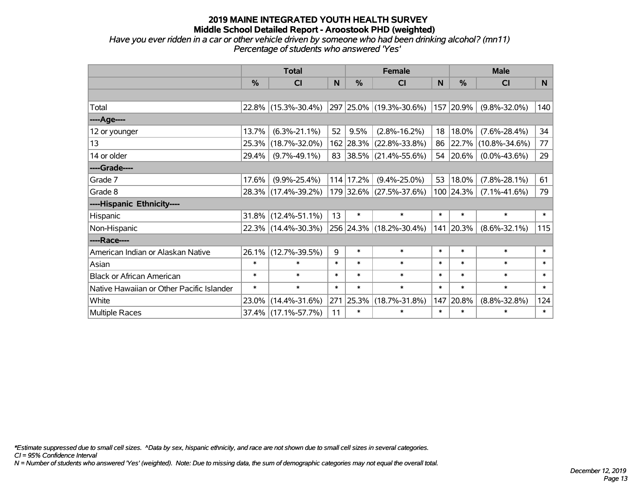*Have you ever ridden in a car or other vehicle driven by someone who had been drinking alcohol? (mn11) Percentage of students who answered 'Yes'*

|                                           |          | <b>Total</b>        |              |               | <b>Female</b>           |        | <b>Male</b> |                     |        |  |
|-------------------------------------------|----------|---------------------|--------------|---------------|-------------------------|--------|-------------|---------------------|--------|--|
|                                           | %        | CI                  | $\mathsf{N}$ | $\frac{9}{6}$ | CI                      | N      | %           | <b>CI</b>           | N      |  |
|                                           |          |                     |              |               |                         |        |             |                     |        |  |
| Total                                     |          | 22.8% (15.3%-30.4%) |              |               | 297 25.0% (19.3%-30.6%) |        | 157 20.9%   | $(9.8\% - 32.0\%)$  | 140    |  |
| ----Age----                               |          |                     |              |               |                         |        |             |                     |        |  |
| 12 or younger                             | 13.7%    | $(6.3\% - 21.1\%)$  | 52           | 9.5%          | $(2.8\% - 16.2\%)$      | 18     | 18.0%       | $(7.6\% - 28.4\%)$  | 34     |  |
| 13                                        | 25.3%    | $(18.7\% - 32.0\%)$ |              |               | 162 28.3% (22.8%-33.8%) | 86     | 22.7%       | $(10.8\% - 34.6\%)$ | 77     |  |
| 14 or older                               | 29.4%    | $(9.7\% - 49.1\%)$  |              |               | 83 38.5% (21.4%-55.6%)  |        | 54 20.6%    | $(0.0\% - 43.6\%)$  | 29     |  |
| ----Grade----                             |          |                     |              |               |                         |        |             |                     |        |  |
| Grade 7                                   | 17.6%    | $(9.9\% - 25.4\%)$  |              | 114 17.2%     | $(9.4\% - 25.0\%)$      | 53     | 18.0%       | $(7.8\% - 28.1\%)$  | 61     |  |
| Grade 8                                   |          | 28.3% (17.4%-39.2%) |              |               | 179 32.6% (27.5%-37.6%) |        | 100 24.3%   | $(7.1\% - 41.6\%)$  | 79     |  |
| ----Hispanic Ethnicity----                |          |                     |              |               |                         |        |             |                     |        |  |
| Hispanic                                  | $31.8\%$ | $(12.4\% - 51.1\%)$ | 13           | $\ast$        | $\ast$                  | $\ast$ | $\ast$      | $\ast$              | $\ast$ |  |
| Non-Hispanic                              |          | 22.3% (14.4%-30.3%) |              |               | 256 24.3% (18.2%-30.4%) |        | 141 20.3%   | $(8.6\% - 32.1\%)$  | 115    |  |
| ----Race----                              |          |                     |              |               |                         |        |             |                     |        |  |
| American Indian or Alaskan Native         | 26.1%    | $(12.7\% - 39.5\%)$ | 9            | $\ast$        | $\ast$                  | $\ast$ | $\ast$      | $\ast$              | $\ast$ |  |
| Asian                                     | $\ast$   | $\ast$              | $\ast$       | $\ast$        | $\ast$                  | $\ast$ | $\ast$      | $\ast$              | $\ast$ |  |
| <b>Black or African American</b>          | $\ast$   | $\ast$              | $\ast$       | $\ast$        | $\ast$                  | $\ast$ | $\ast$      | $\ast$              | $\ast$ |  |
| Native Hawaiian or Other Pacific Islander | $\ast$   | $\ast$              | $\ast$       | $\ast$        | $\ast$                  | $\ast$ | $\ast$      | $\ast$              | $\ast$ |  |
| White                                     | 23.0%    | $(14.4\% - 31.6\%)$ | 271          | 25.3%         | $(18.7\% - 31.8\%)$     | 147    | 20.8%       | $(8.8\% - 32.8\%)$  | 124    |  |
| Multiple Races                            |          | 37.4% (17.1%-57.7%) | 11           | $\ast$        | $\ast$                  | $\ast$ | $\ast$      | $\ast$              | $\ast$ |  |

*\*Estimate suppressed due to small cell sizes. ^Data by sex, hispanic ethnicity, and race are not shown due to small cell sizes in several categories.*

*CI = 95% Confidence Interval*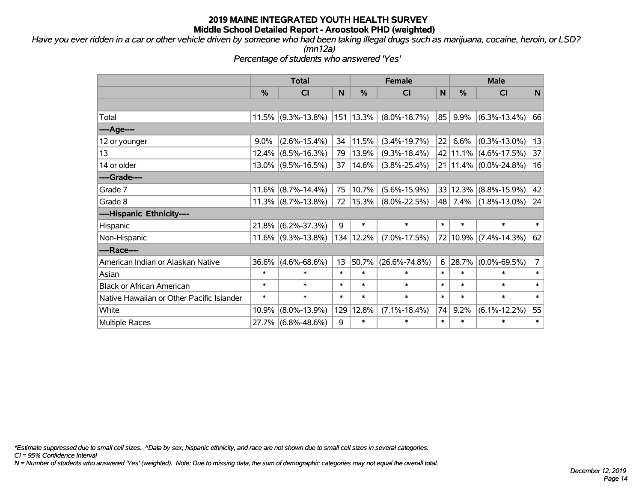*Have you ever ridden in a car or other vehicle driven by someone who had been taking illegal drugs such as marijuana, cocaine, heroin, or LSD? (mn12a)*

*Percentage of students who answered 'Yes'*

|                                           | <b>Total</b>  |                       |        | <b>Female</b>  | <b>Male</b>         |              |          |                           |                |
|-------------------------------------------|---------------|-----------------------|--------|----------------|---------------------|--------------|----------|---------------------------|----------------|
|                                           | $\frac{0}{0}$ | <b>CI</b>             | N      | %              | <b>CI</b>           | $\mathsf{N}$ | %        | <b>CI</b>                 | N              |
|                                           |               |                       |        |                |                     |              |          |                           |                |
| Total                                     | 11.5%         | $(9.3\% - 13.8\%)$    |        | $ 151 13.3\% $ | $(8.0\% - 18.7\%)$  | 85           | 9.9%     | $(6.3\% - 13.4\%)$        | 66             |
| ----Age----                               |               |                       |        |                |                     |              |          |                           |                |
| 12 or younger                             | $9.0\%$       | $(2.6\% - 15.4\%)$    | 34     | 11.5%          | $(3.4\% - 19.7\%)$  | 22           | 6.6%     | $(0.3\% - 13.0\%)$        | 13             |
| 13                                        | 12.4%         | $(8.5\% - 16.3\%)$    | 79     | 13.9%          | $(9.3\% - 18.4\%)$  |              | 42 11.1% | $(4.6\% - 17.5\%)$        | 37             |
| 14 or older                               | $13.0\%$      | $(9.5\% - 16.5\%)$    | 37     | $ 14.6\% $     | $(3.8\% - 25.4\%)$  |              |          | 21   11.4%   (0.0%-24.8%) | 16             |
| ----Grade----                             |               |                       |        |                |                     |              |          |                           |                |
| Grade 7                                   | 11.6%         | $(8.7\% - 14.4\%)$    | 75     | 10.7%          | $(5.6\% - 15.9\%)$  |              | 33 12.3% | $(8.8\% - 15.9\%)$        | 42             |
| Grade 8                                   |               | $11.3\%$ (8.7%-13.8%) | 72     | $ 15.3\% $     | $(8.0\% - 22.5\%)$  | 48           | 7.4%     | $(1.8\% - 13.0\%)$        | 24             |
| ----Hispanic Ethnicity----                |               |                       |        |                |                     |              |          |                           |                |
| Hispanic                                  | 21.8%         | $(6.2\% - 37.3\%)$    | 9      | $\ast$         | $\ast$              | $\ast$       | $\ast$   | $\ast$                    | $\ast$         |
| Non-Hispanic                              | 11.6%         | $(9.3\% - 13.8\%)$    |        | 134 12.2%      | $(7.0\% - 17.5\%)$  |              | 72 10.9% | $(7.4\% - 14.3\%)$        | 62             |
| ----Race----                              |               |                       |        |                |                     |              |          |                           |                |
| American Indian or Alaskan Native         | 36.6%         | $(4.6\% - 68.6\%)$    | 13     | 50.7%          | $(26.6\% - 74.8\%)$ |              | 6 28.7%  | $(0.0\% - 69.5\%)$        | $\overline{7}$ |
| Asian                                     | $\ast$        | $\ast$                | $\ast$ | $\ast$         | $\ast$              | $\ast$       | $\ast$   | $\ast$                    | $\ast$         |
| <b>Black or African American</b>          | $\ast$        | $\ast$                | $\ast$ | $\ast$         | $\ast$              | $\ast$       | $\ast$   | $\ast$                    | $\ast$         |
| Native Hawaiian or Other Pacific Islander | $\ast$        | $\ast$                | $\ast$ | $\ast$         | $\ast$              | $\ast$       | $\ast$   | $\ast$                    | $\ast$         |
| White                                     | 10.9%         | $(8.0\% - 13.9\%)$    | 129    | 12.8%          | $(7.1\% - 18.4\%)$  | 74           | 9.2%     | $(6.1\% - 12.2\%)$        | 55             |
| <b>Multiple Races</b>                     | 27.7%         | $(6.8\% - 48.6\%)$    | 9      | $\ast$         | $\ast$              | $\ast$       | $\ast$   | $\ast$                    | $\ast$         |

*\*Estimate suppressed due to small cell sizes. ^Data by sex, hispanic ethnicity, and race are not shown due to small cell sizes in several categories.*

*CI = 95% Confidence Interval*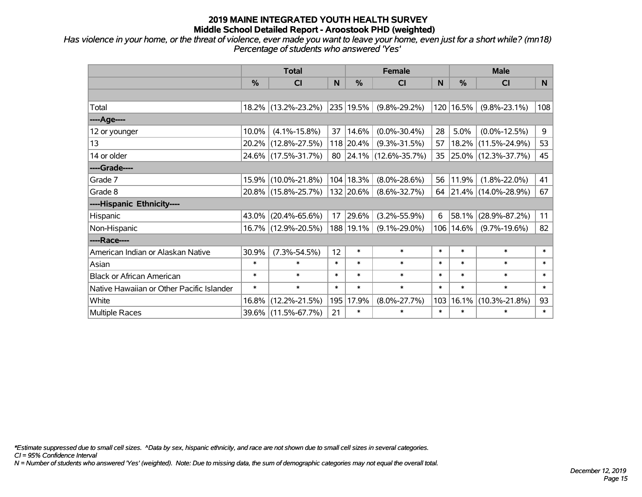*Has violence in your home, or the threat of violence, ever made you want to leave your home, even just for a short while? (mn18) Percentage of students who answered 'Yes'*

|                                           |               | <b>Total</b>        |        |               | <b>Female</b>          | <b>Male</b> |        |                        |        |
|-------------------------------------------|---------------|---------------------|--------|---------------|------------------------|-------------|--------|------------------------|--------|
|                                           | $\frac{0}{0}$ | CI                  | N      | $\frac{0}{0}$ | <b>CI</b>              | N           | %      | <b>CI</b>              | N      |
|                                           |               |                     |        |               |                        |             |        |                        |        |
| Total                                     |               | 18.2% (13.2%-23.2%) |        | 235 19.5%     | $(9.8\% - 29.2\%)$     | 120         | 16.5%  | $(9.8\% - 23.1\%)$     | 108    |
| ----Age----                               |               |                     |        |               |                        |             |        |                        |        |
| 12 or younger                             | 10.0%         | $(4.1\% - 15.8\%)$  | 37     | 14.6%         | $(0.0\% - 30.4\%)$     | 28          | 5.0%   | $(0.0\% - 12.5\%)$     | 9      |
| 13                                        | 20.2%         | $(12.8\% - 27.5\%)$ |        | 118 20.4%     | $(9.3\% - 31.5\%)$     | 57          | 18.2%  | $(11.5\% - 24.9\%)$    | 53     |
| 14 or older                               |               | 24.6% (17.5%-31.7%) |        |               | 80 24.1% (12.6%-35.7%) | 35          |        | 25.0% (12.3%-37.7%)    | 45     |
| ----Grade----                             |               |                     |        |               |                        |             |        |                        |        |
| Grade 7                                   | 15.9%         | $(10.0\% - 21.8\%)$ |        | 104   18.3%   | $(8.0\% - 28.6\%)$     | 56          | 11.9%  | $(1.8\% - 22.0\%)$     | 41     |
| Grade 8                                   |               | 20.8% (15.8%-25.7%) |        | 132 20.6%     | $(8.6\% - 32.7\%)$     |             |        | 64 21.4% (14.0%-28.9%) | 67     |
| ----Hispanic Ethnicity----                |               |                     |        |               |                        |             |        |                        |        |
| Hispanic                                  | 43.0%         | $(20.4\% - 65.6\%)$ | 17     | 29.6%         | $(3.2\% - 55.9\%)$     | 6           | 58.1%  | $(28.9\% - 87.2\%)$    | 11     |
| Non-Hispanic                              |               | 16.7% (12.9%-20.5%) |        | 188   19.1%   | $(9.1\% - 29.0\%)$     | 106         | 14.6%  | $(9.7\% - 19.6\%)$     | 82     |
| ----Race----                              |               |                     |        |               |                        |             |        |                        |        |
| American Indian or Alaskan Native         | 30.9%         | $(7.3\% - 54.5\%)$  | 12     | $\ast$        | $\ast$                 | $\ast$      | $\ast$ | $\ast$                 | $\ast$ |
| Asian                                     | $\ast$        | $\ast$              | $\ast$ | $\ast$        | $\ast$                 | $\ast$      | $\ast$ | $\ast$                 | $\ast$ |
| <b>Black or African American</b>          | $\ast$        | $\ast$              | $\ast$ | $\ast$        | $\ast$                 | $\ast$      | $\ast$ | $\ast$                 | $\ast$ |
| Native Hawaiian or Other Pacific Islander | $\ast$        | $\ast$              | $\ast$ | $\ast$        | $\ast$                 | $\ast$      | $\ast$ | $\ast$                 | $\ast$ |
| White                                     | 16.8%         | $(12.2\% - 21.5\%)$ | 195    | 17.9%         | $(8.0\% - 27.7\%)$     | 103         | 16.1%  | $(10.3\% - 21.8\%)$    | 93     |
| <b>Multiple Races</b>                     |               | 39.6% (11.5%-67.7%) | 21     | $\ast$        | $\ast$                 | $\ast$      | $\ast$ | $\ast$                 | $\ast$ |

*\*Estimate suppressed due to small cell sizes. ^Data by sex, hispanic ethnicity, and race are not shown due to small cell sizes in several categories.*

*CI = 95% Confidence Interval*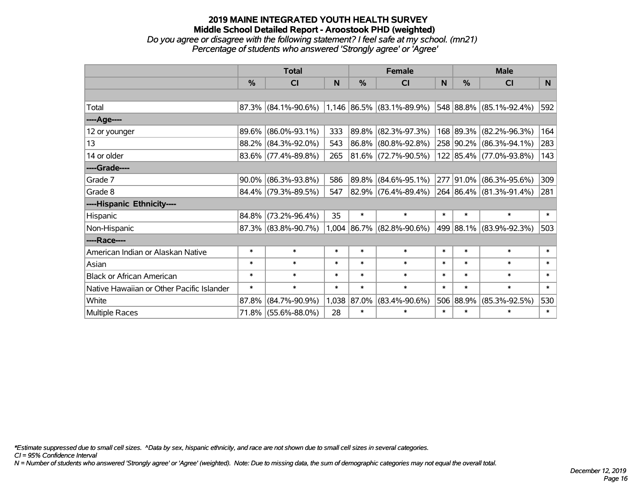#### **2019 MAINE INTEGRATED YOUTH HEALTH SURVEY Middle School Detailed Report - Aroostook PHD (weighted)** *Do you agree or disagree with the following statement? I feel safe at my school. (mn21) Percentage of students who answered 'Strongly agree' or 'Agree'*

|                                           | <b>Total</b>  |                                                  |        | <b>Female</b> |                             | <b>Male</b> |               |                         |        |
|-------------------------------------------|---------------|--------------------------------------------------|--------|---------------|-----------------------------|-------------|---------------|-------------------------|--------|
|                                           | $\frac{0}{0}$ | CI                                               | N      | %             | <b>CI</b>                   | N           | $\frac{0}{0}$ | <b>CI</b>               | N.     |
|                                           |               |                                                  |        |               |                             |             |               |                         |        |
| Total                                     |               | $87.3\%$ (84.1%-90.6%) 1,146 86.5% (83.1%-89.9%) |        |               |                             |             |               | 548 88.8% (85.1%-92.4%) | 592    |
| ----Age----                               |               |                                                  |        |               |                             |             |               |                         |        |
| 12 or younger                             | 89.6%         | $(86.0\% - 93.1\%)$                              | 333    | 89.8%         | $(82.3\% - 97.3\%)$         |             |               | 168 89.3% (82.2%-96.3%) | 164    |
| 13                                        |               | 88.2% (84.3%-92.0%)                              | 543    |               | 86.8% (80.8%-92.8%)         |             |               | 258 90.2% (86.3%-94.1%) | 283    |
| 14 or older                               |               | 83.6% (77.4%-89.8%)                              | 265    |               | 81.6% (72.7%-90.5%)         |             |               | 122 85.4% (77.0%-93.8%) | 143    |
| ----Grade----                             |               |                                                  |        |               |                             |             |               |                         |        |
| Grade 7                                   | 90.0%         | $(86.3\% - 93.8\%)$                              | 586    | 89.8%         | $(84.6\% - 95.1\%)$         |             | 277 91.0%     | $(86.3\% - 95.6\%)$     | 309    |
| Grade 8                                   |               | 84.4% (79.3%-89.5%)                              | 547    |               | 82.9% (76.4%-89.4%)         |             |               | 264 86.4% (81.3%-91.4%) | 281    |
| ----Hispanic Ethnicity----                |               |                                                  |        |               |                             |             |               |                         |        |
| Hispanic                                  | 84.8%         | $(73.2\% - 96.4\%)$                              | 35     | $\ast$        | $\ast$                      | $\ast$      | $\ast$        | $\ast$                  | $\ast$ |
| Non-Hispanic                              |               | 87.3% (83.8%-90.7%)                              |        |               | $1,004$ 86.7% (82.8%-90.6%) |             |               | 499 88.1% (83.9%-92.3%) | 503    |
| ----Race----                              |               |                                                  |        |               |                             |             |               |                         |        |
| American Indian or Alaskan Native         | $\ast$        | $\ast$                                           | $\ast$ | $\ast$        | $\ast$                      | $\ast$      | $\ast$        | $\ast$                  | $\ast$ |
| Asian                                     | $\ast$        | $\ast$                                           | $\ast$ | $\ast$        | $\ast$                      | $\ast$      | $\ast$        | $\ast$                  | $\ast$ |
| <b>Black or African American</b>          | $\ast$        | $\ast$                                           | $\ast$ | $\ast$        | $\ast$                      | $\ast$      | $\ast$        | $\ast$                  | $\ast$ |
| Native Hawaiian or Other Pacific Islander | $\ast$        | $\ast$                                           | $\ast$ | $\ast$        | $\ast$                      | $\ast$      | $\ast$        | $\ast$                  | $\ast$ |
| White                                     | 87.8%         | $(84.7\% - 90.9\%)$                              | 1,038  | 87.0%         | $(83.4\% - 90.6\%)$         |             | 506 88.9%     | $(85.3\% - 92.5\%)$     | 530    |
| Multiple Races                            |               | 71.8% (55.6%-88.0%)                              | 28     | $\ast$        | $\ast$                      | $\ast$      | $\ast$        | $\ast$                  | $\ast$ |

*\*Estimate suppressed due to small cell sizes. ^Data by sex, hispanic ethnicity, and race are not shown due to small cell sizes in several categories.*

*CI = 95% Confidence Interval*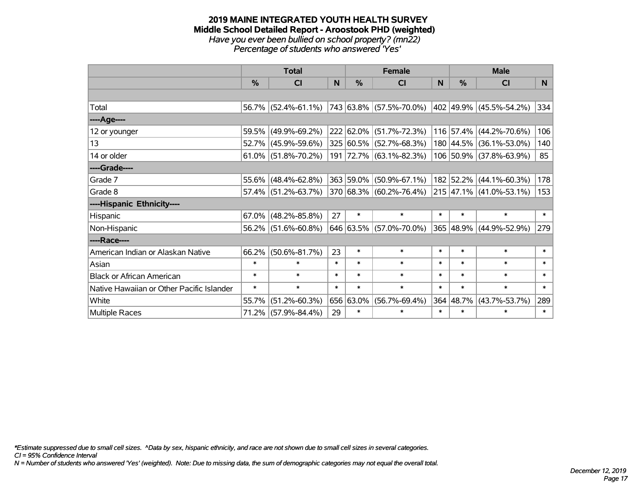#### **2019 MAINE INTEGRATED YOUTH HEALTH SURVEY Middle School Detailed Report - Aroostook PHD (weighted)** *Have you ever been bullied on school property? (mn22) Percentage of students who answered 'Yes'*

|                                           | <b>Total</b>  |                        |        | <b>Female</b> |                                  | <b>Male</b>  |           |                         |        |
|-------------------------------------------|---------------|------------------------|--------|---------------|----------------------------------|--------------|-----------|-------------------------|--------|
|                                           | $\frac{0}{0}$ | <b>CI</b>              | N      | $\%$          | <b>CI</b>                        | <sub>N</sub> | $\%$      | <b>CI</b>               | N      |
|                                           |               |                        |        |               |                                  |              |           |                         |        |
| Total                                     |               | 56.7% (52.4%-61.1%)    |        |               | $ 743 63.8\%  (57.5\% - 70.0\%)$ |              |           | 402 49.9% (45.5%-54.2%) | 334    |
| ----Age----                               |               |                        |        |               |                                  |              |           |                         |        |
| 12 or younger                             |               | 59.5% (49.9%-69.2%)    |        |               | 222 62.0% (51.7%-72.3%)          |              | 116 57.4% | $(44.2\% - 70.6\%)$     | 106    |
| 13                                        |               | 52.7% (45.9%-59.6%)    |        |               | 325 60.5% (52.7%-68.3%)          |              |           | 180 44.5% (36.1%-53.0%) | 140    |
| 14 or older                               |               | $61.0\%$ (51.8%-70.2%) |        |               | 191 72.7% (63.1%-82.3%)          |              |           | 106 50.9% (37.8%-63.9%) | 85     |
| ----Grade----                             |               |                        |        |               |                                  |              |           |                         |        |
| Grade 7                                   |               | 55.6% (48.4%-62.8%)    |        |               | 363 59.0% (50.9%-67.1%)          |              | 182 52.2% | $(44.1\% - 60.3\%)$     | 178    |
| Grade 8                                   |               | 57.4% (51.2%-63.7%)    |        |               | 370 68.3% (60.2%-76.4%)          |              |           | 215 47.1% (41.0%-53.1%) | 153    |
| ----Hispanic Ethnicity----                |               |                        |        |               |                                  |              |           |                         |        |
| Hispanic                                  | $67.0\%$      | $(48.2\% - 85.8\%)$    | 27     | $\ast$        | $\ast$                           | $\ast$       | $\ast$    | $\ast$                  | $\ast$ |
| Non-Hispanic                              |               | 56.2% (51.6%-60.8%)    |        |               | 646 63.5% (57.0%-70.0%)          |              |           | 365 48.9% (44.9%-52.9%) | 279    |
| ----Race----                              |               |                        |        |               |                                  |              |           |                         |        |
| American Indian or Alaskan Native         | 66.2%         | $(50.6\% - 81.7\%)$    | 23     | $\ast$        | $\ast$                           | $\ast$       | $\ast$    | $\ast$                  | $\ast$ |
| Asian                                     | $\ast$        | $\ast$                 | $\ast$ | $\ast$        | $\ast$                           | $\ast$       | $\ast$    | $\ast$                  | $\ast$ |
| <b>Black or African American</b>          | $\ast$        | $\ast$                 | $\ast$ | $\ast$        | $\ast$                           | $\ast$       | $\ast$    | $\ast$                  | $\ast$ |
| Native Hawaiian or Other Pacific Islander | $\ast$        | $\ast$                 | $\ast$ | $\ast$        | $\ast$                           | $\ast$       | $\ast$    | $\ast$                  | $\ast$ |
| White                                     | 55.7%         | $(51.2\% - 60.3\%)$    |        | 656 63.0%     | $(56.7\% - 69.4\%)$              |              | 364 48.7% | $(43.7\% - 53.7\%)$     | 289    |
| <b>Multiple Races</b>                     |               | 71.2% (57.9%-84.4%)    | 29     | $\ast$        | $\ast$                           | $\ast$       | $\ast$    | $\ast$                  | $\ast$ |

*\*Estimate suppressed due to small cell sizes. ^Data by sex, hispanic ethnicity, and race are not shown due to small cell sizes in several categories.*

*CI = 95% Confidence Interval*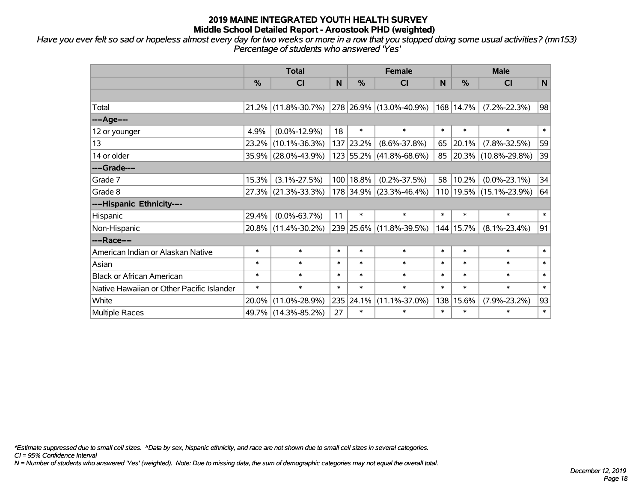*Have you ever felt so sad or hopeless almost every day for two weeks or more in a row that you stopped doing some usual activities? (mn153) Percentage of students who answered 'Yes'*

|                                           | <b>Total</b>  |                     |        | <b>Female</b> |                                 | <b>Male</b> |           |                          |        |
|-------------------------------------------|---------------|---------------------|--------|---------------|---------------------------------|-------------|-----------|--------------------------|--------|
|                                           | $\frac{0}{0}$ | <b>CI</b>           | N      | $\frac{0}{0}$ | <b>CI</b>                       | N.          | $\%$      | <b>CI</b>                | N      |
|                                           |               |                     |        |               |                                 |             |           |                          |        |
| Total                                     |               | 21.2% (11.8%-30.7%) |        |               | $ 278 26.9\% (13.0\% - 40.9\%)$ |             | 168 14.7% | $(7.2\% - 22.3\%)$       | 98     |
| ----Age----                               |               |                     |        |               |                                 |             |           |                          |        |
| 12 or younger                             | 4.9%          | $(0.0\% - 12.9\%)$  | 18     | $\ast$        | $\ast$                          | $\ast$      | $\ast$    | $\ast$                   | $\ast$ |
| 13                                        | 23.2%         | $(10.1\% - 36.3\%)$ |        | 137 23.2%     | $(8.6\% - 37.8\%)$              | 65          | 20.1%     | $(7.8\% - 32.5\%)$       | 59     |
| 14 or older                               |               | 35.9% (28.0%-43.9%) |        |               | 123 55.2% (41.8%-68.6%)         | 85          |           | $ 20.3\% $ (10.8%-29.8%) | 39     |
| ----Grade----                             |               |                     |        |               |                                 |             |           |                          |        |
| Grade 7                                   | 15.3%         | $(3.1\% - 27.5\%)$  |        | 100   18.8%   | $(0.2\% - 37.5\%)$              | 58          | 10.2%     | $(0.0\% - 23.1\%)$       | 34     |
| Grade 8                                   |               | 27.3% (21.3%-33.3%) |        |               | 178 34.9% (23.3%-46.4%)         |             |           | 110 19.5% (15.1%-23.9%)  | 64     |
| ----Hispanic Ethnicity----                |               |                     |        |               |                                 |             |           |                          |        |
| Hispanic                                  | 29.4%         | $(0.0\% - 63.7\%)$  | 11     | $\ast$        | $\ast$                          | $\ast$      | $\ast$    | $\ast$                   | $\ast$ |
| Non-Hispanic                              | 20.8%         | $(11.4\% - 30.2\%)$ |        |               | 239 25.6% (11.8%-39.5%)         | 144         | 15.7%     | $(8.1\% - 23.4\%)$       | 91     |
| ----Race----                              |               |                     |        |               |                                 |             |           |                          |        |
| American Indian or Alaskan Native         | $\ast$        | $\ast$              | $\ast$ | $\ast$        | $\ast$                          | $\ast$      | $\ast$    | $\ast$                   | $\ast$ |
| Asian                                     | $\ast$        | $\ast$              | $\ast$ | $\ast$        | $\ast$                          | $\ast$      | $\ast$    | $\ast$                   | $\ast$ |
| <b>Black or African American</b>          | $\ast$        | $\ast$              | $\ast$ | $\ast$        | $\ast$                          | $\ast$      | $\ast$    | $\ast$                   | $\ast$ |
| Native Hawaiian or Other Pacific Islander | $\ast$        | $\ast$              | $\ast$ | $\ast$        | $\ast$                          | $\ast$      | $\ast$    | $\ast$                   | $\ast$ |
| White                                     | 20.0%         | $(11.0\% - 28.9\%)$ | 235    | 24.1%         | $(11.1\% - 37.0\%)$             | 138         | 15.6%     | $(7.9\% - 23.2\%)$       | 93     |
| <b>Multiple Races</b>                     |               | 49.7% (14.3%-85.2%) | 27     | $\ast$        | $\ast$                          | $\ast$      | $\ast$    | $\ast$                   | $\ast$ |

*\*Estimate suppressed due to small cell sizes. ^Data by sex, hispanic ethnicity, and race are not shown due to small cell sizes in several categories.*

*CI = 95% Confidence Interval*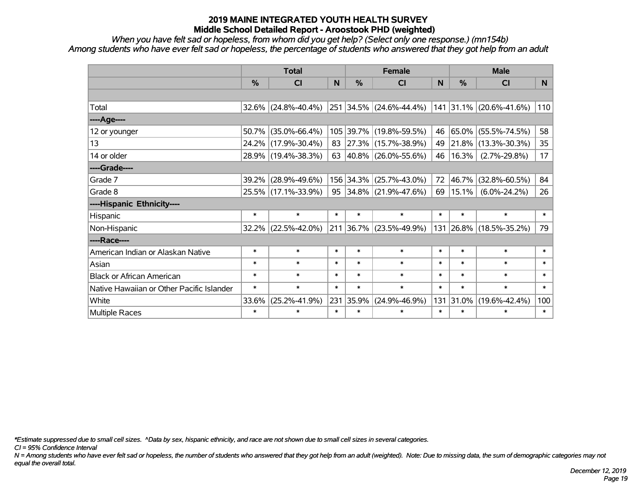*When you have felt sad or hopeless, from whom did you get help? (Select only one response.) (mn154b) Among students who have ever felt sad or hopeless, the percentage of students who answered that they got help from an adult*

|                                           |               | <b>Total</b>           |        | <b>Female</b> |                                           |              | <b>Male</b> |                         |                |  |
|-------------------------------------------|---------------|------------------------|--------|---------------|-------------------------------------------|--------------|-------------|-------------------------|----------------|--|
|                                           | $\frac{0}{0}$ | <b>CI</b>              | N      | %             | <b>CI</b>                                 | <sub>N</sub> | %           | <b>CI</b>               | N <sub>1</sub> |  |
|                                           |               |                        |        |               |                                           |              |             |                         |                |  |
| Total                                     |               | $32.6\%$ (24.8%-40.4%) |        | 251 34.5%     | $(24.6\% - 44.4\%)$                       |              |             | 141 31.1% (20.6%-41.6%) | 110            |  |
| ----Age----                               |               |                        |        |               |                                           |              |             |                         |                |  |
| 12 or younger                             | 50.7%         | $(35.0\% - 66.4\%)$    | 105    | 39.7%         | $(19.8\% - 59.5\%)$                       | 46           | 65.0%       | $(55.5\% - 74.5\%)$     | 58             |  |
| 13                                        |               | 24.2% (17.9%-30.4%)    | 83     |               | 27.3% (15.7%-38.9%)                       | 49           | 21.8%       | $(13.3\% - 30.3\%)$     | 35             |  |
| 14 or older                               |               | 28.9% (19.4%-38.3%)    |        |               | 63 $ 40.8\% $ (26.0%-55.6%)               | 46           | 16.3%       | $(2.7\% - 29.8\%)$      | 17             |  |
| ----Grade----                             |               |                        |        |               |                                           |              |             |                         |                |  |
| Grade 7                                   | 39.2%         | $(28.9\% - 49.6\%)$    |        | 156 34.3%     | $(25.7\% - 43.0\%)$                       | 72           | 46.7%       | $(32.8\% - 60.5\%)$     | 84             |  |
| Grade 8                                   |               | 25.5% (17.1%-33.9%)    |        |               | $95 \big  34.8\% \big  (21.9\% - 47.6\%)$ | 69           | 15.1%       | $(6.0\% - 24.2\%)$      | 26             |  |
| ----Hispanic Ethnicity----                |               |                        |        |               |                                           |              |             |                         |                |  |
| Hispanic                                  | $\ast$        | $\ast$                 | $\ast$ | $\ast$        | $\ast$                                    | $\ast$       | $\ast$      | $\ast$                  | $\ast$         |  |
| Non-Hispanic                              | 32.2%         | $(22.5\% - 42.0\%)$    |        | $211$ 36.7%   | $(23.5\% - 49.9\%)$                       | 131          | 26.8%       | $(18.5\% - 35.2\%)$     | 79             |  |
| ----Race----                              |               |                        |        |               |                                           |              |             |                         |                |  |
| American Indian or Alaskan Native         | $\ast$        | $\ast$                 | $\ast$ | $\ast$        | $\ast$                                    | $\ast$       | $\ast$      | $\ast$                  | $\ast$         |  |
| Asian                                     | $\ast$        | $\ast$                 | $\ast$ | $\ast$        | $\ast$                                    | $\ast$       | $\ast$      | $\ast$                  | $\ast$         |  |
| <b>Black or African American</b>          | $\ast$        | $\ast$                 | $\ast$ | $\ast$        | $\ast$                                    | $\ast$       | $\ast$      | $\ast$                  | $\ast$         |  |
| Native Hawaiian or Other Pacific Islander | $\ast$        | $\ast$                 | $\ast$ | $\ast$        | $\ast$                                    | $\ast$       | $\ast$      | $\ast$                  | $\ast$         |  |
| White                                     | 33.6%         | $(25.2\% - 41.9\%)$    | 231    | 35.9%         | $(24.9\% - 46.9\%)$                       | 131          | 31.0%       | $(19.6\% - 42.4\%)$     | 100            |  |
| <b>Multiple Races</b>                     | $\ast$        | $\ast$                 | $\ast$ | $\ast$        | $\ast$                                    | $\ast$       | $\ast$      | $\ast$                  | $\ast$         |  |

*\*Estimate suppressed due to small cell sizes. ^Data by sex, hispanic ethnicity, and race are not shown due to small cell sizes in several categories.*

*CI = 95% Confidence Interval*

*N = Among students who have ever felt sad or hopeless, the number of students who answered that they got help from an adult (weighted). Note: Due to missing data, the sum of demographic categories may not equal the overall total.*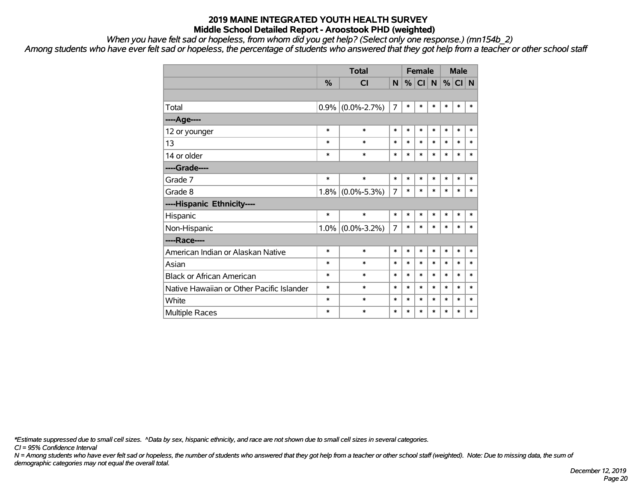*When you have felt sad or hopeless, from whom did you get help? (Select only one response.) (mn154b\_2)*

*Among students who have ever felt sad or hopeless, the percentage of students who answered that they got help from a teacher or other school staff*

|                                           |         | <b>Total</b>      |                |        | <b>Female</b> |        | <b>Male</b> |          |        |  |
|-------------------------------------------|---------|-------------------|----------------|--------|---------------|--------|-------------|----------|--------|--|
|                                           | $\%$    | <b>CI</b>         | N              | $\%$   | CI            | N      |             | $%$ CI N |        |  |
|                                           |         |                   |                |        |               |        |             |          |        |  |
| Total                                     | 0.9%    | $(0.0\% - 2.7\%)$ | $\overline{7}$ | $\ast$ | $\ast$        | $\ast$ | *           | *        | $\ast$ |  |
| ----Age----                               |         |                   |                |        |               |        |             |          |        |  |
| 12 or younger                             | $\ast$  | $\ast$            | $\ast$         | $\ast$ | $\ast$        | $\ast$ | $\ast$      | $\ast$   | $\ast$ |  |
| 13                                        | $\ast$  | $\ast$            | $\ast$         | $\ast$ | $\ast$        | $\ast$ | $\ast$      | $\ast$   | $\ast$ |  |
| 14 or older                               | *       | $\ast$            | $\ast$         | $\ast$ | $\ast$        | $\ast$ | $\ast$      | $\ast$   | $\ast$ |  |
| ----Grade----                             |         |                   |                |        |               |        |             |          |        |  |
| Grade 7                                   | $\ast$  | $\ast$            | $\ast$         | $\ast$ | *             | $\ast$ | $\ast$      | $\ast$   | $\ast$ |  |
| Grade 8                                   | 1.8%    | $(0.0\% - 5.3\%)$ | 7              | $\ast$ | *             | $\ast$ | $\ast$      | $\ast$   | $\ast$ |  |
| ----Hispanic Ethnicity----                |         |                   |                |        |               |        |             |          |        |  |
| Hispanic                                  | $\ast$  | $\ast$            | $\ast$         | $\ast$ | $\ast$        | $\ast$ | $\ast$      | *        | $\ast$ |  |
| Non-Hispanic                              | $1.0\%$ | $(0.0\% - 3.2\%)$ | $\overline{7}$ | $\ast$ | *             | $\ast$ | $\ast$      | $\ast$   | $\ast$ |  |
| ----Race----                              |         |                   |                |        |               |        |             |          |        |  |
| American Indian or Alaskan Native         | $\ast$  | $\ast$            | $\ast$         | $\ast$ | *             | $\ast$ | $\ast$      | $\ast$   | $\ast$ |  |
| Asian                                     | *       | $\ast$            | $\ast$         | $\ast$ | *             | $\ast$ | $\ast$      | $\ast$   | $\ast$ |  |
| <b>Black or African American</b>          | *       | $\ast$            | $\ast$         | $\ast$ | *             | $\ast$ | $\ast$      | $\ast$   | $\ast$ |  |
| Native Hawaiian or Other Pacific Islander | *       | $\ast$            | $\ast$         | $\ast$ | *             | $\ast$ | $\ast$      | $\ast$   | $\ast$ |  |
| White                                     | *       | $\ast$            | $\ast$         | $\ast$ | $\ast$        | $\ast$ | $\ast$      | $\ast$   | $\ast$ |  |
| <b>Multiple Races</b>                     | $\ast$  | $\ast$            | $\ast$         | $\ast$ | $\ast$        | $\ast$ | $\ast$      | $\ast$   | $\ast$ |  |

*\*Estimate suppressed due to small cell sizes. ^Data by sex, hispanic ethnicity, and race are not shown due to small cell sizes in several categories.*

*CI = 95% Confidence Interval*

*N = Among students who have ever felt sad or hopeless, the number of students who answered that they got help from a teacher or other school staff (weighted). Note: Due to missing data, the sum of demographic categories may not equal the overall total.*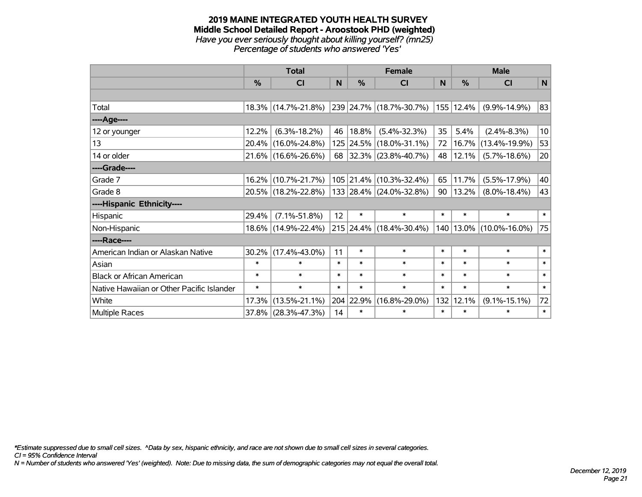#### **2019 MAINE INTEGRATED YOUTH HEALTH SURVEY Middle School Detailed Report - Aroostook PHD (weighted)** *Have you ever seriously thought about killing yourself? (mn25) Percentage of students who answered 'Yes'*

|                                           | <b>Total</b>  |                     |                 | <b>Female</b> | <b>Male</b>              |        |           |                     |                 |
|-------------------------------------------|---------------|---------------------|-----------------|---------------|--------------------------|--------|-----------|---------------------|-----------------|
|                                           | $\frac{0}{0}$ | CI                  | N               | %             | <b>CI</b>                | N      | %         | <b>CI</b>           | N               |
|                                           |               |                     |                 |               |                          |        |           |                     |                 |
| Total                                     |               | 18.3% (14.7%-21.8%) |                 |               | 239 24.7% (18.7%-30.7%)  |        | 155 12.4% | $(9.9\% - 14.9\%)$  | 83              |
| ----Age----                               |               |                     |                 |               |                          |        |           |                     |                 |
| 12 or younger                             | 12.2%         | $(6.3\% - 18.2\%)$  | 46              | 18.8%         | $(5.4\% - 32.3\%)$       | 35     | 5.4%      | $(2.4\% - 8.3\%)$   | 10 <sup>1</sup> |
| 13                                        | 20.4%         | $(16.0\% - 24.8\%)$ |                 |               | 125 24.5% (18.0%-31.1%)  | 72     | 16.7%     | $(13.4\% - 19.9\%)$ | 53              |
| 14 or older                               |               | 21.6% (16.6%-26.6%) | 68              |               | $ 32.3\% $ (23.8%-40.7%) | 48     | 12.1%     | $(5.7\% - 18.6\%)$  | 20              |
| ----Grade----                             |               |                     |                 |               |                          |        |           |                     |                 |
| Grade 7                                   | 16.2%         | $(10.7\% - 21.7\%)$ |                 | 105 21.4%     | $(10.3\% - 32.4\%)$      | 65     | 11.7%     | $(5.5\% - 17.9\%)$  | 40              |
| Grade 8                                   |               | 20.5% (18.2%-22.8%) |                 |               | 133 28.4% (24.0%-32.8%)  | 90     | 13.2%     | $(8.0\% - 18.4\%)$  | 43              |
| ----Hispanic Ethnicity----                |               |                     |                 |               |                          |        |           |                     |                 |
| Hispanic                                  | 29.4%         | $(7.1\% - 51.8\%)$  | 12 <sup>2</sup> | $\ast$        | $\ast$                   | $\ast$ | $\ast$    | $\ast$              | $\ast$          |
| Non-Hispanic                              | $18.6\%$      | $(14.9\% - 22.4\%)$ |                 |               | 215 24.4% (18.4%-30.4%)  |        | 140 13.0% | $(10.0\% - 16.0\%)$ | 75              |
| ----Race----                              |               |                     |                 |               |                          |        |           |                     |                 |
| American Indian or Alaskan Native         | 30.2%         | $(17.4\% - 43.0\%)$ | 11              | $\ast$        | $\ast$                   | $\ast$ | $\ast$    | $\ast$              | $\ast$          |
| Asian                                     | $\ast$        | $\ast$              | $\ast$          | $\ast$        | $\ast$                   | $\ast$ | $\ast$    | $\ast$              | $\ast$          |
| <b>Black or African American</b>          | $\ast$        | $\ast$              | $\ast$          | $\ast$        | $\ast$                   | $\ast$ | $\ast$    | $\ast$              | $\ast$          |
| Native Hawaiian or Other Pacific Islander | $\ast$        | $\ast$              | $\ast$          | $\ast$        | $\ast$                   | $\ast$ | $\ast$    | $\ast$              | $\ast$          |
| White                                     | 17.3%         | $(13.5\% - 21.1\%)$ |                 | 204 22.9%     | $(16.8\% - 29.0\%)$      | 132    | 12.1%     | $(9.1\% - 15.1\%)$  | 72              |
| Multiple Races                            | 37.8%         | $(28.3\% - 47.3\%)$ | 14              | $\ast$        | $\ast$                   | $\ast$ | $\ast$    | $\ast$              | $\ast$          |

*\*Estimate suppressed due to small cell sizes. ^Data by sex, hispanic ethnicity, and race are not shown due to small cell sizes in several categories.*

*CI = 95% Confidence Interval*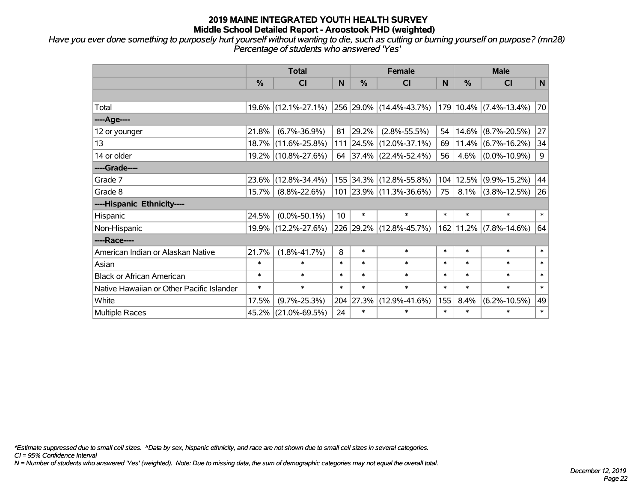*Have you ever done something to purposely hurt yourself without wanting to die, such as cutting or burning yourself on purpose? (mn28) Percentage of students who answered 'Yes'*

|                                           | <b>Total</b>  |                     |        | <b>Female</b> | <b>Male</b>             |              |        |                       |        |
|-------------------------------------------|---------------|---------------------|--------|---------------|-------------------------|--------------|--------|-----------------------|--------|
|                                           | $\frac{0}{0}$ | <b>CI</b>           | N      | $\frac{0}{0}$ | <b>CI</b>               | <sub>N</sub> | %      | <b>CI</b>             | N      |
|                                           |               |                     |        |               |                         |              |        |                       |        |
| Total                                     |               | 19.6% (12.1%-27.1%) |        |               | 256 29.0% (14.4%-43.7%) | 179          |        | $10.4\%$ (7.4%-13.4%) | 70     |
| ----Age----                               |               |                     |        |               |                         |              |        |                       |        |
| 12 or younger                             | 21.8%         | $(6.7\% - 36.9\%)$  | 81     | 29.2%         | $(2.8\% - 55.5\%)$      | 54           | 14.6%  | $(8.7\% - 20.5\%)$    | 27     |
| 13                                        |               | 18.7% (11.6%-25.8%) |        |               | 111 24.5% (12.0%-37.1%) | 69           |        | $11.4\%$ (6.7%-16.2%) | 34     |
| 14 or older                               |               | 19.2% (10.8%-27.6%) |        |               | 64 37.4% (22.4%-52.4%)  | 56           | 4.6%   | $(0.0\% - 10.9\%)$    | 9      |
| ----Grade----                             |               |                     |        |               |                         |              |        |                       |        |
| Grade 7                                   | 23.6%         | $(12.8\% - 34.4\%)$ |        |               | 155 34.3% (12.8%-55.8%) | 104          | 12.5%  | $(9.9\% - 15.2\%)$    | 44     |
| Grade 8                                   | 15.7%         | $(8.8\% - 22.6\%)$  |        |               | 101 23.9% (11.3%-36.6%) | 75           | 8.1%   | $(3.8\% - 12.5\%)$    | 26     |
| ----Hispanic Ethnicity----                |               |                     |        |               |                         |              |        |                       |        |
| Hispanic                                  | 24.5%         | $(0.0\% - 50.1\%)$  | 10     | $\ast$        | $\ast$                  | $\ast$       | $\ast$ | $\ast$                | $\ast$ |
| Non-Hispanic                              | 19.9%         | $(12.2\% - 27.6\%)$ |        |               | 226 29.2% (12.8%-45.7%) | 162          |        | $11.2\%$ (7.8%-14.6%) | 64     |
| ----Race----                              |               |                     |        |               |                         |              |        |                       |        |
| American Indian or Alaskan Native         | 21.7%         | $(1.8\% - 41.7\%)$  | 8      | $\ast$        | $\ast$                  | $\ast$       | $\ast$ | $\ast$                | $\ast$ |
| Asian                                     | $\ast$        | $\ast$              | $\ast$ | $\ast$        | $\ast$                  | $\ast$       | $\ast$ | $\ast$                | $\ast$ |
| <b>Black or African American</b>          | $\ast$        | $\ast$              | $\ast$ | $\ast$        | $\ast$                  | $\ast$       | $\ast$ | $\ast$                | $\ast$ |
| Native Hawaiian or Other Pacific Islander | $\ast$        | $\ast$              | $\ast$ | $\ast$        | $\ast$                  | $\ast$       | $\ast$ | $\ast$                | $\ast$ |
| White                                     | 17.5%         | $(9.7\% - 25.3\%)$  |        | 204 27.3%     | $(12.9\% - 41.6\%)$     | 155          | 8.4%   | $(6.2\% - 10.5\%)$    | 49     |
| Multiple Races                            | 45.2%         | $(21.0\% - 69.5\%)$ | 24     | $\ast$        | $\ast$                  | $\ast$       | $\ast$ | $\ast$                | $\ast$ |

*\*Estimate suppressed due to small cell sizes. ^Data by sex, hispanic ethnicity, and race are not shown due to small cell sizes in several categories.*

*CI = 95% Confidence Interval*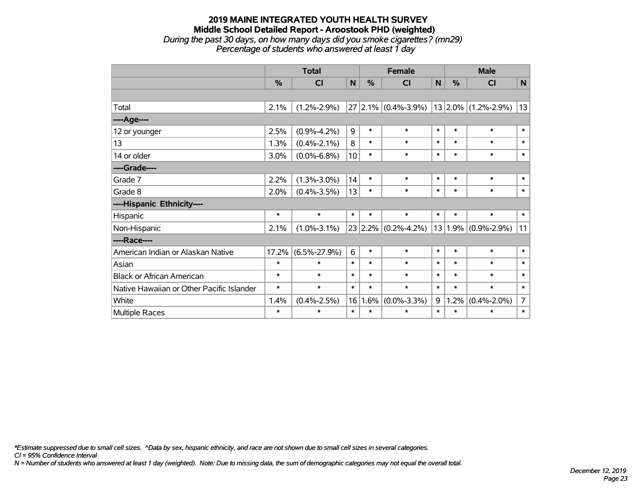#### **2019 MAINE INTEGRATED YOUTH HEALTH SURVEY Middle School Detailed Report - Aroostook PHD (weighted)** *During the past 30 days, on how many days did you smoke cigarettes? (mn29) Percentage of students who answered at least 1 day*

|                                           | <b>Total</b>  |                    |        |        | <b>Female</b>           |        |               | <b>Male</b>           |                |  |  |
|-------------------------------------------|---------------|--------------------|--------|--------|-------------------------|--------|---------------|-----------------------|----------------|--|--|
|                                           | $\frac{0}{0}$ | <b>CI</b>          | N      | %      | CI                      | N      | $\frac{0}{0}$ | <b>CI</b>             | N              |  |  |
|                                           |               |                    |        |        |                         |        |               |                       |                |  |  |
| Total                                     | 2.1%          | $(1.2\% - 2.9\%)$  |        |        | $27 2.1\% $ (0.4%-3.9%) |        |               | $13$ 2.0% (1.2%-2.9%) | 13             |  |  |
| ---- Age----                              |               |                    |        |        |                         |        |               |                       |                |  |  |
| 12 or younger                             | 2.5%          | $(0.9\% - 4.2\%)$  | 9      | $\ast$ | $\ast$                  | $\ast$ | $\ast$        | $\ast$                | $\ast$         |  |  |
| 13                                        | 1.3%          | $(0.4\% - 2.1\%)$  | 8      | $\ast$ | $\ast$                  | $\ast$ | $\ast$        | $\ast$                | $\ast$         |  |  |
| 14 or older                               | 3.0%          | $(0.0\% - 6.8\%)$  | 10     | $\ast$ | $\ast$                  | $\ast$ | $\ast$        | $\ast$                | $\ast$         |  |  |
| ----Grade----                             |               |                    |        |        |                         |        |               |                       |                |  |  |
| Grade 7                                   | 2.2%          | $(1.3\% - 3.0\%)$  | 14     | $\ast$ | $\ast$                  | $\ast$ | $\ast$        | $\ast$                | $\ast$         |  |  |
| Grade 8                                   | 2.0%          | $(0.4\% - 3.5\%)$  | 13     | $\ast$ | $\ast$                  | $\ast$ | $\ast$        | $\ast$                | $\ast$         |  |  |
| ----Hispanic Ethnicity----                |               |                    |        |        |                         |        |               |                       |                |  |  |
| Hispanic                                  | $\ast$        | $\ast$             | $\ast$ | $\ast$ | $\ast$                  | $\ast$ | $\ast$        | $\ast$                | $\ast$         |  |  |
| Non-Hispanic                              | 2.1%          | $(1.0\% - 3.1\%)$  |        |        | $23$ 2.2% (0.2%-4.2%)   | 13     | $ 1.9\% $     | $(0.9\% - 2.9\%)$     | 11             |  |  |
| ----Race----                              |               |                    |        |        |                         |        |               |                       |                |  |  |
| American Indian or Alaskan Native         | 17.2%         | $(6.5\% - 27.9\%)$ | 6      | $\ast$ | $\ast$                  | $\ast$ | $\ast$        | $\ast$                | $\ast$         |  |  |
| Asian                                     | $\ast$        | $\ast$             | $\ast$ | $\ast$ | $\ast$                  | $\ast$ | $\ast$        | $\ast$                | $\ast$         |  |  |
| <b>Black or African American</b>          | $\ast$        | $\ast$             | $\ast$ | $\ast$ | $\ast$                  | $\ast$ | $\ast$        | $\ast$                | $\ast$         |  |  |
| Native Hawaiian or Other Pacific Islander | $\ast$        | $\ast$             | $\ast$ | $\ast$ | $\ast$                  | $\ast$ | $\ast$        | $\ast$                | $\ast$         |  |  |
| White                                     | 1.4%          | $(0.4\% - 2.5\%)$  | 16     | 1.6%   | $(0.0\% - 3.3\%)$       | 9      | 1.2%          | $(0.4\% - 2.0\%)$     | $\overline{7}$ |  |  |
| Multiple Races                            | $\ast$        | $\ast$             | $\ast$ | $\ast$ | $\ast$                  | $\ast$ | $\ast$        | $\ast$                | $\ast$         |  |  |

*\*Estimate suppressed due to small cell sizes. ^Data by sex, hispanic ethnicity, and race are not shown due to small cell sizes in several categories.*

*CI = 95% Confidence Interval*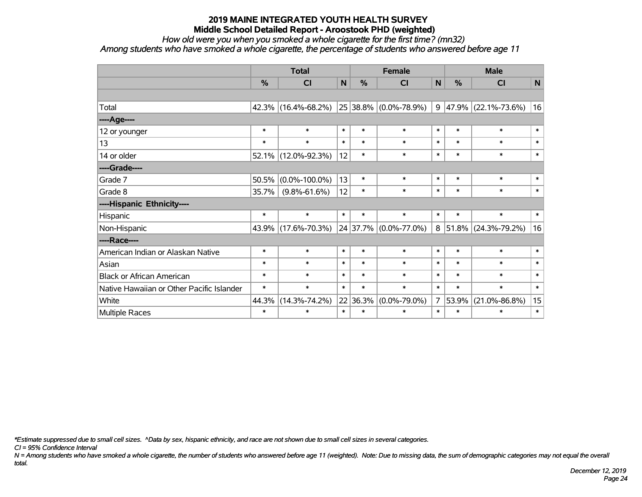*How old were you when you smoked a whole cigarette for the first time? (mn32)*

*Among students who have smoked a whole cigarette, the percentage of students who answered before age 11*

|                                           | <b>Total</b>  |                     |              |        | <b>Female</b>                 |                | <b>Male</b> |                     |              |  |
|-------------------------------------------|---------------|---------------------|--------------|--------|-------------------------------|----------------|-------------|---------------------|--------------|--|
|                                           | $\frac{9}{6}$ | <b>CI</b>           | $\mathsf{N}$ | %      | <b>CI</b>                     | $\mathsf{N}$   | %           | <b>CI</b>           | $\mathsf{N}$ |  |
|                                           |               |                     |              |        |                               |                |             |                     |              |  |
| Total                                     | 42.3%         | $(16.4\% - 68.2\%)$ |              |        | 25 38.8% (0.0%-78.9%)         | 9              |             | 47.9% (22.1%-73.6%) | 16           |  |
| ----Age----                               |               |                     |              |        |                               |                |             |                     |              |  |
| 12 or younger                             | $\ast$        | $\ast$              | $\ast$       | $\ast$ | $\ast$                        | $\ast$         | $\ast$      | $\ast$              | $\ast$       |  |
| 13                                        | $\ast$        | $\ast$              | $\ast$       | $\ast$ | $\ast$                        | $\ast$         | $\ast$      | $\ast$              | $\ast$       |  |
| 14 or older                               | 52.1%         | $(12.0\% - 92.3\%)$ | 12           | $\ast$ | $\ast$                        | $\ast$         | $\ast$      | $\ast$              | $\ast$       |  |
| ----Grade----                             |               |                     |              |        |                               |                |             |                     |              |  |
| Grade 7                                   | 50.5%         | $(0.0\% - 100.0\%)$ | 13           | $\ast$ | $\ast$                        | $\ast$         | $\ast$      | $\ast$              | $\ast$       |  |
| Grade 8                                   | 35.7%         | $(9.8\% - 61.6\%)$  | 12           | $\ast$ | $\ast$                        | $\ast$         | $\ast$      | $\ast$              | $\ast$       |  |
| ----Hispanic Ethnicity----                |               |                     |              |        |                               |                |             |                     |              |  |
| Hispanic                                  | $\ast$        | $\ast$              | $\ast$       | $\ast$ | $\ast$                        | $\ast$         | $\ast$      | $\ast$              | $\ast$       |  |
| Non-Hispanic                              | 43.9%         | $(17.6\% - 70.3\%)$ |              |        | $24 37.7\%  (0.0\% - 77.0\%)$ |                | $8 51.8\% $ | $(24.3\% - 79.2\%)$ | 16           |  |
| ----Race----                              |               |                     |              |        |                               |                |             |                     |              |  |
| American Indian or Alaskan Native         | $\ast$        | $\ast$              | $\ast$       | $\ast$ | $\ast$                        | $\ast$         | $\ast$      | $\ast$              | $\ast$       |  |
| Asian                                     | $\ast$        | $\ast$              | $\ast$       | $\ast$ | $\ast$                        | $\ast$         | $\ast$      | $\ast$              | $\ast$       |  |
| <b>Black or African American</b>          | $\ast$        | $\ast$              | $\ast$       | $\ast$ | $\ast$                        | $\ast$         | $\ast$      | $\ast$              | $\ast$       |  |
| Native Hawaiian or Other Pacific Islander | $\ast$        | $\ast$              | $\ast$       | $\ast$ | $\ast$                        | $\ast$         | $\ast$      | $\ast$              | $\ast$       |  |
| White                                     | 44.3%         | $(14.3\% - 74.2\%)$ | 22           | 36.3%  | $(0.0\% - 79.0\%)$            | 7 <sup>1</sup> | 53.9%       | $(21.0\% - 86.8\%)$ | 15           |  |
| Multiple Races                            | $\ast$        | $\ast$              | $\ast$       | $\ast$ | $\ast$                        | $\ast$         | $\ast$      | $\ast$              | $\ast$       |  |

*\*Estimate suppressed due to small cell sizes. ^Data by sex, hispanic ethnicity, and race are not shown due to small cell sizes in several categories.*

*CI = 95% Confidence Interval*

*N = Among students who have smoked a whole cigarette, the number of students who answered before age 11 (weighted). Note: Due to missing data, the sum of demographic categories may not equal the overall total.*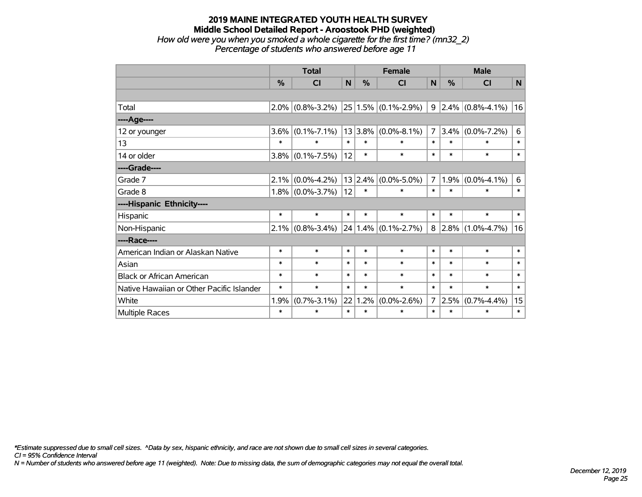#### **2019 MAINE INTEGRATED YOUTH HEALTH SURVEY Middle School Detailed Report - Aroostook PHD (weighted)** *How old were you when you smoked a whole cigarette for the first time? (mn32\_2) Percentage of students who answered before age 11*

|                                           | <b>Total</b> |                     |             |         | <b>Female</b>            | <b>Male</b>    |         |                           |              |
|-------------------------------------------|--------------|---------------------|-------------|---------|--------------------------|----------------|---------|---------------------------|--------------|
|                                           | %            | CI                  | $\mathbf N$ | %       | CI                       | N              | %       | <b>CI</b>                 | $\mathsf{N}$ |
|                                           |              |                     |             |         |                          |                |         |                           |              |
| Total                                     |              | $2.0\%$ (0.8%-3.2%) |             |         | $ 25 1.5\% $ (0.1%-2.9%) |                |         | $9 2.4\% $ (0.8%-4.1%)    | 16           |
| ----Age----                               |              |                     |             |         |                          |                |         |                           |              |
| 12 or younger                             | 3.6%         | $(0.1\% - 7.1\%)$   |             | 13 3.8% | $(0.0\% - 8.1\%)$        | $\overline{7}$ | $3.4\%$ | $(0.0\% - 7.2\%)$         | 6            |
| 13                                        | $\ast$       | $\ast$              | $\ast$      | $\ast$  | *                        | $\ast$         | $\ast$  | $\ast$                    | $\ast$       |
| 14 or older                               | 3.8%         | $(0.1\% - 7.5\%)$   | 12          | $\ast$  | $\ast$                   | $\ast$         | $\ast$  | $\ast$                    | $\ast$       |
| ----Grade----                             |              |                     |             |         |                          |                |         |                           |              |
| Grade 7                                   | 2.1%         | $(0.0\% - 4.2\%)$   |             | 13 2.4% | $(0.0\% - 5.0\%)$        | $\overline{7}$ | 1.9%    | $(0.0\% - 4.1\%)$         | 6            |
| Grade 8                                   |              | $1.8\%$ (0.0%-3.7%) | 12          | $\ast$  | $\ast$                   | $\ast$         | $\ast$  | $\ast$                    | $\ast$       |
| ----Hispanic Ethnicity----                |              |                     |             |         |                          |                |         |                           |              |
| Hispanic                                  | $\ast$       | $\ast$              | $\ast$      | $\ast$  | $\ast$                   | $\ast$         | $\ast$  | $\ast$                    | $\ast$       |
| Non-Hispanic                              |              | $2.1\%$ (0.8%-3.4%) |             |         | $24 1.4\% $ (0.1%-2.7%)  |                |         | $8 2.8\% (1.0\% - 4.7\%)$ | 16           |
| ----Race----                              |              |                     |             |         |                          |                |         |                           |              |
| American Indian or Alaskan Native         | $\ast$       | $\ast$              | $\ast$      | $\ast$  | *                        | $\ast$         | $\ast$  | $\ast$                    | $\ast$       |
| Asian                                     | $\ast$       | $\ast$              | $\ast$      | $\ast$  | $\ast$                   | $\ast$         | $\ast$  | $\ast$                    | $\ast$       |
| <b>Black or African American</b>          | $\ast$       | $\ast$              | $\ast$      | $\ast$  | $\ast$                   | $\ast$         | $\ast$  | $\ast$                    | $\ast$       |
| Native Hawaiian or Other Pacific Islander | $\ast$       | $\ast$              | $\ast$      | $\ast$  | $\ast$                   | $\ast$         | $\ast$  | $\ast$                    | $\ast$       |
| White                                     | 1.9%         | $(0.7\% - 3.1\%)$   | 22          | 1.2%    | $(0.0\% - 2.6\%)$        | $\overline{7}$ | 2.5%    | $(0.7\% -4.4\%)$          | 15           |
| Multiple Races                            | $\ast$       | $\ast$              | $\ast$      | $\ast$  | *                        | $\ast$         | $\ast$  | $\ast$                    | $\ast$       |

*\*Estimate suppressed due to small cell sizes. ^Data by sex, hispanic ethnicity, and race are not shown due to small cell sizes in several categories.*

*CI = 95% Confidence Interval*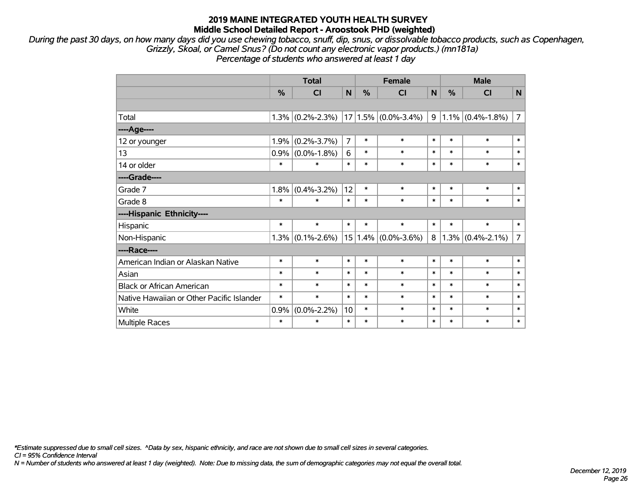*During the past 30 days, on how many days did you use chewing tobacco, snuff, dip, snus, or dissolvable tobacco products, such as Copenhagen, Grizzly, Skoal, or Camel Snus? (Do not count any electronic vapor products.) (mn181a) Percentage of students who answered at least 1 day*

|                                           |        | <b>Total</b>      |                | <b>Female</b> |                         | <b>Male</b> |        |                     |                |
|-------------------------------------------|--------|-------------------|----------------|---------------|-------------------------|-------------|--------|---------------------|----------------|
|                                           | %      | <b>CI</b>         | N              | %             | CI                      | N           | %      | CI                  | $\mathsf{N}$   |
|                                           |        |                   |                |               |                         |             |        |                     |                |
| Total                                     | 1.3%   | $(0.2\% - 2.3\%)$ |                |               | $17 1.5\% $ (0.0%-3.4%) | 9           |        | $1.1\%$ (0.4%-1.8%) | $\overline{7}$ |
| ----Age----                               |        |                   |                |               |                         |             |        |                     |                |
| 12 or younger                             | 1.9%   | $(0.2\% - 3.7\%)$ | $\overline{7}$ | $\ast$        | $\ast$                  | $\ast$      | $\ast$ | $\ast$              | $\ast$         |
| 13                                        | 0.9%   | $(0.0\% - 1.8\%)$ | 6              | $\ast$        | $\ast$                  | $\ast$      | $\ast$ | $\ast$              | $\ast$         |
| 14 or older                               | $\ast$ | $\ast$            | $\ast$         | $\ast$        | $\ast$                  | $\ast$      | $\ast$ | $\ast$              | $\ast$         |
| ----Grade----                             |        |                   |                |               |                         |             |        |                     |                |
| Grade 7                                   | 1.8%   | $(0.4\% - 3.2\%)$ | 12             | $\ast$        | $\ast$                  | $\ast$      | $\ast$ | $\ast$              | $\ast$         |
| Grade 8                                   | $\ast$ | $\ast$            | $\ast$         | $\ast$        | $\ast$                  | $\ast$      | $\ast$ | $\ast$              | $\ast$         |
| ----Hispanic Ethnicity----                |        |                   |                |               |                         |             |        |                     |                |
| Hispanic                                  | $\ast$ | $\ast$            | $\ast$         | $\ast$        | $\ast$                  | $\ast$      | $\ast$ | $\ast$              | $\ast$         |
| Non-Hispanic                              | 1.3%   | $(0.1\% - 2.6\%)$ |                |               | $15 1.4\% $ (0.0%-3.6%) | 8           |        | $1.3\%$ (0.4%-2.1%) | $\overline{7}$ |
| ----Race----                              |        |                   |                |               |                         |             |        |                     |                |
| American Indian or Alaskan Native         | $\ast$ | $\ast$            | $\ast$         | $\ast$        | $\ast$                  | $\ast$      | $\ast$ | $\ast$              | $\ast$         |
| Asian                                     | $\ast$ | $\ast$            | $\ast$         | $\ast$        | $\ast$                  | $\ast$      | $\ast$ | $\ast$              | $\ast$         |
| <b>Black or African American</b>          | $\ast$ | $\ast$            | $\ast$         | $\ast$        | $\ast$                  | $\ast$      | $\ast$ | $\ast$              | $\ast$         |
| Native Hawaiian or Other Pacific Islander | $\ast$ | $\ast$            | $\ast$         | $\ast$        | $\ast$                  | $\ast$      | $\ast$ | $\ast$              | $\ast$         |
| White                                     | 0.9%   | $(0.0\% - 2.2\%)$ | 10             | $\ast$        | $\ast$                  | $\ast$      | $\ast$ | $\ast$              | $\ast$         |
| Multiple Races                            | $\ast$ | $\ast$            | $\ast$         | $\ast$        | $\ast$                  | $\ast$      | $\ast$ | $\ast$              | $\ast$         |

*\*Estimate suppressed due to small cell sizes. ^Data by sex, hispanic ethnicity, and race are not shown due to small cell sizes in several categories.*

*CI = 95% Confidence Interval*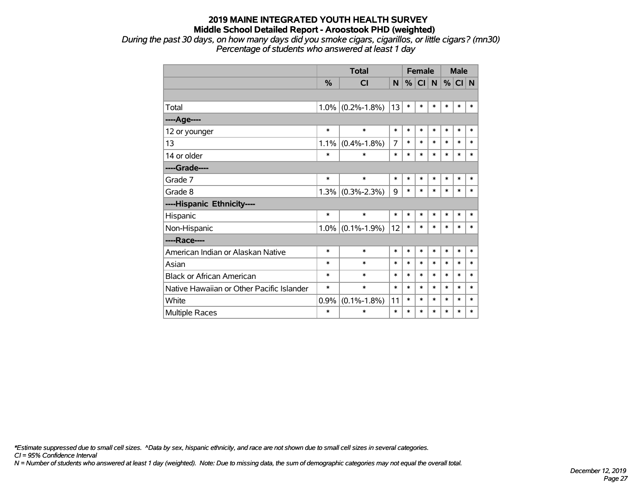*During the past 30 days, on how many days did you smoke cigars, cigarillos, or little cigars? (mn30) Percentage of students who answered at least 1 day*

|                                           |               | <b>Total</b>        |        | <b>Female</b> |        |        | <b>Male</b> |        |        |
|-------------------------------------------|---------------|---------------------|--------|---------------|--------|--------|-------------|--------|--------|
|                                           | $\frac{9}{6}$ | CI                  | N      | %             | CI N   |        | $\%$        | CI N   |        |
|                                           |               |                     |        |               |        |        |             |        |        |
| Total                                     | $1.0\%$       | $(0.2\% - 1.8\%)$   | 13     | $\ast$        | $\ast$ | $\ast$ | *           | $\ast$ | $\ast$ |
| ----Age----                               |               |                     |        |               |        |        |             |        |        |
| 12 or younger                             | $\ast$        | $\ast$              | $\ast$ | $\ast$        | $\ast$ | $\ast$ | $\ast$      | $\ast$ | $\ast$ |
| 13                                        | 1.1%          | $(0.4\% - 1.8\%)$   | 7      | $\ast$        | $\ast$ | $\ast$ | $\ast$      | $\ast$ | $\ast$ |
| 14 or older                               | $\ast$        | $\ast$              | $\ast$ | $\ast$        | $\ast$ | $\ast$ | $\ast$      | $\ast$ | $\ast$ |
| ----Grade----                             |               |                     |        |               |        |        |             |        |        |
| Grade 7                                   | $\ast$        | $\ast$              | $\ast$ | $\ast$        | $\ast$ | $\ast$ | $\ast$      | $\ast$ | $\ast$ |
| Grade 8                                   | 1.3%          | $(0.3\% - 2.3\%)$   | 9      | $\ast$        | $\ast$ | $\ast$ | $\ast$      | $\ast$ | *      |
| ----Hispanic Ethnicity----                |               |                     |        |               |        |        |             |        |        |
| Hispanic                                  | $\ast$        | $\ast$              | $\ast$ | $\ast$        | $\ast$ | $\ast$ | *           | *      | ∗      |
| Non-Hispanic                              |               | $1.0\%$ (0.1%-1.9%) | 12     | $\ast$        | $\ast$ | $\ast$ | $\ast$      | $\ast$ | $\ast$ |
| ----Race----                              |               |                     |        |               |        |        |             |        |        |
| American Indian or Alaskan Native         | $\ast$        | $\ast$              | $\ast$ | $\ast$        | $\ast$ | $\ast$ | $\ast$      | $\ast$ | $\ast$ |
| Asian                                     | $\ast$        | $\ast$              | $\ast$ | $\ast$        | $\ast$ | $\ast$ | $\ast$      | $\ast$ | $\ast$ |
| <b>Black or African American</b>          | $\ast$        | $\ast$              | $\ast$ | $\ast$        | $\ast$ | $\ast$ | $\ast$      | $\ast$ | $\ast$ |
| Native Hawaiian or Other Pacific Islander | $\ast$        | $\ast$              | $\ast$ | $\ast$        | $\ast$ | *      | $\ast$      | $\ast$ | *      |
| White                                     | 0.9%          | $(0.1\% - 1.8\%)$   | 11     | $\ast$        | $\ast$ | *      | $\ast$      | $\ast$ | *      |
| <b>Multiple Races</b>                     | $\ast$        | $\ast$              | $\ast$ | $\ast$        | *      | $\ast$ | *           | $\ast$ | $\ast$ |

*\*Estimate suppressed due to small cell sizes. ^Data by sex, hispanic ethnicity, and race are not shown due to small cell sizes in several categories.*

*CI = 95% Confidence Interval*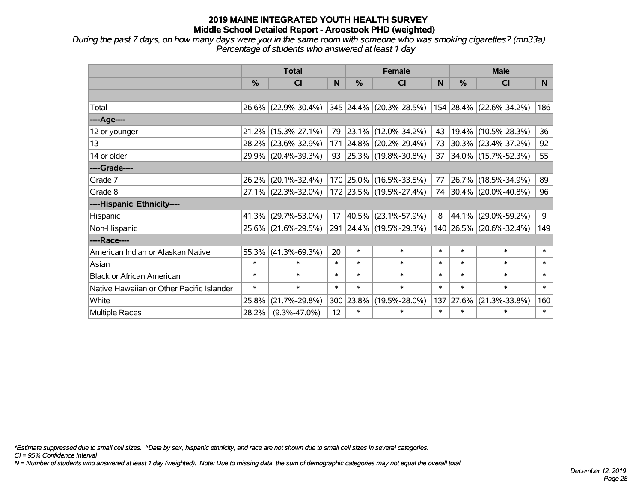*During the past 7 days, on how many days were you in the same room with someone who was smoking cigarettes? (mn33a) Percentage of students who answered at least 1 day*

|                                           | <b>Total</b> |                     |        |            | <b>Female</b>                                             |        | <b>Male</b> |                         |                |  |
|-------------------------------------------|--------------|---------------------|--------|------------|-----------------------------------------------------------|--------|-------------|-------------------------|----------------|--|
|                                           | $\%$         | <b>CI</b>           | N      | $\%$       | <b>CI</b>                                                 | N      | $\%$        | <b>CI</b>               | N <sub>1</sub> |  |
|                                           |              |                     |        |            |                                                           |        |             |                         |                |  |
| Total                                     |              | 26.6% (22.9%-30.4%) |        |            | $ 345 24.4\% $ (20.3%-28.5%) $ 154 28.4\% $ (22.6%-34.2%) |        |             |                         | 186            |  |
| ----Age----                               |              |                     |        |            |                                                           |        |             |                         |                |  |
| 12 or younger                             | 21.2%        | $(15.3\% - 27.1\%)$ | 79     |            | 23.1% (12.0%-34.2%)                                       | 43     |             | 19.4% (10.5%-28.3%)     | 36             |  |
| 13                                        | 28.2%        | $(23.6\% - 32.9\%)$ |        |            | 171 24.8% (20.2%-29.4%)                                   | 73     |             | $30.3\%$ (23.4%-37.2%)  | 92             |  |
| 14 or older                               |              | 29.9% (20.4%-39.3%) |        |            | 93 25.3% (19.8%-30.8%)                                    | 37     |             | $34.0\%$ (15.7%-52.3%)  | 55             |  |
| ----Grade----                             |              |                     |        |            |                                                           |        |             |                         |                |  |
| Grade 7                                   | 26.2%        | $(20.1\% - 32.4\%)$ |        |            | 170 25.0% (16.5%-33.5%)                                   | 77     | 26.7%       | $(18.5\% - 34.9\%)$     | 89             |  |
| Grade 8                                   |              | 27.1% (22.3%-32.0%) |        |            | 172 23.5% (19.5%-27.4%)                                   |        |             | 74 30.4% (20.0%-40.8%)  | 96             |  |
| ----Hispanic Ethnicity----                |              |                     |        |            |                                                           |        |             |                         |                |  |
| <b>Hispanic</b>                           | 41.3%        | $(29.7\% - 53.0\%)$ | 17     | $ 40.5\% $ | $(23.1\% - 57.9\%)$                                       | 8      | 44.1%       | $(29.0\% - 59.2\%)$     | 9              |  |
| Non-Hispanic                              | 25.6%        | $(21.6\% - 29.5\%)$ |        |            | 291 24.4% (19.5%-29.3%)                                   |        |             | 140 26.5% (20.6%-32.4%) | 149            |  |
| ----Race----                              |              |                     |        |            |                                                           |        |             |                         |                |  |
| American Indian or Alaskan Native         | 55.3%        | $(41.3\% - 69.3\%)$ | 20     | $\ast$     | $\ast$                                                    | $\ast$ | $\ast$      | $\ast$                  | $\ast$         |  |
| Asian                                     | $\ast$       | $\ast$              | $\ast$ | $\ast$     | $\ast$                                                    | $\ast$ | $\ast$      | $\ast$                  | $\ast$         |  |
| <b>Black or African American</b>          | $\ast$       | $\ast$              | $\ast$ | $\ast$     | $\ast$                                                    | $\ast$ | $\ast$      | $\ast$                  | $\ast$         |  |
| Native Hawaiian or Other Pacific Islander | $\ast$       | $\ast$              | $\ast$ | $\ast$     | $\ast$                                                    | $\ast$ | $\ast$      | $\ast$                  | $\ast$         |  |
| White                                     | 25.8%        | $(21.7\% - 29.8\%)$ | 300    | 23.8%      | $(19.5\% - 28.0\%)$                                       | 137    | 27.6%       | $(21.3\% - 33.8\%)$     | 160            |  |
| <b>Multiple Races</b>                     | 28.2%        | $(9.3\% - 47.0\%)$  | 12     | $\ast$     | $\ast$                                                    | $\ast$ | $\ast$      | $\ast$                  | $\ast$         |  |

*\*Estimate suppressed due to small cell sizes. ^Data by sex, hispanic ethnicity, and race are not shown due to small cell sizes in several categories.*

*CI = 95% Confidence Interval*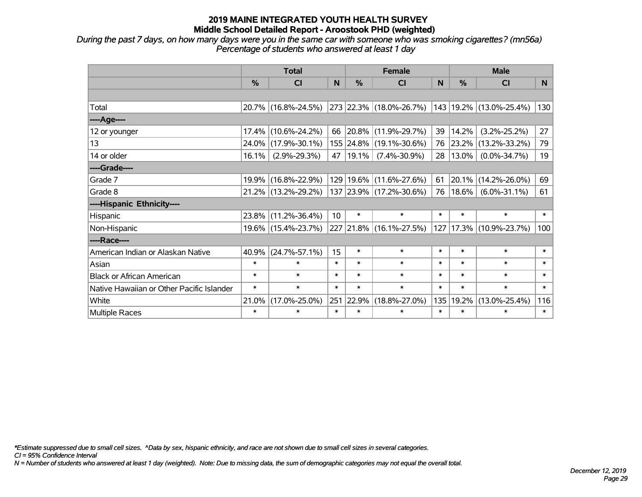*During the past 7 days, on how many days were you in the same car with someone who was smoking cigarettes? (mn56a) Percentage of students who answered at least 1 day*

|                                           | <b>Total</b> |                     |                 |               | <b>Female</b>           |              | <b>Male</b> |                         |                |  |
|-------------------------------------------|--------------|---------------------|-----------------|---------------|-------------------------|--------------|-------------|-------------------------|----------------|--|
|                                           | %            | <b>CI</b>           | N               | $\frac{0}{0}$ | <b>CI</b>               | <sub>N</sub> | %           | <b>CI</b>               | N <sub>1</sub> |  |
|                                           |              |                     |                 |               |                         |              |             |                         |                |  |
| Total                                     |              | 20.7% (16.8%-24.5%) |                 |               | 273 22.3% (18.0%-26.7%) |              |             | 143 19.2% (13.0%-25.4%) | 130            |  |
| ----Age----                               |              |                     |                 |               |                         |              |             |                         |                |  |
| 12 or younger                             | 17.4%        | $(10.6\% - 24.2\%)$ | 66              |               | 20.8% (11.9%-29.7%)     | 39           | 14.2%       | $(3.2\% - 25.2\%)$      | 27             |  |
| 13                                        |              | 24.0% (17.9%-30.1%) |                 |               | 155 24.8% (19.1%-30.6%) | 76           | 23.2%       | $(13.2\% - 33.2\%)$     | 79             |  |
| 14 or older                               | 16.1%        | $(2.9\% - 29.3\%)$  |                 | 47   19.1%    | $(7.4\% - 30.9\%)$      | 28           | $13.0\%$    | $(0.0\% - 34.7\%)$      | 19             |  |
| ----Grade----                             |              |                     |                 |               |                         |              |             |                         |                |  |
| Grade 7                                   | 19.9%        | $(16.8\% - 22.9\%)$ |                 |               | 129 19.6% (11.6%-27.6%) | 61           | 20.1%       | $(14.2\% - 26.0\%)$     | 69             |  |
| Grade 8                                   |              | 21.2% (13.2%-29.2%) |                 |               | 137 23.9% (17.2%-30.6%) | 76           | 18.6%       | $(6.0\% - 31.1\%)$      | 61             |  |
| ----Hispanic Ethnicity----                |              |                     |                 |               |                         |              |             |                         |                |  |
| Hispanic                                  | 23.8%        | $(11.2\% - 36.4\%)$ | 10 <sup>°</sup> | $\ast$        | $\ast$                  | $\ast$       | $\ast$      | $\ast$                  | $\ast$         |  |
| Non-Hispanic                              |              | 19.6% (15.4%-23.7%) |                 |               | 227 21.8% (16.1%-27.5%) | 127          |             | 17.3% (10.9%-23.7%)     | 100            |  |
| ----Race----                              |              |                     |                 |               |                         |              |             |                         |                |  |
| American Indian or Alaskan Native         | 40.9%        | $(24.7\% - 57.1\%)$ | 15              | $\ast$        | $\ast$                  | $\ast$       | $\ast$      | $\ast$                  | $\ast$         |  |
| Asian                                     | $\ast$       | $\ast$              | $\ast$          | $\ast$        | $\ast$                  | $\ast$       | $\ast$      | $\ast$                  | $\ast$         |  |
| <b>Black or African American</b>          | $\ast$       | $\ast$              | $\ast$          | $\ast$        | $\ast$                  | $\ast$       | $\ast$      | $\ast$                  | $\ast$         |  |
| Native Hawaiian or Other Pacific Islander | $\ast$       | $\ast$              | $\ast$          | $\ast$        | $\ast$                  | $\ast$       | $\ast$      | $\ast$                  | $\ast$         |  |
| White                                     | 21.0%        | $(17.0\% - 25.0\%)$ | 251             | 22.9%         | $(18.8\% - 27.0\%)$     | 135          | 19.2%       | $(13.0\% - 25.4\%)$     | 116            |  |
| Multiple Races                            | $\ast$       | $\ast$              | $\ast$          | $\ast$        | $\ast$                  | $\ast$       | $\ast$      | $\ast$                  | $\ast$         |  |

*\*Estimate suppressed due to small cell sizes. ^Data by sex, hispanic ethnicity, and race are not shown due to small cell sizes in several categories.*

*CI = 95% Confidence Interval*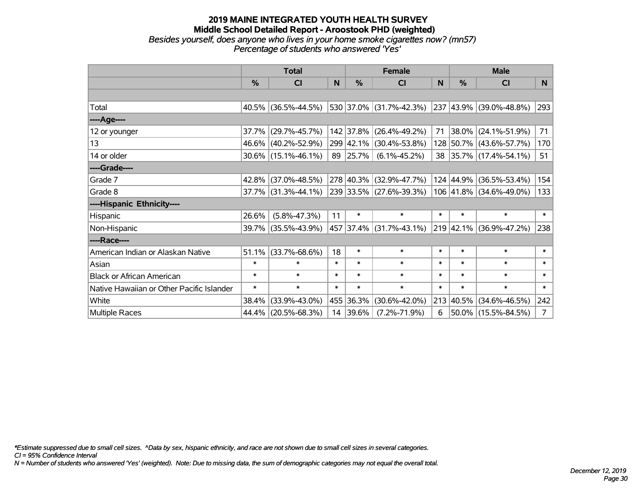#### **2019 MAINE INTEGRATED YOUTH HEALTH SURVEY Middle School Detailed Report - Aroostook PHD (weighted)** *Besides yourself, does anyone who lives in your home smoke cigarettes now? (mn57) Percentage of students who answered 'Yes'*

|                                           | <b>Total</b>  |                        |        |               | <b>Female</b>               |        | <b>Male</b>   |                              |                |  |
|-------------------------------------------|---------------|------------------------|--------|---------------|-----------------------------|--------|---------------|------------------------------|----------------|--|
|                                           | $\frac{0}{0}$ | CI                     | N      | $\frac{0}{0}$ | <b>CI</b>                   | N      | $\frac{0}{0}$ | <b>CI</b>                    | N.             |  |
|                                           |               |                        |        |               |                             |        |               |                              |                |  |
| Total                                     |               | 40.5% (36.5%-44.5%)    |        |               | 530 37.0% (31.7%-42.3%)     |        |               | $ 237 43.9\% $ (39.0%-48.8%) | 293            |  |
| ----Age----                               |               |                        |        |               |                             |        |               |                              |                |  |
| 12 or younger                             | 37.7%         | $(29.7\% - 45.7\%)$    |        | 142 37.8%     | $(26.4\% - 49.2\%)$         | 71     | $38.0\%$      | $(24.1\% - 51.9\%)$          | 71             |  |
| 13                                        |               | 46.6% (40.2%-52.9%)    |        |               | 299 42.1% (30.4%-53.8%)     |        |               | 128 50.7% (43.6%-57.7%)      | 170            |  |
| 14 or older                               |               | $30.6\%$ (15.1%-46.1%) |        | 89 25.7%      | $(6.1\% - 45.2\%)$          |        |               | 38 35.7% (17.4%-54.1%)       | 51             |  |
| ----Grade----                             |               |                        |        |               |                             |        |               |                              |                |  |
| Grade 7                                   | $42.8\%$      | $(37.0\% - 48.5\%)$    |        |               | 278 40.3% (32.9%-47.7%)     |        | 124 44.9%     | $(36.5\% - 53.4\%)$          | 154            |  |
| Grade 8                                   |               | 37.7% (31.3%-44.1%)    |        |               | 239 33.5% (27.6%-39.3%)     |        |               | 106 41.8% (34.6%-49.0%)      | 133            |  |
| ----Hispanic Ethnicity----                |               |                        |        |               |                             |        |               |                              |                |  |
| Hispanic                                  | 26.6%         | $(5.8\% - 47.3\%)$     | 11     | $\ast$        | $\ast$                      | $\ast$ | $\ast$        | $\ast$                       | $\ast$         |  |
| Non-Hispanic                              |               | 39.7% (35.5%-43.9%)    |        |               | 457   37.4%   (31.7%-43.1%) |        |               | $ 219 42.1\% $ (36.9%-47.2%) | 238            |  |
| ----Race----                              |               |                        |        |               |                             |        |               |                              |                |  |
| American Indian or Alaskan Native         | 51.1%         | $(33.7\% - 68.6\%)$    | 18     | $\ast$        | $\ast$                      | $\ast$ | $\ast$        | $\ast$                       | $\ast$         |  |
| Asian                                     | $\ast$        | $\ast$                 | $\ast$ | $\ast$        | $\ast$                      | $\ast$ | $\ast$        | $\ast$                       | $\ast$         |  |
| <b>Black or African American</b>          | $\ast$        | $\ast$                 | $\ast$ | $\ast$        | $\ast$                      | $\ast$ | $\ast$        | $\ast$                       | $\ast$         |  |
| Native Hawaiian or Other Pacific Islander | $\ast$        | $\ast$                 | $\ast$ | $\ast$        | $\ast$                      | $\ast$ | $\ast$        | $\ast$                       | $\ast$         |  |
| White                                     | 38.4%         | $(33.9\% - 43.0\%)$    |        | 455 36.3%     | $(30.6\% - 42.0\%)$         |        | 213 40.5%     | $(34.6\% - 46.5\%)$          | 242            |  |
| Multiple Races                            | 44.4%         | $(20.5\% - 68.3\%)$    |        | 14 39.6%      | $(7.2\% - 71.9\%)$          | 6      |               | $50.0\%$ (15.5%-84.5%)       | 7 <sup>1</sup> |  |

*\*Estimate suppressed due to small cell sizes. ^Data by sex, hispanic ethnicity, and race are not shown due to small cell sizes in several categories.*

*CI = 95% Confidence Interval*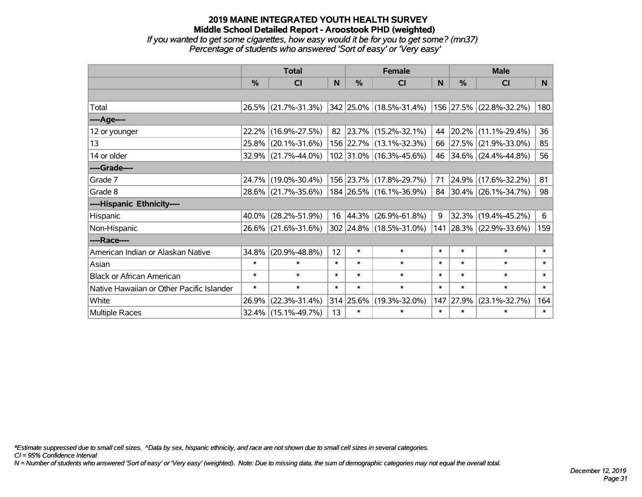#### **2019 MAINE INTEGRATED YOUTH HEALTH SURVEY Middle School Detailed Report - Aroostook PHD (weighted)** *If you wanted to get some cigarettes, how easy would it be for you to get some? (mn37) Percentage of students who answered 'Sort of easy' or 'Very easy'*

|                                           | <b>Total</b>  |                        |        |               | <b>Female</b>           |        | <b>Male</b> |                         |        |  |
|-------------------------------------------|---------------|------------------------|--------|---------------|-------------------------|--------|-------------|-------------------------|--------|--|
|                                           | $\frac{0}{0}$ | CI                     | N      | $\frac{9}{6}$ | <b>CI</b>               | N      | %           | <b>CI</b>               | N.     |  |
|                                           |               |                        |        |               |                         |        |             |                         |        |  |
| Total                                     |               | 26.5% (21.7%-31.3%)    |        |               | 342 25.0% (18.5%-31.4%) |        |             | 156 27.5% (22.8%-32.2%) | 180    |  |
| ----Age----                               |               |                        |        |               |                         |        |             |                         |        |  |
| 12 or younger                             | 22.2%         | $(16.9\% - 27.5\%)$    |        |               | 82 23.7% (15.2%-32.1%)  | 44     | 20.2%       | $(11.1\% - 29.4\%)$     | 36     |  |
| 13                                        |               | 25.8% (20.1%-31.6%)    |        |               | 156 22.7% (13.1%-32.3%) |        | 66 27.5%    | $(21.9\% - 33.0\%)$     | 85     |  |
| 14 or older                               |               | $32.9\%$ (21.7%-44.0%) |        |               | 102 31.0% (16.3%-45.6%) |        |             | 46 34.6% (24.4%-44.8%)  | 56     |  |
| ----Grade----                             |               |                        |        |               |                         |        |             |                         |        |  |
| Grade 7                                   |               | 24.7% (19.0%-30.4%)    |        |               | 156 23.7% (17.8%-29.7%) | 71     | 24.9%       | $(17.6\% - 32.2\%)$     | 81     |  |
| Grade 8                                   |               | 28.6% (21.7%-35.6%)    |        |               | 184 26.5% (16.1%-36.9%) |        |             | 84 30.4% (26.1%-34.7%)  | 98     |  |
| ----Hispanic Ethnicity----                |               |                        |        |               |                         |        |             |                         |        |  |
| Hispanic                                  | 40.0%         | $(28.2\% - 51.9\%)$    | 16     | 44.3%         | $(26.9\% - 61.8\%)$     | 9      | 32.3%       | $(19.4\% - 45.2\%)$     | 6      |  |
| Non-Hispanic                              |               | 26.6% (21.6%-31.6%)    |        |               | 302 24.8% (18.5%-31.0%) |        |             | 141 28.3% (22.9%-33.6%) | 159    |  |
| ----Race----                              |               |                        |        |               |                         |        |             |                         |        |  |
| American Indian or Alaskan Native         | 34.8%         | $(20.9\% - 48.8\%)$    | 12     | $\ast$        | $\ast$                  | $\ast$ | $\ast$      | $\ast$                  | $\ast$ |  |
| Asian                                     | $\ast$        | $\ast$                 | $\ast$ | $\ast$        | $\ast$                  | $\ast$ | $\ast$      | $\ast$                  | $\ast$ |  |
| <b>Black or African American</b>          | $\ast$        | $\ast$                 | $\ast$ | $\ast$        | $\ast$                  | $\ast$ | $\ast$      | $\ast$                  | $\ast$ |  |
| Native Hawaiian or Other Pacific Islander | $\ast$        | $\ast$                 | $\ast$ | $\ast$        | $\ast$                  | $\ast$ | $\ast$      | $\ast$                  | $\ast$ |  |
| White                                     | 26.9%         | $(22.3\% - 31.4\%)$    |        | $314$ 25.6%   | $(19.3\% - 32.0\%)$     | 147    | 27.9%       | $(23.1\% - 32.7\%)$     | 164    |  |
| Multiple Races                            |               | $32.4\%$ (15.1%-49.7%) | 13     | $\ast$        | $\ast$                  | $\ast$ | $\ast$      | $\ast$                  | $\ast$ |  |

*\*Estimate suppressed due to small cell sizes. ^Data by sex, hispanic ethnicity, and race are not shown due to small cell sizes in several categories.*

*CI = 95% Confidence Interval*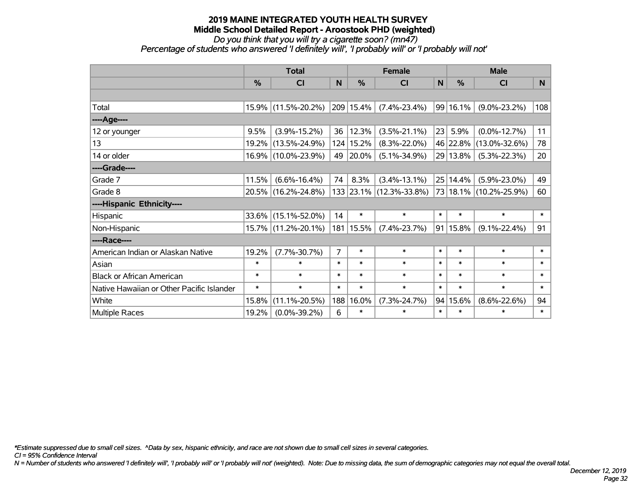*Do you think that you will try a cigarette soon? (mn47)*

*Percentage of students who answered 'I definitely will', 'I probably will' or 'I probably will not'*

|                                           | <b>Total</b> |                     |                |             | <b>Female</b>           |        | <b>Male</b> |                     |        |  |
|-------------------------------------------|--------------|---------------------|----------------|-------------|-------------------------|--------|-------------|---------------------|--------|--|
|                                           | %            | <b>CI</b>           | N              | %           | <b>CI</b>               | N      | %           | <b>CI</b>           | N      |  |
|                                           |              |                     |                |             |                         |        |             |                     |        |  |
| Total                                     |              | 15.9% (11.5%-20.2%) |                | 209 15.4%   | $(7.4\% - 23.4\%)$      |        | 99 16.1%    | $(9.0\% - 23.2\%)$  | 108    |  |
| ----Age----                               |              |                     |                |             |                         |        |             |                     |        |  |
| 12 or younger                             | 9.5%         | $(3.9\% - 15.2\%)$  | 36             | 12.3%       | $(3.5\% - 21.1\%)$      | 23     | 5.9%        | $(0.0\% - 12.7\%)$  | 11     |  |
| 13                                        | 19.2%        | $(13.5\% - 24.9\%)$ |                | 124   15.2% | $(8.3\% - 22.0\%)$      |        | 46 22.8%    | $(13.0\% - 32.6\%)$ | 78     |  |
| 14 or older                               |              | 16.9% (10.0%-23.9%) | 49             | 20.0%       | $(5.1\% - 34.9\%)$      |        | 29 13.8%    | $(5.3\% - 22.3\%)$  | 20     |  |
| ----Grade----                             |              |                     |                |             |                         |        |             |                     |        |  |
| Grade 7                                   | 11.5%        | $(6.6\% - 16.4\%)$  | 74             | 8.3%        | $(3.4\% - 13.1\%)$      |        | 25   14.4%  | $(5.9\% - 23.0\%)$  | 49     |  |
| Grade 8                                   |              | 20.5% (16.2%-24.8%) |                |             | 133 23.1% (12.3%-33.8%) |        | 73 18.1%    | $(10.2\% - 25.9\%)$ | 60     |  |
| ----Hispanic Ethnicity----                |              |                     |                |             |                         |        |             |                     |        |  |
| Hispanic                                  | 33.6%        | $(15.1\% - 52.0\%)$ | 14             | $\ast$      | $\ast$                  | $\ast$ | $\ast$      | $\ast$              | $\ast$ |  |
| Non-Hispanic                              | 15.7%        | $(11.2\% - 20.1\%)$ |                | 181 15.5%   | $(7.4\% - 23.7\%)$      |        | 91 15.8%    | $(9.1\% - 22.4\%)$  | 91     |  |
| ----Race----                              |              |                     |                |             |                         |        |             |                     |        |  |
| American Indian or Alaskan Native         | 19.2%        | $(7.7\% - 30.7\%)$  | $\overline{7}$ | $\ast$      | $\ast$                  | $\ast$ | $\ast$      | $\ast$              | $\ast$ |  |
| Asian                                     | $\ast$       | $\ast$              | $\ast$         | $\ast$      | $\ast$                  | $\ast$ | $\ast$      | $\ast$              | $\ast$ |  |
| <b>Black or African American</b>          | $\ast$       | $\ast$              | $\ast$         | $\ast$      | $\ast$                  | $\ast$ | $\ast$      | $\ast$              | $\ast$ |  |
| Native Hawaiian or Other Pacific Islander | $\ast$       | $\ast$              | $\ast$         | $\ast$      | $\ast$                  | $\ast$ | $\ast$      | $\ast$              | $\ast$ |  |
| White                                     | 15.8%        | $(11.1\% - 20.5\%)$ | 188            | 16.0%       | $(7.3\% - 24.7\%)$      |        | 94 15.6%    | $(8.6\% - 22.6\%)$  | 94     |  |
| Multiple Races                            | 19.2%        | $(0.0\% - 39.2\%)$  | 6              | $\ast$      | $\ast$                  | $\ast$ | $\ast$      | $\ast$              | $\ast$ |  |

*\*Estimate suppressed due to small cell sizes. ^Data by sex, hispanic ethnicity, and race are not shown due to small cell sizes in several categories.*

*CI = 95% Confidence Interval*

*N = Number of students who answered 'I definitely will', 'I probably will' or 'I probably will not' (weighted). Note: Due to missing data, the sum of demographic categories may not equal the overall total.*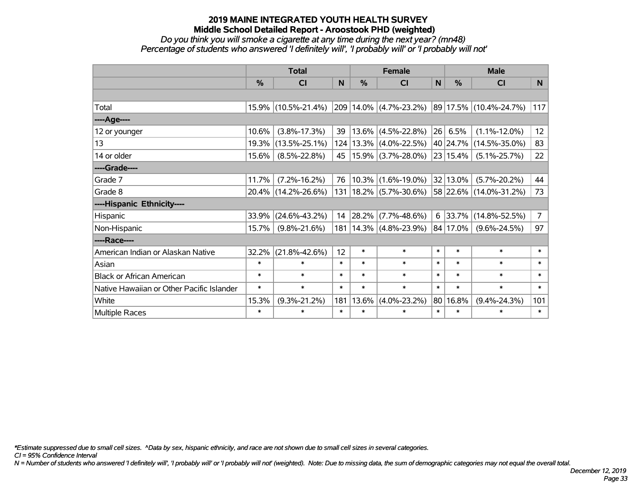#### *Do you think you will smoke a cigarette at any time during the next year? (mn48) Percentage of students who answered 'I definitely will', 'I probably will' or 'I probably will not'*

|                                           | <b>Total</b>  |                     |        |               | <b>Female</b>              |        |          | <b>Male</b>            |                |  |  |
|-------------------------------------------|---------------|---------------------|--------|---------------|----------------------------|--------|----------|------------------------|----------------|--|--|
|                                           | $\frac{0}{0}$ | <b>CI</b>           | N      | $\frac{9}{6}$ | <b>CI</b>                  | N      | %        | <b>CI</b>              | N.             |  |  |
|                                           |               |                     |        |               |                            |        |          |                        |                |  |  |
| Total                                     |               | 15.9% (10.5%-21.4%) |        |               | 209 14.0% (4.7%-23.2%)     |        |          | 89 17.5% (10.4%-24.7%) | 117            |  |  |
| ----Age----                               |               |                     |        |               |                            |        |          |                        |                |  |  |
| 12 or younger                             | 10.6%         | $(3.8\% - 17.3\%)$  | 39     | $13.6\%$      | $(4.5\% - 22.8\%)$         |        | 26 6.5%  | $(1.1\% - 12.0\%)$     | 12             |  |  |
| 13                                        | 19.3%         | $(13.5\% - 25.1\%)$ |        |               | 124   13.3%   (4.0%-22.5%) |        | 40 24.7% | $(14.5\% - 35.0\%)$    | 83             |  |  |
| 14 or older                               | 15.6%         | $(8.5\% - 22.8\%)$  | 45     |               | $15.9\%$ (3.7%-28.0%)      |        | 23 15.4% | $(5.1\% - 25.7\%)$     | 22             |  |  |
| ----Grade----                             |               |                     |        |               |                            |        |          |                        |                |  |  |
| Grade 7                                   | 11.7%         | $(7.2\% - 16.2\%)$  | 76     |               | $10.3\%$ (1.6%-19.0%)      |        | 32 13.0% | $(5.7\% - 20.2\%)$     | 44             |  |  |
| Grade 8                                   |               | 20.4% (14.2%-26.6%) | 131    |               | $18.2\%$ (5.7%-30.6%)      |        | 58 22.6% | $(14.0\% - 31.2\%)$    | 73             |  |  |
| ----Hispanic Ethnicity----                |               |                     |        |               |                            |        |          |                        |                |  |  |
| Hispanic                                  | 33.9%         | $(24.6\% - 43.2\%)$ | 14     | 28.2%         | $(7.7\% - 48.6\%)$         | 6      | 33.7%    | $(14.8\% - 52.5\%)$    | $\overline{7}$ |  |  |
| Non-Hispanic                              | 15.7%         | $(9.8\% - 21.6\%)$  |        |               | 181   14.3%   (4.8%-23.9%) |        | 84 17.0% | $(9.6\% - 24.5\%)$     | 97             |  |  |
| ----Race----                              |               |                     |        |               |                            |        |          |                        |                |  |  |
| American Indian or Alaskan Native         | 32.2%         | $(21.8\% - 42.6\%)$ | 12     | $\ast$        | $\ast$                     | $\ast$ | $\ast$   | $\ast$                 | $\ast$         |  |  |
| Asian                                     | $\ast$        | $\ast$              | $\ast$ | $\ast$        | $\ast$                     | $\ast$ | $\ast$   | $\ast$                 | $\ast$         |  |  |
| <b>Black or African American</b>          | $\ast$        | $\ast$              | $\ast$ | $\ast$        | $\ast$                     | $\ast$ | $\ast$   | $\ast$                 | $\ast$         |  |  |
| Native Hawaiian or Other Pacific Islander | $\ast$        | $\ast$              | $\ast$ | $\ast$        | $\ast$                     | $\ast$ | $\ast$   | $\ast$                 | $\ast$         |  |  |
| White                                     | 15.3%         | $(9.3\% - 21.2\%)$  | 181    | 13.6%         | $(4.0\% - 23.2\%)$         |        | 80 16.8% | $(9.4\% - 24.3\%)$     | 101            |  |  |
| <b>Multiple Races</b>                     | $\ast$        | $\ast$              | $\ast$ | $\ast$        | $\ast$                     | $\ast$ | $\ast$   | $\ast$                 | $\ast$         |  |  |

*\*Estimate suppressed due to small cell sizes. ^Data by sex, hispanic ethnicity, and race are not shown due to small cell sizes in several categories.*

*CI = 95% Confidence Interval*

*N = Number of students who answered 'I definitely will', 'I probably will' or 'I probably will not' (weighted). Note: Due to missing data, the sum of demographic categories may not equal the overall total.*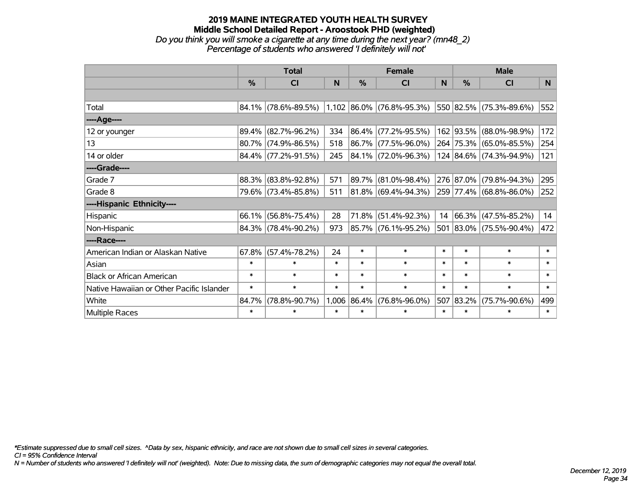## **2019 MAINE INTEGRATED YOUTH HEALTH SURVEY Middle School Detailed Report - Aroostook PHD (weighted)** *Do you think you will smoke a cigarette at any time during the next year? (mn48\_2) Percentage of students who answered 'I definitely will not'*

|                                           | <b>Total</b> |                                                  |        |               | <b>Female</b>            |        | <b>Male</b>   |                          |        |  |
|-------------------------------------------|--------------|--------------------------------------------------|--------|---------------|--------------------------|--------|---------------|--------------------------|--------|--|
|                                           | %            | <b>CI</b>                                        | N      | $\frac{0}{0}$ | <b>CI</b>                | N      | $\frac{0}{0}$ | <b>CI</b>                | N.     |  |
|                                           |              |                                                  |        |               |                          |        |               |                          |        |  |
| Total                                     |              | $84.1\%$ (78.6%-89.5%) 1,102 86.0% (76.8%-95.3%) |        |               |                          |        |               | 550 82.5% (75.3%-89.6%)  | 552    |  |
| ----Age----                               |              |                                                  |        |               |                          |        |               |                          |        |  |
| 12 or younger                             | 89.4%        | $(82.7\% - 96.2\%)$                              | 334    |               | 86.4% (77.2%-95.5%)      |        |               | 162 93.5% (88.0%-98.9%)  | 172    |  |
| 13                                        |              | 80.7% (74.9%-86.5%)                              | 518    |               | 86.7% (77.5%-96.0%)      |        |               | 264 75.3% (65.0%-85.5%)  | 254    |  |
| 14 or older                               |              | $84.4\%$ (77.2%-91.5%)                           | 245    |               | $ 84.1\% $ (72.0%-96.3%) |        |               | 124 84.6% (74.3%-94.9%)  | 121    |  |
| ----Grade----                             |              |                                                  |        |               |                          |        |               |                          |        |  |
| Grade 7                                   | 88.3%        | $(83.8\% - 92.8\%)$                              | 571    |               | 89.7% (81.0%-98.4%)      |        |               | 276 87.0% (79.8%-94.3%)  | 295    |  |
| Grade 8                                   |              | 79.6% (73.4%-85.8%)                              | 511    |               | 81.8% (69.4%-94.3%)      |        |               | 259 77.4% (68.8%-86.0%)  | 252    |  |
| ----Hispanic Ethnicity----                |              |                                                  |        |               |                          |        |               |                          |        |  |
| Hispanic                                  | 66.1%        | $(56.8\% - 75.4\%)$                              | 28     | 71.8%         | $(51.4\% - 92.3\%)$      | 14     |               | $ 66.3\% $ (47.5%-85.2%) | 14     |  |
| Non-Hispanic                              |              | 84.3% (78.4%-90.2%)                              | 973    |               | 85.7% (76.1%-95.2%)      |        |               | 501 83.0% (75.5%-90.4%)  | 472    |  |
| ----Race----                              |              |                                                  |        |               |                          |        |               |                          |        |  |
| American Indian or Alaskan Native         | 67.8%        | $(57.4\% - 78.2\%)$                              | 24     | $\ast$        | $\ast$                   | $\ast$ | $\ast$        | $\ast$                   | $\ast$ |  |
| Asian                                     | $\ast$       | $\ast$                                           | $\ast$ | $\ast$        | $\ast$                   | $\ast$ | $\ast$        | $\ast$                   | $\ast$ |  |
| <b>Black or African American</b>          | $\ast$       | $\ast$                                           | $\ast$ | $\ast$        | $\ast$                   | $\ast$ | $\ast$        | $\ast$                   | $\ast$ |  |
| Native Hawaiian or Other Pacific Islander | $\ast$       | $\ast$                                           | $\ast$ | $\ast$        | $\ast$                   | $\ast$ | $\ast$        | $\ast$                   | $\ast$ |  |
| White                                     | 84.7%        | $(78.8\% - 90.7\%)$                              |        | 1,006 86.4%   | $(76.8\% - 96.0\%)$      | 507    | 83.2%         | $(75.7\% - 90.6\%)$      | 499    |  |
| Multiple Races                            | $\ast$       | $\ast$                                           | $\ast$ | $\ast$        | $\ast$                   | $\ast$ | $\ast$        | $\ast$                   | $\ast$ |  |

*\*Estimate suppressed due to small cell sizes. ^Data by sex, hispanic ethnicity, and race are not shown due to small cell sizes in several categories.*

*CI = 95% Confidence Interval*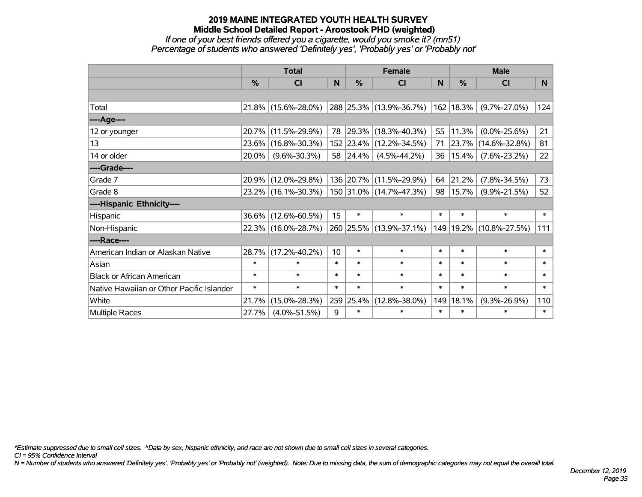#### **2019 MAINE INTEGRATED YOUTH HEALTH SURVEY Middle School Detailed Report - Aroostook PHD (weighted)** *If one of your best friends offered you a cigarette, would you smoke it? (mn51) Percentage of students who answered 'Definitely yes', 'Probably yes' or 'Probably not'*

|                                           | <b>Total</b>  |                     |        |               | <b>Female</b>            |        | <b>Male</b> |                     |        |  |
|-------------------------------------------|---------------|---------------------|--------|---------------|--------------------------|--------|-------------|---------------------|--------|--|
|                                           | $\frac{0}{0}$ | CI                  | N      | $\frac{0}{0}$ | <b>CI</b>                | N      | %           | <b>CI</b>           | N      |  |
|                                           |               |                     |        |               |                          |        |             |                     |        |  |
| Total                                     |               | 21.8% (15.6%-28.0%) |        |               | 288 25.3% (13.9%-36.7%)  |        | 162 18.3%   | $(9.7\% - 27.0\%)$  | 124    |  |
| ----Age----                               |               |                     |        |               |                          |        |             |                     |        |  |
| 12 or younger                             | $20.7\%$      | $(11.5\% - 29.9\%)$ | 78     |               | $ 29.3\% $ (18.3%-40.3%) | 55     | 11.3%       | $(0.0\% - 25.6\%)$  | 21     |  |
| 13                                        |               | 23.6% (16.8%-30.3%) |        |               | 152 23.4% (12.2%-34.5%)  | 71     | 23.7%       | $(14.6\% - 32.8\%)$ | 81     |  |
| 14 or older                               | 20.0%         | $(9.6\% - 30.3\%)$  |        | 58 24.4%      | $(4.5\% - 44.2\%)$       | 36     | 15.4%       | $(7.6\% - 23.2\%)$  | 22     |  |
| ----Grade----                             |               |                     |        |               |                          |        |             |                     |        |  |
| Grade 7                                   | 20.9%         | $(12.0\% - 29.8\%)$ |        |               | 136 20.7% (11.5%-29.9%)  | 64     | 21.2%       | $(7.8\% - 34.5\%)$  | 73     |  |
| Grade 8                                   |               | 23.2% (16.1%-30.3%) |        |               | 150 31.0% (14.7%-47.3%)  | 98     | 15.7%       | $(9.9\% - 21.5\%)$  | 52     |  |
| ----Hispanic Ethnicity----                |               |                     |        |               |                          |        |             |                     |        |  |
| Hispanic                                  |               | 36.6% (12.6%-60.5%) | 15     | $\ast$        | $\ast$                   | $\ast$ | $\ast$      | $\ast$              | $\ast$ |  |
| Non-Hispanic                              |               | 22.3% (16.0%-28.7%) |        |               | 260 25.5% (13.9%-37.1%)  | 149    | 19.2%       | $(10.8\% - 27.5\%)$ | 111    |  |
| ----Race----                              |               |                     |        |               |                          |        |             |                     |        |  |
| American Indian or Alaskan Native         | 28.7%         | $(17.2\% - 40.2\%)$ | 10     | $\ast$        | $\ast$                   | $\ast$ | $\ast$      | $\ast$              | $\ast$ |  |
| Asian                                     | $\ast$        | $\ast$              | $\ast$ | $\ast$        | $\ast$                   | $\ast$ | $\ast$      | $\ast$              | $\ast$ |  |
| <b>Black or African American</b>          | $\ast$        | $\ast$              | $\ast$ | $\ast$        | $\ast$                   | $\ast$ | $\ast$      | $\ast$              | $\ast$ |  |
| Native Hawaiian or Other Pacific Islander | $\ast$        | $\ast$              | $\ast$ | $\ast$        | $\ast$                   | $\ast$ | $\ast$      | $\ast$              | $\ast$ |  |
| White                                     | 21.7%         | $(15.0\% - 28.3\%)$ |        | 259 25.4%     | $(12.8\% - 38.0\%)$      | 149    | 18.1%       | $(9.3\% - 26.9\%)$  | 110    |  |
| <b>Multiple Races</b>                     | 27.7%         | $(4.0\% - 51.5\%)$  | 9      | $\ast$        | $\ast$                   | $\ast$ | $\ast$      | $\ast$              | $\ast$ |  |

*\*Estimate suppressed due to small cell sizes. ^Data by sex, hispanic ethnicity, and race are not shown due to small cell sizes in several categories.*

*CI = 95% Confidence Interval*

*N = Number of students who answered 'Definitely yes', 'Probably yes' or 'Probably not' (weighted). Note: Due to missing data, the sum of demographic categories may not equal the overall total.*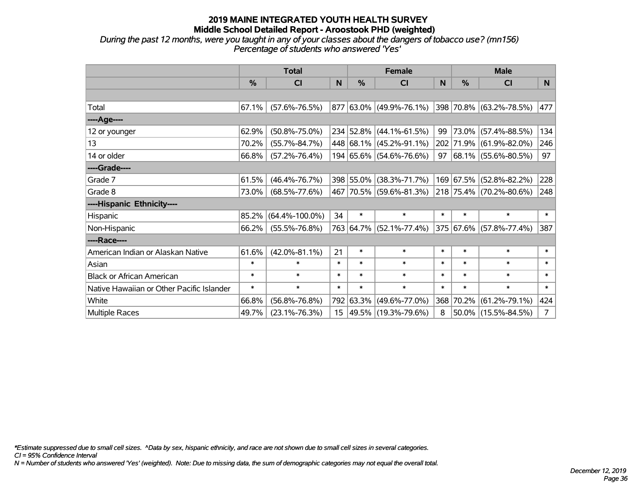*During the past 12 months, were you taught in any of your classes about the dangers of tobacco use? (mn156) Percentage of students who answered 'Yes'*

|                                           | <b>Total</b>  |                      |        |           | <b>Female</b>           |        | <b>Male</b>   |                          |             |  |
|-------------------------------------------|---------------|----------------------|--------|-----------|-------------------------|--------|---------------|--------------------------|-------------|--|
|                                           | $\frac{0}{0}$ | <b>CI</b>            | N      | $\%$      | <b>CI</b>               | N      | $\frac{0}{0}$ | <b>CI</b>                | N.          |  |
|                                           |               |                      |        |           |                         |        |               |                          |             |  |
| Total                                     | 67.1%         | $(57.6\% - 76.5\%)$  |        |           | 877 63.0% (49.9%-76.1%) |        |               | 398 70.8% (63.2%-78.5%)  | 477         |  |
| ----Age----                               |               |                      |        |           |                         |        |               |                          |             |  |
| 12 or younger                             | 62.9%         | $(50.8\% - 75.0\%)$  |        |           | 234 52.8% (44.1%-61.5%) | 99     |               | 73.0% (57.4%-88.5%)      | 134         |  |
| 13                                        | 70.2%         | $(55.7\% - 84.7\%)$  |        |           | 448 68.1% (45.2%-91.1%) |        |               | 202 71.9% (61.9%-82.0%)  | 246         |  |
| 14 or older                               | 66.8%         | $(57.2\% - 76.4\%)$  |        |           | 194 65.6% (54.6%-76.6%) | 97     |               | $ 68.1\% $ (55.6%-80.5%) | 97          |  |
| ----Grade----                             |               |                      |        |           |                         |        |               |                          |             |  |
| Grade 7                                   | 61.5%         | $(46.4\% - 76.7\%)$  |        | 398 55.0% | $(38.3\% - 71.7\%)$     |        |               | 169 67.5% (52.8%-82.2%)  | 228         |  |
| Grade 8                                   | 73.0%         | $(68.5\% - 77.6\%)$  |        |           | 467 70.5% (59.6%-81.3%) |        |               | 218 75.4% (70.2%-80.6%)  | 248         |  |
| ----Hispanic Ethnicity----                |               |                      |        |           |                         |        |               |                          |             |  |
| Hispanic                                  | 85.2%         | $(64.4\% - 100.0\%)$ | 34     | $\ast$    | $\ast$                  | $\ast$ | $\ast$        | $\ast$                   | $\ast$      |  |
| Non-Hispanic                              | 66.2%         | $(55.5\% - 76.8\%)$  |        | 763 64.7% | $(52.1\% - 77.4\%)$     |        |               | 375 67.6% (57.8%-77.4%)  | 387         |  |
| ----Race----                              |               |                      |        |           |                         |        |               |                          |             |  |
| American Indian or Alaskan Native         | 61.6%         | $(42.0\% - 81.1\%)$  | 21     | $\ast$    | $\ast$                  | $\ast$ | $\ast$        | $\ast$                   | $\ast$      |  |
| Asian                                     | $\ast$        | $\ast$               | $\ast$ | $\ast$    | $\ast$                  | $\ast$ | $\ast$        | $\ast$                   | $\ast$      |  |
| <b>Black or African American</b>          | $\ast$        | $\ast$               | $\ast$ | $\ast$    | $\ast$                  | $\ast$ | $\ast$        | $\ast$                   | $\ast$      |  |
| Native Hawaiian or Other Pacific Islander | $\ast$        | $\ast$               | $\ast$ | $\ast$    | $\ast$                  | $\ast$ | $\ast$        | $\ast$                   | $\ast$      |  |
| White                                     | 66.8%         | $(56.8\% - 76.8\%)$  |        | 792 63.3% | $(49.6\% - 77.0\%)$     |        | 368 70.2%     | $(61.2\% - 79.1\%)$      | 424         |  |
| Multiple Races                            | 49.7%         | $(23.1\% - 76.3\%)$  |        |           | 15 49.5% (19.3%-79.6%)  | 8      |               | $50.0\%$ (15.5%-84.5%)   | $7^{\circ}$ |  |

*\*Estimate suppressed due to small cell sizes. ^Data by sex, hispanic ethnicity, and race are not shown due to small cell sizes in several categories.*

*CI = 95% Confidence Interval*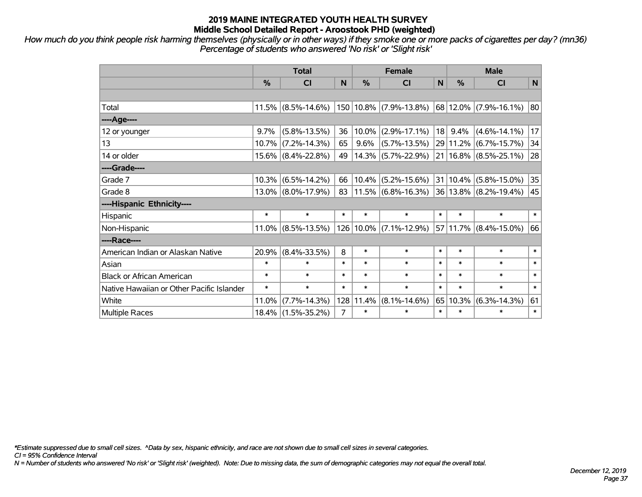*How much do you think people risk harming themselves (physically or in other ways) if they smoke one or more packs of cigarettes per day? (mn36) Percentage of students who answered 'No risk' or 'Slight risk'*

|                                           | <b>Total</b> |                       |                |           | <b>Female</b>                                                                            |        | <b>Male</b>  |                           |        |  |
|-------------------------------------------|--------------|-----------------------|----------------|-----------|------------------------------------------------------------------------------------------|--------|--------------|---------------------------|--------|--|
|                                           | %            | CI                    | N              | %         | CI                                                                                       | N      | %            | <b>CI</b>                 | N      |  |
|                                           |              |                       |                |           |                                                                                          |        |              |                           |        |  |
| Total                                     |              | $11.5\%$ (8.5%-14.6%) |                |           | 150 10.8% (7.9%-13.8%)                                                                   |        |              | 68 12.0% (7.9%-16.1%)     | 80     |  |
| ---- Age----                              |              |                       |                |           |                                                                                          |        |              |                           |        |  |
| 12 or younger                             | 9.7%         | $(5.8\% - 13.5\%)$    | 36             | 10.0%     | $(2.9\% - 17.1\%)$                                                                       |        | $18$ 9.4%    | $(4.6\% - 14.1\%)$        | 17     |  |
| 13                                        | 10.7%        | $(7.2\% - 14.3\%)$    | 65             | 9.6%      | $(5.7\% - 13.5\%)$                                                                       |        | 29 11.2%     | $(6.7\% - 15.7\%)$        | 34     |  |
| 14 or older                               |              | $15.6\%$ (8.4%-22.8%) | 49             |           | 14.3% (5.7%-22.9%)                                                                       |        |              | $21 16.8\% $ (8.5%-25.1%) | 28     |  |
| ----Grade----                             |              |                       |                |           |                                                                                          |        |              |                           |        |  |
| Grade 7                                   | 10.3%        | $(6.5\% - 14.2\%)$    | 66             | 10.4%     | $(5.2\% - 15.6\%)$                                                                       |        | $31 10.4\% $ | $(5.8\% - 15.0\%)$        | 35     |  |
| Grade 8                                   |              | $13.0\%$ (8.0%-17.9%) | 83             |           | $\vert 11.5\% \vert (6.8\% - 16.3\%) \vert 36 \vert 13.8\% \vert (8.2\% - 19.4\%) \vert$ |        |              |                           | 45     |  |
| ----Hispanic Ethnicity----                |              |                       |                |           |                                                                                          |        |              |                           |        |  |
| Hispanic                                  | $\ast$       | $\ast$                | $\ast$         | $\ast$    | $\ast$                                                                                   | $\ast$ | $\ast$       | $\ast$                    | $\ast$ |  |
| Non-Hispanic                              | $11.0\%$     | $(8.5\% - 13.5\%)$    |                | 126 10.0% | $(7.1\% - 12.9\%)$                                                                       |        | 57 11.7%     | $(8.4\% - 15.0\%)$        | 66     |  |
| ----Race----                              |              |                       |                |           |                                                                                          |        |              |                           |        |  |
| American Indian or Alaskan Native         | 20.9%        | $(8.4\% - 33.5\%)$    | 8              | $\ast$    | $\ast$                                                                                   | $\ast$ | $\ast$       | $\ast$                    | $\ast$ |  |
| Asian                                     | $\ast$       | $\ast$                | $\ast$         | $\ast$    | $\ast$                                                                                   | $\ast$ | $\ast$       | $\ast$                    | $\ast$ |  |
| <b>Black or African American</b>          | $\ast$       | $\ast$                | $\ast$         | $\ast$    | $\ast$                                                                                   | $\ast$ | $\ast$       | $\ast$                    | $\ast$ |  |
| Native Hawaiian or Other Pacific Islander | $\ast$       | $\ast$                | $\ast$         | $\ast$    | $\ast$                                                                                   | $\ast$ | $\ast$       | $\ast$                    | $\ast$ |  |
| White                                     | 11.0%        | $(7.7\% - 14.3\%)$    | 128            | 11.4%     | $(8.1\% - 14.6\%)$                                                                       | 65     | 10.3%        | $(6.3\% - 14.3\%)$        | 61     |  |
| Multiple Races                            |              | $18.4\%$ (1.5%-35.2%) | $\overline{7}$ | $\ast$    | $\ast$                                                                                   | $\ast$ | $\ast$       | $\ast$                    | $\ast$ |  |

*\*Estimate suppressed due to small cell sizes. ^Data by sex, hispanic ethnicity, and race are not shown due to small cell sizes in several categories.*

*CI = 95% Confidence Interval*

*N = Number of students who answered 'No risk' or 'Slight risk' (weighted). Note: Due to missing data, the sum of demographic categories may not equal the overall total.*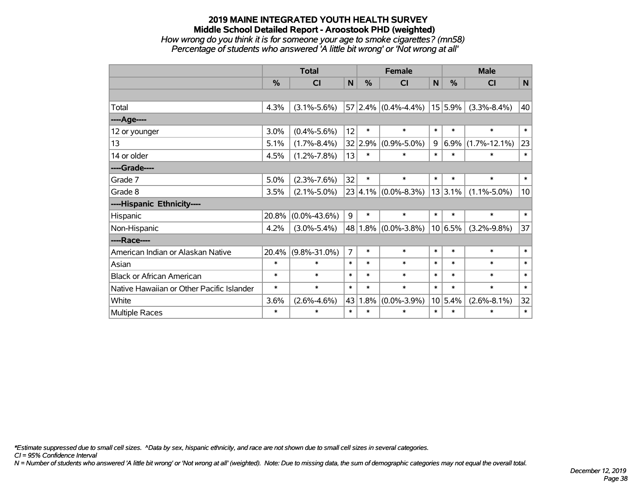# **2019 MAINE INTEGRATED YOUTH HEALTH SURVEY Middle School Detailed Report - Aroostook PHD (weighted)** *How wrong do you think it is for someone your age to smoke cigarettes? (mn58) Percentage of students who answered 'A little bit wrong' or 'Not wrong at all'*

|                                           | <b>Total</b> |                    |                |         | <b>Female</b>           |             | <b>Male</b> |                    |                 |  |
|-------------------------------------------|--------------|--------------------|----------------|---------|-------------------------|-------------|-------------|--------------------|-----------------|--|
|                                           | %            | CI                 | $\mathsf{N}$   | %       | <b>CI</b>               | $\mathbf N$ | %           | <b>CI</b>          | N               |  |
|                                           |              |                    |                |         |                         |             |             |                    |                 |  |
| Total                                     | 4.3%         | $(3.1\% - 5.6\%)$  |                |         | $57 2.4\% $ (0.4%-4.4%) |             | $15 5.9\% $ | $(3.3\% - 8.4\%)$  | 40              |  |
| ---- Age----                              |              |                    |                |         |                         |             |             |                    |                 |  |
| 12 or younger                             | 3.0%         | $(0.4\% - 5.6\%)$  | 12             | $\ast$  | $\ast$                  | $\ast$      | $\ast$      | $\ast$             | $\ast$          |  |
| 13                                        | 5.1%         | $(1.7\% - 8.4\%)$  |                | 32 2.9% | $(0.9\% - 5.0\%)$       | 9           | 6.9%        | $(1.7\% - 12.1\%)$ | 23              |  |
| 14 or older                               | 4.5%         | $(1.2\% - 7.8\%)$  | 13             | $\ast$  | $\ast$                  | $\ast$      | $\ast$      | *                  | $\ast$          |  |
| ----Grade----                             |              |                    |                |         |                         |             |             |                    |                 |  |
| Grade 7                                   | 5.0%         | $(2.3\% - 7.6\%)$  | 32             | $\ast$  | $\ast$                  | $\ast$      | $\ast$      | $\ast$             | $\ast$          |  |
| Grade 8                                   | 3.5%         | $(2.1\% - 5.0\%)$  |                |         | $23 4.1\% $ (0.0%-8.3%) |             | $13 3.1\% $ | $(1.1\% - 5.0\%)$  | 10 <sup>1</sup> |  |
| ----Hispanic Ethnicity----                |              |                    |                |         |                         |             |             |                    |                 |  |
| Hispanic                                  | 20.8%        | $(0.0\% - 43.6\%)$ | 9              | $\ast$  | $\ast$                  | $\ast$      | $\ast$      | $\ast$             | $\ast$          |  |
| Non-Hispanic                              | 4.2%         | $(3.0\% - 5.4\%)$  |                |         | 48   1.8%   (0.0%-3.8%) |             | $10 6.5\% $ | $(3.2\% - 9.8\%)$  | 37              |  |
| ----Race----                              |              |                    |                |         |                         |             |             |                    |                 |  |
| American Indian or Alaskan Native         | 20.4%        | $(9.8\% - 31.0\%)$ | $\overline{7}$ | $\ast$  | $\ast$                  | $\ast$      | $\ast$      | $\ast$             | $\ast$          |  |
| Asian                                     | $\ast$       | $\ast$             | $\ast$         | $\ast$  | $\ast$                  | $\ast$      | $\ast$      | $\ast$             | $\ast$          |  |
| <b>Black or African American</b>          | $\ast$       | $\ast$             | $\ast$         | $\ast$  | $\ast$                  | $\ast$      | $\ast$      | $\ast$             | $\ast$          |  |
| Native Hawaiian or Other Pacific Islander | $\ast$       | $\ast$             | $\ast$         | $\ast$  | $\ast$                  | $\ast$      | $\ast$      | $\ast$             | $\ast$          |  |
| White                                     | 3.6%         | $(2.6\% - 4.6\%)$  | 43             | 1.8%    | $(0.0\% - 3.9\%)$       |             | 10 5.4%     | $(2.6\% - 8.1\%)$  | 32              |  |
| Multiple Races                            | $\ast$       | $\ast$             | $\ast$         | $\ast$  | $\ast$                  | $\ast$      | $\ast$      | $\ast$             | $\ast$          |  |

*\*Estimate suppressed due to small cell sizes. ^Data by sex, hispanic ethnicity, and race are not shown due to small cell sizes in several categories.*

*CI = 95% Confidence Interval*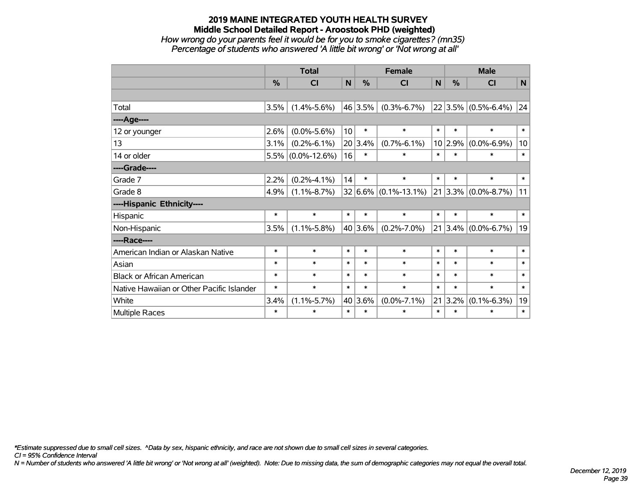## **2019 MAINE INTEGRATED YOUTH HEALTH SURVEY Middle School Detailed Report - Aroostook PHD (weighted)** *How wrong do your parents feel it would be for you to smoke cigarettes? (mn35) Percentage of students who answered 'A little bit wrong' or 'Not wrong at all'*

|                                           | <b>Total</b>  |                      |                 | <b>Female</b> |                          |        | <b>Male</b>   |                         |                 |  |
|-------------------------------------------|---------------|----------------------|-----------------|---------------|--------------------------|--------|---------------|-------------------------|-----------------|--|
|                                           | $\frac{0}{0}$ | <b>CI</b>            | N               | $\%$          | <b>CI</b>                | N      | $\frac{0}{0}$ | <b>CI</b>               | N               |  |
|                                           |               |                      |                 |               |                          |        |               |                         |                 |  |
| Total                                     | 3.5%          | $(1.4\% - 5.6\%)$    |                 | 46 3.5%       | $(0.3\% - 6.7\%)$        |        |               | $22 3.5\% $ (0.5%-6.4%) | 24              |  |
| ----Age----                               |               |                      |                 |               |                          |        |               |                         |                 |  |
| 12 or younger                             | 2.6%          | $(0.0\% - 5.6\%)$    | 10 <sup>1</sup> | $\ast$        | $\ast$                   | $\ast$ | $\ast$        | $\ast$                  | $\ast$          |  |
| 13                                        | 3.1%          | $(0.2\% - 6.1\%)$    |                 | 20 3.4%       | $(0.7\% - 6.1\%)$        | 10     | 2.9%          | $(0.0\% - 6.9\%)$       | 10 <sup>°</sup> |  |
| 14 or older                               |               | $5.5\%$ (0.0%-12.6%) | 16              | $\ast$        | $\ast$                   | $\ast$ | $\ast$        | $\ast$                  | $\ast$          |  |
| ----Grade----                             |               |                      |                 |               |                          |        |               |                         |                 |  |
| Grade 7                                   | 2.2%          | $(0.2\% - 4.1\%)$    | 14              | $\ast$        | $\ast$                   | $\ast$ | $\ast$        | $\ast$                  | $\ast$          |  |
| Grade 8                                   | 4.9%          | $(1.1\% - 8.7\%)$    |                 |               | $32 6.6\% $ (0.1%-13.1%) |        |               | $21 3.3\% $ (0.0%-8.7%) | 11              |  |
| ----Hispanic Ethnicity----                |               |                      |                 |               |                          |        |               |                         |                 |  |
| Hispanic                                  | $\ast$        | $\ast$               | $\ast$          | $\ast$        | $\ast$                   | $\ast$ | $\ast$        | $\ast$                  | $\ast$          |  |
| Non-Hispanic                              | 3.5%          | $(1.1\% - 5.8\%)$    |                 | 40 3.6%       | $(0.2\% - 7.0\%)$        | 21     |               | $3.4\%$ (0.0%-6.7%)     | 19              |  |
| ----Race----                              |               |                      |                 |               |                          |        |               |                         |                 |  |
| American Indian or Alaskan Native         | $\ast$        | $\ast$               | $\ast$          | $\ast$        | $\ast$                   | $\ast$ | $\ast$        | $\ast$                  | $\ast$          |  |
| Asian                                     | $\ast$        | $\ast$               | $\ast$          | $\ast$        | $\ast$                   | $\ast$ | $\ast$        | $\ast$                  | $\ast$          |  |
| <b>Black or African American</b>          | $\ast$        | $\ast$               | $\ast$          | $\ast$        | $\ast$                   | $\ast$ | $\ast$        | $\ast$                  | $\ast$          |  |
| Native Hawaiian or Other Pacific Islander | $\ast$        | $\ast$               | $\ast$          | $\ast$        | $\ast$                   | $\ast$ | $\ast$        | $\ast$                  | $\ast$          |  |
| White                                     | 3.4%          | $(1.1\% - 5.7\%)$    | 40              | 3.6%          | $(0.0\% - 7.1\%)$        | 21     | 3.2%          | $(0.1\% - 6.3\%)$       | 19              |  |
| Multiple Races                            | $\ast$        | *                    | $\ast$          | $\ast$        | $\ast$                   | $\ast$ | $\ast$        | $\ast$                  | $\pmb{\ast}$    |  |

*\*Estimate suppressed due to small cell sizes. ^Data by sex, hispanic ethnicity, and race are not shown due to small cell sizes in several categories.*

*CI = 95% Confidence Interval*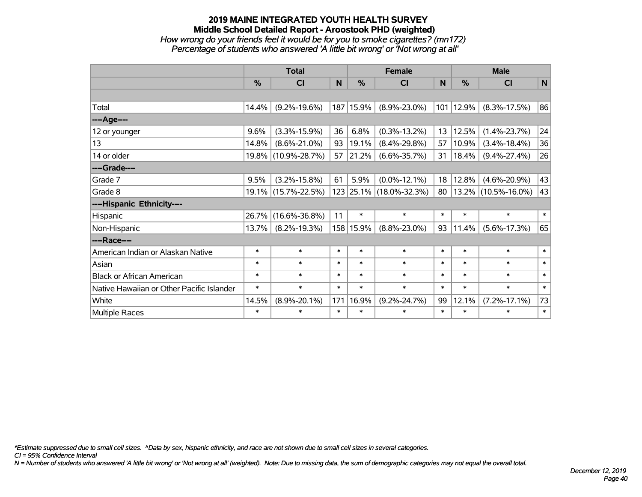# **2019 MAINE INTEGRATED YOUTH HEALTH SURVEY Middle School Detailed Report - Aroostook PHD (weighted)** *How wrong do your friends feel it would be for you to smoke cigarettes? (mn172) Percentage of students who answered 'A little bit wrong' or 'Not wrong at all'*

|                                           | <b>Total</b> |                     |        | <b>Female</b> | <b>Male</b>             |        |               |                     |        |
|-------------------------------------------|--------------|---------------------|--------|---------------|-------------------------|--------|---------------|---------------------|--------|
|                                           | %            | CI                  | N      | $\frac{0}{0}$ | CI                      | N      | $\frac{0}{0}$ | <b>CI</b>           | N      |
|                                           |              |                     |        |               |                         |        |               |                     |        |
| Total                                     | 14.4%        | $(9.2\% - 19.6\%)$  |        | 187 15.9%     | $(8.9\% - 23.0\%)$      | 101    | 12.9%         | $(8.3\% - 17.5\%)$  | 86     |
| ----Age----                               |              |                     |        |               |                         |        |               |                     |        |
| 12 or younger                             | 9.6%         | $(3.3\% - 15.9\%)$  | 36     | 6.8%          | $(0.3\% - 13.2\%)$      | 13     | 12.5%         | $(1.4\% - 23.7\%)$  | 24     |
| 13                                        | 14.8%        | $(8.6\% - 21.0\%)$  | 93     | 19.1%         | $(8.4\% - 29.8\%)$      | 57     | 10.9%         | $(3.4\% - 18.4\%)$  | 36     |
| 14 or older                               | 19.8%        | $(10.9\% - 28.7\%)$ | 57     | 21.2%         | $(6.6\% - 35.7\%)$      | 31     | 18.4%         | $(9.4\% - 27.4\%)$  | 26     |
| ----Grade----                             |              |                     |        |               |                         |        |               |                     |        |
| Grade 7                                   | 9.5%         | $(3.2\% - 15.8\%)$  | 61     | 5.9%          | $(0.0\% - 12.1\%)$      | 18     | 12.8%         | $(4.6\% - 20.9\%)$  | 43     |
| Grade 8                                   |              | 19.1% (15.7%-22.5%) |        |               | 123 25.1% (18.0%-32.3%) | 80     | $ 13.2\% $    | $(10.5\% - 16.0\%)$ | 43     |
| ----Hispanic Ethnicity----                |              |                     |        |               |                         |        |               |                     |        |
| Hispanic                                  | 26.7%        | $(16.6\% - 36.8\%)$ | 11     | $\ast$        | $\ast$                  | $\ast$ | $\ast$        | $\ast$              | $\ast$ |
| Non-Hispanic                              | 13.7%        | $(8.2\% - 19.3\%)$  |        | 158 15.9%     | $(8.8\% - 23.0\%)$      | 93     | 11.4%         | $(5.6\% - 17.3\%)$  | 65     |
| ----Race----                              |              |                     |        |               |                         |        |               |                     |        |
| American Indian or Alaskan Native         | $\ast$       | $\ast$              | $\ast$ | $\ast$        | $\ast$                  | $\ast$ | $\ast$        | $\ast$              | $\ast$ |
| Asian                                     | $\ast$       | $\ast$              | $\ast$ | $\ast$        | $\ast$                  | $\ast$ | $\ast$        | $\ast$              | $\ast$ |
| <b>Black or African American</b>          | $\ast$       | $\ast$              | $\ast$ | $\ast$        | $\ast$                  | $\ast$ | $\ast$        | $\ast$              | $\ast$ |
| Native Hawaiian or Other Pacific Islander | $\ast$       | $\ast$              | $\ast$ | $\ast$        | $\ast$                  | $\ast$ | $\ast$        | $\ast$              | $\ast$ |
| White                                     | 14.5%        | $(8.9\% - 20.1\%)$  | 171    | 16.9%         | $(9.2\% - 24.7\%)$      | 99     | 12.1%         | $(7.2\% - 17.1\%)$  | 73     |
| Multiple Races                            | $\ast$       | $\ast$              | $\ast$ | $\ast$        | $\ast$                  | $\ast$ | $\ast$        | $\ast$              | $\ast$ |

*\*Estimate suppressed due to small cell sizes. ^Data by sex, hispanic ethnicity, and race are not shown due to small cell sizes in several categories.*

*CI = 95% Confidence Interval*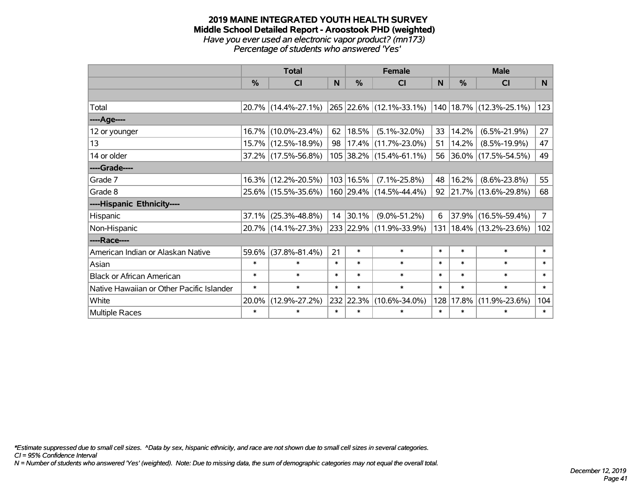#### **2019 MAINE INTEGRATED YOUTH HEALTH SURVEY Middle School Detailed Report - Aroostook PHD (weighted)** *Have you ever used an electronic vapor product? (mn173) Percentage of students who answered 'Yes'*

|                                           | <b>Total</b> |                        |        | <b>Female</b> |                           |        |        | <b>Male</b>                 |                |
|-------------------------------------------|--------------|------------------------|--------|---------------|---------------------------|--------|--------|-----------------------------|----------------|
|                                           | %            | CI                     | N      | $\frac{0}{0}$ | <b>CI</b>                 | N      | %      | <b>CI</b>                   | N <sub>1</sub> |
|                                           |              |                        |        |               |                           |        |        |                             |                |
| Total                                     |              | 20.7% (14.4%-27.1%)    |        |               | 265 22.6% (12.1%-33.1%)   |        |        | 140   18.7%   (12.3%-25.1%) | 123            |
| ----Age----                               |              |                        |        |               |                           |        |        |                             |                |
| 12 or younger                             |              | 16.7% (10.0%-23.4%)    | 62     | 18.5%         | $(5.1\% - 32.0\%)$        | 33     | 14.2%  | $(6.5\% - 21.9\%)$          | 27             |
| 13                                        |              | 15.7% (12.5%-18.9%)    | 98     |               | $17.4\%$ (11.7%-23.0%)    | 51     | 14.2%  | $(8.5\% - 19.9\%)$          | 47             |
| 14 or older                               |              | $37.2\%$ (17.5%-56.8%) |        |               | 105 38.2% (15.4%-61.1%)   | 56     |        | $ 36.0\% $ (17.5%-54.5%)    | 49             |
| ----Grade----                             |              |                        |        |               |                           |        |        |                             |                |
| Grade 7                                   |              | 16.3% (12.2%-20.5%)    |        | 103 16.5%     | $(7.1\% - 25.8\%)$        | 48     | 16.2%  | $(8.6\% - 23.8\%)$          | 55             |
| Grade 8                                   |              | 25.6% (15.5%-35.6%)    |        |               | $160$ 29.4% (14.5%-44.4%) | 92     |        | 21.7% (13.6%-29.8%)         | 68             |
| ----Hispanic Ethnicity----                |              |                        |        |               |                           |        |        |                             |                |
| Hispanic                                  | 37.1%        | $(25.3\% - 48.8\%)$    | 14     | 30.1%         | $(9.0\% - 51.2\%)$        | 6      |        | 37.9% (16.5%-59.4%)         | 7 <sup>1</sup> |
| Non-Hispanic                              |              | 20.7% (14.1%-27.3%)    |        |               | 233 22.9% (11.9%-33.9%)   | 131    |        | $ 18.4\% $ (13.2%-23.6%)    | 102            |
| ----Race----                              |              |                        |        |               |                           |        |        |                             |                |
| American Indian or Alaskan Native         | 59.6%        | $(37.8\% - 81.4\%)$    | 21     | $\ast$        | $\ast$                    | $\ast$ | $\ast$ | $\ast$                      | $\ast$         |
| Asian                                     | $\ast$       | $\ast$                 | $\ast$ | $\ast$        | $\ast$                    | $\ast$ | $\ast$ | $\ast$                      | $\ast$         |
| <b>Black or African American</b>          | $\ast$       | $\ast$                 | $\ast$ | $\ast$        | $\ast$                    | $\ast$ | $\ast$ | $\ast$                      | $\ast$         |
| Native Hawaiian or Other Pacific Islander | $\ast$       | $\ast$                 | $\ast$ | $\ast$        | $\ast$                    | $\ast$ | $\ast$ | $\ast$                      | $\ast$         |
| White                                     | 20.0%        | $(12.9\% - 27.2\%)$    |        | 232 22.3%     | $(10.6\% - 34.0\%)$       | 128    | 17.8%  | $(11.9\% - 23.6\%)$         | 104            |
| Multiple Races                            | $\ast$       | $\ast$                 | $\ast$ | $\ast$        | $\ast$                    | $\ast$ | $\ast$ | $\ast$                      | $\ast$         |

*\*Estimate suppressed due to small cell sizes. ^Data by sex, hispanic ethnicity, and race are not shown due to small cell sizes in several categories.*

*CI = 95% Confidence Interval*

*N = Number of students who answered 'Yes' (weighted). Note: Due to missing data, the sum of demographic categories may not equal the overall total.*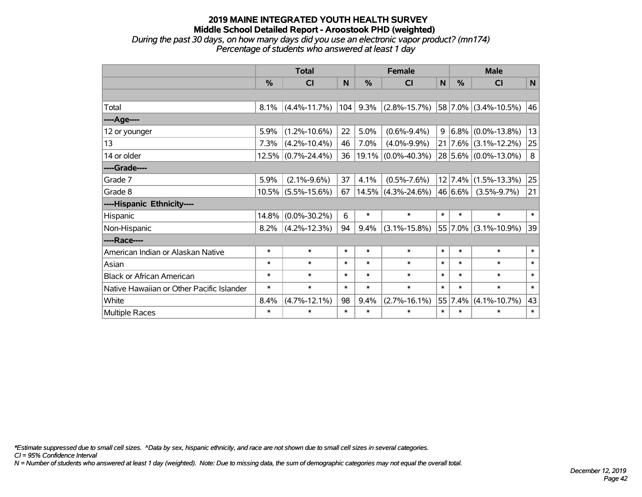*During the past 30 days, on how many days did you use an electronic vapor product? (mn174) Percentage of students who answered at least 1 day*

|                                           | <b>Total</b> |                       |        | <b>Female</b> |                       |              | <b>Male</b> |                                 |        |  |
|-------------------------------------------|--------------|-----------------------|--------|---------------|-----------------------|--------------|-------------|---------------------------------|--------|--|
|                                           | $\%$         | CI                    | N      | $\%$          | <b>CI</b>             | $\mathsf{N}$ | $\%$        | <b>CI</b>                       | N      |  |
|                                           |              |                       |        |               |                       |              |             |                                 |        |  |
| Total                                     | 8.1%         | $(4.4\% - 11.7\%)$    | 104    | 9.3%          | $(2.8\% - 15.7\%)$    |              |             | 58 7.0% (3.4%-10.5%)            | 46     |  |
| ----Age----                               |              |                       |        |               |                       |              |             |                                 |        |  |
| 12 or younger                             | 5.9%         | $(1.2\% - 10.6\%)$    | 22     | 5.0%          | $(0.6\% - 9.4\%)$     | 9            | 6.8%        | $(0.0\% - 13.8\%)$              | 13     |  |
| 13                                        | 7.3%         | $(4.2\% - 10.4\%)$    | 46     | 7.0%          | $(4.0\% - 9.9\%)$     |              |             | $21   7.6\%   (3.1\% - 12.2\%)$ | 25     |  |
| 14 or older                               |              | 12.5% (0.7%-24.4%)    | 36     | 19.1%         | $(0.0\% - 40.3\%)$    |              |             | 28 5.6% (0.0%-13.0%)            | 8      |  |
| ----Grade----                             |              |                       |        |               |                       |              |             |                                 |        |  |
| Grade 7                                   | 5.9%         | $(2.1\% - 9.6\%)$     | 37     | 4.1%          | $(0.5\% - 7.6\%)$     |              | 12 7.4%     | $(1.5\% - 13.3\%)$              | 25     |  |
| Grade 8                                   |              | $10.5\%$ (5.5%-15.6%) | 67     |               | $14.5\%$ (4.3%-24.6%) |              | 46 6.6%     | $(3.5\% - 9.7\%)$               | 21     |  |
| ----Hispanic Ethnicity----                |              |                       |        |               |                       |              |             |                                 |        |  |
| Hispanic                                  | 14.8%        | $(0.0\% - 30.2\%)$    | 6      | $\ast$        | $\ast$                | $\ast$       | $\ast$      | $\ast$                          | $\ast$ |  |
| Non-Hispanic                              | 8.2%         | $(4.2\% - 12.3\%)$    | 94     | 9.4%          | $(3.1\% - 15.8\%)$    |              | 55 7.0%     | $(3.1\% - 10.9\%)$              | 39     |  |
| ----Race----                              |              |                       |        |               |                       |              |             |                                 |        |  |
| American Indian or Alaskan Native         | $\ast$       | $\ast$                | $\ast$ | $\ast$        | $\ast$                | $\ast$       | $\ast$      | $\ast$                          | $\ast$ |  |
| Asian                                     | $\ast$       | $\ast$                | $\ast$ | $\ast$        | $\ast$                | $\ast$       | $\ast$      | $\ast$                          | $\ast$ |  |
| <b>Black or African American</b>          | $\ast$       | $\ast$                | $\ast$ | $\ast$        | $\ast$                | $\ast$       | $\ast$      | $\ast$                          | $\ast$ |  |
| Native Hawaiian or Other Pacific Islander | $\ast$       | $\ast$                | $\ast$ | $\ast$        | $\ast$                | $\ast$       | $\ast$      | $\ast$                          | $\ast$ |  |
| White                                     | 8.4%         | $(4.7\% - 12.1\%)$    | 98     | 9.4%          | $(2.7\% - 16.1\%)$    |              | 55 7.4%     | $(4.1\% - 10.7\%)$              | 43     |  |
| Multiple Races                            | $\ast$       | $\ast$                | $\ast$ | $\ast$        | $\ast$                | $\ast$       | $\ast$      | $\ast$                          | $\ast$ |  |

*\*Estimate suppressed due to small cell sizes. ^Data by sex, hispanic ethnicity, and race are not shown due to small cell sizes in several categories.*

*CI = 95% Confidence Interval*

*N = Number of students who answered at least 1 day (weighted). Note: Due to missing data, the sum of demographic categories may not equal the overall total.*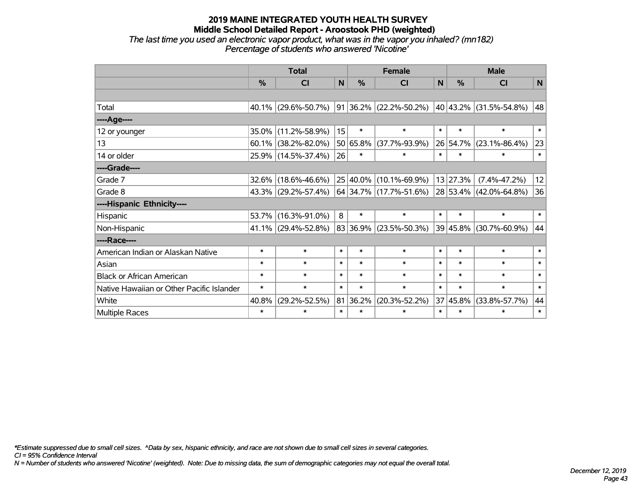*The last time you used an electronic vapor product, what was in the vapor you inhaled? (mn182) Percentage of students who answered 'Nicotine'*

|                                           | <b>Total</b>  |                        |        | <b>Female</b> | <b>Male</b>              |              |               |                        |             |
|-------------------------------------------|---------------|------------------------|--------|---------------|--------------------------|--------------|---------------|------------------------|-------------|
|                                           | $\frac{0}{0}$ | <b>CI</b>              | N      | %             | <b>CI</b>                | $\mathsf{N}$ | $\frac{0}{0}$ | <b>CI</b>              | $\mathbf N$ |
|                                           |               |                        |        |               |                          |              |               |                        |             |
| Total                                     |               | 40.1% (29.6%-50.7%)    |        |               | 91 36.2% (22.2%-50.2%)   |              |               | 40 43.2% (31.5%-54.8%) | 48          |
| ---- Age----                              |               |                        |        |               |                          |              |               |                        |             |
| 12 or younger                             | 35.0%         | $(11.2\% - 58.9\%)$    | 15     | $\ast$        | $\ast$                   | $\ast$       | $\ast$        | $\ast$                 | $\ast$      |
| 13                                        |               | $60.1\%$ (38.2%-82.0%) |        | 50 65.8%      | $(37.7\% - 93.9\%)$      |              | 26 54.7%      | $(23.1\% - 86.4\%)$    | 23          |
| 14 or older                               |               | 25.9% (14.5%-37.4%)    | 26     | $\ast$        | $\ast$                   | $\ast$       | $\ast$        | $\ast$                 | $\ast$      |
| ----Grade----                             |               |                        |        |               |                          |              |               |                        |             |
| Grade 7                                   | 32.6%         | $(18.6\% - 46.6\%)$    |        | 25 40.0%      | $(10.1\% - 69.9\%)$      |              | 13 27.3%      | $(7.4\% - 47.2\%)$     | 12          |
| Grade 8                                   |               | 43.3% (29.2%-57.4%)    |        |               | $64$ 34.7% (17.7%-51.6%) |              |               | 28 53.4% (42.0%-64.8%) | 36          |
| ----Hispanic Ethnicity----                |               |                        |        |               |                          |              |               |                        |             |
| Hispanic                                  | 53.7%         | $(16.3\% - 91.0\%)$    | 8      | $\ast$        | $\ast$                   | $\ast$       | $\ast$        | $\ast$                 | $\ast$      |
| Non-Hispanic                              |               | 41.1% (29.4%-52.8%)    |        | 83 36.9%      | $(23.5\% - 50.3\%)$      |              | 39 45.8%      | $(30.7\% - 60.9\%)$    | 44          |
| ----Race----                              |               |                        |        |               |                          |              |               |                        |             |
| American Indian or Alaskan Native         | $\ast$        | $\ast$                 | $\ast$ | $\ast$        | $\ast$                   | $\ast$       | $\ast$        | $\ast$                 | $\ast$      |
| Asian                                     | $\ast$        | $\ast$                 | $\ast$ | $\ast$        | $\ast$                   | $\ast$       | $\ast$        | $\ast$                 | $\ast$      |
| <b>Black or African American</b>          | $\ast$        | $\ast$                 | $\ast$ | $\ast$        | $\ast$                   | $\ast$       | $\ast$        | $\ast$                 | $\ast$      |
| Native Hawaiian or Other Pacific Islander | $\ast$        | $\ast$                 | $\ast$ | $\ast$        | $\ast$                   | $\ast$       | $\ast$        | $\ast$                 | $\ast$      |
| White                                     | 40.8%         | $(29.2\% - 52.5\%)$    |        | 81 36.2%      | $(20.3\% - 52.2\%)$      | 37           | 45.8%         | $(33.8\% - 57.7\%)$    | 44          |
| <b>Multiple Races</b>                     | $\ast$        | $\ast$                 | $\ast$ | $\ast$        | $\ast$                   | $\ast$       | $\ast$        | $\ast$                 | $\ast$      |

*\*Estimate suppressed due to small cell sizes. ^Data by sex, hispanic ethnicity, and race are not shown due to small cell sizes in several categories.*

*CI = 95% Confidence Interval*

*N = Number of students who answered 'Nicotine' (weighted). Note: Due to missing data, the sum of demographic categories may not equal the overall total.*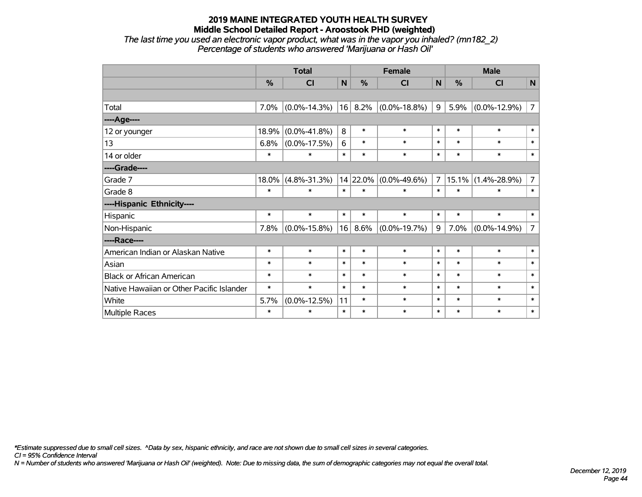*The last time you used an electronic vapor product, what was in the vapor you inhaled? (mn182\_2) Percentage of students who answered 'Marijuana or Hash Oil'*

|                                           | <b>Total</b> |                    |        |               | <b>Female</b>      | <b>Male</b>    |        |                    |                |
|-------------------------------------------|--------------|--------------------|--------|---------------|--------------------|----------------|--------|--------------------|----------------|
|                                           | %            | CI                 | N      | $\frac{0}{0}$ | <b>CI</b>          | N              | %      | <b>CI</b>          | $\mathbf N$    |
|                                           |              |                    |        |               |                    |                |        |                    |                |
| Total                                     | 7.0%         | $(0.0\% - 14.3\%)$ | 16     | 8.2%          | $(0.0\% - 18.8\%)$ | 9              | 5.9%   | $(0.0\% - 12.9\%)$ | $\overline{7}$ |
| ----Age----                               |              |                    |        |               |                    |                |        |                    |                |
| 12 or younger                             | 18.9%        | $(0.0\% - 41.8\%)$ | 8      | $\ast$        | $\ast$             | $\ast$         | $\ast$ | $\ast$             | $\ast$         |
| 13                                        | 6.8%         | $(0.0\% - 17.5\%)$ | 6      | $\ast$        | $\ast$             | $\ast$         | $\ast$ | $\ast$             | $\ast$         |
| 14 or older                               | $\ast$       | ∗                  | $\ast$ | $\ast$        | $\ast$             | $\ast$         | $\ast$ | $\ast$             | $\ast$         |
| ----Grade----                             |              |                    |        |               |                    |                |        |                    |                |
| Grade 7                                   | 18.0%        | $(4.8\% - 31.3\%)$ |        | 14 22.0%      | $(0.0\% - 49.6\%)$ | $\overline{7}$ | 15.1%  | $(1.4\% - 28.9\%)$ | $\overline{7}$ |
| Grade 8                                   | $\ast$       | $\ast$             | $\ast$ | $\ast$        | $\ast$             | $\ast$         | $\ast$ | $\ast$             | $\ast$         |
| ----Hispanic Ethnicity----                |              |                    |        |               |                    |                |        |                    |                |
| Hispanic                                  | $\ast$       | $\ast$             | $\ast$ | $\ast$        | $\ast$             | $\ast$         | $\ast$ | $\ast$             | $\ast$         |
| Non-Hispanic                              | 7.8%         | $(0.0\% - 15.8\%)$ | 16     | 8.6%          | $(0.0\% - 19.7\%)$ | 9              | 7.0%   | $(0.0\% - 14.9\%)$ | $\overline{7}$ |
| ----Race----                              |              |                    |        |               |                    |                |        |                    |                |
| American Indian or Alaskan Native         | $\ast$       | $\ast$             | $\ast$ | $\ast$        | $\ast$             | $\ast$         | $\ast$ | $\ast$             | $\ast$         |
| Asian                                     | $\ast$       | $\ast$             | $\ast$ | $\ast$        | $\ast$             | $\ast$         | $\ast$ | $\ast$             | $\ast$         |
| <b>Black or African American</b>          | $\ast$       | $\ast$             | $\ast$ | $\ast$        | $\ast$             | $\ast$         | $\ast$ | $\ast$             | $\ast$         |
| Native Hawaiian or Other Pacific Islander | $\ast$       | $\ast$             | $\ast$ | $\ast$        | $\ast$             | $\ast$         | $\ast$ | $\ast$             | $\ast$         |
| White                                     | 5.7%         | $(0.0\% - 12.5\%)$ | 11     | $\ast$        | $\ast$             | $\ast$         | $\ast$ | $\ast$             | $\ast$         |
| <b>Multiple Races</b>                     | $\ast$       | $\ast$             | $\ast$ | $\ast$        | $\ast$             | $\ast$         | $\ast$ | $\ast$             | $\ast$         |

*\*Estimate suppressed due to small cell sizes. ^Data by sex, hispanic ethnicity, and race are not shown due to small cell sizes in several categories.*

*CI = 95% Confidence Interval*

*N = Number of students who answered 'Marijuana or Hash Oil' (weighted). Note: Due to missing data, the sum of demographic categories may not equal the overall total.*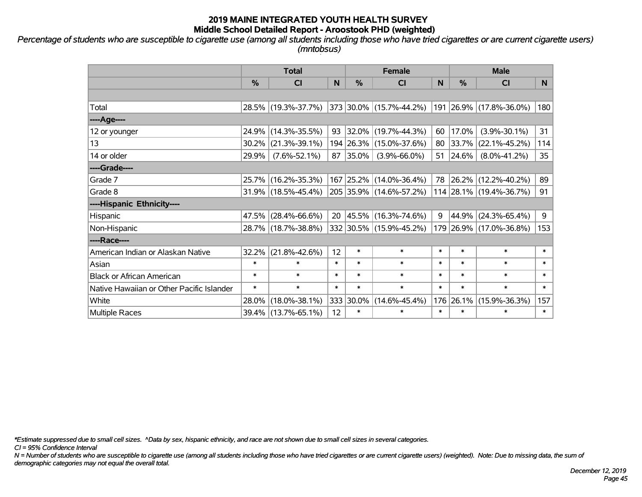*Percentage of students who are susceptible to cigarette use (among all students including those who have tried cigarettes or are current cigarette users) (mntobsus)*

|                                           | <b>Total</b>  |                        |        | <b>Female</b> | <b>Male</b>             |        |               |                         |              |
|-------------------------------------------|---------------|------------------------|--------|---------------|-------------------------|--------|---------------|-------------------------|--------------|
|                                           | $\frac{0}{0}$ | <b>CI</b>              | N      | %             | <b>CI</b>               | N      | $\frac{0}{0}$ | <b>CI</b>               | <b>N</b>     |
|                                           |               |                        |        |               |                         |        |               |                         |              |
| Total                                     |               | 28.5% (19.3%-37.7%)    |        |               | 373 30.0% (15.7%-44.2%) |        |               | 191 26.9% (17.8%-36.0%) | 180          |
| ----Age----                               |               |                        |        |               |                         |        |               |                         |              |
| 12 or younger                             |               | 24.9% (14.3%-35.5%)    | 93     | $ 32.0\% $    | $(19.7\% - 44.3\%)$     | 60     | 17.0%         | $(3.9\% - 30.1\%)$      | 31           |
| 13                                        | $30.2\%$      | $(21.3\% - 39.1\%)$    |        |               | 194 26.3% (15.0%-37.6%) |        | 80 33.7%      | $(22.1\% - 45.2\%)$     | 114          |
| 14 or older                               | 29.9%         | $(7.6\% - 52.1\%)$     | 87     | $ 35.0\% $    | $(3.9\% - 66.0\%)$      |        | 51   24.6%    | $(8.0\% - 41.2\%)$      | 35           |
| ----Grade----                             |               |                        |        |               |                         |        |               |                         |              |
| Grade 7                                   |               | 25.7% (16.2%-35.3%)    |        | 167 25.2%     | $(14.0\% - 36.4\%)$     |        | 78 26.2%      | $(12.2\% - 40.2\%)$     | 89           |
| Grade 8                                   |               | $31.9\%$ (18.5%-45.4%) |        |               | 205 35.9% (14.6%-57.2%) |        |               | 114 28.1% (19.4%-36.7%) | 91           |
| ----Hispanic Ethnicity----                |               |                        |        |               |                         |        |               |                         |              |
| Hispanic                                  |               | 47.5% (28.4%-66.6%)    | 20     | 45.5%         | $(16.3\% - 74.6\%)$     | 9      | 44.9%         | $(24.3\% - 65.4\%)$     | 9            |
| Non-Hispanic                              |               | 28.7% (18.7%-38.8%)    |        |               | 332 30.5% (15.9%-45.2%) |        |               | 179 26.9% (17.0%-36.8%) | 153          |
| ----Race----                              |               |                        |        |               |                         |        |               |                         |              |
| American Indian or Alaskan Native         |               | 32.2% (21.8%-42.6%)    | 12     | $\ast$        | $\ast$                  | $\ast$ | $\ast$        | $\ast$                  | $\ast$       |
| Asian                                     | $\ast$        | $\ast$                 | $\ast$ | $\ast$        | $\ast$                  | $\ast$ | $\ast$        | $\ast$                  | $\ast$       |
| <b>Black or African American</b>          | $\ast$        | $\ast$                 | $\ast$ | $\ast$        | $\ast$                  | $\ast$ | $\ast$        | $\ast$                  | $\ast$       |
| Native Hawaiian or Other Pacific Islander | $\ast$        | $\ast$                 | $\ast$ | $\ast$        | $\ast$                  | $\ast$ | $\ast$        | $\ast$                  | $\pmb{\ast}$ |
| White                                     | 28.0%         | $(18.0\% - 38.1\%)$    | 333    | 30.0%         | $(14.6\% - 45.4\%)$     | 176    | 26.1%         | $(15.9\% - 36.3\%)$     | 157          |
| <b>Multiple Races</b>                     |               | 39.4% (13.7%-65.1%)    | 12     | $\ast$        | $\ast$                  | $\ast$ | $\ast$        | $\ast$                  | $\ast$       |

*\*Estimate suppressed due to small cell sizes. ^Data by sex, hispanic ethnicity, and race are not shown due to small cell sizes in several categories.*

*CI = 95% Confidence Interval*

*N = Number of students who are susceptible to cigarette use (among all students including those who have tried cigarettes or are current cigarette users) (weighted). Note: Due to missing data, the sum of demographic categories may not equal the overall total.*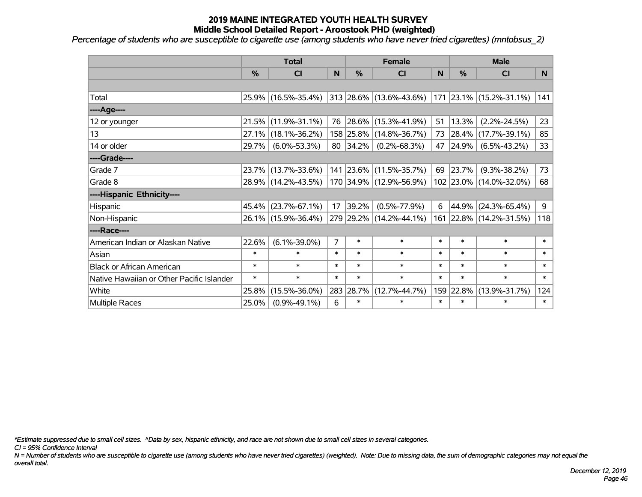*Percentage of students who are susceptible to cigarette use (among students who have never tried cigarettes) (mntobsus\_2)*

|                                           |        | <b>Total</b>        |                | <b>Female</b> |                                 |        |        | <b>Male</b>             |                |
|-------------------------------------------|--------|---------------------|----------------|---------------|---------------------------------|--------|--------|-------------------------|----------------|
|                                           | %      | <b>CI</b>           | N              | $\frac{0}{0}$ | CI                              | N      | %      | <b>CI</b>               | N <sub>1</sub> |
|                                           |        |                     |                |               |                                 |        |        |                         |                |
| Total                                     |        | 25.9% (16.5%-35.4%) |                |               | $ 313 28.6\% (13.6\% - 43.6\%)$ |        |        | 171 23.1% (15.2%-31.1%) | 141            |
| ----Age----                               |        |                     |                |               |                                 |        |        |                         |                |
| 12 or younger                             |        | 21.5% (11.9%-31.1%) | 76             | $ 28.6\% $    | $(15.3\% - 41.9\%)$             | 51     | 13.3%  | $(2.2\% - 24.5\%)$      | 23             |
| 13                                        | 27.1%  | $(18.1\% - 36.2\%)$ |                |               | 158 25.8% (14.8%-36.7%)         | 73     | 28.4%  | $(17.7\% - 39.1\%)$     | 85             |
| 14 or older                               | 29.7%  | $(6.0\% - 53.3\%)$  |                | 80 34.2%      | $(0.2\% - 68.3\%)$              | 47     | 24.9%  | $(6.5\% - 43.2\%)$      | 33             |
| ----Grade----                             |        |                     |                |               |                                 |        |        |                         |                |
| Grade 7                                   |        | 23.7% (13.7%-33.6%) |                |               | 141 23.6% (11.5%-35.7%)         | 69     | 23.7%  | $(9.3\% - 38.2\%)$      | 73             |
| Grade 8                                   |        | 28.9% (14.2%-43.5%) |                |               | 170 34.9% (12.9%-56.9%)         |        |        | 102 23.0% (14.0%-32.0%) | 68             |
| ----Hispanic Ethnicity----                |        |                     |                |               |                                 |        |        |                         |                |
| Hispanic                                  | 45.4%  | $(23.7\% - 67.1\%)$ | 17             | 39.2%         | $(0.5\% - 77.9\%)$              | 6      | 44.9%  | $(24.3\% - 65.4\%)$     | 9              |
| Non-Hispanic                              |        | 26.1% (15.9%-36.4%) |                |               | 279 29.2% (14.2%-44.1%)         |        |        | 161 22.8% (14.2%-31.5%) | 118            |
| ----Race----                              |        |                     |                |               |                                 |        |        |                         |                |
| American Indian or Alaskan Native         | 22.6%  | $(6.1\% - 39.0\%)$  | $\overline{7}$ | $\ast$        | $\ast$                          | $\ast$ | $\ast$ | $\ast$                  | $\ast$         |
| Asian                                     | $\ast$ | $\ast$              | $\ast$         | $\ast$        | $\ast$                          | $\ast$ | $\ast$ | $\ast$                  | $\ast$         |
| <b>Black or African American</b>          | $\ast$ | $\ast$              | $\ast$         | $\ast$        | $\ast$                          | $\ast$ | $\ast$ | $\ast$                  | $\ast$         |
| Native Hawaiian or Other Pacific Islander | $\ast$ | $\ast$              | $\ast$         | $\ast$        | $\ast$                          | $\ast$ | $\ast$ | $\ast$                  | $\ast$         |
| White                                     | 25.8%  | $(15.5\% - 36.0\%)$ |                | 283 28.7%     | $(12.7\% - 44.7\%)$             | 159    | 22.8%  | $(13.9\% - 31.7\%)$     | 124            |
| Multiple Races                            | 25.0%  | $(0.9\% - 49.1\%)$  | 6              | $\ast$        | $\ast$                          | $\ast$ | $\ast$ | $\ast$                  | $\ast$         |

*\*Estimate suppressed due to small cell sizes. ^Data by sex, hispanic ethnicity, and race are not shown due to small cell sizes in several categories.*

*CI = 95% Confidence Interval*

*N = Number of students who are susceptible to cigarette use (among students who have never tried cigarettes) (weighted). Note: Due to missing data, the sum of demographic categories may not equal the overall total.*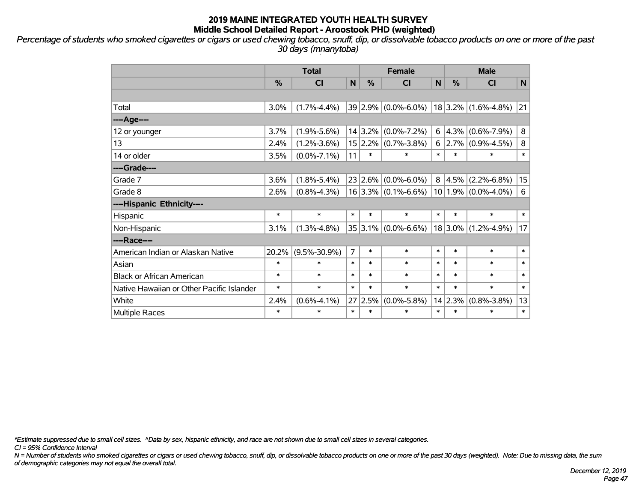*Percentage of students who smoked cigarettes or cigars or used chewing tobacco, snuff, dip, or dissolvable tobacco products on one or more of the past 30 days (mnanytoba)*

|                                           | <b>Total</b>  |                    |                | <b>Female</b> |                         |              | <b>Male</b> |                         |                  |
|-------------------------------------------|---------------|--------------------|----------------|---------------|-------------------------|--------------|-------------|-------------------------|------------------|
|                                           | $\frac{0}{0}$ | <b>CI</b>          | N              | %             | <b>CI</b>               | $\mathsf{N}$ | %           | <b>CI</b>               | N                |
|                                           |               |                    |                |               |                         |              |             |                         |                  |
| Total                                     | 3.0%          | $(1.7\% - 4.4\%)$  |                |               | $39 2.9\% $ (0.0%-6.0%) |              |             | $18$ 3.2% (1.6%-4.8%)   | 21               |
| ----Age----                               |               |                    |                |               |                         |              |             |                         |                  |
| 12 or younger                             | 3.7%          | $(1.9\% - 5.6\%)$  |                | 14 3.2%       | $(0.0\% - 7.2\%)$       | 6            | 4.3%        | $(0.6\% - 7.9\%)$       | 8                |
| 13                                        | 2.4%          | $(1.2\% - 3.6\%)$  |                |               | $15 2.2\% $ (0.7%-3.8%) | 6            |             | $2.7\%$ (0.9%-4.5%)     | 8                |
| 14 or older                               | 3.5%          | $(0.0\% - 7.1\%)$  | 11             | $\ast$        | $\ast$                  | $\ast$       | $\ast$      | $\ast$                  | $\ast$           |
| ----Grade----                             |               |                    |                |               |                         |              |             |                         |                  |
| Grade 7                                   | 3.6%          | $(1.8\% - 5.4\%)$  |                | 23 2.6%       | $(0.0\% - 6.0\%)$       | 8            | 4.5%        | $(2.2\% - 6.8\%)$       | 15 <sub>15</sub> |
| Grade 8                                   | 2.6%          | $(0.8\% - 4.3\%)$  |                |               | $16 3.3\% $ (0.1%-6.6%) |              |             | $10 1.9\% $ (0.0%-4.0%) | 6                |
| ----Hispanic Ethnicity----                |               |                    |                |               |                         |              |             |                         |                  |
| Hispanic                                  | $\ast$        | $\ast$             | $\ast$         | $\ast$        | $\ast$                  | $\ast$       | $\ast$      | $\ast$                  | $\ast$           |
| Non-Hispanic                              | 3.1%          | $(1.3\% - 4.8\%)$  |                |               | $35 3.1\% $ (0.0%-6.6%) |              | $18 3.0\% $ | $(1.2\% - 4.9\%)$       | 17               |
| ----Race----                              |               |                    |                |               |                         |              |             |                         |                  |
| American Indian or Alaskan Native         | 20.2%         | $(9.5\% - 30.9\%)$ | $\overline{7}$ | $\ast$        | $\ast$                  | $\ast$       | $\ast$      | $\ast$                  | $\ast$           |
| Asian                                     | $\ast$        | $\ast$             | $\ast$         | $\ast$        | $\ast$                  | $\ast$       | $\ast$      | $\ast$                  | $\ast$           |
| <b>Black or African American</b>          | $\ast$        | $\ast$             | $\ast$         | $\ast$        | $\ast$                  | $\ast$       | $\ast$      | $\ast$                  | $\ast$           |
| Native Hawaiian or Other Pacific Islander | $\ast$        | $\ast$             | $\ast$         | $\ast$        | $\ast$                  | $\ast$       | $\ast$      | $\ast$                  | $\ast$           |
| White                                     | 2.4%          | $(0.6\% - 4.1\%)$  | 27             | 2.5%          | $(0.0\% - 5.8\%)$       |              | 14 2.3%     | $(0.8\% - 3.8\%)$       | 13               |
| Multiple Races                            | $\ast$        | $\ast$             | $\ast$         | $\ast$        | $\ast$                  | $\ast$       | $\ast$      | $\ast$                  | $\ast$           |

*\*Estimate suppressed due to small cell sizes. ^Data by sex, hispanic ethnicity, and race are not shown due to small cell sizes in several categories.*

*CI = 95% Confidence Interval*

*N = Number of students who smoked cigarettes or cigars or used chewing tobacco, snuff, dip, or dissolvable tobacco products on one or more of the past 30 days (weighted). Note: Due to missing data, the sum of demographic categories may not equal the overall total.*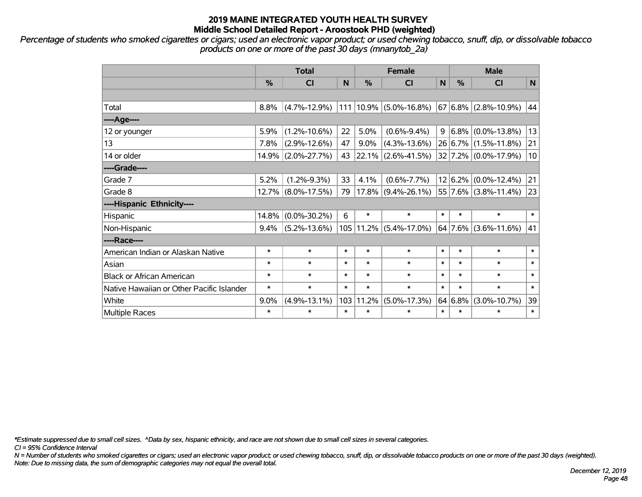*Percentage of students who smoked cigarettes or cigars; used an electronic vapor product; or used chewing tobacco, snuff, dip, or dissolvable tobacco products on one or more of the past 30 days (mnanytob\_2a)*

|                                           | <b>Total</b> |                    |        | <b>Female</b> |                       |        | <b>Male</b> |                          |        |  |
|-------------------------------------------|--------------|--------------------|--------|---------------|-----------------------|--------|-------------|--------------------------|--------|--|
|                                           | $\%$         | CI                 | N      | $\%$          | <b>CI</b>             | N      | $\%$        | <b>CI</b>                | N      |  |
|                                           |              |                    |        |               |                       |        |             |                          |        |  |
| Total                                     | 8.8%         | $(4.7\% - 12.9\%)$ | 111    |               | $10.9\%$ (5.0%-16.8%) |        |             | $67 6.8\% $ (2.8%-10.9%) | 44     |  |
| ----Age----                               |              |                    |        |               |                       |        |             |                          |        |  |
| 12 or younger                             | 5.9%         | $(1.2\% - 10.6\%)$ | 22     | 5.0%          | $(0.6\% - 9.4\%)$     | 9      |             | $6.8\%$ (0.0%-13.8%)     | 13     |  |
| 13                                        | 7.8%         | $(2.9\% - 12.6\%)$ | 47     | 9.0%          | $(4.3\% - 13.6\%)$    |        |             | 26 6.7% (1.5%-11.8%)     | 21     |  |
| 14 or older                               |              | 14.9% (2.0%-27.7%) | 43     | $ 22.1\% $    | $(2.6\% - 41.5\%)$    |        |             | 32 7.2% (0.0%-17.9%)     | 10     |  |
| ----Grade----                             |              |                    |        |               |                       |        |             |                          |        |  |
| Grade 7                                   | 5.2%         | $(1.2\% - 9.3\%)$  | 33     | 4.1%          | $(0.6\% - 7.7\%)$     |        |             | $12 6.2\% $ (0.0%-12.4%) | 21     |  |
| Grade 8                                   |              | 12.7% (8.0%-17.5%) | 79     |               | $17.8\%$ (9.4%-26.1%) |        |             | 55 7.6% (3.8%-11.4%)     | 23     |  |
| ----Hispanic Ethnicity----                |              |                    |        |               |                       |        |             |                          |        |  |
| Hispanic                                  | 14.8%        | $(0.0\% - 30.2\%)$ | 6      | $\ast$        | $\ast$                | $\ast$ | $\ast$      | $\ast$                   | $\ast$ |  |
| Non-Hispanic                              | 9.4%         | $(5.2\% - 13.6\%)$ |        | 105   11.2%   | $(5.4\% - 17.0\%)$    |        | 64 7.6%     | $(3.6\% - 11.6\%)$       | 41     |  |
| ----Race----                              |              |                    |        |               |                       |        |             |                          |        |  |
| American Indian or Alaskan Native         | $\ast$       | $\ast$             | $\ast$ | $\ast$        | $\ast$                | $\ast$ | *           | $\ast$                   | $\ast$ |  |
| Asian                                     | $\ast$       | $\ast$             | $\ast$ | $\ast$        | $\ast$                | $\ast$ | $\ast$      | $\ast$                   | $\ast$ |  |
| <b>Black or African American</b>          | $\ast$       | $\ast$             | $\ast$ | $\ast$        | $\ast$                | $\ast$ | $\ast$      | $\ast$                   | $\ast$ |  |
| Native Hawaiian or Other Pacific Islander | $\ast$       | $\ast$             | $\ast$ | $\ast$        | $\ast$                | $\ast$ | $\ast$      | $\ast$                   | $\ast$ |  |
| White                                     | 9.0%         | $(4.9\% - 13.1\%)$ | 103    | 11.2%         | $(5.0\% - 17.3\%)$    |        | 64 6.8%     | $(3.0\% - 10.7\%)$       | 39     |  |
| Multiple Races                            | $\ast$       | $\ast$             | $\ast$ | $\ast$        | $\ast$                | $\ast$ | $\ast$      | $\ast$                   | $\ast$ |  |

*\*Estimate suppressed due to small cell sizes. ^Data by sex, hispanic ethnicity, and race are not shown due to small cell sizes in several categories.*

*CI = 95% Confidence Interval*

*N = Number of students who smoked cigarettes or cigars; used an electronic vapor product; or used chewing tobacco, snuff, dip, or dissolvable tobacco products on one or more of the past 30 days (weighted). Note: Due to missing data, the sum of demographic categories may not equal the overall total.*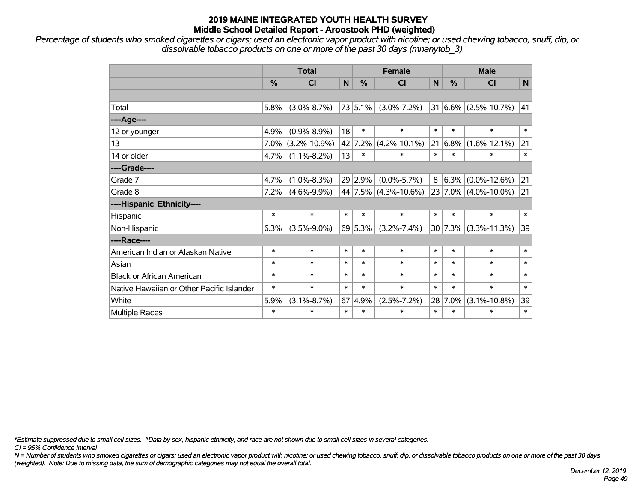*Percentage of students who smoked cigarettes or cigars; used an electronic vapor product with nicotine; or used chewing tobacco, snuff, dip, or dissolvable tobacco products on one or more of the past 30 days (mnanytob\_3)*

|                                           | <b>Total</b> |                    |        |         | <b>Female</b>        |        |               | <b>Male</b>              |        |  |  |
|-------------------------------------------|--------------|--------------------|--------|---------|----------------------|--------|---------------|--------------------------|--------|--|--|
|                                           | %            | <b>CI</b>          | N      | $\%$    | <b>CI</b>            | N      | $\frac{0}{0}$ | <b>CI</b>                | N      |  |  |
|                                           |              |                    |        |         |                      |        |               |                          |        |  |  |
| Total                                     | 5.8%         | $(3.0\% - 8.7\%)$  |        | 73 5.1% | $(3.0\% - 7.2\%)$    |        |               | $31 6.6\% $ (2.5%-10.7%) | 41     |  |  |
| ----Age----                               |              |                    |        |         |                      |        |               |                          |        |  |  |
| 12 or younger                             | 4.9%         | $(0.9\% - 8.9\%)$  | 18     | $\ast$  | $\ast$               | $\ast$ | $\ast$        | $\ast$                   | $\ast$ |  |  |
| 13                                        | 7.0%         | $(3.2\% - 10.9\%)$ |        |         | 42 7.2% (4.2%-10.1%) | 21     | 6.8%          | $(1.6\% - 12.1\%)$       | 21     |  |  |
| 14 or older                               | 4.7%         | $(1.1\% - 8.2\%)$  | 13     | $\ast$  | $\ast$               | $\ast$ | $\ast$        | $\ast$                   | $\ast$ |  |  |
| ----Grade----                             |              |                    |        |         |                      |        |               |                          |        |  |  |
| Grade 7                                   | 4.7%         | $(1.0\% - 8.3\%)$  |        | 29 2.9% | $(0.0\% - 5.7\%)$    | 8      | $6.3\%$       | $(0.0\% - 12.6\%)$       | 21     |  |  |
| Grade 8                                   | 7.2%         | $(4.6\% - 9.9\%)$  |        |         | 44 7.5% (4.3%-10.6%) |        |               | $23 7.0\% $ (4.0%-10.0%) | 21     |  |  |
| ----Hispanic Ethnicity----                |              |                    |        |         |                      |        |               |                          |        |  |  |
| Hispanic                                  | $\ast$       | $\ast$             | $\ast$ | $\ast$  | $\ast$               | $\ast$ | $\ast$        | $\ast$                   | $\ast$ |  |  |
| Non-Hispanic                              | 6.3%         | $(3.5\% - 9.0\%)$  |        | 69 5.3% | $(3.2\% - 7.4\%)$    |        | 30 7.3%       | $(3.3\% - 11.3\%)$       | 39     |  |  |
| ----Race----                              |              |                    |        |         |                      |        |               |                          |        |  |  |
| American Indian or Alaskan Native         | $\ast$       | $\ast$             | $\ast$ | $\ast$  | $\ast$               | $\ast$ | $\ast$        | $\ast$                   | $\ast$ |  |  |
| Asian                                     | $\ast$       | $\ast$             | $\ast$ | $\ast$  | $\ast$               | $\ast$ | $\ast$        | $\ast$                   | $\ast$ |  |  |
| <b>Black or African American</b>          | $\ast$       | $\ast$             | $\ast$ | $\ast$  | $\ast$               | $\ast$ | $\ast$        | $\ast$                   | $\ast$ |  |  |
| Native Hawaiian or Other Pacific Islander | $\ast$       | $\ast$             | $\ast$ | $\ast$  | $\ast$               | $\ast$ | $\ast$        | $\ast$                   | $\ast$ |  |  |
| White                                     | 5.9%         | $(3.1\% - 8.7\%)$  |        | 67 4.9% | $(2.5\% - 7.2\%)$    |        | 28 7.0%       | $(3.1\% - 10.8\%)$       | 39     |  |  |
| <b>Multiple Races</b>                     | $\ast$       | $\ast$             | $\ast$ | $\ast$  | $\ast$               | $\ast$ | $\ast$        | $\ast$                   | $\ast$ |  |  |

*\*Estimate suppressed due to small cell sizes. ^Data by sex, hispanic ethnicity, and race are not shown due to small cell sizes in several categories.*

*CI = 95% Confidence Interval*

*N = Number of students who smoked cigarettes or cigars; used an electronic vapor product with nicotine; or used chewing tobacco, snuff, dip, or dissolvable tobacco products on one or more of the past 30 days (weighted). Note: Due to missing data, the sum of demographic categories may not equal the overall total.*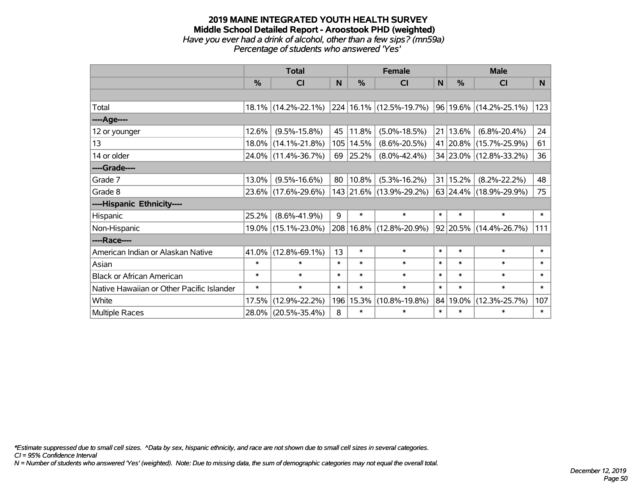#### **2019 MAINE INTEGRATED YOUTH HEALTH SURVEY Middle School Detailed Report - Aroostook PHD (weighted)** *Have you ever had a drink of alcohol, other than a few sips? (mn59a) Percentage of students who answered 'Yes'*

|                                           | <b>Total</b> |                        |        |          | <b>Female</b>           |        | <b>Male</b> |                             |        |  |
|-------------------------------------------|--------------|------------------------|--------|----------|-------------------------|--------|-------------|-----------------------------|--------|--|
|                                           | %            | CI                     | N      | %        | <b>CI</b>               | N      | %           | <b>CI</b>                   | N      |  |
|                                           |              |                        |        |          |                         |        |             |                             |        |  |
| Total                                     |              | $18.1\%$ (14.2%-22.1%) |        |          | 224 16.1% (12.5%-19.7%) |        |             | $ 96 19.6\% $ (14.2%-25.1%) | 123    |  |
| ----Age----                               |              |                        |        |          |                         |        |             |                             |        |  |
| 12 or younger                             | 12.6%        | $(9.5\% - 15.8\%)$     | 45     | 11.8%    | $(5.0\% - 18.5\%)$      | 21     | 13.6%       | $(6.8\% - 20.4\%)$          | 24     |  |
| 13                                        |              | 18.0% (14.1%-21.8%)    | 105    | 14.5%    | $(8.6\% - 20.5\%)$      |        | 41 20.8%    | $(15.7\% - 25.9\%)$         | 61     |  |
| 14 or older                               |              | 24.0% (11.4%-36.7%)    | 69     | 25.2%    | $(8.0\% - 42.4\%)$      |        |             | 34 23.0% (12.8%-33.2%)      | 36     |  |
| ----Grade----                             |              |                        |        |          |                         |        |             |                             |        |  |
| Grade 7                                   | 13.0%        | $(9.5\% - 16.6\%)$     | 80     | 10.8%    | $(5.3\% - 16.2\%)$      |        | 31 15.2%    | $(8.2\% - 22.2\%)$          | 48     |  |
| Grade 8                                   |              | 23.6% (17.6%-29.6%)    |        |          | 143 21.6% (13.9%-29.2%) |        |             | 63 24.4% (18.9%-29.9%)      | 75     |  |
| ----Hispanic Ethnicity----                |              |                        |        |          |                         |        |             |                             |        |  |
| Hispanic                                  | 25.2%        | $(8.6\% - 41.9\%)$     | 9      | $\ast$   | $\ast$                  | $\ast$ | $\ast$      | $\ast$                      | $\ast$ |  |
| Non-Hispanic                              |              | 19.0% (15.1%-23.0%)    | 208    | $16.8\%$ | $(12.8\% - 20.9\%)$     |        |             | 92 20.5% (14.4%-26.7%)      | 111    |  |
| ----Race----                              |              |                        |        |          |                         |        |             |                             |        |  |
| American Indian or Alaskan Native         | 41.0%        | $(12.8\% - 69.1\%)$    | 13     | $\ast$   | $\ast$                  | $\ast$ | $\ast$      | $\ast$                      | $\ast$ |  |
| Asian                                     | $\ast$       | $\ast$                 | $\ast$ | $\ast$   | $\ast$                  | $\ast$ | $\ast$      | $\ast$                      | $\ast$ |  |
| <b>Black or African American</b>          | $\ast$       | $\ast$                 | $\ast$ | $\ast$   | $\ast$                  | $\ast$ | $\ast$      | $\ast$                      | $\ast$ |  |
| Native Hawaiian or Other Pacific Islander | $\ast$       | $\ast$                 | $\ast$ | $\ast$   | $\ast$                  | $\ast$ | $\ast$      | $\ast$                      | $\ast$ |  |
| White                                     | 17.5%        | $(12.9\% - 22.2\%)$    | 196    | 15.3%    | $(10.8\% - 19.8\%)$     | 84     | 19.0%       | $(12.3\% - 25.7\%)$         | 107    |  |
| <b>Multiple Races</b>                     |              | 28.0% (20.5%-35.4%)    | 8      | $\ast$   | $\ast$                  | $\ast$ | $\ast$      | $\ast$                      | $\ast$ |  |

*\*Estimate suppressed due to small cell sizes. ^Data by sex, hispanic ethnicity, and race are not shown due to small cell sizes in several categories.*

*CI = 95% Confidence Interval*

*N = Number of students who answered 'Yes' (weighted). Note: Due to missing data, the sum of demographic categories may not equal the overall total.*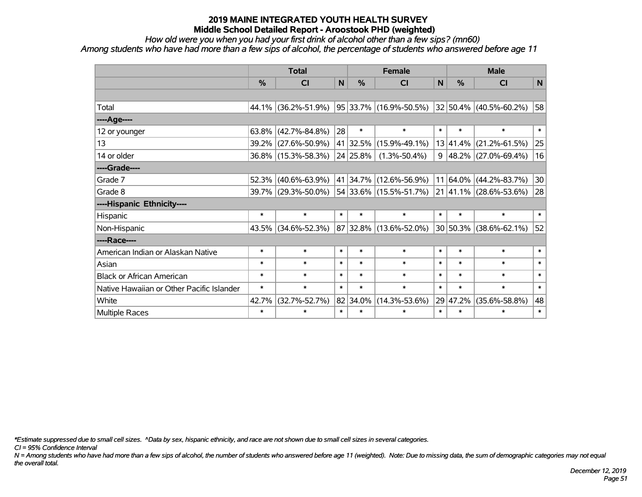*How old were you when you had your first drink of alcohol other than a few sips? (mn60)*

*Among students who have had more than a few sips of alcohol, the percentage of students who answered before age 11*

|                                           | <b>Total</b> |                     |                |               | <b>Female</b>               |        | <b>Male</b>   |                                  |        |  |
|-------------------------------------------|--------------|---------------------|----------------|---------------|-----------------------------|--------|---------------|----------------------------------|--------|--|
|                                           | %            | <b>CI</b>           | N <sub>1</sub> | $\frac{0}{0}$ | <b>CI</b>                   | N      | $\frac{0}{0}$ | <b>CI</b>                        | N      |  |
|                                           |              |                     |                |               |                             |        |               |                                  |        |  |
| Total                                     | 44.1%        | $(36.2\% - 51.9\%)$ |                |               | $ 95 33.7\% $ (16.9%-50.5%) |        |               | $ 32 50.4\% $ (40.5%-60.2%)      | 58     |  |
| ----Age----                               |              |                     |                |               |                             |        |               |                                  |        |  |
| 12 or younger                             | 63.8%        | $(42.7\% - 84.8\%)$ | 28             | $\ast$        | $\ast$                      | $\ast$ | $\ast$        | $\ast$                           | $\ast$ |  |
| 13                                        | 39.2%        | $(27.6\% - 50.9\%)$ |                | 41 32.5%      | $(15.9\% - 49.1\%)$         |        | 13 41.4%      | $(21.2\% - 61.5\%)$              | 25     |  |
| 14 or older                               |              | 36.8% (15.3%-58.3%) |                | 24 25.8%      | $(1.3\% - 50.4\%)$          |        |               | $9   48.2\%   (27.0\% - 69.4\%)$ | 16     |  |
| ----Grade----                             |              |                     |                |               |                             |        |               |                                  |        |  |
| Grade 7                                   | 52.3%        | $(40.6\% - 63.9\%)$ |                | 41 34.7%      | $(12.6\% - 56.9\%)$         | 11     |               | $64.0\%$ (44.2%-83.7%)           | 30     |  |
| Grade 8                                   |              | 39.7% (29.3%-50.0%) |                |               | 54 33.6% (15.5%-51.7%)      |        |               | $ 21 41.1\%  (28.6\% - 53.6\%)$  | 28     |  |
| ----Hispanic Ethnicity----                |              |                     |                |               |                             |        |               |                                  |        |  |
| Hispanic                                  | $\ast$       | $\ast$              | $\ast$         | $\ast$        | $\ast$                      | $\ast$ | $\ast$        | $\ast$                           | $\ast$ |  |
| Non-Hispanic                              | 43.5%        | $(34.6\% - 52.3\%)$ |                |               | 87 32.8% (13.6%-52.0%)      |        |               | 30 50.3% (38.6%-62.1%)           | 52     |  |
| ----Race----                              |              |                     |                |               |                             |        |               |                                  |        |  |
| American Indian or Alaskan Native         | $\ast$       | $\ast$              | $\ast$         | $\ast$        | $\ast$                      | $\ast$ | $\ast$        | $\ast$                           | $\ast$ |  |
| Asian                                     | $\ast$       | $\ast$              | $\ast$         | $\ast$        | $\ast$                      | $\ast$ | $\ast$        | $\ast$                           | $\ast$ |  |
| <b>Black or African American</b>          | $\ast$       | $\ast$              | $\ast$         | $\ast$        | $\ast$                      | $\ast$ | $\ast$        | $\ast$                           | $\ast$ |  |
| Native Hawaiian or Other Pacific Islander | $\ast$       | $\ast$              | $\ast$         | $\ast$        | $\ast$                      | $\ast$ | $\ast$        | $\ast$                           | $\ast$ |  |
| White                                     | 42.7%        | $(32.7\% - 52.7\%)$ |                | 82 34.0%      | $(14.3\% - 53.6\%)$         | 29     | 47.2%         | $(35.6\% - 58.8\%)$              | 48     |  |
| Multiple Races                            | $\ast$       | $\ast$              | $\ast$         | $\ast$        | *                           | $\ast$ | $\ast$        | $\ast$                           | $\ast$ |  |

*\*Estimate suppressed due to small cell sizes. ^Data by sex, hispanic ethnicity, and race are not shown due to small cell sizes in several categories.*

*CI = 95% Confidence Interval*

*N = Among students who have had more than a few sips of alcohol, the number of students who answered before age 11 (weighted). Note: Due to missing data, the sum of demographic categories may not equal the overall total.*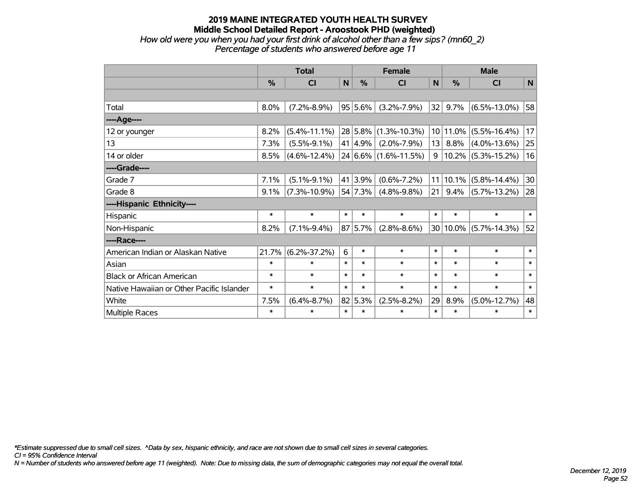#### **2019 MAINE INTEGRATED YOUTH HEALTH SURVEY Middle School Detailed Report - Aroostook PHD (weighted)** *How old were you when you had your first drink of alcohol other than a few sips? (mn60\_2) Percentage of students who answered before age 11*

|                                           | <b>Total</b>  |                    |        |         | <b>Female</b>             |                 | <b>Male</b> |                       |        |  |
|-------------------------------------------|---------------|--------------------|--------|---------|---------------------------|-----------------|-------------|-----------------------|--------|--|
|                                           | $\frac{0}{0}$ | CI                 | N      | %       | CI                        | $\mathbf N$     | %           | CI                    | N      |  |
|                                           |               |                    |        |         |                           |                 |             |                       |        |  |
| Total                                     | 8.0%          | $(7.2\% - 8.9\%)$  |        | 95 5.6% | $(3.2\% - 7.9\%)$         | 32              | 9.7%        | $(6.5\% - 13.0\%)$    | 58     |  |
| ----Age----                               |               |                    |        |         |                           |                 |             |                       |        |  |
| 12 or younger                             | 8.2%          | $(5.4\% - 11.1\%)$ |        |         | $ 28 5.8\% $ (1.3%-10.3%) |                 | 10 11.0%    | $(5.5\% - 16.4\%)$    | 17     |  |
| 13                                        | 7.3%          | $(5.5\% - 9.1\%)$  |        | 41 4.9% | $(2.0\% - 7.9\%)$         | 13              | 8.8%        | $(4.0\% - 13.6\%)$    | 25     |  |
| 14 or older                               | 8.5%          | $(4.6\% - 12.4\%)$ |        |         | $ 24 6.6\% $ (1.6%-11.5%) | 9               |             | $10.2\%$ (5.3%-15.2%) | 16     |  |
| ----Grade----                             |               |                    |        |         |                           |                 |             |                       |        |  |
| Grade 7                                   | 7.1%          | $(5.1\% - 9.1\%)$  |        | 41 3.9% | $(0.6\% - 7.2\%)$         | 11 <sup>1</sup> | 10.1%       | $(5.8\% - 14.4\%)$    | 30     |  |
| Grade 8                                   | 9.1%          | $(7.3\% - 10.9\%)$ |        | 54 7.3% | $(4.8\% - 9.8\%)$         | 21              | 9.4%        | $(5.7\% - 13.2\%)$    | 28     |  |
| ----Hispanic Ethnicity----                |               |                    |        |         |                           |                 |             |                       |        |  |
| Hispanic                                  | $\ast$        | $\ast$             | $\ast$ | $\ast$  | $\ast$                    | $\ast$          | $\ast$      | $\ast$                | $\ast$ |  |
| Non-Hispanic                              | 8.2%          | $(7.1\% - 9.4\%)$  |        | 87 5.7% | $(2.8\% - 8.6\%)$         |                 | 30 10.0%    | $(5.7\% - 14.3\%)$    | 52     |  |
| ----Race----                              |               |                    |        |         |                           |                 |             |                       |        |  |
| American Indian or Alaskan Native         | 21.7%         | $(6.2\% - 37.2\%)$ | 6      | $\ast$  | $\ast$                    | $\ast$          | $\ast$      | $\ast$                | $\ast$ |  |
| Asian                                     | $\ast$        | $\ast$             | $\ast$ | $\ast$  | $\ast$                    | $\ast$          | $\ast$      | $\ast$                | $\ast$ |  |
| <b>Black or African American</b>          | $\ast$        | $\ast$             | $\ast$ | $\ast$  | $\ast$                    | $\ast$          | $\ast$      | $\ast$                | $\ast$ |  |
| Native Hawaiian or Other Pacific Islander | $\ast$        | $\ast$             | $\ast$ | $\ast$  | $\ast$                    | $\ast$          | $\ast$      | $\ast$                | $\ast$ |  |
| White                                     | 7.5%          | $(6.4\% - 8.7\%)$  |        | 82 5.3% | $(2.5\% - 8.2\%)$         | 29              | 8.9%        | $(5.0\% - 12.7\%)$    | 48     |  |
| Multiple Races                            | $\ast$        | $\ast$             | $\ast$ | $\ast$  | $\ast$                    | $\ast$          | $\ast$      | $\ast$                | $\ast$ |  |

*\*Estimate suppressed due to small cell sizes. ^Data by sex, hispanic ethnicity, and race are not shown due to small cell sizes in several categories.*

*CI = 95% Confidence Interval*

*N = Number of students who answered before age 11 (weighted). Note: Due to missing data, the sum of demographic categories may not equal the overall total.*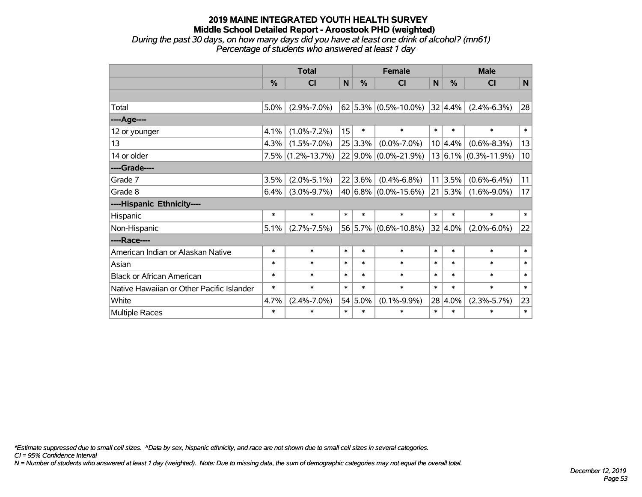#### **2019 MAINE INTEGRATED YOUTH HEALTH SURVEY Middle School Detailed Report - Aroostook PHD (weighted)** *During the past 30 days, on how many days did you have at least one drink of alcohol? (mn61)*

*Percentage of students who answered at least 1 day*

|                                           | <b>Total</b>  |                      |        | <b>Female</b> |                                              |        | <b>Male</b> |                          |        |  |
|-------------------------------------------|---------------|----------------------|--------|---------------|----------------------------------------------|--------|-------------|--------------------------|--------|--|
|                                           | $\frac{0}{2}$ | <b>CI</b>            | N      | $\frac{0}{0}$ | <b>CI</b>                                    | N      | $\%$        | <b>CI</b>                | N      |  |
|                                           |               |                      |        |               |                                              |        |             |                          |        |  |
| Total                                     | 5.0%          | $(2.9\% - 7.0\%)$    |        |               | $\vert$ 62 $\vert$ 5.3% $\vert$ (0.5%-10.0%) |        | 32 4.4%     | $(2.4\% - 6.3\%)$        | 28     |  |
| ----Age----                               |               |                      |        |               |                                              |        |             |                          |        |  |
| 12 or younger                             | 4.1%          | $(1.0\% - 7.2\%)$    | 15     | $\ast$        | $\ast$                                       | $\ast$ | $\ast$      | $\ast$                   | $\ast$ |  |
| 13                                        | 4.3%          | $(1.5\% - 7.0\%)$    |        | 25 3.3%       | $(0.0\% - 7.0\%)$                            |        | 10 4.4%     | $(0.6\% - 8.3\%)$        | 13     |  |
| 14 or older                               |               | $7.5\%$ (1.2%-13.7%) |        |               | $22 9.0\% $ (0.0%-21.9%)                     |        |             | $13 6.1\% $ (0.3%-11.9%) | 10     |  |
| ----Grade----                             |               |                      |        |               |                                              |        |             |                          |        |  |
| Grade 7                                   | 3.5%          | $(2.0\% - 5.1\%)$    |        | 22 3.6%       | $(0.4\% - 6.8\%)$                            | 11     | 3.5%        | $(0.6\% - 6.4\%)$        | 11     |  |
| Grade 8                                   | 6.4%          | $(3.0\% - 9.7\%)$    |        |               | $ 40 6.8\% $ (0.0%-15.6%)                    |        | 21 5.3%     | $(1.6\% - 9.0\%)$        | 17     |  |
| ----Hispanic Ethnicity----                |               |                      |        |               |                                              |        |             |                          |        |  |
| Hispanic                                  | $\ast$        | $\ast$               | $\ast$ | $\ast$        | $\ast$                                       | $\ast$ | $\ast$      | $\ast$                   | $\ast$ |  |
| Non-Hispanic                              | 5.1%          | $(2.7\% - 7.5\%)$    |        |               | 56 5.7% (0.6%-10.8%)                         |        | 32 4.0%     | $(2.0\% - 6.0\%)$        | 22     |  |
| ----Race----                              |               |                      |        |               |                                              |        |             |                          |        |  |
| American Indian or Alaskan Native         | $\ast$        | $\ast$               | $\ast$ | $\ast$        | $\ast$                                       | $\ast$ | $\ast$      | $\ast$                   | $\ast$ |  |
| Asian                                     | $\ast$        | $\ast$               | $\ast$ | $\ast$        | $\ast$                                       | $\ast$ | $\ast$      | $\ast$                   | $\ast$ |  |
| <b>Black or African American</b>          | $\ast$        | $\ast$               | $\ast$ | $\ast$        | $\ast$                                       | $\ast$ | $\ast$      | $\ast$                   | $\ast$ |  |
| Native Hawaiian or Other Pacific Islander | $\ast$        | $\ast$               | $\ast$ | $\ast$        | $\ast$                                       | $\ast$ | $\ast$      | $\ast$                   | $\ast$ |  |
| White                                     | 4.7%          | $(2.4\% - 7.0\%)$    |        | 54 5.0%       | $(0.1\% - 9.9\%)$                            |        | 28 4.0%     | $(2.3\% - 5.7\%)$        | 23     |  |
| Multiple Races                            | $\ast$        | $\ast$               | $\ast$ | $\ast$        | $\ast$                                       | $\ast$ | $\ast$      | $\ast$                   | $\ast$ |  |

*\*Estimate suppressed due to small cell sizes. ^Data by sex, hispanic ethnicity, and race are not shown due to small cell sizes in several categories.*

*CI = 95% Confidence Interval*

*N = Number of students who answered at least 1 day (weighted). Note: Due to missing data, the sum of demographic categories may not equal the overall total.*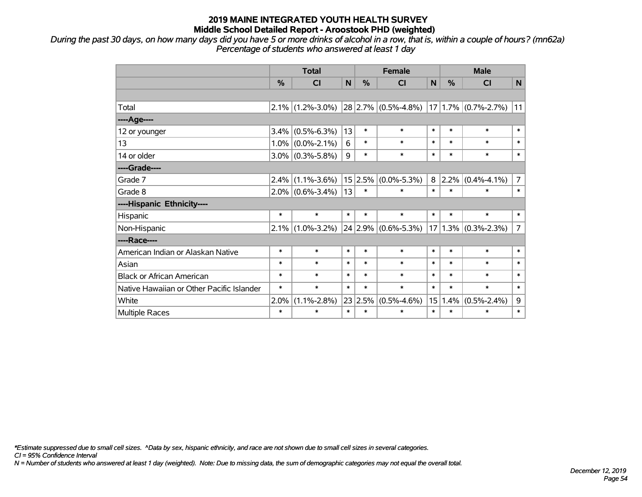*During the past 30 days, on how many days did you have 5 or more drinks of alcohol in a row, that is, within a couple of hours? (mn62a) Percentage of students who answered at least 1 day*

|                                           | <b>Total</b> |                     |             | <b>Female</b> |                         |        | <b>Male</b> |                         |                |  |
|-------------------------------------------|--------------|---------------------|-------------|---------------|-------------------------|--------|-------------|-------------------------|----------------|--|
|                                           | %            | <b>CI</b>           | $\mathbf N$ | %             | <b>CI</b>               | N      | %           | <b>CI</b>               | N              |  |
|                                           |              |                     |             |               |                         |        |             |                         |                |  |
| Total                                     |              | $2.1\%$ (1.2%-3.0%) |             |               | $28 2.7\% $ (0.5%-4.8%) |        |             | $17 1.7\% $ (0.7%-2.7%) | 11             |  |
| ----Age----                               |              |                     |             |               |                         |        |             |                         |                |  |
| 12 or younger                             | 3.4%         | $(0.5\% - 6.3\%)$   | 13          | $\ast$        | $\ast$                  | $\ast$ | $\ast$      | $\ast$                  | $\ast$         |  |
| 13                                        |              | $1.0\%$ (0.0%-2.1%) | 6           | $\ast$        | $\ast$                  | $\ast$ | $\ast$      | $\ast$                  | $\ast$         |  |
| 14 or older                               |              | $3.0\%$ (0.3%-5.8%) | 9           | $\ast$        | $\ast$                  | $\ast$ | $\ast$      | $\ast$                  | $\ast$         |  |
| ----Grade----                             |              |                     |             |               |                         |        |             |                         |                |  |
| Grade 7                                   | $2.4\%$      | $(1.1\% - 3.6\%)$   |             | 15 2.5%       | $(0.0\% - 5.3\%)$       | 8      | $ 2.2\% $   | $(0.4\% - 4.1\%)$       | 7              |  |
| Grade 8                                   |              | $2.0\%$ (0.6%-3.4%) | 13          | $\ast$        | *                       | $\ast$ | $\ast$      | $\ast$                  | $\ast$         |  |
| ----Hispanic Ethnicity----                |              |                     |             |               |                         |        |             |                         |                |  |
| Hispanic                                  | $\ast$       | $\ast$              | $\ast$      | $\ast$        | $\ast$                  | $\ast$ | $\ast$      | $\ast$                  | $\ast$         |  |
| Non-Hispanic                              | $ 2.1\% $    | $(1.0\% - 3.2\%)$   |             |               | 24 2.9% (0.6%-5.3%)     |        |             | $17 1.3\% $ (0.3%-2.3%) | $\overline{7}$ |  |
| ----Race----                              |              |                     |             |               |                         |        |             |                         |                |  |
| American Indian or Alaskan Native         | $\ast$       | $\ast$              | $\ast$      | $\ast$        | $\ast$                  | $\ast$ | $\ast$      | $\ast$                  | $\ast$         |  |
| Asian                                     | $\ast$       | $\ast$              | $\ast$      | $\ast$        | $\ast$                  | $\ast$ | $\ast$      | $\ast$                  | $\ast$         |  |
| <b>Black or African American</b>          | $\ast$       | $\ast$              | $\ast$      | $\ast$        | $\ast$                  | $\ast$ | $\ast$      | $\ast$                  | $\ast$         |  |
| Native Hawaiian or Other Pacific Islander | $\ast$       | $\ast$              | $\ast$      | $\ast$        | $\ast$                  | $\ast$ | $\ast$      | $\ast$                  | $\ast$         |  |
| White                                     | 2.0%         | $(1.1\% - 2.8\%)$   | 23          | 2.5%          | $(0.5\% - 4.6\%)$       | 15     | 1.4%        | $(0.5\% - 2.4\%)$       | 9              |  |
| Multiple Races                            | $\ast$       | $\ast$              | $\ast$      | $\ast$        | *                       | $\ast$ | $\ast$      | $\ast$                  | $\ast$         |  |

*\*Estimate suppressed due to small cell sizes. ^Data by sex, hispanic ethnicity, and race are not shown due to small cell sizes in several categories.*

*CI = 95% Confidence Interval*

*N = Number of students who answered at least 1 day (weighted). Note: Due to missing data, the sum of demographic categories may not equal the overall total.*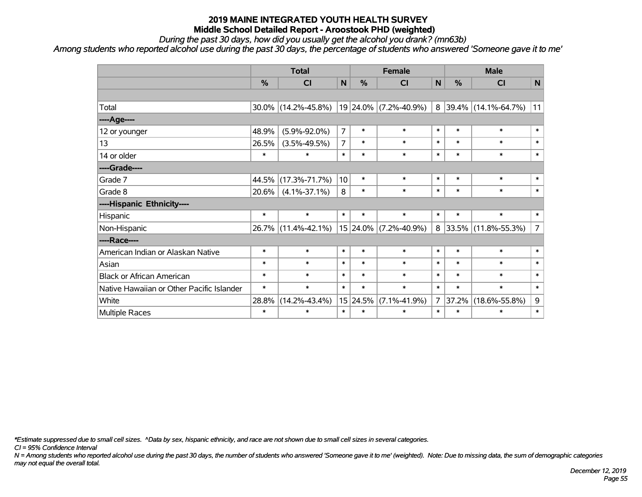*During the past 30 days, how did you usually get the alcohol you drank? (mn63b)*

*Among students who reported alcohol use during the past 30 days, the percentage of students who answered 'Someone gave it to me'*

|                                           | <b>Total</b>  |                     | <b>Female</b>   |               |                       | <b>Male</b>    |        |                     |                |
|-------------------------------------------|---------------|---------------------|-----------------|---------------|-----------------------|----------------|--------|---------------------|----------------|
|                                           | $\frac{0}{0}$ | <b>CI</b>           | $\mathsf{N}$    | $\frac{0}{0}$ | <b>CI</b>             | N              | %      | <b>CI</b>           | N              |
|                                           |               |                     |                 |               |                       |                |        |                     |                |
| Total                                     | $30.0\%$      | $(14.2\% - 45.8\%)$ |                 |               | 19 24.0% (7.2%-40.9%) | 8              |        | 39.4% (14.1%-64.7%) | 11             |
| ----Age----                               |               |                     |                 |               |                       |                |        |                     |                |
| 12 or younger                             | 48.9%         | $(5.9\% - 92.0\%)$  | $\overline{7}$  | $\ast$        | $\ast$                | $\ast$         | $\ast$ | $\ast$              | $\ast$         |
| 13                                        | 26.5%         | $(3.5\% - 49.5\%)$  | 7               | $\ast$        | $\ast$                | $\ast$         | $\ast$ | $\ast$              | $\ast$         |
| 14 or older                               | $\ast$        | $\ast$              | $\ast$          | $\ast$        | $\ast$                | $\ast$         | $\ast$ | $\ast$              | $\ast$         |
| ----Grade----                             |               |                     |                 |               |                       |                |        |                     |                |
| Grade 7                                   | 44.5%         | $(17.3\% - 71.7\%)$ | 10 <sup>1</sup> | $\ast$        | $\ast$                | $\ast$         | $\ast$ | $\ast$              | $\ast$         |
| Grade 8                                   | $20.6\%$      | $(4.1\% - 37.1\%)$  | 8               | $\ast$        | $\ast$                | $\ast$         | $\ast$ | $\ast$              | $\ast$         |
| ----Hispanic Ethnicity----                |               |                     |                 |               |                       |                |        |                     |                |
| Hispanic                                  | $\ast$        | $\ast$              | $\ast$          | $\ast$        | $\ast$                | $\ast$         | $\ast$ | $\ast$              | $\ast$         |
| Non-Hispanic                              | 26.7%         | $(11.4\% - 42.1\%)$ |                 |               | 15 24.0% (7.2%-40.9%) | 8              |        | 33.5% (11.8%-55.3%) | $\overline{7}$ |
| ----Race----                              |               |                     |                 |               |                       |                |        |                     |                |
| American Indian or Alaskan Native         | $\ast$        | $\ast$              | $\ast$          | $\ast$        | $\ast$                | $\ast$         | $\ast$ | $\ast$              | $\ast$         |
| Asian                                     | $\ast$        | $\ast$              | $\ast$          | $\ast$        | $\ast$                | $\ast$         | $\ast$ | $\ast$              | $\ast$         |
| <b>Black or African American</b>          | $\ast$        | $\ast$              | $\ast$          | $\ast$        | $\ast$                | $\ast$         | $\ast$ | $\ast$              | $\ast$         |
| Native Hawaiian or Other Pacific Islander | $\ast$        | $\ast$              | $\ast$          | $\ast$        | $\ast$                | $\ast$         | $\ast$ | $\ast$              | $\ast$         |
| White                                     | 28.8%         | $(14.2\% - 43.4\%)$ |                 | 15 24.5%      | $(7.1\% - 41.9\%)$    | $\overline{7}$ | 37.2%  | $(18.6\% - 55.8\%)$ | 9              |
| Multiple Races                            | $\ast$        | $\ast$              | $\ast$          | $\ast$        | $\ast$                | $\ast$         | $\ast$ | $\ast$              | $\ast$         |

*\*Estimate suppressed due to small cell sizes. ^Data by sex, hispanic ethnicity, and race are not shown due to small cell sizes in several categories.*

*CI = 95% Confidence Interval*

*N = Among students who reported alcohol use during the past 30 days, the number of students who answered 'Someone gave it to me' (weighted). Note: Due to missing data, the sum of demographic categories may not equal the overall total.*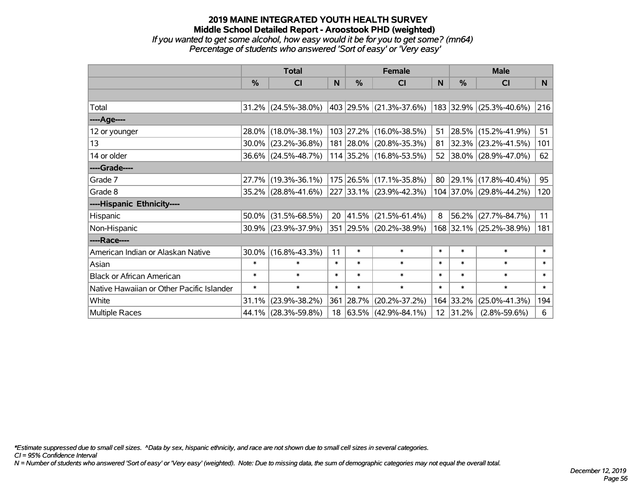#### **2019 MAINE INTEGRATED YOUTH HEALTH SURVEY Middle School Detailed Report - Aroostook PHD (weighted)** *If you wanted to get some alcohol, how easy would it be for you to get some? (mn64) Percentage of students who answered 'Sort of easy' or 'Very easy'*

|                                           | <b>Total</b> |                        |        | <b>Female</b> | <b>Male</b>                  |        |           |                         |        |
|-------------------------------------------|--------------|------------------------|--------|---------------|------------------------------|--------|-----------|-------------------------|--------|
|                                           | %            | CI                     | N      | $\frac{0}{0}$ | <b>CI</b>                    | N      | %         | <b>CI</b>               | N      |
|                                           |              |                        |        |               |                              |        |           |                         |        |
| Total                                     |              | $31.2\%$ (24.5%-38.0%) |        |               | $ 403 29.5\% $ (21.3%-37.6%) |        |           | 183 32.9% (25.3%-40.6%) | 216    |
| ----Age----                               |              |                        |        |               |                              |        |           |                         |        |
| 12 or younger                             | 28.0%        | $(18.0\% - 38.1\%)$    |        |               | 103 27.2% (16.0%-38.5%)      | 51     | 28.5%     | $(15.2\% - 41.9\%)$     | 51     |
| 13                                        |              | $30.0\%$ (23.2%-36.8%) |        |               | 181 28.0% (20.8%-35.3%)      | 81     |           | $32.3\%$ (23.2%-41.5%)  | 101    |
| 14 or older                               |              | $36.6\%$ (24.5%-48.7%) |        |               | $114$ 35.2% (16.8%-53.5%)    |        |           | 52 38.0% (28.9%-47.0%)  | 62     |
| ----Grade----                             |              |                        |        |               |                              |        |           |                         |        |
| Grade 7                                   | 27.7%        | $(19.3\% - 36.1\%)$    |        |               | 175 26.5% (17.1%-35.8%)      | 80     | 29.1%     | $(17.8\% - 40.4\%)$     | 95     |
| Grade 8                                   |              | 35.2% (28.8%-41.6%)    |        |               | 227 33.1% (23.9%-42.3%)      |        |           | 104 37.0% (29.8%-44.2%) | 120    |
| ----Hispanic Ethnicity----                |              |                        |        |               |                              |        |           |                         |        |
| Hispanic                                  | 50.0%        | $(31.5\% - 68.5\%)$    | 20     |               | $ 41.5\% $ (21.5%-61.4%)     | 8      | 56.2%     | $(27.7\% - 84.7\%)$     | 11     |
| Non-Hispanic                              |              | $30.9\%$ (23.9%-37.9%) |        |               | 351 29.5% (20.2%-38.9%)      |        |           | 168 32.1% (25.2%-38.9%) | 181    |
| ----Race----                              |              |                        |        |               |                              |        |           |                         |        |
| American Indian or Alaskan Native         | $30.0\%$     | $(16.8\% - 43.3\%)$    | 11     | $\ast$        | $\ast$                       | $\ast$ | $\ast$    | $\ast$                  | $\ast$ |
| Asian                                     | $\ast$       | $\ast$                 | $\ast$ | $\ast$        | $\ast$                       | $\ast$ | $\ast$    | $\ast$                  | $\ast$ |
| <b>Black or African American</b>          | $\ast$       | $\ast$                 | $\ast$ | $\ast$        | $\ast$                       | $\ast$ | $\ast$    | $\ast$                  | $\ast$ |
| Native Hawaiian or Other Pacific Islander | $\ast$       | $\ast$                 | $\ast$ | $\ast$        | $\ast$                       | $\ast$ | $\ast$    | $\ast$                  | $\ast$ |
| White                                     | 31.1%        | $(23.9\% - 38.2\%)$    | 361    | $ 28.7\% $    | $(20.2\% - 37.2\%)$          |        | 164 33.2% | $(25.0\% - 41.3\%)$     | 194    |
| Multiple Races                            |              | 44.1% (28.3%-59.8%)    | 18     |               | $ 63.5\% $ (42.9%-84.1%)     |        | 12 31.2%  | $(2.8\% - 59.6\%)$      | 6      |

*\*Estimate suppressed due to small cell sizes. ^Data by sex, hispanic ethnicity, and race are not shown due to small cell sizes in several categories.*

*CI = 95% Confidence Interval*

*N = Number of students who answered 'Sort of easy' or 'Very easy' (weighted). Note: Due to missing data, the sum of demographic categories may not equal the overall total.*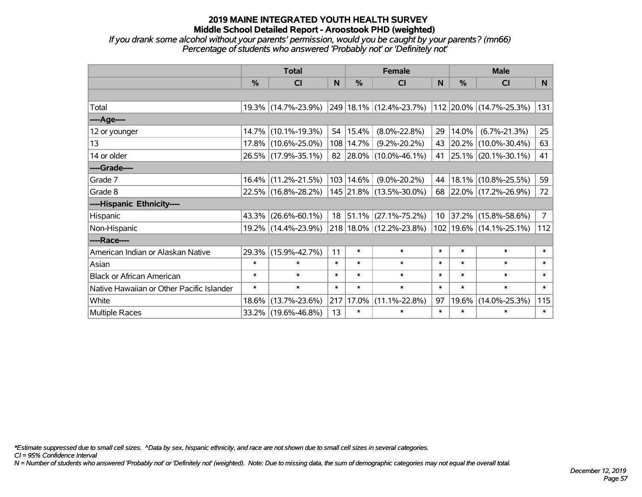*If you drank some alcohol without your parents' permission, would you be caught by your parents? (mn66) Percentage of students who answered 'Probably not' or 'Definitely not'*

|                                           | <b>Total</b> |                     |        | <b>Female</b> | <b>Male</b>                      |          |                  |                             |                |
|-------------------------------------------|--------------|---------------------|--------|---------------|----------------------------------|----------|------------------|-----------------------------|----------------|
|                                           | %            | CI                  | N      | $\frac{0}{0}$ | CI                               | <b>N</b> | %                | <b>CI</b>                   | N              |
|                                           |              |                     |        |               |                                  |          |                  |                             |                |
| Total                                     |              | 19.3% (14.7%-23.9%) |        |               | 249 18.1% (12.4%-23.7%)          |          |                  | 112 20.0% (14.7%-25.3%)     | 131            |
| ----Age----                               |              |                     |        |               |                                  |          |                  |                             |                |
| 12 or younger                             | $14.7\%$     | $(10.1\% - 19.3\%)$ |        | 54   15.4%    | $(8.0\% - 22.8\%)$               | 29       | 14.0%            | $(6.7\% - 21.3\%)$          | 25             |
| 13                                        |              | 17.8% (10.6%-25.0%) |        | 108   14.7%   | $(9.2\% - 20.2\%)$               | 43       |                  | 20.2% (10.0%-30.4%)         | 63             |
| 14 or older                               |              | 26.5% (17.9%-35.1%) |        |               | 82   28.0%   $(10.0\% - 46.1\%)$ | 41       |                  | $25.1\%$ (20.1%-30.1%)      | 41             |
| ----Grade----                             |              |                     |        |               |                                  |          |                  |                             |                |
| Grade 7                                   | $16.4\%$     | $(11.2\% - 21.5\%)$ |        | 103 14.6%     | $(9.0\% - 20.2\%)$               | 44       | 18.1%            | $(10.8\% - 25.5\%)$         | 59             |
| Grade 8                                   |              | 22.5% (16.8%-28.2%) |        |               | 145 21.8% (13.5%-30.0%)          |          |                  | 68 22.0% (17.2%-26.9%)      | 72             |
| ----Hispanic Ethnicity----                |              |                     |        |               |                                  |          |                  |                             |                |
| Hispanic                                  | 43.3%        | $(26.6\% - 60.1\%)$ |        |               | $18$   51.1%   (27.1%-75.2%)     |          | $10 \mid 37.2\%$ | $(15.8\% - 58.6\%)$         | $\overline{7}$ |
| Non-Hispanic                              |              | 19.2% (14.4%-23.9%) |        |               | 218 18.0% (12.2%-23.8%)          |          |                  | 102   19.6%   (14.1%-25.1%) | 112            |
| ----Race----                              |              |                     |        |               |                                  |          |                  |                             |                |
| American Indian or Alaskan Native         |              | 29.3% (15.9%-42.7%) | 11     | $\ast$        | $\ast$                           | $\ast$   | $\ast$           | $\ast$                      | $\ast$         |
| Asian                                     | $\ast$       | $\ast$              | $\ast$ | $\ast$        | $\ast$                           | $\ast$   | $\ast$           | $\ast$                      | $\ast$         |
| <b>Black or African American</b>          | $\ast$       | $\ast$              | $\ast$ | $\ast$        | $\ast$                           | $\ast$   | $\ast$           | $\ast$                      | $\ast$         |
| Native Hawaiian or Other Pacific Islander | $\ast$       | $\ast$              | $\ast$ | $\ast$        | $\ast$                           | $\ast$   | $\ast$           | $\ast$                      | $\ast$         |
| White                                     | 18.6%        | $(13.7\% - 23.6\%)$ | 217    | 17.0%         | $(11.1\% - 22.8\%)$              | 97       | 19.6%            | $(14.0\% - 25.3\%)$         | 115            |
| Multiple Races                            |              | 33.2% (19.6%-46.8%) | 13     | $\ast$        | $\ast$                           | $\ast$   | $\ast$           | $\ast$                      | $\ast$         |

*\*Estimate suppressed due to small cell sizes. ^Data by sex, hispanic ethnicity, and race are not shown due to small cell sizes in several categories.*

*CI = 95% Confidence Interval*

*N = Number of students who answered 'Probably not' or 'Definitely not' (weighted). Note: Due to missing data, the sum of demographic categories may not equal the overall total.*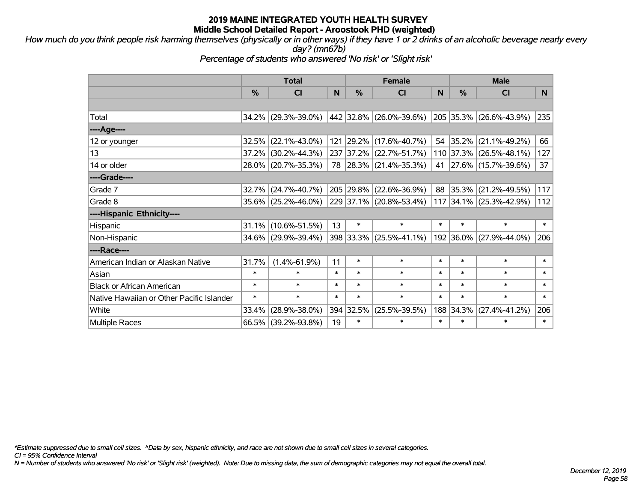*How much do you think people risk harming themselves (physically or in other ways) if they have 1 or 2 drinks of an alcoholic beverage nearly every day? (mn67b)*

*Percentage of students who answered 'No risk' or 'Slight risk'*

|                                           | <b>Total</b> |                        |        | <b>Female</b> |                         |           | <b>Male</b>   |                         |        |  |
|-------------------------------------------|--------------|------------------------|--------|---------------|-------------------------|-----------|---------------|-------------------------|--------|--|
|                                           | %            | <b>CI</b>              | N      | $\%$          | <b>CI</b>               | N         | $\frac{0}{0}$ | <b>CI</b>               | N.     |  |
|                                           |              |                        |        |               |                         |           |               |                         |        |  |
| Total                                     |              | 34.2% (29.3%-39.0%)    |        |               | 442 32.8% (26.0%-39.6%) |           | 205 35.3%     | $(26.6\% - 43.9\%)$     | 235    |  |
| ----Age----                               |              |                        |        |               |                         |           |               |                         |        |  |
| 12 or younger                             |              | $32.5\%$ (22.1%-43.0%) |        | 121 29.2%     | $(17.6\% - 40.7\%)$     | $54 \mid$ | 35.2%         | $(21.1\% - 49.2\%)$     | 66     |  |
| 13                                        |              | 37.2% (30.2%-44.3%)    |        | 237 37.2%     | $(22.7\% - 51.7\%)$     |           |               | 110 37.3% (26.5%-48.1%) | 127    |  |
| 14 or older                               |              | 28.0% (20.7%-35.3%)    |        |               | 78 28.3% (21.4%-35.3%)  |           |               | 41 27.6% (15.7%-39.6%)  | 37     |  |
| ----Grade----                             |              |                        |        |               |                         |           |               |                         |        |  |
| Grade 7                                   |              | 32.7% (24.7%-40.7%)    |        | 205 29.8%     | $(22.6\% - 36.9\%)$     | 88        | 35.3%         | $(21.2\% - 49.5\%)$     | 117    |  |
| Grade 8                                   |              | 35.6% (25.2%-46.0%)    |        |               | 229 37.1% (20.8%-53.4%) |           |               | 117 34.1% (25.3%-42.9%) | 112    |  |
| ----Hispanic Ethnicity----                |              |                        |        |               |                         |           |               |                         |        |  |
| Hispanic                                  |              | $31.1\%$ (10.6%-51.5%) | 13     | $\ast$        | $\ast$                  | $\ast$    | $\ast$        | $\ast$                  | $\ast$ |  |
| Non-Hispanic                              |              | 34.6% (29.9%-39.4%)    |        |               | 398 33.3% (25.5%-41.1%) |           | 192 36.0%     | $(27.9\% - 44.0\%)$     | 206    |  |
| ----Race----                              |              |                        |        |               |                         |           |               |                         |        |  |
| American Indian or Alaskan Native         | 31.7%        | $(1.4\% - 61.9\%)$     | 11     | $\ast$        | $\ast$                  | $\ast$    | $\ast$        | $\ast$                  | $\ast$ |  |
| Asian                                     | $\ast$       | $\ast$                 | $\ast$ | $\ast$        | $\ast$                  | $\ast$    | $\ast$        | $\ast$                  | $\ast$ |  |
| <b>Black or African American</b>          | $\ast$       | $\ast$                 | $\ast$ | $\ast$        | $\ast$                  | $\ast$    | $\ast$        | $\ast$                  | $\ast$ |  |
| Native Hawaiian or Other Pacific Islander | $\ast$       | $\ast$                 | $\ast$ | $\ast$        | $\ast$                  | $\ast$    | $\ast$        | $\ast$                  | $\ast$ |  |
| White                                     | 33.4%        | $(28.9\% - 38.0\%)$    |        | 394 32.5%     | $(25.5\% - 39.5\%)$     | 188       | 34.3%         | $(27.4\% - 41.2\%)$     | 206    |  |
| <b>Multiple Races</b>                     |              | 66.5% (39.2%-93.8%)    | 19     | $\ast$        | $\ast$                  | $\ast$    | $\ast$        | $\ast$                  | $\ast$ |  |

*\*Estimate suppressed due to small cell sizes. ^Data by sex, hispanic ethnicity, and race are not shown due to small cell sizes in several categories.*

*CI = 95% Confidence Interval*

*N = Number of students who answered 'No risk' or 'Slight risk' (weighted). Note: Due to missing data, the sum of demographic categories may not equal the overall total.*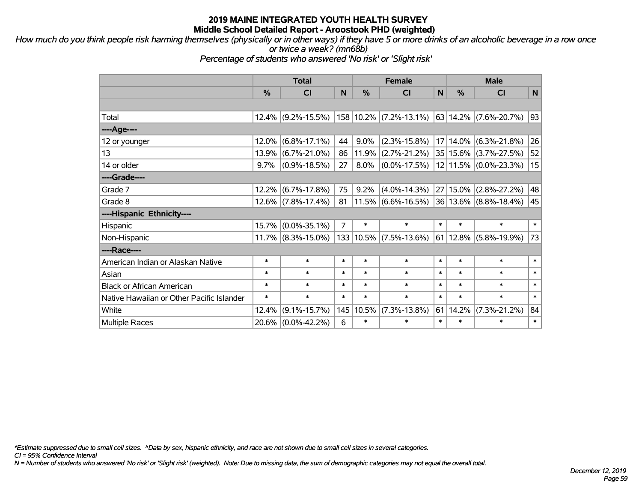*How much do you think people risk harming themselves (physically or in other ways) if they have 5 or more drinks of an alcoholic beverage in a row once or twice a week? (mn68b)*

*Percentage of students who answered 'No risk' or 'Slight risk'*

|                                           | <b>Total</b> |                       |        | <b>Female</b> |                            |        | <b>Male</b> |                               |             |  |
|-------------------------------------------|--------------|-----------------------|--------|---------------|----------------------------|--------|-------------|-------------------------------|-------------|--|
|                                           | %            | <b>CI</b>             | N      | %             | <b>CI</b>                  | N      | %           | <b>CI</b>                     | $\mathbf N$ |  |
|                                           |              |                       |        |               |                            |        |             |                               |             |  |
| Total                                     | $12.4\%$     | $(9.2\% - 15.5\%)$    |        |               | 158 10.2% (7.2%-13.1%)     |        |             | 63   14.2% $(7.6\% - 20.7\%)$ | 93          |  |
| ---- Age----                              |              |                       |        |               |                            |        |             |                               |             |  |
| 12 or younger                             | 12.0%        | $(6.8\% - 17.1\%)$    | 44     | $9.0\%$       | $(2.3\% - 15.8\%)$         |        | 17 14.0%    | $(6.3\% - 21.8\%)$            | 26          |  |
| 13                                        | 13.9%        | $(6.7\% - 21.0\%)$    | 86     | 11.9%         | $(2.7\% - 21.2\%)$         |        | 35 15.6%    | $(3.7\% - 27.5\%)$            | 52          |  |
| 14 or older                               | 9.7%         | $(0.9\% - 18.5\%)$    | 27     | 8.0%          | $(0.0\% - 17.5\%)$         |        |             | 12 11.5% (0.0%-23.3%)         | 15          |  |
| ----Grade----                             |              |                       |        |               |                            |        |             |                               |             |  |
| Grade 7                                   | 12.2%        | $(6.7\% - 17.8\%)$    | 75     | 9.2%          | $(4.0\% - 14.3\%)$         |        | 27 15.0%    | $(2.8\% - 27.2\%)$            | 48          |  |
| Grade 8                                   |              | $12.6\%$ (7.8%-17.4%) | 81     |               | $11.5\%$ (6.6%-16.5%)      |        |             | $36 13.6\% $ (8.8%-18.4%)     | 45          |  |
| ----Hispanic Ethnicity----                |              |                       |        |               |                            |        |             |                               |             |  |
| Hispanic                                  | 15.7%        | $(0.0\% - 35.1\%)$    | 7      | $\ast$        | $\ast$                     | $\ast$ | $\ast$      | $\ast$                        | $\ast$      |  |
| Non-Hispanic                              |              | $11.7\%$ (8.3%-15.0%) |        |               | $133 10.5\% $ (7.5%-13.6%) |        | 61 12.8%    | $(5.8\% - 19.9\%)$            | 73          |  |
| ----Race----                              |              |                       |        |               |                            |        |             |                               |             |  |
| American Indian or Alaskan Native         | $\ast$       | $\ast$                | $\ast$ | $\ast$        | $\ast$                     | $\ast$ | $\ast$      | $\ast$                        | $\ast$      |  |
| Asian                                     | $\ast$       | $\ast$                | $\ast$ | $\ast$        | $\ast$                     | $\ast$ | $\ast$      | $\ast$                        | $\ast$      |  |
| <b>Black or African American</b>          | $\ast$       | $\ast$                | $\ast$ | $\ast$        | $\ast$                     | $\ast$ | $\ast$      | $\ast$                        | $\ast$      |  |
| Native Hawaiian or Other Pacific Islander | $\ast$       | $\ast$                | $\ast$ | $\ast$        | $\ast$                     | $\ast$ | $\ast$      | $\ast$                        | $\ast$      |  |
| White                                     | 12.4%        | $(9.1\% - 15.7\%)$    |        | 145 10.5%     | $(7.3\% - 13.8\%)$         | 61     | 14.2%       | $(7.3\% - 21.2\%)$            | 84          |  |
| <b>Multiple Races</b>                     |              | 20.6% (0.0%-42.2%)    | 6      | $\ast$        | $\ast$                     | $\ast$ | $\ast$      | $\ast$                        | $\ast$      |  |

*\*Estimate suppressed due to small cell sizes. ^Data by sex, hispanic ethnicity, and race are not shown due to small cell sizes in several categories.*

*CI = 95% Confidence Interval*

*N = Number of students who answered 'No risk' or 'Slight risk' (weighted). Note: Due to missing data, the sum of demographic categories may not equal the overall total.*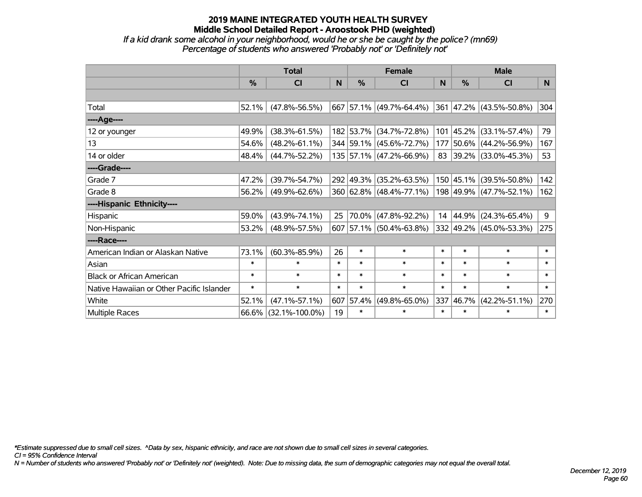*If a kid drank some alcohol in your neighborhood, would he or she be caught by the police? (mn69) Percentage of students who answered 'Probably not' or 'Definitely not'*

|                                           | <b>Total</b>  |                      |        | <b>Female</b> | <b>Male</b>             |        |               |                          |                |
|-------------------------------------------|---------------|----------------------|--------|---------------|-------------------------|--------|---------------|--------------------------|----------------|
|                                           | $\frac{0}{0}$ | <b>CI</b>            | N      | $\frac{0}{0}$ | <b>CI</b>               | N      | $\frac{0}{0}$ | <b>CI</b>                | N <sub>1</sub> |
|                                           |               |                      |        |               |                         |        |               |                          |                |
| Total                                     | 52.1%         | $(47.8\% - 56.5\%)$  |        |               | 667 57.1% (49.7%-64.4%) |        |               | 361 47.2% (43.5%-50.8%)  | 304            |
| ----Age----                               |               |                      |        |               |                         |        |               |                          |                |
| 12 or younger                             | 49.9%         | $(38.3\% - 61.5\%)$  |        |               | 182 53.7% (34.7%-72.8%) | 101    |               | $ 45.2\% $ (33.1%-57.4%) | 79             |
| 13                                        | 54.6%         | $(48.2\% - 61.1\%)$  |        |               | 344 59.1% (45.6%-72.7%) | 177    |               | 50.6% (44.2%-56.9%)      | 167            |
| 14 or older                               | 48.4%         | $(44.7\% - 52.2\%)$  |        |               | 135 57.1% (47.2%-66.9%) | 83     |               | $ 39.2\% $ (33.0%-45.3%) | 53             |
| ----Grade----                             |               |                      |        |               |                         |        |               |                          |                |
| Grade 7                                   | 47.2%         | $(39.7\% - 54.7\%)$  |        | 292 49.3%     | $(35.2\% - 63.5\%)$     |        |               | 150 45.1% (39.5%-50.8%)  | 142            |
| Grade 8                                   | 56.2%         | $(49.9\% - 62.6\%)$  |        |               | 360 62.8% (48.4%-77.1%) |        |               | 198 49.9% (47.7%-52.1%)  | 162            |
| ----Hispanic Ethnicity----                |               |                      |        |               |                         |        |               |                          |                |
| Hispanic                                  | 59.0%         | $(43.9\% - 74.1\%)$  | 25     | 70.0%         | $(47.8\% - 92.2\%)$     | 14     |               | $ 44.9\% $ (24.3%-65.4%) | 9              |
| Non-Hispanic                              | 53.2%         | $(48.9\% - 57.5\%)$  |        |               | 607 57.1% (50.4%-63.8%) |        |               | 332 49.2% (45.0%-53.3%)  | 275            |
| ----Race----                              |               |                      |        |               |                         |        |               |                          |                |
| American Indian or Alaskan Native         | 73.1%         | $(60.3\% - 85.9\%)$  | 26     | $\ast$        | $\ast$                  | $\ast$ | $\ast$        | $\ast$                   | $\ast$         |
| Asian                                     | $\ast$        | $\ast$               | $\ast$ | $\ast$        | $\ast$                  | $\ast$ | $\ast$        | $\ast$                   | $\ast$         |
| <b>Black or African American</b>          | $\ast$        | $\ast$               | $\ast$ | $\ast$        | $\ast$                  | $\ast$ | $\ast$        | $\ast$                   | $\ast$         |
| Native Hawaiian or Other Pacific Islander | $\ast$        | $\ast$               | $\ast$ | $\ast$        | $\ast$                  | $\ast$ | $\ast$        | $\ast$                   | $\ast$         |
| White                                     | 52.1%         | $(47.1\% - 57.1\%)$  | 607    | 57.4%         | $(49.8\% - 65.0\%)$     | 337    | 46.7%         | $(42.2\% - 51.1\%)$      | 270            |
| <b>Multiple Races</b>                     | $66.6\%$      | $(32.1\% - 100.0\%)$ | 19     | $\ast$        | $\ast$                  | $\ast$ | $\ast$        | $\ast$                   | $\ast$         |

*\*Estimate suppressed due to small cell sizes. ^Data by sex, hispanic ethnicity, and race are not shown due to small cell sizes in several categories.*

*CI = 95% Confidence Interval*

*N = Number of students who answered 'Probably not' or 'Definitely not' (weighted). Note: Due to missing data, the sum of demographic categories may not equal the overall total.*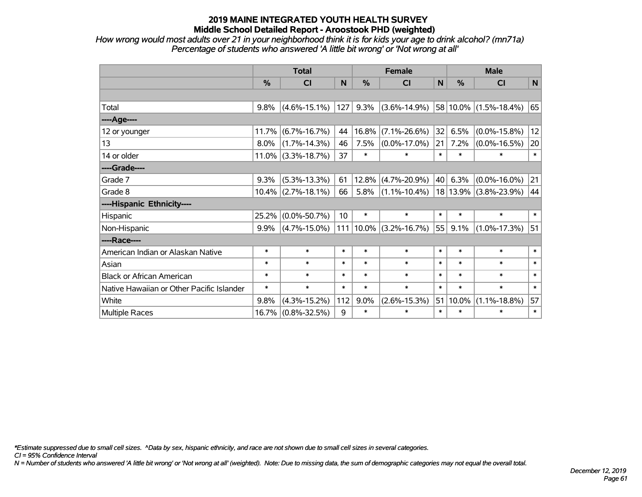*How wrong would most adults over 21 in your neighborhood think it is for kids your age to drink alcohol? (mn71a) Percentage of students who answered 'A little bit wrong' or 'Not wrong at all'*

|                                           | <b>Total</b> |                       |                 | <b>Female</b>  |                    |        | <b>Male</b> |                    |        |  |
|-------------------------------------------|--------------|-----------------------|-----------------|----------------|--------------------|--------|-------------|--------------------|--------|--|
|                                           | %            | CI                    | N               | %              | CI                 | N      | $\%$        | <b>CI</b>          | N      |  |
|                                           |              |                       |                 |                |                    |        |             |                    |        |  |
| Total                                     | 9.8%         | $(4.6\% - 15.1\%)$    | 127             | 9.3%           | $(3.6\% - 14.9\%)$ |        | 58 10.0%    | $(1.5\% - 18.4\%)$ | 65     |  |
| ---- Age----                              |              |                       |                 |                |                    |        |             |                    |        |  |
| 12 or younger                             | 11.7%        | $(6.7\% - 16.7\%)$    | 44              | 16.8%          | $(7.1\% - 26.6\%)$ | 32     | 6.5%        | $(0.0\% - 15.8\%)$ | 12     |  |
| 13                                        | 8.0%         | $(1.7\% - 14.3\%)$    | 46              | 7.5%           | $(0.0\% - 17.0\%)$ | 21     | 7.2%        | $(0.0\% - 16.5\%)$ | 20     |  |
| 14 or older                               |              | $11.0\%$ (3.3%-18.7%) | 37              | $\ast$         | $\ast$             | $\ast$ | $\ast$      | $\ast$             | $\ast$ |  |
| ----Grade----                             |              |                       |                 |                |                    |        |             |                    |        |  |
| Grade 7                                   | 9.3%         | $(5.3\% - 13.3\%)$    | 61              | 12.8%          | $(4.7\% - 20.9\%)$ | 40     | 6.3%        | $(0.0\% - 16.0\%)$ | 21     |  |
| Grade 8                                   |              | $10.4\%$ (2.7%-18.1%) | 66              | 5.8%           | $(1.1\% - 10.4\%)$ |        | 18 13.9%    | $(3.8\% - 23.9\%)$ | 44     |  |
| ----Hispanic Ethnicity----                |              |                       |                 |                |                    |        |             |                    |        |  |
| Hispanic                                  | 25.2%        | $(0.0\% - 50.7\%)$    | 10 <sup>1</sup> | $\ast$         | $\ast$             | $\ast$ | $\ast$      | $\ast$             | $\ast$ |  |
| Non-Hispanic                              | $9.9\%$      | $(4.7\% - 15.0\%)$    |                 | $ 111 10.0\% $ | $(3.2\% - 16.7\%)$ | 55     | 9.1%        | $(1.0\% - 17.3\%)$ | 51     |  |
| ----Race----                              |              |                       |                 |                |                    |        |             |                    |        |  |
| American Indian or Alaskan Native         | $\ast$       | $\ast$                | $\ast$          | $\ast$         | $\ast$             | $\ast$ | $\ast$      | $\ast$             | $\ast$ |  |
| Asian                                     | $\ast$       | $\ast$                | $\ast$          | $\ast$         | $\ast$             | $\ast$ | $\ast$      | $\ast$             | $\ast$ |  |
| <b>Black or African American</b>          | $\ast$       | $\ast$                | $\ast$          | $\ast$         | $\ast$             | $\ast$ | $\ast$      | $\ast$             | $\ast$ |  |
| Native Hawaiian or Other Pacific Islander | $\ast$       | $\ast$                | $\ast$          | $\ast$         | $\ast$             | $\ast$ | $\ast$      | $\ast$             | $\ast$ |  |
| White                                     | 9.8%         | $(4.3\% - 15.2\%)$    | 112             | $9.0\%$        | $(2.6\% - 15.3\%)$ | 51     | 10.0%       | $(1.1\% - 18.8\%)$ | 57     |  |
| <b>Multiple Races</b>                     |              | 16.7% (0.8%-32.5%)    | 9               | $\ast$         | $\ast$             | $\ast$ | $\ast$      | $\ast$             | $\ast$ |  |

*\*Estimate suppressed due to small cell sizes. ^Data by sex, hispanic ethnicity, and race are not shown due to small cell sizes in several categories.*

*CI = 95% Confidence Interval*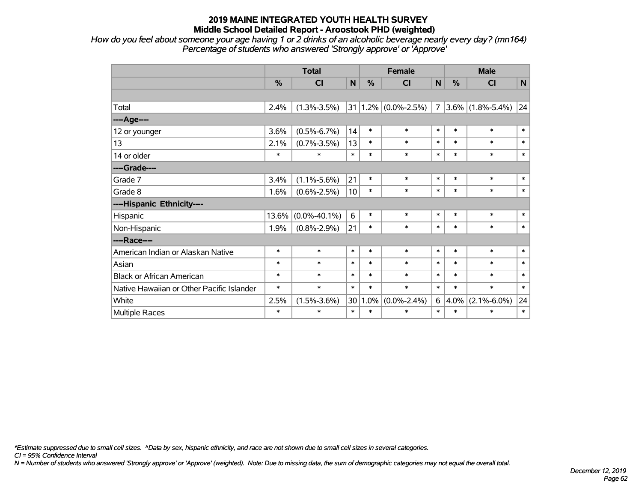*How do you feel about someone your age having 1 or 2 drinks of an alcoholic beverage nearly every day? (mn164) Percentage of students who answered 'Strongly approve' or 'Approve'*

|                                           |               | <b>Total</b>       |                 | <b>Female</b> | <b>Male</b>             |                |               |                     |        |
|-------------------------------------------|---------------|--------------------|-----------------|---------------|-------------------------|----------------|---------------|---------------------|--------|
|                                           | $\frac{9}{6}$ | CI                 | N               | $\frac{9}{6}$ | CI                      | $\mathbf N$    | $\frac{0}{0}$ | CI                  | N      |
|                                           |               |                    |                 |               |                         |                |               |                     |        |
| Total                                     | 2.4%          | $(1.3\% - 3.5\%)$  |                 |               | $31 1.2\% $ (0.0%-2.5%) | $\overline{7}$ |               | $3.6\%$ (1.8%-5.4%) | 24     |
| ----Age----                               |               |                    |                 |               |                         |                |               |                     |        |
| 12 or younger                             | 3.6%          | $(0.5\% - 6.7\%)$  | 14              | $\ast$        | $\ast$                  | $\ast$         | $\ast$        | $\ast$              | $\ast$ |
| 13                                        | 2.1%          | $(0.7\% - 3.5\%)$  | 13              | $\ast$        | $\ast$                  | $\ast$         | $\ast$        | $\ast$              | $\ast$ |
| 14 or older                               | $\ast$        | $\ast$             | $\ast$          | $\ast$        | $\ast$                  | $\ast$         | $\ast$        | $\ast$              | $\ast$ |
| ----Grade----                             |               |                    |                 |               |                         |                |               |                     |        |
| Grade 7                                   | 3.4%          | $(1.1\% - 5.6\%)$  | 21              | $\ast$        | $\ast$                  | $\ast$         | $\ast$        | $\ast$              | $\ast$ |
| Grade 8                                   | 1.6%          | $(0.6\% - 2.5\%)$  | 10 <sup>1</sup> | $\ast$        | $\ast$                  | $\ast$         | $\ast$        | $\ast$              | $\ast$ |
| ----Hispanic Ethnicity----                |               |                    |                 |               |                         |                |               |                     |        |
| Hispanic                                  | 13.6%         | $(0.0\% - 40.1\%)$ | 6               | $\ast$        | $\ast$                  | $\ast$         | $\ast$        | $\ast$              | $\ast$ |
| Non-Hispanic                              | 1.9%          | $(0.8\% - 2.9\%)$  | 21              | $\ast$        | $\ast$                  | $\ast$         | $\ast$        | $\ast$              | $\ast$ |
| ----Race----                              |               |                    |                 |               |                         |                |               |                     |        |
| American Indian or Alaskan Native         | $\ast$        | $\ast$             | $\ast$          | $\ast$        | $\ast$                  | $\ast$         | $\ast$        | $\ast$              | $\ast$ |
| Asian                                     | $\ast$        | $\ast$             | $\ast$          | $\ast$        | $\ast$                  | $\ast$         | $\ast$        | $\ast$              | $\ast$ |
| <b>Black or African American</b>          | $\ast$        | $\ast$             | $\ast$          | $\ast$        | $\ast$                  | $\ast$         | $\ast$        | $\ast$              | $\ast$ |
| Native Hawaiian or Other Pacific Islander | $\ast$        | $\ast$             | $\ast$          | $\ast$        | $\ast$                  | $\ast$         | $\ast$        | $\ast$              | $\ast$ |
| White                                     | 2.5%          | $(1.5\% - 3.6\%)$  | 30              | 1.0%          | $(0.0\% - 2.4\%)$       | 6              | 4.0%          | $(2.1\% - 6.0\%)$   | 24     |
| <b>Multiple Races</b>                     | $\ast$        | $\ast$             | $\ast$          | $\ast$        | $\ast$                  | $\ast$         | $\ast$        | $\ast$              | $\ast$ |

*\*Estimate suppressed due to small cell sizes. ^Data by sex, hispanic ethnicity, and race are not shown due to small cell sizes in several categories.*

*CI = 95% Confidence Interval*

*N = Number of students who answered 'Strongly approve' or 'Approve' (weighted). Note: Due to missing data, the sum of demographic categories may not equal the overall total.*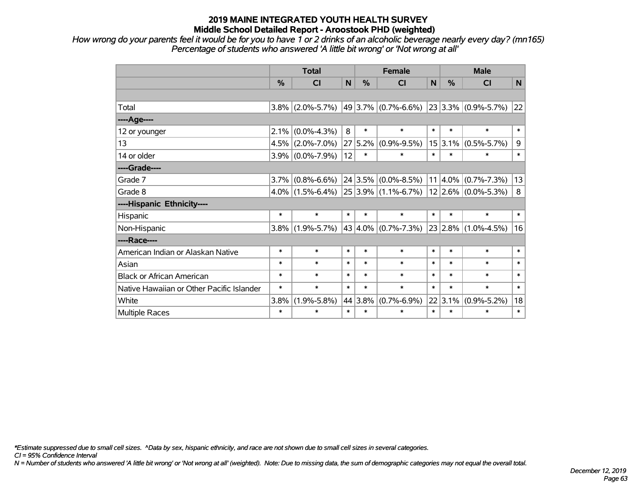*How wrong do your parents feel it would be for you to have 1 or 2 drinks of an alcoholic beverage nearly every day? (mn165) Percentage of students who answered 'A little bit wrong' or 'Not wrong at all'*

|                                           | <b>Total</b> |                                                                 |        |         | <b>Female</b>            | <b>Male</b> |         |                          |        |
|-------------------------------------------|--------------|-----------------------------------------------------------------|--------|---------|--------------------------|-------------|---------|--------------------------|--------|
|                                           | %            | <b>CI</b>                                                       | N      | %       | <b>CI</b>                | N           | %       | <b>CI</b>                | N.     |
|                                           |              |                                                                 |        |         |                          |             |         |                          |        |
| Total                                     | $3.8\%$      | $(2.0\% - 5.7\%)$                                               |        |         | $49 3.7\% $ (0.7%-6.6%)  |             |         | $23 3.3\% $ (0.9%-5.7%)  | 22     |
| ----Age----                               |              |                                                                 |        |         |                          |             |         |                          |        |
| 12 or younger                             | 2.1%         | $(0.0\% - 4.3\%)$                                               | 8      | $\ast$  | $\ast$                   | $\ast$      | $\ast$  | $\ast$                   | $\ast$ |
| 13                                        | 4.5%         | $(2.0\% - 7.0\%)$                                               | 27     | 5.2%    | $(0.9\% - 9.5\%)$        |             | 15 3.1% | $(0.5\% - 5.7\%)$        | 9      |
| 14 or older                               | $3.9\%$      | $(0.0\% - 7.9\%)$                                               | 12     | $\ast$  | $\ast$                   | $\ast$      | $\ast$  | $\ast$                   | $\ast$ |
| ----Grade----                             |              |                                                                 |        |         |                          |             |         |                          |        |
| Grade 7                                   | 3.7%         | $(0.8\% - 6.6\%)$                                               |        |         | $24 3.5\% $ (0.0%-8.5%)  |             |         | $11 4.0\% $ (0.7%-7.3%)  | 13     |
| Grade 8                                   | $4.0\%$      | $\vert$ (1.5%-6.4%) $\vert$ 25 $\vert$ 3.9% $\vert$ (1.1%-6.7%) |        |         |                          |             |         | $ 12 2.6\% $ (0.0%-5.3%) | 8      |
| ----Hispanic Ethnicity----                |              |                                                                 |        |         |                          |             |         |                          |        |
| Hispanic                                  | $\ast$       | $\ast$                                                          | $\ast$ | $\ast$  | $\ast$                   | $\ast$      | $\ast$  | $\ast$                   | $\ast$ |
| Non-Hispanic                              | $3.8\%$      | $(1.9\% - 5.7\%)$                                               |        |         | 43 $ 4.0\% $ (0.7%-7.3%) |             | 23 2.8% | $(1.0\% - 4.5\%)$        | 16     |
| ----Race----                              |              |                                                                 |        |         |                          |             |         |                          |        |
| American Indian or Alaskan Native         | $\ast$       | $\ast$                                                          | $\ast$ | $\ast$  | $\ast$                   | $\ast$      | $\ast$  | $\ast$                   | $\ast$ |
| Asian                                     | $\ast$       | $\ast$                                                          | $\ast$ | $\ast$  | $\ast$                   | $\ast$      | $\ast$  | $\ast$                   | $\ast$ |
| <b>Black or African American</b>          | $\ast$       | $\ast$                                                          | $\ast$ | $\ast$  | $\ast$                   | $\ast$      | $\ast$  | $\ast$                   | $\ast$ |
| Native Hawaiian or Other Pacific Islander | $\ast$       | $\ast$                                                          | $\ast$ | $\ast$  | $\ast$                   | $\ast$      | $\ast$  | $\ast$                   | $\ast$ |
| White                                     | 3.8%         | $(1.9\% - 5.8\%)$                                               |        | 44 3.8% | $(0.7\% - 6.9\%)$        |             | 22 3.1% | $(0.9\% - 5.2\%)$        | 18     |
| <b>Multiple Races</b>                     | $\ast$       | $\ast$                                                          | $\ast$ | $\ast$  | $\ast$                   | $\ast$      | $\ast$  | $\ast$                   | $\ast$ |

*\*Estimate suppressed due to small cell sizes. ^Data by sex, hispanic ethnicity, and race are not shown due to small cell sizes in several categories.*

*CI = 95% Confidence Interval*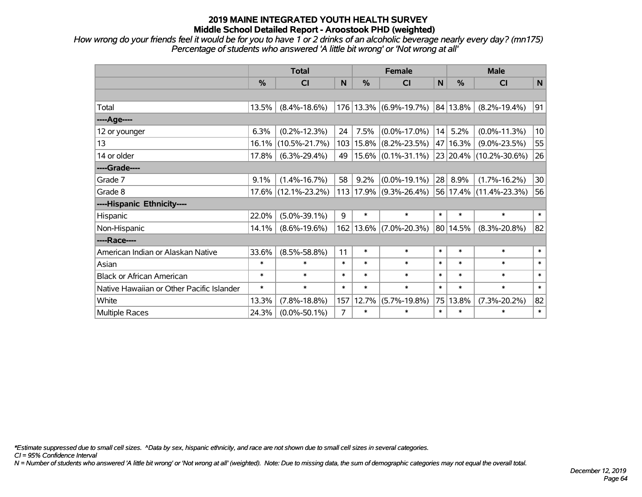*How wrong do your friends feel it would be for you to have 1 or 2 drinks of an alcoholic beverage nearly every day? (mn175) Percentage of students who answered 'A little bit wrong' or 'Not wrong at all'*

|                                           | <b>Total</b> |                     |        |               | <b>Female</b>          |        | <b>Male</b> |                        |                 |  |
|-------------------------------------------|--------------|---------------------|--------|---------------|------------------------|--------|-------------|------------------------|-----------------|--|
|                                           | %            | <b>CI</b>           | N      | $\frac{0}{0}$ | <b>CI</b>              | N      | %           | <b>CI</b>              | N               |  |
|                                           |              |                     |        |               |                        |        |             |                        |                 |  |
| Total                                     | 13.5%        | $(8.4\% - 18.6\%)$  |        |               | 176 13.3% (6.9%-19.7%) |        | 84 13.8%    | $(8.2\% - 19.4\%)$     | 91              |  |
| ----Age----                               |              |                     |        |               |                        |        |             |                        |                 |  |
| 12 or younger                             | 6.3%         | $(0.2\% - 12.3\%)$  | 24     | 7.5%          | $(0.0\% - 17.0\%)$     | 14     | 5.2%        | $(0.0\% - 11.3\%)$     | 10 <sup>1</sup> |  |
| 13                                        | 16.1%        | $(10.5\% - 21.7\%)$ |        | 103 15.8%     | $(8.2\% - 23.5\%)$     |        | 47   16.3%  | $(9.0\% - 23.5\%)$     | 55              |  |
| 14 or older                               | 17.8%        | $(6.3\% - 29.4\%)$  | 49     |               | $15.6\%$ (0.1%-31.1%)  |        |             | 23 20.4% (10.2%-30.6%) | 26              |  |
| ----Grade----                             |              |                     |        |               |                        |        |             |                        |                 |  |
| Grade 7                                   | 9.1%         | $(1.4\% - 16.7\%)$  | 58     | 9.2%          | $(0.0\% - 19.1\%)$     | 28     | 8.9%        | $(1.7\% - 16.2\%)$     | 30 <sup>°</sup> |  |
| Grade 8                                   | $17.6\%$     | $(12.1\% - 23.2\%)$ |        |               | 113 17.9% (9.3%-26.4%) |        |             | 56 17.4% (11.4%-23.3%) | 56              |  |
| ----Hispanic Ethnicity----                |              |                     |        |               |                        |        |             |                        |                 |  |
| Hispanic                                  | 22.0%        | $(5.0\% - 39.1\%)$  | 9      | $\ast$        | $\ast$                 | $\ast$ | $\ast$      | $\ast$                 | $\ast$          |  |
| Non-Hispanic                              | 14.1%        | $(8.6\% - 19.6\%)$  |        | 162 13.6%     | $(7.0\% - 20.3\%)$     |        | 80 14.5%    | $(8.3\% - 20.8\%)$     | 82              |  |
| ----Race----                              |              |                     |        |               |                        |        |             |                        |                 |  |
| American Indian or Alaskan Native         | 33.6%        | $(8.5\% - 58.8\%)$  | 11     | $\ast$        | $\ast$                 | $\ast$ | $\ast$      | $\ast$                 | $\ast$          |  |
| Asian                                     | $\ast$       | $\ast$              | $\ast$ | $\ast$        | $\ast$                 | $\ast$ | $\ast$      | $\ast$                 | $\ast$          |  |
| <b>Black or African American</b>          | $\ast$       | $\ast$              | $\ast$ | $\ast$        | $\ast$                 | $\ast$ | $\ast$      | $\ast$                 | $\ast$          |  |
| Native Hawaiian or Other Pacific Islander | $\ast$       | $\ast$              | $\ast$ | $\ast$        | $\ast$                 | $\ast$ | $\ast$      | $\ast$                 | $\ast$          |  |
| White                                     | 13.3%        | $(7.8\% - 18.8\%)$  | 157    | 12.7%         | $(5.7\% - 19.8\%)$     | 75     | 13.8%       | $(7.3\% - 20.2\%)$     | 82              |  |
| Multiple Races                            | 24.3%        | $(0.0\% - 50.1\%)$  | 7      | $\ast$        | $\ast$                 | $\ast$ | $\ast$      | $\ast$                 | $\ast$          |  |

*\*Estimate suppressed due to small cell sizes. ^Data by sex, hispanic ethnicity, and race are not shown due to small cell sizes in several categories.*

*CI = 95% Confidence Interval*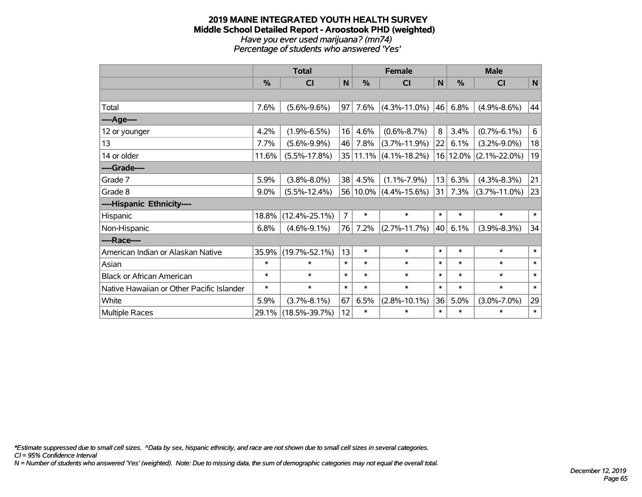#### **2019 MAINE INTEGRATED YOUTH HEALTH SURVEY Middle School Detailed Report - Aroostook PHD (weighted)** *Have you ever used marijuana? (mn74) Percentage of students who answered 'Yes'*

|                                           | <b>Total</b>  |                     | <b>Female</b>  |        |                           | <b>Male</b> |          |                    |                 |
|-------------------------------------------|---------------|---------------------|----------------|--------|---------------------------|-------------|----------|--------------------|-----------------|
|                                           | $\frac{0}{0}$ | CI                  | $\mathsf{N}$   | %      | <b>CI</b>                 | N           | %        | <b>CI</b>          | $\mathsf{N}$    |
|                                           |               |                     |                |        |                           |             |          |                    |                 |
| Total                                     | 7.6%          | $(5.6\% - 9.6\%)$   | 97             | 7.6%   | $(4.3\% - 11.0\%)$        | 46          | 6.8%     | $(4.9\% - 8.6\%)$  | 44              |
| ----Age----                               |               |                     |                |        |                           |             |          |                    |                 |
| 12 or younger                             | 4.2%          | $(1.9\% - 6.5\%)$   | 16             | 4.6%   | $(0.6\% - 8.7\%)$         | 8           | 3.4%     | $(0.7\% - 6.1\%)$  | $6\overline{6}$ |
| 13                                        | 7.7%          | $(5.6\% - 9.9\%)$   | 46             | 7.8%   | $(3.7\% - 11.9\%)$        | 22          | 6.1%     | $(3.2\% - 9.0\%)$  | 18              |
| 14 or older                               | 11.6%         | $(5.5\% - 17.8\%)$  |                |        | $35 11.1\% $ (4.1%-18.2%) |             | 16 12.0% | $(2.1\% - 22.0\%)$ | 19              |
| ----Grade----                             |               |                     |                |        |                           |             |          |                    |                 |
| Grade 7                                   | 5.9%          | $(3.8\% - 8.0\%)$   | 38             | 4.5%   | $(1.1\% - 7.9\%)$         | 13          | 6.3%     | $(4.3\% - 8.3\%)$  | 21              |
| Grade 8                                   | 9.0%          | $(5.5\% - 12.4\%)$  |                |        | 56 10.0% (4.4%-15.6%)     | 31          | 7.3%     | $(3.7\% - 11.0\%)$ | 23              |
| ----Hispanic Ethnicity----                |               |                     |                |        |                           |             |          |                    |                 |
| Hispanic                                  | 18.8%         | $(12.4\% - 25.1\%)$ | $\overline{7}$ | *      | $\ast$                    | $\ast$      | $\ast$   | $\ast$             | $\ast$          |
| Non-Hispanic                              | 6.8%          | $(4.6\% - 9.1\%)$   | 76             | 7.2%   | $(2.7\% - 11.7\%)$        | 40          | 6.1%     | $(3.9\% - 8.3\%)$  | 34              |
| ----Race----                              |               |                     |                |        |                           |             |          |                    |                 |
| American Indian or Alaskan Native         | 35.9%         | $(19.7\% - 52.1\%)$ | 13             | $\ast$ | $\ast$                    | $\ast$      | $\ast$   | $\ast$             | $\ast$          |
| Asian                                     | $\ast$        | $\ast$              | $\ast$         | $\ast$ | $\ast$                    | $\ast$      | $\ast$   | $\ast$             | $\ast$          |
| <b>Black or African American</b>          | $\ast$        | $\ast$              | $\ast$         | $\ast$ | $\ast$                    | $\ast$      | $\ast$   | $\ast$             | $\ast$          |
| Native Hawaiian or Other Pacific Islander | $\ast$        | $\ast$              | $\ast$         | $\ast$ | $\ast$                    | $\ast$      | $\ast$   | $\ast$             | $\ast$          |
| White                                     | 5.9%          | $(3.7\% - 8.1\%)$   | 67             | 6.5%   | $(2.8\% - 10.1\%)$        | 36          | 5.0%     | $(3.0\% - 7.0\%)$  | 29              |
| <b>Multiple Races</b>                     | 29.1%         | $(18.5\% - 39.7\%)$ | 12             | *      | $\ast$                    | $\ast$      | $\ast$   | $\ast$             | $\ast$          |

*\*Estimate suppressed due to small cell sizes. ^Data by sex, hispanic ethnicity, and race are not shown due to small cell sizes in several categories.*

*CI = 95% Confidence Interval*

*N = Number of students who answered 'Yes' (weighted). Note: Due to missing data, the sum of demographic categories may not equal the overall total.*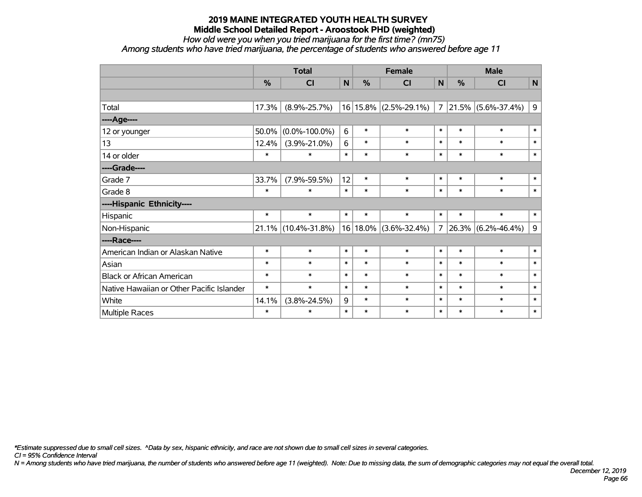*How old were you when you tried marijuana for the first time? (mn75)*

*Among students who have tried marijuana, the percentage of students who answered before age 11*

|                                           | <b>Total</b> |                        |        |        | <b>Female</b>             |                |        | <b>Male</b>             |              |  |
|-------------------------------------------|--------------|------------------------|--------|--------|---------------------------|----------------|--------|-------------------------|--------------|--|
|                                           | $\%$         | C <sub>l</sub>         | N      | $\%$   | <b>CI</b>                 | N              | %      | <b>CI</b>               | $\mathbf N$  |  |
|                                           |              |                        |        |        |                           |                |        |                         |              |  |
| Total                                     | 17.3%        | $(8.9\% - 25.7\%)$     |        |        | $16 15.8\% $ (2.5%-29.1%) | $\overline{7}$ |        | $ 21.5\% $ (5.6%-37.4%) | 9            |  |
| ----Age----                               |              |                        |        |        |                           |                |        |                         |              |  |
| 12 or younger                             | 50.0%        | $(0.0\% - 100.0\%)$    | 6      | $\ast$ | $\ast$                    | $\ast$         | $\ast$ | $\ast$                  | $\ast$       |  |
| 13                                        | 12.4%        | $(3.9\% - 21.0\%)$     | 6      | $\ast$ | $\ast$                    | $\ast$         | $\ast$ | $\ast$                  | $\ast$       |  |
| 14 or older                               | $\ast$       | $\ast$                 | $\ast$ | $\ast$ | $\ast$                    | $\ast$         | $\ast$ | $\ast$                  | $\ast$       |  |
| ----Grade----                             |              |                        |        |        |                           |                |        |                         |              |  |
| Grade 7                                   | 33.7%        | $(7.9\% - 59.5\%)$     | 12     | $\ast$ | $\ast$                    | $\ast$         | $\ast$ | $\ast$                  | $\ast$       |  |
| Grade 8                                   | $\ast$       | $\ast$                 | $\ast$ | $\ast$ | $\ast$                    | $\ast$         | $\ast$ | $\ast$                  | $\ast$       |  |
| ----Hispanic Ethnicity----                |              |                        |        |        |                           |                |        |                         |              |  |
| Hispanic                                  | $\ast$       | $\ast$                 | $\ast$ | $\ast$ | $\ast$                    | $\ast$         | $\ast$ | $\ast$                  | $\ast$       |  |
| Non-Hispanic                              |              | $21.1\%$ (10.4%-31.8%) |        |        | 16 18.0% (3.6%-32.4%)     | $\overline{7}$ |        | $ 26.3\% $ (6.2%-46.4%) | 9            |  |
| ----Race----                              |              |                        |        |        |                           |                |        |                         |              |  |
| American Indian or Alaskan Native         | $\ast$       | $\ast$                 | $\ast$ | $\ast$ | $\ast$                    | $\ast$         | $\ast$ | $\ast$                  | $\ast$       |  |
| Asian                                     | $\ast$       | $\ast$                 | $\ast$ | $\ast$ | $\ast$                    | $\ast$         | $\ast$ | $\ast$                  | $\ast$       |  |
| <b>Black or African American</b>          | $\ast$       | $\ast$                 | $\ast$ | $\ast$ | $\ast$                    | $\ast$         | $\ast$ | $\ast$                  | $\ast$       |  |
| Native Hawaiian or Other Pacific Islander | $\ast$       | $\ast$                 | $\ast$ | $\ast$ | $\ast$                    | $\ast$         | $\ast$ | $\ast$                  | $\pmb{\ast}$ |  |
| White                                     | 14.1%        | $(3.8\% - 24.5\%)$     | 9      | $\ast$ | $\ast$                    | $\ast$         | $\ast$ | $\ast$                  | $\ast$       |  |
| Multiple Races                            | $\ast$       | $\ast$                 | $\ast$ | $\ast$ | $\ast$                    | $\ast$         | $\ast$ | $\ast$                  | $\ast$       |  |

*\*Estimate suppressed due to small cell sizes. ^Data by sex, hispanic ethnicity, and race are not shown due to small cell sizes in several categories.*

*CI = 95% Confidence Interval*

*N = Among students who have tried marijuana, the number of students who answered before age 11 (weighted). Note: Due to missing data, the sum of demographic categories may not equal the overall total.*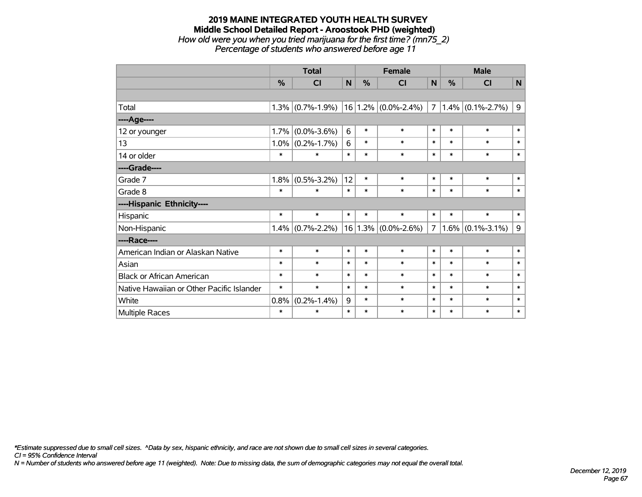#### **2019 MAINE INTEGRATED YOUTH HEALTH SURVEY Middle School Detailed Report - Aroostook PHD (weighted)** *How old were you when you tried marijuana for the first time? (mn75\_2) Percentage of students who answered before age 11*

|                                           | <b>Total</b> |                     |        | <b>Female</b> |                         |                | <b>Male</b>   |                     |              |  |
|-------------------------------------------|--------------|---------------------|--------|---------------|-------------------------|----------------|---------------|---------------------|--------------|--|
|                                           | %            | <b>CI</b>           | N      | %             | CI                      | N              | $\frac{0}{0}$ | CI                  | $\mathsf{N}$ |  |
|                                           |              |                     |        |               |                         |                |               |                     |              |  |
| Total                                     |              | $1.3\%$ (0.7%-1.9%) |        |               | $16 1.2\% $ (0.0%-2.4%) | $\overline{7}$ |               | $1.4\%$ (0.1%-2.7%) | $\mathsf 9$  |  |
| ----Age----                               |              |                     |        |               |                         |                |               |                     |              |  |
| 12 or younger                             | 1.7%         | $(0.0\% - 3.6\%)$   | 6      | $\ast$        | $\ast$                  | $\ast$         | $\ast$        | $\ast$              | $\ast$       |  |
| 13                                        | 1.0%         | $(0.2\% - 1.7\%)$   | 6      | $\ast$        | $\ast$                  | $\ast$         | $\ast$        | $\ast$              | $\ast$       |  |
| 14 or older                               | $\ast$       | $\ast$              | $\ast$ | $\ast$        | $\ast$                  | $\ast$         | $\ast$        | $\ast$              | $\ast$       |  |
| ----Grade----                             |              |                     |        |               |                         |                |               |                     |              |  |
| Grade 7                                   | 1.8%         | $(0.5\% - 3.2\%)$   | 12     | $\ast$        | $\ast$                  | $\ast$         | $\ast$        | $\ast$              | $\ast$       |  |
| Grade 8                                   | $\ast$       | $\ast$              | $\ast$ | $\ast$        | $\ast$                  | $\ast$         | $\ast$        | $\ast$              | $\ast$       |  |
| ----Hispanic Ethnicity----                |              |                     |        |               |                         |                |               |                     |              |  |
| Hispanic                                  | $\ast$       | $\ast$              | $\ast$ | $\ast$        | $\ast$                  | $\ast$         | $\ast$        | $\ast$              | $\ast$       |  |
| Non-Hispanic                              |              | $1.4\%$ (0.7%-2.2%) |        |               | $16 1.3\% $ (0.0%-2.6%) | $\overline{7}$ |               | $1.6\%$ (0.1%-3.1%) | 9            |  |
| ----Race----                              |              |                     |        |               |                         |                |               |                     |              |  |
| American Indian or Alaskan Native         | $\ast$       | $\ast$              | $\ast$ | $\ast$        | $\ast$                  | $\ast$         | $\ast$        | $\ast$              | $\ast$       |  |
| Asian                                     | $\ast$       | $\ast$              | $\ast$ | $\ast$        | $\ast$                  | $\ast$         | $\ast$        | $\ast$              | $\ast$       |  |
| <b>Black or African American</b>          | $\ast$       | $\ast$              | $\ast$ | $\ast$        | $\ast$                  | $\ast$         | $\ast$        | $\ast$              | $\ast$       |  |
| Native Hawaiian or Other Pacific Islander | $\ast$       | $\ast$              | $\ast$ | $\ast$        | $\ast$                  | $\ast$         | $\ast$        | $\ast$              | $\ast$       |  |
| White                                     | 0.8%         | $(0.2\% - 1.4\%)$   | 9      | $\ast$        | $\ast$                  | $\ast$         | $\ast$        | $\ast$              | $\ast$       |  |
| Multiple Races                            | $\ast$       | $\ast$              | $\ast$ | $\ast$        | $\ast$                  | $\ast$         | $\ast$        | $\ast$              | $\ast$       |  |

*\*Estimate suppressed due to small cell sizes. ^Data by sex, hispanic ethnicity, and race are not shown due to small cell sizes in several categories.*

*CI = 95% Confidence Interval*

*N = Number of students who answered before age 11 (weighted). Note: Due to missing data, the sum of demographic categories may not equal the overall total.*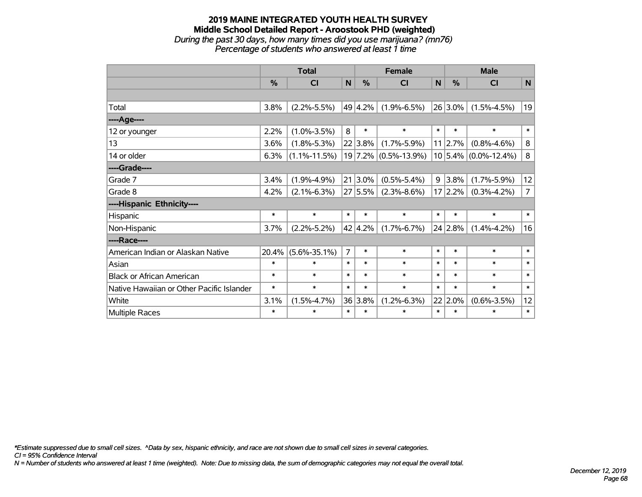# **2019 MAINE INTEGRATED YOUTH HEALTH SURVEY Middle School Detailed Report - Aroostook PHD (weighted)** *During the past 30 days, how many times did you use marijuana? (mn76)*

*Percentage of students who answered at least 1 time*

|                                           | <b>Total</b> |                    |                |                 | <b>Female</b>        | <b>Male</b> |            |                          |                |
|-------------------------------------------|--------------|--------------------|----------------|-----------------|----------------------|-------------|------------|--------------------------|----------------|
|                                           | %            | CI                 | $\mathbf N$    | %               | CI                   | N           | %          | <b>CI</b>                | $\mathsf{N}$   |
|                                           |              |                    |                |                 |                      |             |            |                          |                |
| Total                                     | 3.8%         | $(2.2\% - 5.5\%)$  |                | 49 4.2%         | $(1.9\% - 6.5\%)$    |             | $26 3.0\%$ | $(1.5\% - 4.5\%)$        | 19             |
| ----Age----                               |              |                    |                |                 |                      |             |            |                          |                |
| 12 or younger                             | 2.2%         | $(1.0\% - 3.5\%)$  | 8              | $\ast$          | $\ast$               | $\ast$      | $\ast$     | $\ast$                   | $\ast$         |
| 13                                        | 3.6%         | $(1.8\% - 5.3\%)$  |                | 22 3.8%         | $(1.7\% - 5.9\%)$    |             | 11 2.7%    | $(0.8\% - 4.6\%)$        | 8              |
| 14 or older                               | 6.3%         | $(1.1\% - 11.5\%)$ |                |                 | 19 7.2% (0.5%-13.9%) |             |            | $10 5.4\% $ (0.0%-12.4%) | 8              |
| ----Grade----                             |              |                    |                |                 |                      |             |            |                          |                |
| Grade 7                                   | 3.4%         | $(1.9\% - 4.9\%)$  |                | $21 3.0\%$      | $(0.5\% - 5.4\%)$    |             | $9 3.8\%$  | $(1.7\% - 5.9\%)$        | 12             |
| Grade 8                                   | 4.2%         | $(2.1\% - 6.3\%)$  |                | 27 5.5%         | $(2.3\% - 8.6\%)$    |             | 17 2.2%    | $(0.3\% - 4.2\%)$        | $\overline{7}$ |
| ----Hispanic Ethnicity----                |              |                    |                |                 |                      |             |            |                          |                |
| Hispanic                                  | $\ast$       | $\ast$             | $\ast$         | $\ast$          | $\ast$               | $\ast$      | $\ast$     | $\ast$                   | $\ast$         |
| Non-Hispanic                              | 3.7%         | $(2.2\% - 5.2\%)$  |                | $42 \mid 4.2\%$ | $(1.7\% - 6.7\%)$    |             | 24 2.8%    | $(1.4\% - 4.2\%)$        | 16             |
| ----Race----                              |              |                    |                |                 |                      |             |            |                          |                |
| American Indian or Alaskan Native         | 20.4%        | $(5.6\% - 35.1\%)$ | $\overline{7}$ | $\ast$          | $\ast$               | $\ast$      | $\ast$     | $\ast$                   | $\ast$         |
| Asian                                     | $\ast$       | $\ast$             | $\ast$         | $\ast$          | $\ast$               | $\ast$      | $\ast$     | $\ast$                   | $\ast$         |
| <b>Black or African American</b>          | $\ast$       | $\ast$             | $\ast$         | $\ast$          | $\ast$               | $\ast$      | $\ast$     | $\ast$                   | $\ast$         |
| Native Hawaiian or Other Pacific Islander | $\ast$       | $\ast$             | $\ast$         | $\ast$          | $\ast$               | $\ast$      | $\ast$     | $\ast$                   | $\ast$         |
| White                                     | 3.1%         | $(1.5\% - 4.7\%)$  |                | 36 3.8%         | $(1.2\% - 6.3\%)$    |             | 22 2.0%    | $(0.6\% - 3.5\%)$        | 12             |
| Multiple Races                            | $\ast$       | $\ast$             | $\ast$         | $\ast$          | $\ast$               | $\ast$      | $\ast$     | $\ast$                   | $\ast$         |

*\*Estimate suppressed due to small cell sizes. ^Data by sex, hispanic ethnicity, and race are not shown due to small cell sizes in several categories.*

*CI = 95% Confidence Interval*

*N = Number of students who answered at least 1 time (weighted). Note: Due to missing data, the sum of demographic categories may not equal the overall total.*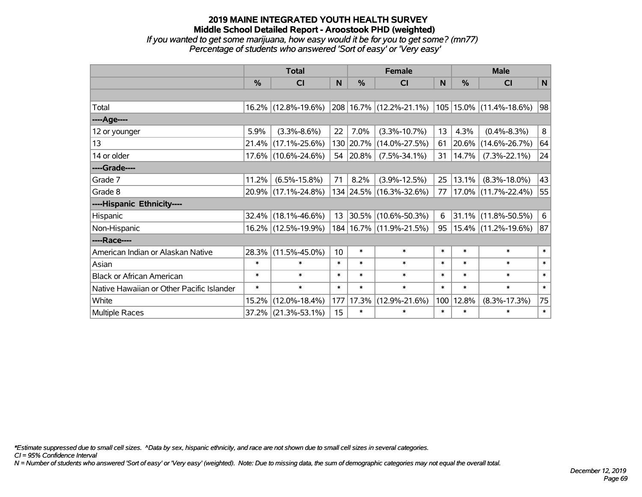*If you wanted to get some marijuana, how easy would it be for you to get some? (mn77) Percentage of students who answered 'Sort of easy' or 'Very easy'*

|                                           | <b>Total</b> |                     |        | <b>Female</b> | <b>Male</b>                 |        |        |                             |        |
|-------------------------------------------|--------------|---------------------|--------|---------------|-----------------------------|--------|--------|-----------------------------|--------|
|                                           | %            | <b>CI</b>           | N      | %             | <b>CI</b>                   | N      | $\%$   | <b>CI</b>                   | N      |
|                                           |              |                     |        |               |                             |        |        |                             |        |
| Total                                     |              | 16.2% (12.8%-19.6%) |        |               | 208 16.7% (12.2%-21.1%)     |        |        | $105 15.0\% $ (11.4%-18.6%) | 98     |
| ----Age----                               |              |                     |        |               |                             |        |        |                             |        |
| 12 or younger                             | 5.9%         | $(3.3\% - 8.6\%)$   | 22     | 7.0%          | $(3.3\% - 10.7\%)$          | 13     | 4.3%   | $(0.4\% - 8.3\%)$           | 8      |
| 13                                        | 21.4%        | $(17.1\% - 25.6\%)$ |        | 130 20.7%     | $(14.0\% - 27.5\%)$         | 61     | 20.6%  | $(14.6\% - 26.7\%)$         | 64     |
| 14 or older                               |              | 17.6% (10.6%-24.6%) | 54     | 20.8%         | $(7.5\% - 34.1\%)$          | 31     | 14.7%  | $(7.3\% - 22.1\%)$          | 24     |
| ----Grade----                             |              |                     |        |               |                             |        |        |                             |        |
| Grade 7                                   | 11.2%        | $(6.5\% - 15.8\%)$  | 71     | 8.2%          | $(3.9\% - 12.5\%)$          | 25     | 13.1%  | $(8.3\% - 18.0\%)$          | 43     |
| Grade 8                                   |              | 20.9% (17.1%-24.8%) |        |               | 134 24.5% (16.3%-32.6%)     | 77     |        | 17.0% (11.7%-22.4%)         | 55     |
| ----Hispanic Ethnicity----                |              |                     |        |               |                             |        |        |                             |        |
| Hispanic                                  | 32.4%        | $(18.1\% - 46.6\%)$ | 13     | 30.5%         | $(10.6\% - 50.3\%)$         | 6      |        | $31.1\%$ (11.8%-50.5%)      | 6      |
| Non-Hispanic                              | 16.2%        | $(12.5\% - 19.9\%)$ |        |               | 184   16.7%   (11.9%-21.5%) | 95     |        | 15.4% (11.2%-19.6%)         | 87     |
| ----Race----                              |              |                     |        |               |                             |        |        |                             |        |
| American Indian or Alaskan Native         | 28.3%        | $(11.5\% - 45.0\%)$ | 10     | $\ast$        | $\ast$                      | $\ast$ | $\ast$ | $\ast$                      | $\ast$ |
| Asian                                     | $\ast$       | $\ast$              | $\ast$ | $\ast$        | $\ast$                      | $\ast$ | $\ast$ | $\ast$                      | $\ast$ |
| <b>Black or African American</b>          | $\ast$       | $\ast$              | $\ast$ | $\ast$        | $\ast$                      | $\ast$ | $\ast$ | $\ast$                      | $\ast$ |
| Native Hawaiian or Other Pacific Islander | $\ast$       | $\ast$              | $\ast$ | $\ast$        | $\ast$                      | $\ast$ | $\ast$ | $\ast$                      | $\ast$ |
| White                                     | 15.2%        | $(12.0\% - 18.4\%)$ | 177    | 17.3%         | $(12.9\% - 21.6\%)$         | 100    | 12.8%  | $(8.3\% - 17.3\%)$          | 75     |
| <b>Multiple Races</b>                     | 37.2%        | $(21.3\% - 53.1\%)$ | 15     | $\ast$        | $\ast$                      | $\ast$ | $\ast$ | $\ast$                      | $\ast$ |

*\*Estimate suppressed due to small cell sizes. ^Data by sex, hispanic ethnicity, and race are not shown due to small cell sizes in several categories.*

*CI = 95% Confidence Interval*

*N = Number of students who answered 'Sort of easy' or 'Very easy' (weighted). Note: Due to missing data, the sum of demographic categories may not equal the overall total.*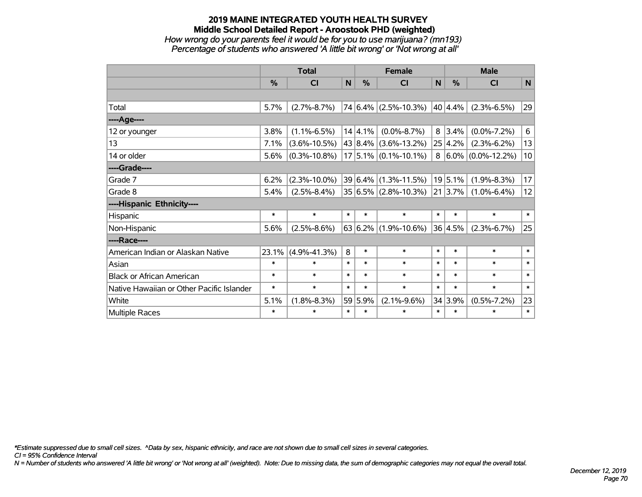#### **2019 MAINE INTEGRATED YOUTH HEALTH SURVEY Middle School Detailed Report - Aroostook PHD (weighted)** *How wrong do your parents feel it would be for you to use marijuana? (mn193)*

*Percentage of students who answered 'A little bit wrong' or 'Not wrong at all'*

|                                           | <b>Total</b> |                    |              |             | <b>Female</b>            | <b>Male</b> |               |                         |        |
|-------------------------------------------|--------------|--------------------|--------------|-------------|--------------------------|-------------|---------------|-------------------------|--------|
|                                           | %            | CI                 | $\mathsf{N}$ | %           | <b>CI</b>                | N           | $\frac{0}{0}$ | <b>CI</b>               | N      |
|                                           |              |                    |              |             |                          |             |               |                         |        |
| Total                                     | 5.7%         | $(2.7\% - 8.7\%)$  |              |             | $74 6.4\% $ (2.5%-10.3%) |             | 40 4.4%       | $(2.3\% - 6.5\%)$       | 29     |
| ----Age----                               |              |                    |              |             |                          |             |               |                         |        |
| 12 or younger                             | 3.8%         | $(1.1\% - 6.5\%)$  |              | 14 4.1%     | $(0.0\% - 8.7\%)$        |             | 8 3.4%        | $(0.0\% - 7.2\%)$       | 6      |
| 13                                        | 7.1%         | $(3.6\% - 10.5\%)$ |              | 43 8.4%     | $(3.6\% - 13.2\%)$       |             | 25 4.2%       | $(2.3\% - 6.2\%)$       | 13     |
| 14 or older                               | 5.6%         | $(0.3\% - 10.8\%)$ |              |             | $17$ 5.1% (0.1%-10.1%)   |             |               | $8 6.0\% $ (0.0%-12.2%) | 10     |
| ----Grade----                             |              |                    |              |             |                          |             |               |                         |        |
| Grade 7                                   | 6.2%         | $(2.3\% - 10.0\%)$ |              | $39 6.4\% $ | $(1.3\% - 11.5\%)$       |             | 19 5.1%       | $(1.9\% - 8.3\%)$       | 17     |
| Grade 8                                   | 5.4%         | $(2.5\% - 8.4\%)$  |              |             | $35 6.5\% $ (2.8%-10.3%) |             | $21 3.7\% $   | $(1.0\% - 6.4\%)$       | 12     |
| ----Hispanic Ethnicity----                |              |                    |              |             |                          |             |               |                         |        |
| Hispanic                                  | $\ast$       | $\ast$             | $\ast$       | $\ast$      | $\ast$                   | $\ast$      | $\ast$        | $\ast$                  | $\ast$ |
| Non-Hispanic                              | 5.6%         | $(2.5\% - 8.6\%)$  |              | 63 6.2%     | $(1.9\% - 10.6\%)$       |             | 36 4.5%       | $(2.3\% - 6.7\%)$       | 25     |
| ----Race----                              |              |                    |              |             |                          |             |               |                         |        |
| American Indian or Alaskan Native         | 23.1%        | $(4.9\% - 41.3\%)$ | 8            | $\ast$      | $\ast$                   | $\ast$      | $\ast$        | $\ast$                  | $\ast$ |
| Asian                                     | $\ast$       | $\ast$             | $\ast$       | $\ast$      | $\ast$                   | $\ast$      | $\ast$        | $\ast$                  | $\ast$ |
| <b>Black or African American</b>          | $\ast$       | $\ast$             | $\ast$       | $\ast$      | $\ast$                   | $\ast$      | $\ast$        | $\ast$                  | $\ast$ |
| Native Hawaiian or Other Pacific Islander | $\ast$       | $\ast$             | $\ast$       | $\ast$      | $\ast$                   | $\ast$      | $\ast$        | $\ast$                  | $\ast$ |
| White                                     | 5.1%         | $(1.8\% - 8.3\%)$  |              | 59 5.9%     | $(2.1\% - 9.6\%)$        |             | 34 3.9%       | $(0.5\% - 7.2\%)$       | 23     |
| Multiple Races                            | $\ast$       | $\ast$             | $\ast$       | $\ast$      | $\ast$                   | $\ast$      | $\ast$        | $\ast$                  | $\ast$ |

*\*Estimate suppressed due to small cell sizes. ^Data by sex, hispanic ethnicity, and race are not shown due to small cell sizes in several categories.*

*CI = 95% Confidence Interval*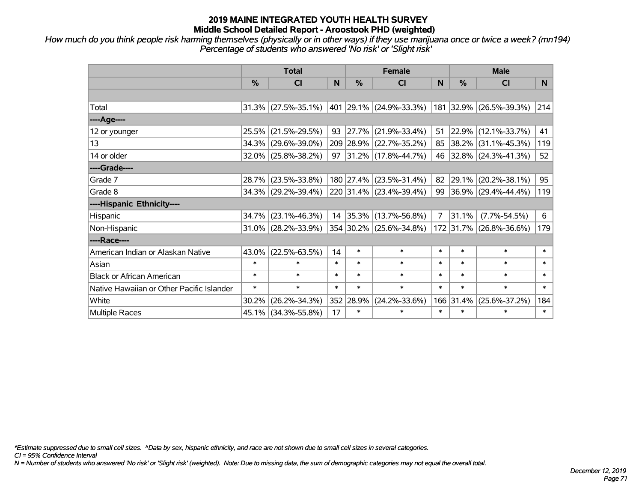*How much do you think people risk harming themselves (physically or in other ways) if they use marijuana once or twice a week? (mn194) Percentage of students who answered 'No risk' or 'Slight risk'*

|                                           | <b>Total</b>  |                        |        | <b>Female</b> | <b>Male</b>               |                |        |                         |        |
|-------------------------------------------|---------------|------------------------|--------|---------------|---------------------------|----------------|--------|-------------------------|--------|
|                                           | $\frac{0}{0}$ | <b>CI</b>              | N      | $\%$          | CI                        | N              | $\%$   | <b>CI</b>               | N      |
|                                           |               |                        |        |               |                           |                |        |                         |        |
| Total                                     |               | $31.3\%$ (27.5%-35.1%) |        |               | 401  29.1%  (24.9%-33.3%) |                |        | 181 32.9% (26.5%-39.3%) | 214    |
| ----Age----                               |               |                        |        |               |                           |                |        |                         |        |
| 12 or younger                             | 25.5%         | $(21.5\% - 29.5\%)$    | 93     | 27.7%         | $(21.9\% - 33.4\%)$       | 51             | 22.9%  | $(12.1\% - 33.7\%)$     | 41     |
| 13                                        |               | 34.3% (29.6%-39.0%)    |        |               | 209 28.9% (22.7%-35.2%)   | 85             |        | 38.2% (31.1%-45.3%)     | 119    |
| 14 or older                               |               | $32.0\%$ (25.8%-38.2%) | 97     |               | $ 31.2\% $ (17.8%-44.7%)  |                |        | 46 32.8% (24.3%-41.3%)  | 52     |
| ----Grade----                             |               |                        |        |               |                           |                |        |                         |        |
| Grade 7                                   |               | 28.7% (23.5%-33.8%)    |        |               | 180 27.4% (23.5%-31.4%)   | 82             | 29.1%  | $(20.2\% - 38.1\%)$     | 95     |
| Grade 8                                   |               | 34.3% (29.2%-39.4%)    |        |               | 220 31.4% (23.4%-39.4%)   |                |        | 99 36.9% (29.4%-44.4%)  | 119    |
| ----Hispanic Ethnicity----                |               |                        |        |               |                           |                |        |                         |        |
| Hispanic                                  | 34.7%         | $(23.1\% - 46.3\%)$    |        |               | 14 35.3% (13.7%-56.8%)    | $\overline{7}$ | 31.1%  | $(7.7\% - 54.5\%)$      | 6      |
| Non-Hispanic                              |               | 31.0% (28.2%-33.9%)    |        |               | 354 30.2% (25.6%-34.8%)   |                |        | 172 31.7% (26.8%-36.6%) | 179    |
| ----Race----                              |               |                        |        |               |                           |                |        |                         |        |
| American Indian or Alaskan Native         | 43.0%         | $(22.5\% - 63.5\%)$    | 14     | $\ast$        | $\ast$                    | $\ast$         | $\ast$ | $\ast$                  | $\ast$ |
| Asian                                     | $\ast$        | $\ast$                 | $\ast$ | $\ast$        | $\ast$                    | $\ast$         | $\ast$ | $\ast$                  | $\ast$ |
| <b>Black or African American</b>          | $\ast$        | $\ast$                 | $\ast$ | $\ast$        | $\ast$                    | $\ast$         | $\ast$ | $\ast$                  | $\ast$ |
| Native Hawaiian or Other Pacific Islander | $\ast$        | $\ast$                 | $\ast$ | $\ast$        | $\ast$                    | $\ast$         | $\ast$ | $\ast$                  | $\ast$ |
| White                                     | 30.2%         | $(26.2\% - 34.3\%)$    | 352    | 28.9%         | $(24.2\% - 33.6\%)$       | 166            | 31.4%  | $(25.6\% - 37.2\%)$     | 184    |
| <b>Multiple Races</b>                     |               | 45.1% (34.3%-55.8%)    | 17     | $\ast$        | $\ast$                    | $\ast$         | $\ast$ | *                       | $\ast$ |

*\*Estimate suppressed due to small cell sizes. ^Data by sex, hispanic ethnicity, and race are not shown due to small cell sizes in several categories.*

*CI = 95% Confidence Interval*

*N = Number of students who answered 'No risk' or 'Slight risk' (weighted). Note: Due to missing data, the sum of demographic categories may not equal the overall total.*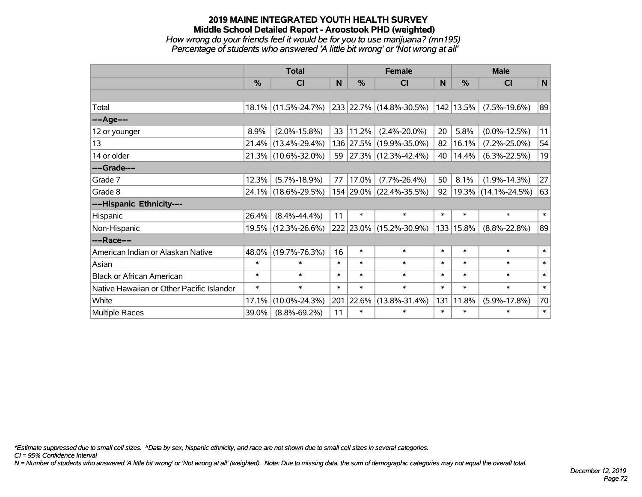# **2019 MAINE INTEGRATED YOUTH HEALTH SURVEY Middle School Detailed Report - Aroostook PHD (weighted)** *How wrong do your friends feel it would be for you to use marijuana? (mn195) Percentage of students who answered 'A little bit wrong' or 'Not wrong at all'*

|                                           | <b>Total</b> |                     |        | <b>Female</b> | <b>Male</b>                  |        |            |                     |        |
|-------------------------------------------|--------------|---------------------|--------|---------------|------------------------------|--------|------------|---------------------|--------|
|                                           | %            | CI                  | N      | $\%$          | <b>CI</b>                    | N      | %          | <b>CI</b>           | N      |
|                                           |              |                     |        |               |                              |        |            |                     |        |
| Total                                     |              | 18.1% (11.5%-24.7%) |        |               | $ 233 22.7\% $ (14.8%-30.5%) |        | 142 13.5%  | $(7.5\% - 19.6\%)$  | 89     |
| ----Age----                               |              |                     |        |               |                              |        |            |                     |        |
| 12 or younger                             | 8.9%         | $(2.0\% - 15.8\%)$  | 33     | 11.2%         | $(2.4\% - 20.0\%)$           | 20     | 5.8%       | $(0.0\% - 12.5\%)$  | 11     |
| 13                                        | 21.4%        | $(13.4\% - 29.4\%)$ |        |               | 136 27.5% (19.9%-35.0%)      | 82     | 16.1%      | $(7.2\% - 25.0\%)$  | 54     |
| 14 or older                               |              | 21.3% (10.6%-32.0%) | 59     |               | $ 27.3\% $ (12.3%-42.4%)     | 40     | 14.4%      | $(6.3\% - 22.5\%)$  | 19     |
| ----Grade----                             |              |                     |        |               |                              |        |            |                     |        |
| Grade 7                                   | 12.3%        | $(5.7\% - 18.9\%)$  | 77     | 17.0%         | $(7.7\% - 26.4\%)$           | 50     | 8.1%       | $(1.9\% - 14.3\%)$  | 27     |
| Grade 8                                   |              | 24.1% (18.6%-29.5%) |        |               | 154 29.0% (22.4%-35.5%)      | 92     | $ 19.3\% $ | $(14.1\% - 24.5\%)$ | 63     |
| ----Hispanic Ethnicity----                |              |                     |        |               |                              |        |            |                     |        |
| Hispanic                                  | 26.4%        | $(8.4\% - 44.4\%)$  | 11     | $\ast$        | $\ast$                       | $\ast$ | $\ast$     | $\ast$              | $\ast$ |
| Non-Hispanic                              | 19.5%        | $(12.3\% - 26.6\%)$ |        |               | 222 23.0% (15.2%-30.9%)      |        | 133 15.8%  | $(8.8\% - 22.8\%)$  | 89     |
| ----Race----                              |              |                     |        |               |                              |        |            |                     |        |
| American Indian or Alaskan Native         | 48.0%        | $(19.7\% - 76.3\%)$ | 16     | $\ast$        | $\ast$                       | $\ast$ | $\ast$     | $\ast$              | $\ast$ |
| Asian                                     | $\ast$       | $\ast$              | $\ast$ | $\ast$        | $\ast$                       | $\ast$ | $\ast$     | $\ast$              | $\ast$ |
| <b>Black or African American</b>          | $\ast$       | $\ast$              | $\ast$ | $\ast$        | $\ast$                       | $\ast$ | $\ast$     | $\ast$              | $\ast$ |
| Native Hawaiian or Other Pacific Islander | $\ast$       | $\ast$              | $\ast$ | $\ast$        | $\ast$                       | $\ast$ | $\ast$     | $\ast$              | $\ast$ |
| White                                     | 17.1%        | $(10.0\% - 24.3\%)$ | 201    | 22.6%         | $(13.8\% - 31.4\%)$          | 131    | 11.8%      | $(5.9\% - 17.8\%)$  | 70     |
| <b>Multiple Races</b>                     | 39.0%        | $(8.8\% - 69.2\%)$  | 11     | $\ast$        | $\ast$                       | $\ast$ | $\ast$     | $\ast$              | $\ast$ |

*\*Estimate suppressed due to small cell sizes. ^Data by sex, hispanic ethnicity, and race are not shown due to small cell sizes in several categories.*

*CI = 95% Confidence Interval*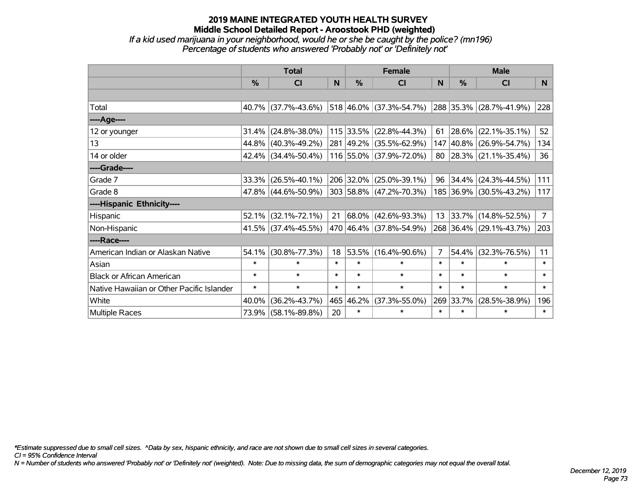### **2019 MAINE INTEGRATED YOUTH HEALTH SURVEY Middle School Detailed Report - Aroostook PHD (weighted)** *If a kid used marijuana in your neighborhood, would he or she be caught by the police? (mn196)*

*Percentage of students who answered 'Probably not' or 'Definitely not'*

|                                           | <b>Total</b> |                     |        | <b>Female</b> | <b>Male</b>                      |        |           |                         |             |
|-------------------------------------------|--------------|---------------------|--------|---------------|----------------------------------|--------|-----------|-------------------------|-------------|
|                                           | %            | <b>CI</b>           | N      | $\frac{9}{6}$ | <b>CI</b>                        | N      | %         | <b>CI</b>               | N.          |
|                                           |              |                     |        |               |                                  |        |           |                         |             |
| Total                                     |              | 40.7% (37.7%-43.6%) |        |               | $ 518 46.0\%  (37.3\% - 54.7\%)$ |        |           | 288 35.3% (28.7%-41.9%) | 228         |
| ----Age----                               |              |                     |        |               |                                  |        |           |                         |             |
| 12 or younger                             | 31.4%        | $(24.8\% - 38.0\%)$ |        |               | 115 33.5% (22.8%-44.3%)          | 61     | 28.6%     | $(22.1\% - 35.1\%)$     | 52          |
| 13                                        | 44.8%        | $(40.3\% - 49.2\%)$ |        |               | 281 49.2% (35.5%-62.9%)          |        | 147 40.8% | $(26.9\% - 54.7\%)$     | 134         |
| 14 or older                               |              | 42.4% (34.4%-50.4%) |        |               | 116 55.0% (37.9%-72.0%)          |        |           | 80 28.3% (21.1%-35.4%)  | 36          |
| ----Grade----                             |              |                     |        |               |                                  |        |           |                         |             |
| Grade 7                                   | 33.3%        | $(26.5\% - 40.1\%)$ |        |               | 206 32.0% (25.0%-39.1%)          |        | 96 34.4%  | $(24.3\% - 44.5\%)$     | 111         |
| Grade 8                                   |              | 47.8% (44.6%-50.9%) |        |               | $ 303 58.8\% $ (47.2%-70.3%)     |        |           | 185 36.9% (30.5%-43.2%) | 117         |
| ----Hispanic Ethnicity----                |              |                     |        |               |                                  |        |           |                         |             |
| Hispanic                                  | 52.1%        | $(32.1\% - 72.1\%)$ | 21     |               | 68.0% (42.6%-93.3%)              |        | 13 33.7%  | $(14.8\% - 52.5\%)$     | $7^{\circ}$ |
| Non-Hispanic                              |              | 41.5% (37.4%-45.5%) |        |               | 470 46.4% (37.8%-54.9%)          |        |           | 268 36.4% (29.1%-43.7%) | 203         |
| ----Race----                              |              |                     |        |               |                                  |        |           |                         |             |
| American Indian or Alaskan Native         | 54.1%        | $(30.8\% - 77.3\%)$ | 18     |               | 53.5% (16.4%-90.6%)              | 7      | 54.4%     | $(32.3\% - 76.5\%)$     | 11          |
| Asian                                     | $\ast$       | $\ast$              | $\ast$ | $\ast$        | $\ast$                           | $\ast$ | $\ast$    | $\ast$                  | $\ast$      |
| <b>Black or African American</b>          | $\ast$       | $\ast$              | $\ast$ | $\ast$        | $\ast$                           | $\ast$ | $\ast$    | $\ast$                  | $\ast$      |
| Native Hawaiian or Other Pacific Islander | $\ast$       | $\ast$              | $\ast$ | $\ast$        | $\ast$                           | $\ast$ | $\ast$    | $\ast$                  | $\ast$      |
| White                                     | 40.0%        | $(36.2\% - 43.7\%)$ |        | 465 46.2%     | $(37.3\% - 55.0\%)$              |        | 269 33.7% | $(28.5\% - 38.9\%)$     | 196         |
| Multiple Races                            |              | 73.9% (58.1%-89.8%) | 20     | $\ast$        | $\ast$                           | $\ast$ | $\ast$    | $\ast$                  | $\ast$      |

*\*Estimate suppressed due to small cell sizes. ^Data by sex, hispanic ethnicity, and race are not shown due to small cell sizes in several categories.*

*CI = 95% Confidence Interval*

*N = Number of students who answered 'Probably not' or 'Definitely not' (weighted). Note: Due to missing data, the sum of demographic categories may not equal the overall total.*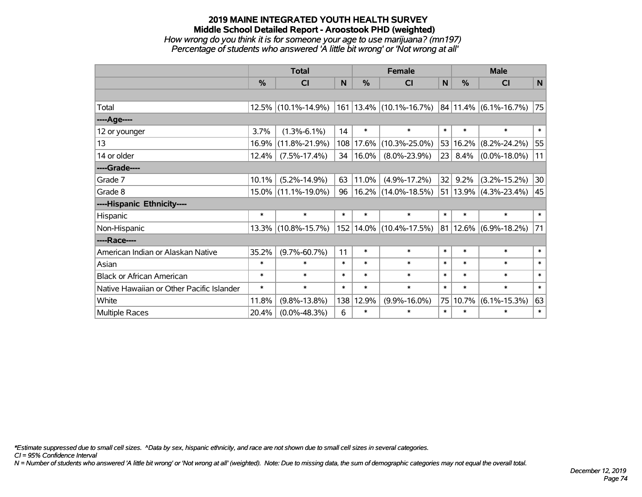# **2019 MAINE INTEGRATED YOUTH HEALTH SURVEY Middle School Detailed Report - Aroostook PHD (weighted)** *How wrong do you think it is for someone your age to use marijuana? (mn197)*

*Percentage of students who answered 'A little bit wrong' or 'Not wrong at all'*

|                                           | <b>Total</b> |                        |        | <b>Female</b> |                                                                                               |        | <b>Male</b>     |                               |                 |
|-------------------------------------------|--------------|------------------------|--------|---------------|-----------------------------------------------------------------------------------------------|--------|-----------------|-------------------------------|-----------------|
|                                           | $\%$         | <b>CI</b>              | N      | $\%$          | CI                                                                                            | N      | %               | <b>CI</b>                     | $\mathsf{N}$    |
|                                           |              |                        |        |               |                                                                                               |        |                 |                               |                 |
| Total                                     | 12.5%        | $(10.1\% - 14.9\%)$    |        |               | $\vert$ 161 $\vert$ 13.4% $\vert$ (10.1%-16.7%) $\vert$ 84 $\vert$ 11.4% $\vert$ (6.1%-16.7%) |        |                 |                               | 75              |
| ----Age----                               |              |                        |        |               |                                                                                               |        |                 |                               |                 |
| 12 or younger                             | 3.7%         | $(1.3\% - 6.1\%)$      | 14     | $\ast$        | $\ast$                                                                                        | $\ast$ | $\ast$          | $\ast$                        | $\ast$          |
| 13                                        | 16.9%        | $(11.8\% - 21.9\%)$    |        | 108 17.6%     | $(10.3\% - 25.0\%)$                                                                           |        | 53 16.2%        | $(8.2\% - 24.2\%)$            | 55              |
| 14 or older                               | 12.4%        | $(7.5\% - 17.4\%)$     | 34     | 16.0%         | $(8.0\% - 23.9\%)$                                                                            |        | $23 \mid 8.4\%$ | $(0.0\% - 18.0\%)$            | 11              |
| ----Grade----                             |              |                        |        |               |                                                                                               |        |                 |                               |                 |
| Grade 7                                   | 10.1%        | $(5.2\% - 14.9\%)$     | 63     | 11.0%         | $(4.9\% - 17.2\%)$                                                                            | 32     | 9.2%            | $(3.2\% - 15.2\%)$            | 30 <sup>°</sup> |
| Grade 8                                   |              | $15.0\%$ (11.1%-19.0%) | 96     |               | $16.2\%$ (14.0%-18.5%)                                                                        |        |                 | 51   13.9% $(4.3\% - 23.4\%)$ | 45              |
| ----Hispanic Ethnicity----                |              |                        |        |               |                                                                                               |        |                 |                               |                 |
| Hispanic                                  | $\ast$       | $\ast$                 | *      | $\ast$        | $\ast$                                                                                        | $\ast$ | $\ast$          | $\ast$                        | $\ast$          |
| Non-Hispanic                              | $13.3\%$     | $(10.8\% - 15.7\%)$    |        |               | 152 14.0% (10.4%-17.5%)                                                                       |        |                 | $ 81 12.6\% $ (6.9%-18.2%)    | 71              |
| ----Race----                              |              |                        |        |               |                                                                                               |        |                 |                               |                 |
| American Indian or Alaskan Native         | 35.2%        | $(9.7\% - 60.7\%)$     | 11     | $\ast$        | $\ast$                                                                                        | $\ast$ | $\ast$          | $\ast$                        | $\ast$          |
| Asian                                     | $\ast$       | $\ast$                 | $\ast$ | $\ast$        | $\ast$                                                                                        | $\ast$ | $\ast$          | $\ast$                        | $\ast$          |
| <b>Black or African American</b>          | $\ast$       | $\ast$                 | $\ast$ | $\ast$        | $\ast$                                                                                        | $\ast$ | $\ast$          | $\ast$                        | $\ast$          |
| Native Hawaiian or Other Pacific Islander | $\ast$       | $\ast$                 | $\ast$ | $\ast$        | $\ast$                                                                                        | $\ast$ | $\ast$          | $\ast$                        | $\ast$          |
| White                                     | 11.8%        | $(9.8\% - 13.8\%)$     |        | 138 12.9%     | $(9.9\% - 16.0\%)$                                                                            | 75     | 10.7%           | $(6.1\% - 15.3\%)$            | 63              |
| Multiple Races                            | 20.4%        | $(0.0\% - 48.3\%)$     | 6      | $\ast$        | $\ast$                                                                                        | $\ast$ | $\ast$          | $\ast$                        | $\ast$          |

*\*Estimate suppressed due to small cell sizes. ^Data by sex, hispanic ethnicity, and race are not shown due to small cell sizes in several categories.*

*CI = 95% Confidence Interval*

*N = Number of students who answered 'A little bit wrong' or 'Not wrong at all' (weighted). Note: Due to missing data, the sum of demographic categories may not equal the overall total.*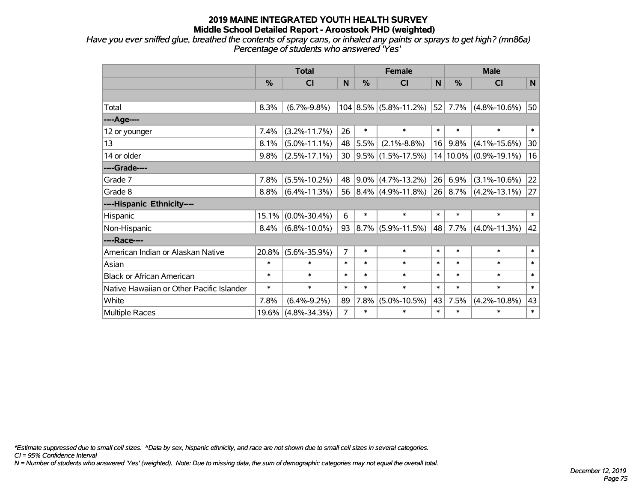*Have you ever sniffed glue, breathed the contents of spray cans, or inhaled any paints or sprays to get high? (mn86a) Percentage of students who answered 'Yes'*

|                                           | <b>Total</b> |                    |                |         | <b>Female</b>             |        | <b>Male</b> |                       |              |  |
|-------------------------------------------|--------------|--------------------|----------------|---------|---------------------------|--------|-------------|-----------------------|--------------|--|
|                                           | %            | <b>CI</b>          | N              | %       | <b>CI</b>                 | N      | %           | <b>CI</b>             | $\mathsf{N}$ |  |
|                                           |              |                    |                |         |                           |        |             |                       |              |  |
| Total                                     | 8.3%         | $(6.7\% - 9.8\%)$  |                |         | $104 8.5\% $ (5.8%-11.2%) | 52     | 7.7%        | $(4.8\% - 10.6\%)$    | 50           |  |
| ----Age----                               |              |                    |                |         |                           |        |             |                       |              |  |
| 12 or younger                             | 7.4%         | $(3.2\% - 11.7\%)$ | 26             | $\ast$  | $\ast$                    | $\ast$ | $\ast$      | $\ast$                | $\ast$       |  |
| 13                                        | 8.1%         | $(5.0\% - 11.1\%)$ | 48             | 5.5%    | $(2.1\% - 8.8\%)$         | 16     | 9.8%        | $(4.1\% - 15.6\%)$    | 30           |  |
| 14 or older                               | 9.8%         | $(2.5\% - 17.1\%)$ | 30             |         | $ 9.5\% $ (1.5%-17.5%)    |        |             | 14 10.0% (0.9%-19.1%) | 16           |  |
| ----Grade----                             |              |                    |                |         |                           |        |             |                       |              |  |
| Grade 7                                   | 7.8%         | $(5.5\% - 10.2\%)$ | 48             |         | $9.0\%$ (4.7%-13.2%)      | 26     | 6.9%        | $(3.1\% - 10.6\%)$    | 22           |  |
| Grade 8                                   | 8.8%         | $(6.4\% - 11.3\%)$ |                |         | 56 $ 8.4\% $ (4.9%-11.8%) |        | 26 8.7%     | $(4.2\% - 13.1\%)$    | 27           |  |
| ----Hispanic Ethnicity----                |              |                    |                |         |                           |        |             |                       |              |  |
| Hispanic                                  | 15.1%        | $(0.0\% - 30.4\%)$ | 6              | $\ast$  | $\ast$                    | $\ast$ | $\ast$      | $\ast$                | $\ast$       |  |
| Non-Hispanic                              | 8.4%         | $(6.8\% - 10.0\%)$ | 93             | $8.7\%$ | $(5.9\% - 11.5\%)$        | 48     | 7.7%        | $(4.0\% - 11.3\%)$    | 42           |  |
| ----Race----                              |              |                    |                |         |                           |        |             |                       |              |  |
| American Indian or Alaskan Native         | 20.8%        | $(5.6\% - 35.9\%)$ | 7              | $\ast$  | $\ast$                    | $\ast$ | $\ast$      | $\ast$                | $\ast$       |  |
| Asian                                     | $\ast$       | $\ast$             | $\ast$         | $\ast$  | $\ast$                    | $\ast$ | $\ast$      | $\ast$                | $\ast$       |  |
| <b>Black or African American</b>          | $\ast$       | $\ast$             | $\ast$         | $\ast$  | $\ast$                    | $\ast$ | $\ast$      | $\ast$                | $\ast$       |  |
| Native Hawaiian or Other Pacific Islander | $\ast$       | $\ast$             | $\ast$         | $\ast$  | $\ast$                    | $\ast$ | $\ast$      | $\ast$                | $\ast$       |  |
| White                                     | 7.8%         | $(6.4\% - 9.2\%)$  | 89             | 7.8%    | $(5.0\% - 10.5\%)$        | 43     | 7.5%        | $(4.2\% - 10.8\%)$    | 43           |  |
| Multiple Races                            | 19.6%        | $(4.8\% - 34.3\%)$ | $\overline{7}$ | $\ast$  | $\ast$                    | $\ast$ | $\ast$      | $\ast$                | $\ast$       |  |

*\*Estimate suppressed due to small cell sizes. ^Data by sex, hispanic ethnicity, and race are not shown due to small cell sizes in several categories.*

*CI = 95% Confidence Interval*

*N = Number of students who answered 'Yes' (weighted). Note: Due to missing data, the sum of demographic categories may not equal the overall total.*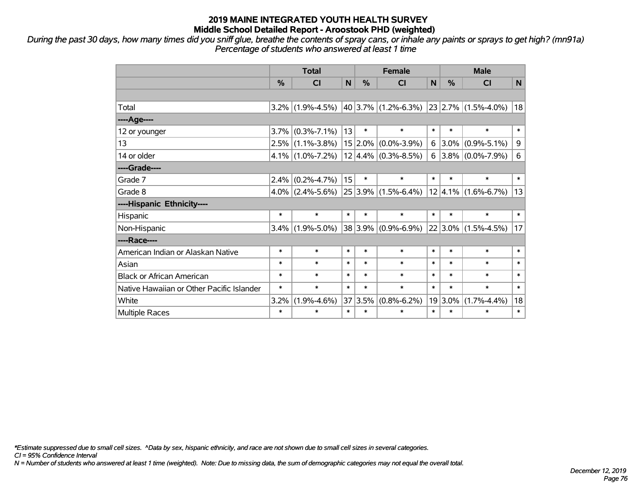*During the past 30 days, how many times did you sniff glue, breathe the contents of spray cans, or inhale any paints or sprays to get high? (mn91a) Percentage of students who answered at least 1 time*

|                                           | <b>Total</b>  |                                                             |        |         | <b>Female</b>           | <b>Male</b> |            |                          |        |
|-------------------------------------------|---------------|-------------------------------------------------------------|--------|---------|-------------------------|-------------|------------|--------------------------|--------|
|                                           | $\frac{0}{0}$ | <b>CI</b>                                                   | N      | %       | CI                      | N           | $\%$       | <b>CI</b>                | N      |
|                                           |               |                                                             |        |         |                         |             |            |                          |        |
| Total                                     |               | $3.2\%$ (1.9%-4.5%) 40 3.7% (1.2%-6.3%) 23 2.7% (1.5%-4.0%) |        |         |                         |             |            |                          | 18     |
| ----Age----                               |               |                                                             |        |         |                         |             |            |                          |        |
| 12 or younger                             | 3.7%          | $(0.3\% - 7.1\%)$                                           | 13     | $\ast$  | $\ast$                  | $\ast$      | $\ast$     | $\ast$                   | $\ast$ |
| 13                                        |               | $2.5\%$ (1.1%-3.8%)                                         |        |         | $15 2.0\% $ (0.0%-3.9%) | 6           | $3.0\%$    | $(0.9\% - 5.1\%)$        | 9      |
| 14 or older                               |               | $4.1\%$ (1.0%-7.2%)                                         |        |         | $12 4.4\% $ (0.3%-8.5%) |             |            | 6 3.8% $(0.0\% - 7.9\%)$ | 6      |
| ----Grade----                             |               |                                                             |        |         |                         |             |            |                          |        |
| Grade 7                                   | 2.4%          | $(0.2\% - 4.7\%)$                                           | 15     | $\ast$  | $\ast$                  | $\ast$      | $\ast$     | $\ast$                   | $\ast$ |
| Grade 8                                   |               | $4.0\%$ (2.4%-5.6%)                                         |        |         | $25 3.9\% $ (1.5%-6.4%) |             |            | $ 12 4.1\% $ (1.6%-6.7%) | 13     |
| ----Hispanic Ethnicity----                |               |                                                             |        |         |                         |             |            |                          |        |
| Hispanic                                  | $\ast$        | $\ast$                                                      | $\ast$ | $\ast$  | $\ast$                  | $\ast$      | $\ast$     | $\ast$                   | $\ast$ |
| Non-Hispanic                              | $3.4\%$       | $(1.9\% - 5.0\%)$                                           |        |         | 38 3.9% (0.9%-6.9%)     |             |            | $ 22 3.0\% $ (1.5%-4.5%) | 17     |
| ----Race----                              |               |                                                             |        |         |                         |             |            |                          |        |
| American Indian or Alaskan Native         | $\ast$        | $\ast$                                                      | $\ast$ | $\ast$  | $\ast$                  | $\ast$      | $\ast$     | $\ast$                   | $\ast$ |
| Asian                                     | $\ast$        | $\ast$                                                      | $\ast$ | $\ast$  | $\ast$                  | $\ast$      | $\ast$     | $\ast$                   | $\ast$ |
| <b>Black or African American</b>          | $\ast$        | $\ast$                                                      | $\ast$ | $\ast$  | $\ast$                  | $\ast$      | $\ast$     | $\ast$                   | $\ast$ |
| Native Hawaiian or Other Pacific Islander | $\ast$        | $\ast$                                                      | $\ast$ | $\ast$  | $\ast$                  | $\ast$      | $\ast$     | $\ast$                   | $\ast$ |
| White                                     | 3.2%          | $(1.9\% - 4.6\%)$                                           |        | 37 3.5% | $(0.8\% - 6.2\%)$       |             | $19 3.0\%$ | $(1.7\% - 4.4\%)$        | 18     |
| Multiple Races                            | $\ast$        | $\ast$                                                      | $\ast$ | $\ast$  | $\ast$                  | $\ast$      | $\ast$     | $\ast$                   | $\ast$ |

*\*Estimate suppressed due to small cell sizes. ^Data by sex, hispanic ethnicity, and race are not shown due to small cell sizes in several categories.*

*CI = 95% Confidence Interval*

*N = Number of students who answered at least 1 time (weighted). Note: Due to missing data, the sum of demographic categories may not equal the overall total.*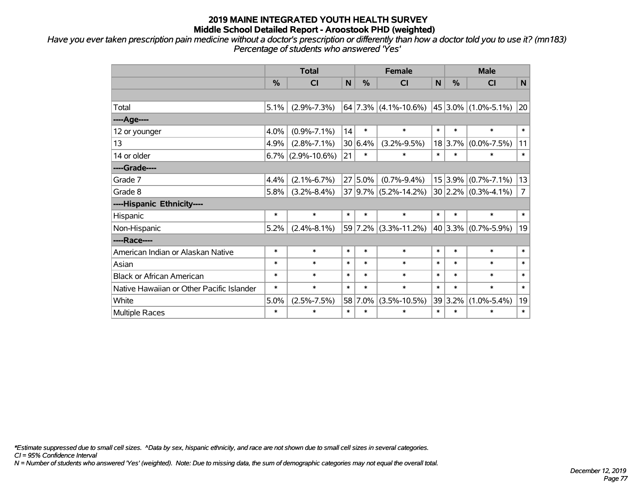*Have you ever taken prescription pain medicine without a doctor's prescription or differently than how a doctor told you to use it? (mn183) Percentage of students who answered 'Yes'*

|                                           | <b>Total</b> |                    |              | <b>Female</b> |                          |        | <b>Male</b> |                            |                |  |
|-------------------------------------------|--------------|--------------------|--------------|---------------|--------------------------|--------|-------------|----------------------------|----------------|--|
|                                           | %            | <b>CI</b>          | $\mathsf{N}$ | $\frac{0}{0}$ | <b>CI</b>                | N      | %           | <b>CI</b>                  | N              |  |
|                                           |              |                    |              |               |                          |        |             |                            |                |  |
| Total                                     | 5.1%         | $(2.9\% - 7.3\%)$  |              |               | $64$ 7.3% (4.1%-10.6%)   |        |             | $45 3.0\% (1.0\% - 5.1\%)$ | 20             |  |
| ----Age----                               |              |                    |              |               |                          |        |             |                            |                |  |
| 12 or younger                             | 4.0%         | $(0.9\% - 7.1\%)$  | 14           | $\ast$        | $\ast$                   | $\ast$ | $\ast$      | $\ast$                     | $\ast$         |  |
| 13                                        | 4.9%         | $(2.8\% - 7.1\%)$  |              | 30 6.4%       | $(3.2\% - 9.5\%)$        |        | 18 3.7%     | $(0.0\% - 7.5\%)$          | 11             |  |
| 14 or older                               | 6.7%         | $(2.9\% - 10.6\%)$ | 21           | $\ast$        | $\ast$                   | $\ast$ | $\ast$      | $\ast$                     | $\ast$         |  |
| ----Grade----                             |              |                    |              |               |                          |        |             |                            |                |  |
| Grade 7                                   | 4.4%         | $(2.1\% - 6.7\%)$  |              | $27 5.0\%$    | $(0.7\% - 9.4\%)$        |        | 15 3.9%     | $(0.7\% - 7.1\%)$          | 13             |  |
| Grade 8                                   | 5.8%         | $(3.2\% - 8.4\%)$  |              |               | $37 9.7\% $ (5.2%-14.2%) |        |             | $30 2.2\% $ (0.3%-4.1%)    | $\overline{7}$ |  |
| ----Hispanic Ethnicity----                |              |                    |              |               |                          |        |             |                            |                |  |
| Hispanic                                  | $\ast$       | $\ast$             | $\ast$       | $\ast$        | $\ast$                   | $\ast$ | $\ast$      | $\ast$                     | $\ast$         |  |
| Non-Hispanic                              | 5.2%         | $(2.4\% - 8.1\%)$  |              |               | 59 7.2% (3.3%-11.2%)     |        |             | 40 3.3% $(0.7\% - 5.9\%)$  | 19             |  |
| ----Race----                              |              |                    |              |               |                          |        |             |                            |                |  |
| American Indian or Alaskan Native         | $\ast$       | $\ast$             | $\ast$       | $\ast$        | $\ast$                   | $\ast$ | $\ast$      | $\ast$                     | $\ast$         |  |
| Asian                                     | $\ast$       | $\ast$             | $\ast$       | $\ast$        | $\ast$                   | $\ast$ | $\ast$      | $\ast$                     | $\ast$         |  |
| <b>Black or African American</b>          | $\ast$       | $\ast$             | $\ast$       | $\ast$        | $\ast$                   | $\ast$ | $\ast$      | $\ast$                     | $\ast$         |  |
| Native Hawaiian or Other Pacific Islander | $\ast$       | $\ast$             | $\ast$       | $\ast$        | $\ast$                   | $\ast$ | $\ast$      | $\ast$                     | $\ast$         |  |
| White                                     | 5.0%         | $(2.5\% - 7.5\%)$  | 58           | 7.0%          | $(3.5\% - 10.5\%)$       |        | 39 3.2%     | $(1.0\% - 5.4\%)$          | 19             |  |
| Multiple Races                            | $\ast$       | $\ast$             | $\ast$       | $\ast$        | $\ast$                   | $\ast$ | $\ast$      | $\ast$                     | $\ast$         |  |

*\*Estimate suppressed due to small cell sizes. ^Data by sex, hispanic ethnicity, and race are not shown due to small cell sizes in several categories.*

*CI = 95% Confidence Interval*

*N = Number of students who answered 'Yes' (weighted). Note: Due to missing data, the sum of demographic categories may not equal the overall total.*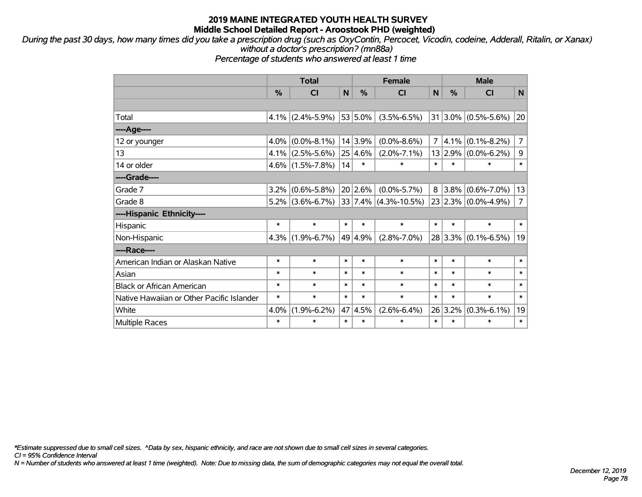*During the past 30 days, how many times did you take a prescription drug (such as OxyContin, Percocet, Vicodin, codeine, Adderall, Ritalin, or Xanax) without a doctor's prescription? (mn88a)*

*Percentage of students who answered at least 1 time*

|                                           | <b>Total</b>  |                     |        | <b>Female</b> |                           |                | <b>Male</b>   |                         |                |  |
|-------------------------------------------|---------------|---------------------|--------|---------------|---------------------------|----------------|---------------|-------------------------|----------------|--|
|                                           | $\frac{0}{0}$ | <b>CI</b>           | N      | %             | <b>CI</b>                 | N              | $\frac{0}{0}$ | <b>CI</b>               | N              |  |
|                                           |               |                     |        |               |                           |                |               |                         |                |  |
| Total                                     | $4.1\%$       | $(2.4\% - 5.9\%)$   |        | 53 5.0%       | $(3.5\% - 6.5\%)$         |                |               | $31 3.0\% $ (0.5%-5.6%) | 20             |  |
| ---- Age----                              |               |                     |        |               |                           |                |               |                         |                |  |
| 12 or younger                             | $4.0\%$       | $(0.0\% - 8.1\%)$   |        | 14 3.9%       | $(0.0\% - 8.6\%)$         | $\overline{7}$ | 4.1%          | $(0.1\% - 8.2\%)$       | $\overline{7}$ |  |
| 13                                        |               | $4.1\%$ (2.5%-5.6%) |        | 25 4.6%       | $(2.0\% - 7.1\%)$         |                | 13 2.9%       | $(0.0\% - 6.2\%)$       | 9              |  |
| 14 or older                               |               | $4.6\%$ (1.5%-7.8%) | 14     | $\ast$        | $\ast$                    | $\ast$         | $\ast$        | $\ast$                  | $\ast$         |  |
| ----Grade----                             |               |                     |        |               |                           |                |               |                         |                |  |
| Grade 7                                   | $3.2\%$       | $(0.6\% - 5.8\%)$   |        | 20 2.6%       | $(0.0\% - 5.7\%)$         | 8              | $3.8\%$       | $(0.6\% - 7.0\%)$       | 13             |  |
| Grade 8                                   |               | $5.2\%$ (3.6%-6.7%) |        |               | $ 33 7.4\% $ (4.3%-10.5%) |                |               | 23 2.3% (0.0%-4.9%)     | $\overline{7}$ |  |
| ----Hispanic Ethnicity----                |               |                     |        |               |                           |                |               |                         |                |  |
| Hispanic                                  | $\ast$        | $\ast$              | $\ast$ | $\ast$        | $\ast$                    | $\ast$         | $\ast$        | $\ast$                  | $\ast$         |  |
| Non-Hispanic                              | $4.3\%$       | $(1.9\% - 6.7\%)$   |        | 49 4.9%       | $(2.8\% - 7.0\%)$         |                |               | $28 3.3\% $ (0.1%-6.5%) | 19             |  |
| ----Race----                              |               |                     |        |               |                           |                |               |                         |                |  |
| American Indian or Alaskan Native         | *             | $\ast$              | $\ast$ | $\ast$        | $\ast$                    | $\ast$         | $\ast$        | $\ast$                  | $\ast$         |  |
| Asian                                     | $\ast$        | $\ast$              | $\ast$ | $\ast$        | $\ast$                    | $\ast$         | $\ast$        | $\ast$                  | $\ast$         |  |
| <b>Black or African American</b>          | $\ast$        | $\ast$              | $\ast$ | $\ast$        | $\ast$                    | $\ast$         | $\ast$        | $\ast$                  | $\ast$         |  |
| Native Hawaiian or Other Pacific Islander | $\ast$        | $\ast$              | $\ast$ | $\ast$        | $\ast$                    | $\ast$         | $\ast$        | $\ast$                  | $\ast$         |  |
| White                                     | 4.0%          | $(1.9\% - 6.2\%)$   | 47     | 4.5%          | $(2.6\% - 6.4\%)$         |                | 26 3.2%       | $(0.3\% - 6.1\%)$       | 19             |  |
| <b>Multiple Races</b>                     | $\ast$        | $\ast$              | $\ast$ | $\ast$        | $\ast$                    | $\ast$         | $\ast$        | $\ast$                  | $\ast$         |  |

*\*Estimate suppressed due to small cell sizes. ^Data by sex, hispanic ethnicity, and race are not shown due to small cell sizes in several categories.*

*CI = 95% Confidence Interval*

*N = Number of students who answered at least 1 time (weighted). Note: Due to missing data, the sum of demographic categories may not equal the overall total.*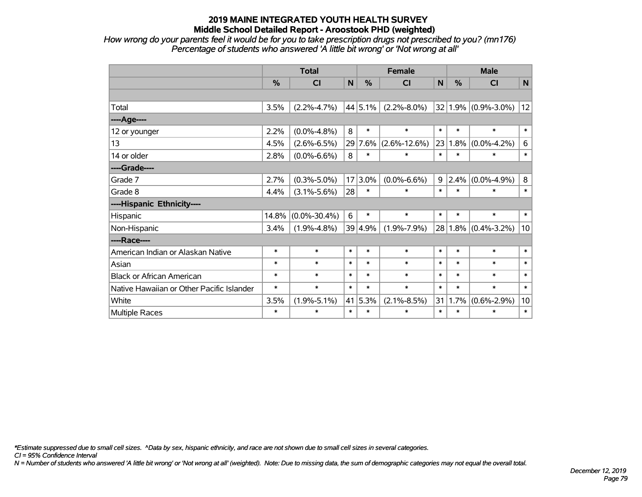*How wrong do your parents feel it would be for you to take prescription drugs not prescribed to you? (mn176) Percentage of students who answered 'A little bit wrong' or 'Not wrong at all'*

|                                           | <b>Total</b>  |                    |        |          | <b>Female</b>      | <b>Male</b> |               |                     |        |
|-------------------------------------------|---------------|--------------------|--------|----------|--------------------|-------------|---------------|---------------------|--------|
|                                           | $\frac{0}{0}$ | CI                 | N      | %        | CI                 | N           | $\frac{0}{0}$ | <b>CI</b>           | N      |
|                                           |               |                    |        |          |                    |             |               |                     |        |
| Total                                     | 3.5%          | $(2.2\% - 4.7\%)$  |        | 44 5.1%  | $(2.2\% - 8.0\%)$  | 32          |               | $1.9\%$ (0.9%-3.0%) | 12     |
| ----Age----                               |               |                    |        |          |                    |             |               |                     |        |
| 12 or younger                             | 2.2%          | $(0.0\% - 4.8\%)$  | 8      | $\ast$   | $\ast$             | $\ast$      | $\ast$        | $\ast$              | $\ast$ |
| 13                                        | 4.5%          | $(2.6\% - 6.5\%)$  |        | 29 7.6%  | $(2.6\% - 12.6\%)$ | 23          | 1.8%          | $(0.0\% - 4.2\%)$   | $\,6$  |
| 14 or older                               | 2.8%          | $(0.0\% - 6.6\%)$  | 8      | $\ast$   | $\ast$             | $\ast$      | $\ast$        | $\ast$              | $\ast$ |
| ----Grade----                             |               |                    |        |          |                    |             |               |                     |        |
| Grade 7                                   | 2.7%          | $(0.3\% - 5.0\%)$  | 17     | $ 3.0\%$ | $(0.0\% - 6.6\%)$  | 9           | 2.4%          | $(0.0\% - 4.9\%)$   | 8      |
| Grade 8                                   | 4.4%          | $(3.1\% - 5.6\%)$  | 28     | $\ast$   | $\ast$             | $\ast$      | $\ast$        | $\ast$              | $\ast$ |
| ----Hispanic Ethnicity----                |               |                    |        |          |                    |             |               |                     |        |
| Hispanic                                  | 14.8%         | $(0.0\% - 30.4\%)$ | 6      | $\ast$   | $\ast$             | $\ast$      | $\ast$        | $\ast$              | $\ast$ |
| Non-Hispanic                              | 3.4%          | $(1.9\% - 4.8\%)$  |        | 39 4.9%  | $(1.9\% - 7.9\%)$  | 28          |               | $1.8\%$ (0.4%-3.2%) | 10     |
| ----Race----                              |               |                    |        |          |                    |             |               |                     |        |
| American Indian or Alaskan Native         | $\ast$        | $\ast$             | $\ast$ | $\ast$   | $\ast$             | $\ast$      | $\ast$        | $\ast$              | $\ast$ |
| Asian                                     | $\ast$        | $\ast$             | $\ast$ | $\ast$   | $\ast$             | $\ast$      | $\ast$        | $\ast$              | $\ast$ |
| <b>Black or African American</b>          | $\ast$        | $\ast$             | $\ast$ | $\ast$   | $\ast$             | $\ast$      | $\ast$        | $\ast$              | $\ast$ |
| Native Hawaiian or Other Pacific Islander | $\ast$        | $\ast$             | $\ast$ | $\ast$   | $\ast$             | $\ast$      | $\ast$        | $\ast$              | $\ast$ |
| White                                     | 3.5%          | $(1.9\% - 5.1\%)$  | 41     | 5.3%     | $(2.1\% - 8.5\%)$  | 31          | 1.7%          | $(0.6\% - 2.9\%)$   | 10     |
| <b>Multiple Races</b>                     | $\ast$        | $\ast$             | $\ast$ | $\ast$   | $\ast$             | $\ast$      | $\ast$        | $\ast$              | $\ast$ |

*\*Estimate suppressed due to small cell sizes. ^Data by sex, hispanic ethnicity, and race are not shown due to small cell sizes in several categories.*

*CI = 95% Confidence Interval*

*N = Number of students who answered 'A little bit wrong' or 'Not wrong at all' (weighted). Note: Due to missing data, the sum of demographic categories may not equal the overall total.*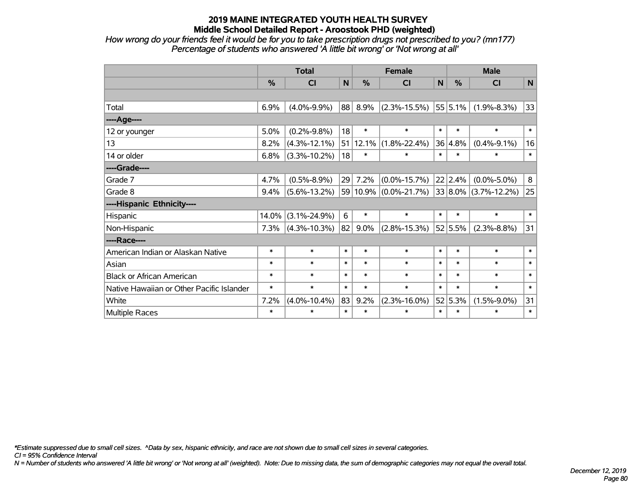*How wrong do your friends feel it would be for you to take prescription drugs not prescribed to you? (mn177) Percentage of students who answered 'A little bit wrong' or 'Not wrong at all'*

|                                           | <b>Total</b>  |                    |        | <b>Female</b> |                                            |        | <b>Male</b> |                   |        |  |
|-------------------------------------------|---------------|--------------------|--------|---------------|--------------------------------------------|--------|-------------|-------------------|--------|--|
|                                           | $\frac{0}{0}$ | C <sub>l</sub>     | N      | %             | C <sub>1</sub>                             | N      | %           | CI                | N      |  |
|                                           |               |                    |        |               |                                            |        |             |                   |        |  |
| Total                                     | 6.9%          | $(4.0\% - 9.9\%)$  | 88     | 8.9%          | $(2.3\% - 15.5\%)$                         |        | 55 5.1%     | $(1.9\% - 8.3\%)$ | 33     |  |
| ---- Age----                              |               |                    |        |               |                                            |        |             |                   |        |  |
| 12 or younger                             | 5.0%          | $(0.2\% - 9.8\%)$  | 18     | $\ast$        | $\ast$                                     | $\ast$ | $\ast$      | $\ast$            | $\ast$ |  |
| 13                                        | 8.2%          | $(4.3\% - 12.1\%)$ |        | 51 12.1%      | $(1.8\% - 22.4\%)$                         |        | 36 4.8%     | $(0.4\% - 9.1\%)$ | 16     |  |
| 14 or older                               | 6.8%          | $(3.3\% - 10.2\%)$ | 18     | $\ast$        | $\ast$                                     | $\ast$ | $\ast$      | $\ast$            | $\ast$ |  |
| ----Grade----                             |               |                    |        |               |                                            |        |             |                   |        |  |
| Grade 7                                   | 4.7%          | $(0.5\% - 8.9\%)$  | 29     | 7.2%          | $(0.0\% - 15.7\%)$                         |        | 22 2.4%     | $(0.0\% - 5.0\%)$ | 8      |  |
| Grade 8                                   | 9.4%          | $(5.6\% - 13.2\%)$ |        |               | 59 10.9% (0.0%-21.7%) 33 8.0% (3.7%-12.2%) |        |             |                   | 25     |  |
| ----Hispanic Ethnicity----                |               |                    |        |               |                                            |        |             |                   |        |  |
| Hispanic                                  | 14.0%         | $(3.1\% - 24.9\%)$ | 6      | $\ast$        | $\ast$                                     | $\ast$ | $\ast$      | $\ast$            | $\ast$ |  |
| Non-Hispanic                              | 7.3%          | $(4.3\% - 10.3\%)$ | 82     | $9.0\%$       | $(2.8\% - 15.3\%)$                         |        | 52 5.5%     | $(2.3\% - 8.8\%)$ | 31     |  |
| ----Race----                              |               |                    |        |               |                                            |        |             |                   |        |  |
| American Indian or Alaskan Native         | $\ast$        | $\ast$             | $\ast$ | $\ast$        | $\ast$                                     | $\ast$ | $\ast$      | $\ast$            | $\ast$ |  |
| Asian                                     | $\ast$        | $\ast$             | $\ast$ | $\ast$        | $\ast$                                     | $\ast$ | $\ast$      | $\ast$            | $\ast$ |  |
| <b>Black or African American</b>          | $\ast$        | $\ast$             | $\ast$ | $\ast$        | $\ast$                                     | $\ast$ | $\ast$      | $\ast$            | $\ast$ |  |
| Native Hawaiian or Other Pacific Islander | $\ast$        | $\ast$             | $\ast$ | $\ast$        | $\ast$                                     | $\ast$ | $\ast$      | $\ast$            | $\ast$ |  |
| White                                     | 7.2%          | $(4.0\% - 10.4\%)$ | 83     | 9.2%          | $(2.3\% - 16.0\%)$                         |        | 52 5.3%     | $(1.5\% - 9.0\%)$ | 31     |  |
| Multiple Races                            | $\ast$        | $\ast$             | $\ast$ | $\ast$        | $\ast$                                     | $\ast$ | $\ast$      | $\ast$            | $\ast$ |  |

*\*Estimate suppressed due to small cell sizes. ^Data by sex, hispanic ethnicity, and race are not shown due to small cell sizes in several categories.*

*CI = 95% Confidence Interval*

*N = Number of students who answered 'A little bit wrong' or 'Not wrong at all' (weighted). Note: Due to missing data, the sum of demographic categories may not equal the overall total.*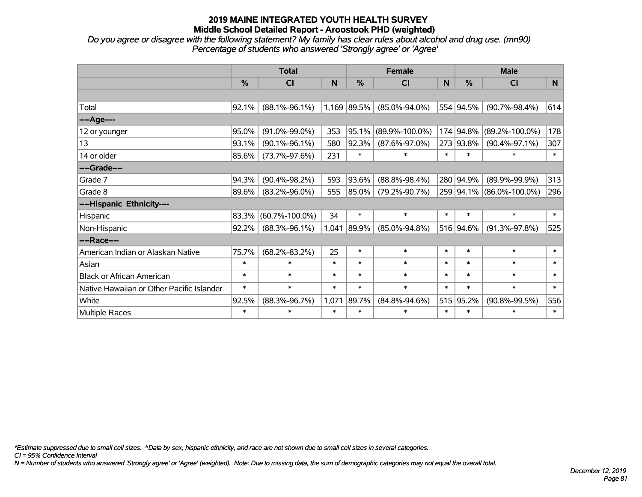*Do you agree or disagree with the following statement? My family has clear rules about alcohol and drug use. (mn90) Percentage of students who answered 'Strongly agree' or 'Agree'*

|                                           | <b>Total</b> |                      |        |             | <b>Female</b>        |        | <b>Male</b>   |                          |                |  |
|-------------------------------------------|--------------|----------------------|--------|-------------|----------------------|--------|---------------|--------------------------|----------------|--|
|                                           | $\%$         | <b>CI</b>            | N      | %           | CI                   | N      | $\frac{0}{0}$ | <b>CI</b>                | N <sub>1</sub> |  |
|                                           |              |                      |        |             |                      |        |               |                          |                |  |
| Total                                     | 92.1%        | $(88.1\% - 96.1\%)$  |        | 1,169 89.5% | $(85.0\% - 94.0\%)$  |        | 554 94.5%     | $(90.7\% - 98.4\%)$      | 614            |  |
| ----Age----                               |              |                      |        |             |                      |        |               |                          |                |  |
| 12 or younger                             | 95.0%        | $(91.0\% - 99.0\%)$  | 353    | 95.1%       | $(89.9\% - 100.0\%)$ |        | 174 94.8%     | $(89.2\% - 100.0\%)$     | 178            |  |
| 13                                        | 93.1%        | $(90.1\% - 96.1\%)$  | 580    | 92.3%       | $(87.6\% - 97.0\%)$  |        | 273 93.8%     | $(90.4\% - 97.1\%)$      | 307            |  |
| 14 or older                               | 85.6%        | $(73.7\% - 97.6\%)$  | 231    | $\ast$      | $\ast$               | $\ast$ | $\ast$        | *                        | $\ast$         |  |
| ----Grade----                             |              |                      |        |             |                      |        |               |                          |                |  |
| Grade 7                                   | 94.3%        | $(90.4\% - 98.2\%)$  | 593    | 93.6%       | $(88.8\% - 98.4\%)$  | 280    | 94.9%         | $(89.9\% - 99.9\%)$      | 313            |  |
| Grade 8                                   | 89.6%        | $(83.2\% - 96.0\%)$  | 555    | 85.0%       | $(79.2\% - 90.7\%)$  |        |               | 259 94.1% (86.0%-100.0%) | 296            |  |
| ----Hispanic Ethnicity----                |              |                      |        |             |                      |        |               |                          |                |  |
| Hispanic                                  | 83.3%        | $(60.7\% - 100.0\%)$ | 34     | $\ast$      | $\ast$               | $\ast$ | $\ast$        | $\ast$                   | $\ast$         |  |
| Non-Hispanic                              | 92.2%        | $(88.3\% - 96.1\%)$  | 1,041  | 89.9%       | $(85.0\% - 94.8\%)$  |        | 516 94.6%     | $(91.3\% - 97.8\%)$      | 525            |  |
| ----Race----                              |              |                      |        |             |                      |        |               |                          |                |  |
| American Indian or Alaskan Native         | 75.7%        | $(68.2\% - 83.2\%)$  | 25     | $\ast$      | $\ast$               | $\ast$ | $\ast$        | $\ast$                   | $\ast$         |  |
| Asian                                     | $\ast$       | $\ast$               | $\ast$ | $\ast$      | $\ast$               | $\ast$ | $\ast$        | $\ast$                   | $\ast$         |  |
| <b>Black or African American</b>          | $\ast$       | $\ast$               | $\ast$ | $\ast$      | $\ast$               | $\ast$ | $\ast$        | $\ast$                   | $\ast$         |  |
| Native Hawaiian or Other Pacific Islander | $\ast$       | $\ast$               | $\ast$ | $\ast$      | $\ast$               | $\ast$ | $\ast$        | $\ast$                   | $\ast$         |  |
| White                                     | 92.5%        | $(88.3\% - 96.7\%)$  | 1,071  | 89.7%       | $(84.8\% - 94.6\%)$  | 515    | 95.2%         | $(90.8\% - 99.5\%)$      | 556            |  |
| Multiple Races                            | $\ast$       | $\ast$               | $\ast$ | $\ast$      | $\ast$               | $\ast$ | $\ast$        | *                        | $\ast$         |  |

*\*Estimate suppressed due to small cell sizes. ^Data by sex, hispanic ethnicity, and race are not shown due to small cell sizes in several categories.*

*CI = 95% Confidence Interval*

*N = Number of students who answered 'Strongly agree' or 'Agree' (weighted). Note: Due to missing data, the sum of demographic categories may not equal the overall total.*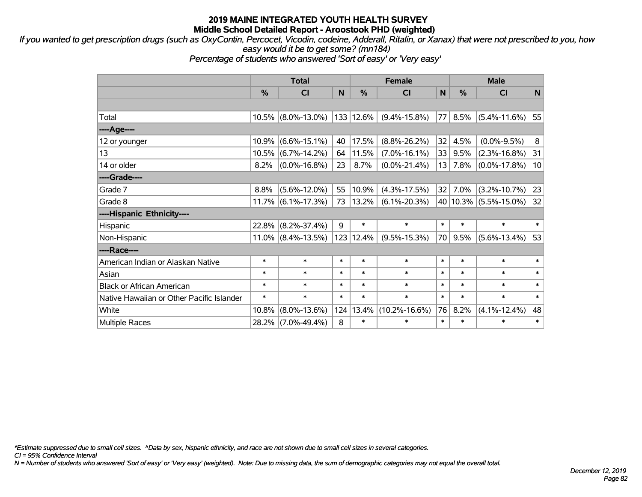*If you wanted to get prescription drugs (such as OxyContin, Percocet, Vicodin, codeine, Adderall, Ritalin, or Xanax) that were not prescribed to you, how easy would it be to get some? (mn184)*

*Percentage of students who answered 'Sort of easy' or 'Very easy'*

|                                           | <b>Total</b>  |                    |        |           | <b>Female</b>       | <b>Male</b> |        |                           |        |
|-------------------------------------------|---------------|--------------------|--------|-----------|---------------------|-------------|--------|---------------------------|--------|
|                                           | $\frac{0}{0}$ | <b>CI</b>          | N      | %         | CI                  | N           | %      | <b>CI</b>                 | N      |
|                                           |               |                    |        |           |                     |             |        |                           |        |
| Total                                     | 10.5%         | $(8.0\% - 13.0\%)$ |        | 133 12.6% | $(9.4\% - 15.8\%)$  | 77          | 8.5%   | $(5.4\% - 11.6\%)$        | 55     |
| ----Age----                               |               |                    |        |           |                     |             |        |                           |        |
| 12 or younger                             | 10.9%         | $(6.6\% - 15.1\%)$ | 40     | 17.5%     | $(8.8\% - 26.2\%)$  | 32          | 4.5%   | $(0.0\% - 9.5\%)$         | 8      |
| 13                                        | 10.5%         | $(6.7\% - 14.2\%)$ | 64     | 11.5%     | $(7.0\% - 16.1\%)$  | 33          | 9.5%   | $(2.3\% - 16.8\%)$        | 31     |
| 14 or older                               | 8.2%          | $(0.0\% - 16.8\%)$ | 23     | 8.7%      | $(0.0\% - 21.4\%)$  | 13          | 7.8%   | $(0.0\% - 17.8\%)$        | 10     |
| ----Grade----                             |               |                    |        |           |                     |             |        |                           |        |
| Grade 7                                   | 8.8%          | $(5.6\% - 12.0\%)$ | 55     | 10.9%     | $(4.3\% - 17.5\%)$  | 32          | 7.0%   | $(3.2\% - 10.7\%)$        | 23     |
| Grade 8                                   | 11.7%         | $(6.1\% - 17.3\%)$ | 73     | 13.2%     | $(6.1\% - 20.3\%)$  |             |        | 40   10.3%   (5.5%-15.0%) | 32     |
| ----Hispanic Ethnicity----                |               |                    |        |           |                     |             |        |                           |        |
| Hispanic                                  | 22.8%         | $(8.2\% - 37.4\%)$ | 9      | $\ast$    | $\ast$              | $\ast$      | $\ast$ | $\ast$                    | $\ast$ |
| Non-Hispanic                              | $11.0\%$      | $(8.4\% - 13.5\%)$ |        | 123 12.4% | $(9.5\% - 15.3\%)$  | 70          | 9.5%   | $(5.6\% - 13.4\%)$        | 53     |
| ----Race----                              |               |                    |        |           |                     |             |        |                           |        |
| American Indian or Alaskan Native         | $\ast$        | $\ast$             | $\ast$ | $\ast$    | $\ast$              | $\ast$      | $\ast$ | $\ast$                    | $\ast$ |
| Asian                                     | $\ast$        | $\ast$             | $\ast$ | $\ast$    | $\ast$              | $\ast$      | $\ast$ | $\ast$                    | $\ast$ |
| <b>Black or African American</b>          | $\ast$        | $\ast$             | $\ast$ | $\ast$    | $\ast$              | $\ast$      | $\ast$ | $\ast$                    | $\ast$ |
| Native Hawaiian or Other Pacific Islander | $\ast$        | $\ast$             | $\ast$ | $\ast$    | $\ast$              | $\ast$      | $\ast$ | $\ast$                    | $\ast$ |
| White                                     | 10.8%         | $(8.0\% - 13.6\%)$ |        | 124 13.4% | $(10.2\% - 16.6\%)$ | 76          | 8.2%   | $(4.1\% - 12.4\%)$        | 48     |
| <b>Multiple Races</b>                     | 28.2%         | $(7.0\% - 49.4\%)$ | 8      | $\ast$    | $\ast$              | $\ast$      | $\ast$ | $\ast$                    | $\ast$ |

*\*Estimate suppressed due to small cell sizes. ^Data by sex, hispanic ethnicity, and race are not shown due to small cell sizes in several categories.*

*CI = 95% Confidence Interval*

*N = Number of students who answered 'Sort of easy' or 'Very easy' (weighted). Note: Due to missing data, the sum of demographic categories may not equal the overall total.*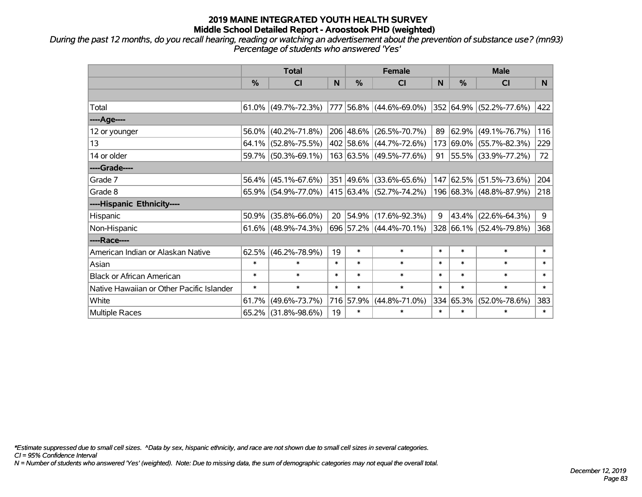*During the past 12 months, do you recall hearing, reading or watching an advertisement about the prevention of substance use? (mn93) Percentage of students who answered 'Yes'*

|                                           | <b>Total</b>  |                                                |        | <b>Female</b> | <b>Male</b>              |        |           |                                  |        |
|-------------------------------------------|---------------|------------------------------------------------|--------|---------------|--------------------------|--------|-----------|----------------------------------|--------|
|                                           | $\frac{0}{0}$ | <b>CI</b>                                      | N      | $\frac{9}{6}$ | <b>CI</b>                | N      | %         | <b>CI</b>                        | N.     |
|                                           |               |                                                |        |               |                          |        |           |                                  |        |
| Total                                     |               | $61.0\%$ (49.7%-72.3%)                         |        |               | 777 56.8% (44.6%-69.0%)  |        |           | 352 64.9% (52.2%-77.6%)          | 422    |
| ----Age----                               |               |                                                |        |               |                          |        |           |                                  |        |
| 12 or younger                             | 56.0%         | $(40.2\% - 71.8\%)$                            |        |               | 206 48.6% (26.5%-70.7%)  | 89     | 62.9%     | $(49.1\% - 76.7\%)$              | 116    |
| 13                                        |               | 64.1% (52.8%-75.5%)                            |        |               | 402 58.6% (44.7%-72.6%)  |        |           | 173 69.0% (55.7%-82.3%)          | 229    |
| 14 or older                               |               | 59.7% (50.3%-69.1%)                            |        |               | 163 63.5% (49.5%-77.6%)  |        |           | 91   55.5%   $(33.9\% - 77.2\%)$ | 72     |
| ----Grade----                             |               |                                                |        |               |                          |        |           |                                  |        |
| Grade 7                                   | 56.4%         | $(45.1\% - 67.6\%)$                            |        |               | 351 49.6% (33.6%-65.6%)  |        | 147 62.5% | $(51.5\% - 73.6\%)$              | 204    |
| Grade 8                                   |               | $65.9\%$ (54.9%-77.0%) 415 63.4% (52.7%-74.2%) |        |               |                          |        |           | 196 68.3% (48.8%-87.9%)          | 218    |
| ----Hispanic Ethnicity----                |               |                                                |        |               |                          |        |           |                                  |        |
| Hispanic                                  | 50.9%         | $(35.8\% - 66.0\%)$                            | 20     |               | $ 54.9\% $ (17.6%-92.3%) | 9      | 43.4%     | $(22.6\% - 64.3\%)$              | 9      |
| Non-Hispanic                              |               | 61.6% $(48.9\% - 74.3\%)$                      |        |               | 696 57.2% (44.4%-70.1%)  |        |           | 328 66.1% (52.4%-79.8%)          | 368    |
| ----Race----                              |               |                                                |        |               |                          |        |           |                                  |        |
| American Indian or Alaskan Native         | 62.5%         | $(46.2\% - 78.9\%)$                            | 19     | $\ast$        | $\ast$                   | $\ast$ | $\ast$    | $\ast$                           | $\ast$ |
| Asian                                     | $\ast$        | $\ast$                                         | $\ast$ | $\ast$        | $\ast$                   | $\ast$ | $\ast$    | $\ast$                           | $\ast$ |
| <b>Black or African American</b>          | $\ast$        | $\ast$                                         | $\ast$ | $\ast$        | $\ast$                   | $\ast$ | $\ast$    | $\ast$                           | $\ast$ |
| Native Hawaiian or Other Pacific Islander | $\ast$        | $\ast$                                         | $\ast$ | $\ast$        | $\ast$                   | $\ast$ | $\ast$    | $\ast$                           | $\ast$ |
| White                                     | 61.7%         | $(49.6\% - 73.7\%)$                            |        | 716 57.9%     | $(44.8\% - 71.0\%)$      | 334    | 65.3%     | $(52.0\% - 78.6\%)$              | 383    |
| Multiple Races                            |               | 65.2% (31.8%-98.6%)                            | 19     | $\ast$        | $\ast$                   | $\ast$ | $\ast$    | *                                | $\ast$ |

*\*Estimate suppressed due to small cell sizes. ^Data by sex, hispanic ethnicity, and race are not shown due to small cell sizes in several categories.*

*CI = 95% Confidence Interval*

*N = Number of students who answered 'Yes' (weighted). Note: Due to missing data, the sum of demographic categories may not equal the overall total.*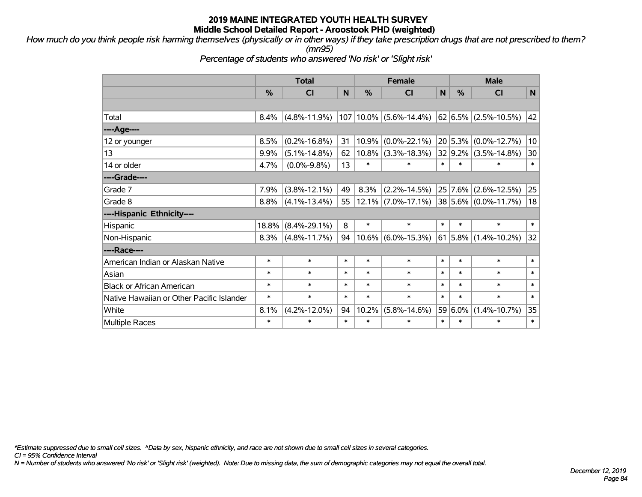*How much do you think people risk harming themselves (physically or in other ways) if they take prescription drugs that are not prescribed to them? (mn95)*

*Percentage of students who answered 'No risk' or 'Slight risk'*

|                                           | <b>Total</b> |                    |          |               | <b>Female</b>         | <b>Male</b> |           |                          |              |
|-------------------------------------------|--------------|--------------------|----------|---------------|-----------------------|-------------|-----------|--------------------------|--------------|
|                                           | %            | CI                 | <b>N</b> | $\frac{0}{0}$ | CI                    | N           | %         | CI                       | $\mathsf{N}$ |
|                                           |              |                    |          |               |                       |             |           |                          |              |
| Total                                     | 8.4%         | $(4.8\% - 11.9\%)$ | 107      |               | $10.0\%$ (5.6%-14.4%) |             |           | $62 6.5\% $ (2.5%-10.5%) | 42           |
| ---- Age----                              |              |                    |          |               |                       |             |           |                          |              |
| 12 or younger                             | 8.5%         | $(0.2\% - 16.8\%)$ | 31       | 10.9%         | $(0.0\% - 22.1\%)$    | 20          | 5.3%      | $(0.0\% - 12.7\%)$       | 10           |
| 13                                        | 9.9%         | $(5.1\% - 14.8\%)$ | 62       | $10.8\%$      | $(3.3\% - 18.3\%)$    |             | 32 9.2%   | $(3.5\% - 14.8\%)$       | 30           |
| 14 or older                               | 4.7%         | $(0.0\% - 9.8\%)$  | 13       | $\ast$        | $\ast$                | $\ast$      | $\ast$    | $\ast$                   | $\ast$       |
| ----Grade----                             |              |                    |          |               |                       |             |           |                          |              |
| Grade 7                                   | 7.9%         | $(3.8\% - 12.1\%)$ | 49       | 8.3%          | $(2.2\% - 14.5\%)$    |             | 25 7.6%   | $(2.6\% - 12.5\%)$       | 25           |
| Grade 8                                   | 8.8%         | $(4.1\% - 13.4\%)$ | 55       | $12.1\%$      | $(7.0\% - 17.1\%)$    |             |           | 38 5.6% (0.0%-11.7%)     | 18           |
| ----Hispanic Ethnicity----                |              |                    |          |               |                       |             |           |                          |              |
| Hispanic                                  | 18.8%        | $(8.4\% - 29.1\%)$ | 8        | $\ast$        | $\ast$                | $\ast$      | $\ast$    | $\ast$                   | $\ast$       |
| Non-Hispanic                              | 8.3%         | $(4.8\% - 11.7\%)$ | 94       | $10.6\%$      | $(6.0\% - 15.3\%)$    |             | 61   5.8% | $(1.4\% - 10.2\%)$       | 32           |
| ----Race----                              |              |                    |          |               |                       |             |           |                          |              |
| American Indian or Alaskan Native         | $\ast$       | $\ast$             | $\ast$   | $\ast$        | $\ast$                | $\ast$      | $\ast$    | $\ast$                   | $\ast$       |
| Asian                                     | $\ast$       | $\ast$             | $\ast$   | $\ast$        | $\ast$                | $\ast$      | $\ast$    | $\ast$                   | $\ast$       |
| <b>Black or African American</b>          | $\ast$       | $\ast$             | $\ast$   | $\ast$        | $\ast$                | $\ast$      | $\ast$    | $\ast$                   | $\ast$       |
| Native Hawaiian or Other Pacific Islander | $\ast$       | $\ast$             | $\ast$   | $\ast$        | $\ast$                | $\ast$      | $\ast$    | $\ast$                   | $\ast$       |
| White                                     | 8.1%         | $(4.2\% - 12.0\%)$ | 94       | 10.2%         | $(5.8\% - 14.6\%)$    |             | 59 6.0%   | $(1.4\% - 10.7\%)$       | 35           |
| <b>Multiple Races</b>                     | $\ast$       | $\ast$             | $\ast$   | $\ast$        | $\ast$                | $\ast$      | $\ast$    | $\ast$                   | $\ast$       |

*\*Estimate suppressed due to small cell sizes. ^Data by sex, hispanic ethnicity, and race are not shown due to small cell sizes in several categories.*

*CI = 95% Confidence Interval*

*N = Number of students who answered 'No risk' or 'Slight risk' (weighted). Note: Due to missing data, the sum of demographic categories may not equal the overall total.*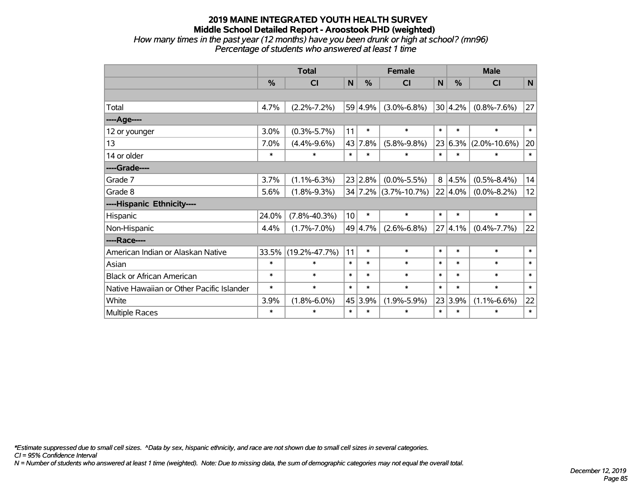## **2019 MAINE INTEGRATED YOUTH HEALTH SURVEY Middle School Detailed Report - Aroostook PHD (weighted)** *How many times in the past year (12 months) have you been drunk or high at school? (mn96)*

*Percentage of students who answered at least 1 time*

|                                           | <b>Total</b>  |                     |        |         | <b>Female</b>        | <b>Male</b> |           |                    |        |
|-------------------------------------------|---------------|---------------------|--------|---------|----------------------|-------------|-----------|--------------------|--------|
|                                           | $\frac{0}{0}$ | CI                  | N      | %       | <b>CI</b>            | N           | %         | <b>CI</b>          | N      |
|                                           |               |                     |        |         |                      |             |           |                    |        |
| Total                                     | 4.7%          | $(2.2\% - 7.2\%)$   |        | 59 4.9% | $(3.0\% - 6.8\%)$    |             | 30 4.2%   | $(0.8\% - 7.6\%)$  | 27     |
| ---- Age----                              |               |                     |        |         |                      |             |           |                    |        |
| 12 or younger                             | 3.0%          | $(0.3\% - 5.7\%)$   | 11     | $\ast$  | $\ast$               | $\ast$      | $\ast$    | $\ast$             | $\ast$ |
| 13                                        | 7.0%          | $(4.4\% - 9.6\%)$   | 43     | 7.8%    | $(5.8\% - 9.8\%)$    | 23          | $ 6.3\% $ | $(2.0\% - 10.6\%)$ | 20     |
| 14 or older                               | $\ast$        | $\ast$              | $\ast$ | $\ast$  | $\ast$               | $\ast$      | $\ast$    | $\ast$             | $\ast$ |
| ----Grade----                             |               |                     |        |         |                      |             |           |                    |        |
| Grade 7                                   | 3.7%          | $(1.1\% - 6.3\%)$   |        | 23 2.8% | $(0.0\% - 5.5\%)$    | 8           | 4.5%      | $(0.5\% - 8.4\%)$  | 14     |
| Grade 8                                   | 5.6%          | $(1.8\% - 9.3\%)$   |        |         | 34 7.2% (3.7%-10.7%) |             | 22 4.0%   | $(0.0\% - 8.2\%)$  | 12     |
| ----Hispanic Ethnicity----                |               |                     |        |         |                      |             |           |                    |        |
| Hispanic                                  | 24.0%         | $(7.8\% - 40.3\%)$  | 10     | $\ast$  | $\ast$               | $\ast$      | $\ast$    | $\ast$             | $\ast$ |
| Non-Hispanic                              | 4.4%          | $(1.7\% - 7.0\%)$   |        | 49 4.7% | $(2.6\% - 6.8\%)$    | 27          | 4.1%      | $(0.4\% - 7.7\%)$  | 22     |
| ----Race----                              |               |                     |        |         |                      |             |           |                    |        |
| American Indian or Alaskan Native         | 33.5%         | $(19.2\% - 47.7\%)$ | 11     | $\ast$  | $\ast$               | $\ast$      | $\ast$    | $\ast$             | $\ast$ |
| Asian                                     | $\ast$        | $\ast$              | $\ast$ | $\ast$  | $\ast$               | $\ast$      | $\ast$    | $\ast$             | $\ast$ |
| <b>Black or African American</b>          | $\ast$        | $\ast$              | $\ast$ | $\ast$  | $\ast$               | $\ast$      | $\ast$    | $\ast$             | $\ast$ |
| Native Hawaiian or Other Pacific Islander | $\ast$        | $\ast$              | $\ast$ | $\ast$  | $\ast$               | $\ast$      | $\ast$    | $\ast$             | $\ast$ |
| White                                     | 3.9%          | $(1.8\% - 6.0\%)$   |        | 45 3.9% | $(1.9\% - 5.9\%)$    |             | 23 3.9%   | $(1.1\% - 6.6\%)$  | 22     |
| Multiple Races                            | $\ast$        | $\ast$              | $\ast$ | $\ast$  | $\ast$               | $\ast$      | $\ast$    | $\ast$             | $\ast$ |

*\*Estimate suppressed due to small cell sizes. ^Data by sex, hispanic ethnicity, and race are not shown due to small cell sizes in several categories.*

*CI = 95% Confidence Interval*

*N = Number of students who answered at least 1 time (weighted). Note: Due to missing data, the sum of demographic categories may not equal the overall total.*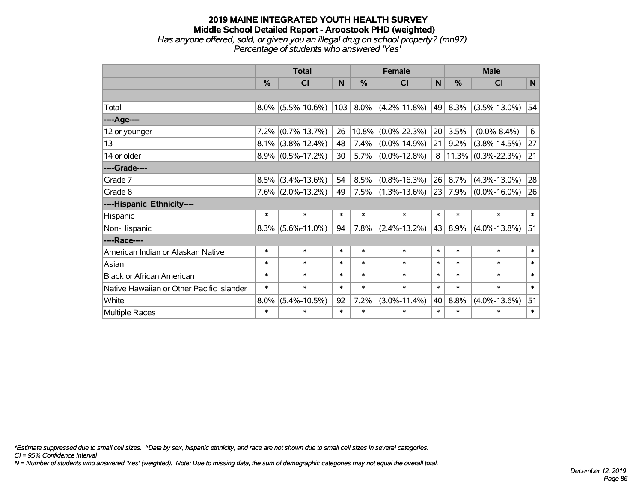### **2019 MAINE INTEGRATED YOUTH HEALTH SURVEY Middle School Detailed Report - Aroostook PHD (weighted)** *Has anyone offered, sold, or given you an illegal drug on school property? (mn97) Percentage of students who answered 'Yes'*

|                                           | <b>Total</b> |                      |        |        | <b>Female</b>         |        | <b>Male</b> |                          |        |  |
|-------------------------------------------|--------------|----------------------|--------|--------|-----------------------|--------|-------------|--------------------------|--------|--|
|                                           | %            | CI                   | N      | %      | CI                    | N      | %           | <b>CI</b>                | N      |  |
|                                           |              |                      |        |        |                       |        |             |                          |        |  |
| Total                                     |              | $8.0\%$ (5.5%-10.6%) | 103    | 8.0%   | $(4.2\% - 11.8\%)$    | 49     | 8.3%        | $(3.5\% - 13.0\%)$       | 54     |  |
| ---- Age----                              |              |                      |        |        |                       |        |             |                          |        |  |
| 12 or younger                             | 7.2%         | $(0.7\% - 13.7\%)$   | 26     |        | $10.8\%$ (0.0%-22.3%) | 20     | 3.5%        | $(0.0\% - 8.4\%)$        | 6      |  |
| 13                                        |              | $8.1\%$ (3.8%-12.4%) | 48     | 7.4%   | $(0.0\% - 14.9\%)$    | 21     | 9.2%        | $(3.8\% - 14.5\%)$       | 27     |  |
| 14 or older                               |              | $8.9\%$ (0.5%-17.2%) | 30     | 5.7%   | $(0.0\% - 12.8\%)$    |        |             | $8 11.3\% $ (0.3%-22.3%) | 21     |  |
| ----Grade----                             |              |                      |        |        |                       |        |             |                          |        |  |
| Grade 7                                   | 8.5%         | $(3.4\% - 13.6\%)$   | 54     | 8.5%   | $(0.8\% - 16.3\%)$    | 26     | 8.7%        | $(4.3\% - 13.0\%)$       | 28     |  |
| Grade 8                                   |              | $7.6\%$ (2.0%-13.2%) | 49     | 7.5%   | $(1.3\% - 13.6\%)$    | 23     | 7.9%        | $(0.0\% - 16.0\%)$       | 26     |  |
| ----Hispanic Ethnicity----                |              |                      |        |        |                       |        |             |                          |        |  |
| Hispanic                                  | $\ast$       | $\ast$               | $\ast$ | $\ast$ | $\ast$                | $\ast$ | $\ast$      | $\ast$                   | $\ast$ |  |
| Non-Hispanic                              | 8.3%         | $(5.6\% - 11.0\%)$   | 94     | 7.8%   | $(2.4\% - 13.2\%)$    | 43     | 8.9%        | $(4.0\% - 13.8\%)$       | 51     |  |
| ----Race----                              |              |                      |        |        |                       |        |             |                          |        |  |
| American Indian or Alaskan Native         | $\ast$       | $\ast$               | $\ast$ | $\ast$ | $\ast$                | $\ast$ | $\ast$      | $\ast$                   | $\ast$ |  |
| Asian                                     | $\ast$       | $\ast$               | $\ast$ | $\ast$ | $\ast$                | $\ast$ | $\ast$      | $\ast$                   | $\ast$ |  |
| <b>Black or African American</b>          | $\ast$       | $\ast$               | $\ast$ | $\ast$ | $\ast$                | $\ast$ | $\ast$      | $\ast$                   | $\ast$ |  |
| Native Hawaiian or Other Pacific Islander | $\ast$       | $\ast$               | $\ast$ | $\ast$ | $\ast$                | $\ast$ | $\ast$      | $\ast$                   | $\ast$ |  |
| White                                     | 8.0%         | $(5.4\% - 10.5\%)$   | 92     | 7.2%   | $(3.0\% - 11.4\%)$    | 40     | 8.8%        | $(4.0\% - 13.6\%)$       | 51     |  |
| <b>Multiple Races</b>                     | $\ast$       | $\ast$               | $\ast$ | $\ast$ | $\ast$                | $\ast$ | $\ast$      | $\ast$                   | $\ast$ |  |

*\*Estimate suppressed due to small cell sizes. ^Data by sex, hispanic ethnicity, and race are not shown due to small cell sizes in several categories.*

*CI = 95% Confidence Interval*

*N = Number of students who answered 'Yes' (weighted). Note: Due to missing data, the sum of demographic categories may not equal the overall total.*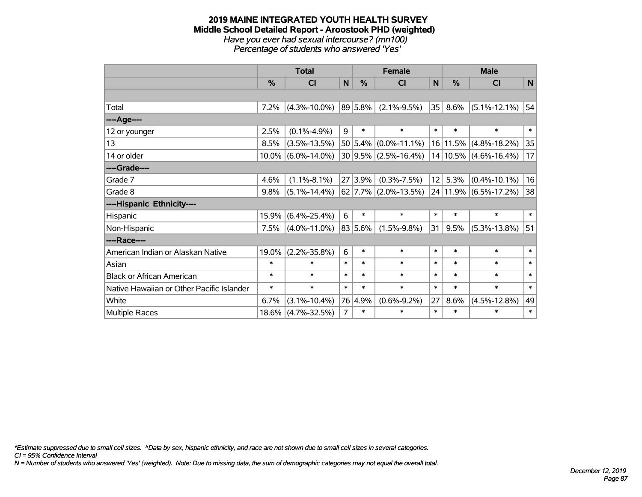#### **2019 MAINE INTEGRATED YOUTH HEALTH SURVEY Middle School Detailed Report - Aroostook PHD (weighted)** *Have you ever had sexual intercourse? (mn100) Percentage of students who answered 'Yes'*

|                                           | <b>Total</b>  |                    |        |               | <b>Female</b>              |        | <b>Male</b>   |                                |              |  |
|-------------------------------------------|---------------|--------------------|--------|---------------|----------------------------|--------|---------------|--------------------------------|--------------|--|
|                                           | $\frac{0}{0}$ | CI                 | N      | $\frac{0}{0}$ | <b>CI</b>                  | N      | $\frac{0}{0}$ | CI                             | N            |  |
|                                           |               |                    |        |               |                            |        |               |                                |              |  |
| Total                                     | 7.2%          | $(4.3\% - 10.0\%)$ |        | $ 89 5.8\% $  | $(2.1\% - 9.5\%)$          | 35     | 8.6%          | $(5.1\% - 12.1\%)$             | 54           |  |
| ---- Age----                              |               |                    |        |               |                            |        |               |                                |              |  |
| 12 or younger                             | 2.5%          | $(0.1\% - 4.9\%)$  | 9      | $\ast$        | $\ast$                     | $\ast$ | $\ast$        | $\ast$                         | $\pmb{\ast}$ |  |
| 13                                        | 8.5%          | $(3.5\% - 13.5\%)$ |        |               | $50 5.4\% $ (0.0%-11.1%)   |        |               | 16 11.5% (4.8%-18.2%)          | 35           |  |
| 14 or older                               | $10.0\%$      | $(6.0\% - 14.0\%)$ |        |               | $30 9.5\% $ (2.5%-16.4%)   |        |               | $14 10.5\% $ (4.6%-16.4%)      | 17           |  |
| ----Grade----                             |               |                    |        |               |                            |        |               |                                |              |  |
| Grade 7                                   | 4.6%          | $(1.1\% - 8.1\%)$  |        | 27 3.9%       | $(0.3\% - 7.5\%)$          | 12     | 5.3%          | $(0.4\% - 10.1\%)$             | 16           |  |
| Grade 8                                   | 9.8%          | $(5.1\% - 14.4\%)$ |        |               | $62$   7.7%   (2.0%-13.5%) |        |               | $ 24 11.9\%  (6.5\% - 17.2\%)$ | 38           |  |
| ----Hispanic Ethnicity----                |               |                    |        |               |                            |        |               |                                |              |  |
| Hispanic                                  | 15.9%         | $(6.4\% - 25.4\%)$ | 6      | $\ast$        | $\ast$                     | $\ast$ | *             | $\ast$                         | $\ast$       |  |
| Non-Hispanic                              | 7.5%          | $(4.0\% - 11.0\%)$ |        | 83 5.6%       | $(1.5\% - 9.8\%)$          | 31     | 9.5%          | $(5.3\% - 13.8\%)$             | 51           |  |
| ----Race----                              |               |                    |        |               |                            |        |               |                                |              |  |
| American Indian or Alaskan Native         | 19.0%         | $(2.2\% - 35.8\%)$ | 6      | $\ast$        | $\ast$                     | $\ast$ | $\ast$        | $\ast$                         | $\ast$       |  |
| Asian                                     | $\ast$        | $\ast$             | $\ast$ | $\ast$        | $\ast$                     | $\ast$ | $\ast$        | $\ast$                         | $\ast$       |  |
| <b>Black or African American</b>          | $\ast$        | $\ast$             | $\ast$ | $\ast$        | $\ast$                     | $\ast$ | $\ast$        | $\ast$                         | $\ast$       |  |
| Native Hawaiian or Other Pacific Islander | $\ast$        | $\ast$             | $\ast$ | $\ast$        | $\ast$                     | $\ast$ | $\ast$        | $\ast$                         | $\ast$       |  |
| White                                     | 6.7%          | $(3.1\% - 10.4\%)$ |        | 76 4.9%       | $(0.6\% - 9.2\%)$          | 27     | 8.6%          | $(4.5\% - 12.8\%)$             | 49           |  |
| Multiple Races                            | 18.6%         | $(4.7\% - 32.5\%)$ | 7      | $\ast$        | $\ast$                     | $\ast$ | $\ast$        | $\ast$                         | $\ast$       |  |

*\*Estimate suppressed due to small cell sizes. ^Data by sex, hispanic ethnicity, and race are not shown due to small cell sizes in several categories.*

*CI = 95% Confidence Interval*

*N = Number of students who answered 'Yes' (weighted). Note: Due to missing data, the sum of demographic categories may not equal the overall total.*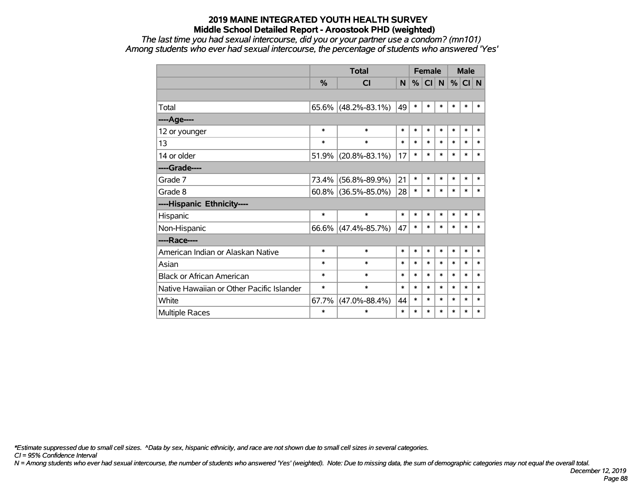*The last time you had sexual intercourse, did you or your partner use a condom? (mn101) Among students who ever had sexual intercourse, the percentage of students who answered 'Yes'*

|                                           |          | <b>Total</b>        |        | <b>Female</b> |        |        | <b>Male</b> |        |        |
|-------------------------------------------|----------|---------------------|--------|---------------|--------|--------|-------------|--------|--------|
|                                           | %        | <b>CI</b>           | N      | %             | CI     | N      | %           | CI N   |        |
|                                           |          |                     |        |               |        |        |             |        |        |
| Total                                     | $65.6\%$ | $(48.2\% - 83.1\%)$ | 49     | $\ast$        | $\ast$ | $\ast$ | $\ast$      | $\ast$ | $\ast$ |
| ----Age----                               |          |                     |        |               |        |        |             |        |        |
| 12 or younger                             | $\ast$   | $\ast$              | $\ast$ | $\ast$        | $\ast$ | $\ast$ | $\ast$      | $\ast$ | $\ast$ |
| 13                                        | $\ast$   | $\ast$              | $\ast$ | $\ast$        | $\ast$ | $\ast$ | $\ast$      | $\ast$ | $\ast$ |
| 14 or older                               | 51.9%    | $(20.8\% - 83.1\%)$ | 17     | $\ast$        | $\ast$ | $\ast$ | $\ast$      | $\ast$ | $\ast$ |
| ----Grade----                             |          |                     |        |               |        |        |             |        |        |
| Grade 7                                   | 73.4%    | $(56.8\% - 89.9\%)$ | 21     | $\ast$        | $\ast$ | $\ast$ | $\ast$      | $\ast$ | $\ast$ |
| Grade 8                                   | $60.8\%$ | $(36.5\% - 85.0\%)$ | 28     | $\ast$        | $\ast$ | $\ast$ | *           | $\ast$ | $\ast$ |
| ----Hispanic Ethnicity----                |          |                     |        |               |        |        |             |        |        |
| Hispanic                                  | $\ast$   | $\ast$              | $\ast$ | $\ast$        | $\ast$ | $\ast$ | *           | $\ast$ | $\ast$ |
| Non-Hispanic                              | $66.6\%$ | $(47.4\% - 85.7\%)$ | 47     | $\ast$        | $\ast$ | $\ast$ | *           | $\ast$ | $\ast$ |
| ----Race----                              |          |                     |        |               |        |        |             |        |        |
| American Indian or Alaskan Native         | $\ast$   | $\ast$              | $\ast$ | $\ast$        | $\ast$ | $\ast$ | $\ast$      | $\ast$ | $\ast$ |
| Asian                                     | $\ast$   | $\ast$              | $\ast$ | $\ast$        | $\ast$ | $\ast$ | $\ast$      | $\ast$ | $\ast$ |
| <b>Black or African American</b>          | $\ast$   | $\ast$              | $\ast$ | $\ast$        | $\ast$ | $\ast$ | $\ast$      | $\ast$ | $\ast$ |
| Native Hawaiian or Other Pacific Islander | $\ast$   | $\ast$              | $\ast$ | $\ast$        | $\ast$ | $\ast$ | $\ast$      | $\ast$ | $\ast$ |
| White                                     | 67.7%    | $(47.0\% - 88.4\%)$ | 44     | $\ast$        | $\ast$ | $\ast$ | $\ast$      | $\ast$ | $\ast$ |
| <b>Multiple Races</b>                     | $\ast$   | $\ast$              | $\ast$ | $\ast$        | $\ast$ | $\ast$ | $\ast$      | $\ast$ | $\ast$ |

*\*Estimate suppressed due to small cell sizes. ^Data by sex, hispanic ethnicity, and race are not shown due to small cell sizes in several categories.*

*CI = 95% Confidence Interval*

*N = Among students who ever had sexual intercourse, the number of students who answered 'Yes' (weighted). Note: Due to missing data, the sum of demographic categories may not equal the overall total.*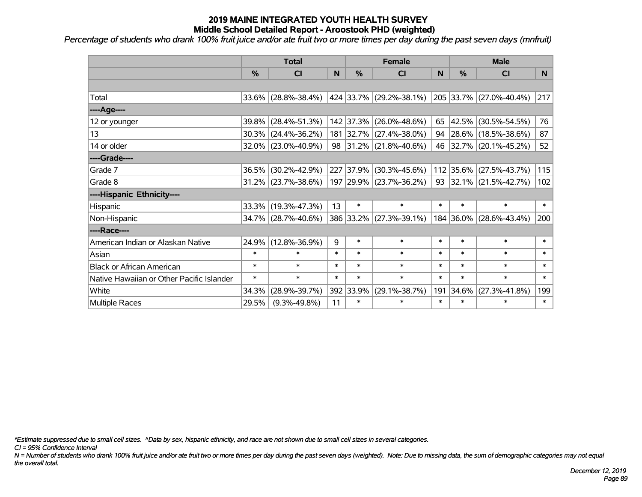*Percentage of students who drank 100% fruit juice and/or ate fruit two or more times per day during the past seven days (mnfruit)*

|                                           | <b>Total</b>  |                        |        | <b>Female</b> | <b>Male</b>                 |        |               |                                                 |        |
|-------------------------------------------|---------------|------------------------|--------|---------------|-----------------------------|--------|---------------|-------------------------------------------------|--------|
|                                           | $\frac{0}{0}$ | <b>CI</b>              | N      | $\frac{0}{0}$ | <b>CI</b>                   | N      | $\frac{0}{0}$ | <b>CI</b>                                       | N.     |
|                                           |               |                        |        |               |                             |        |               |                                                 |        |
| Total                                     |               | $33.6\%$ (28.8%-38.4%) |        |               | 424   33.7%   (29.2%-38.1%) |        |               | $\vert$ 205 $\vert$ 33.7% $\vert$ (27.0%-40.4%) | 217    |
| ----Age----                               |               |                        |        |               |                             |        |               |                                                 |        |
| 12 or younger                             | 39.8%         | $(28.4\% - 51.3\%)$    |        | 142 37.3%     | $(26.0\% - 48.6\%)$         | 65     | 42.5%         | $(30.5\% - 54.5\%)$                             | 76     |
| 13                                        |               | $30.3\%$ (24.4%-36.2%) |        |               | 181 32.7% (27.4%-38.0%)     |        |               | 94 28.6% (18.5%-38.6%)                          | 87     |
| 14 or older                               |               | 32.0% (23.0%-40.9%)    |        |               | 98 31.2% (21.8%-40.6%)      |        |               | 46 32.7% (20.1%-45.2%)                          | 52     |
| ----Grade----                             |               |                        |        |               |                             |        |               |                                                 |        |
| Grade 7                                   | 36.5%         | $(30.2\% - 42.9\%)$    |        | 227 37.9%     | $(30.3\% - 45.6\%)$         |        | 112 35.6%     | $(27.5\% - 43.7\%)$                             | 115    |
| Grade 8                                   |               | $31.2\%$ (23.7%-38.6%) |        |               | 197 29.9% (23.7%-36.2%)     |        |               | 93 32.1% $(21.5\% - 42.7\%)$                    | 102    |
| ----Hispanic Ethnicity----                |               |                        |        |               |                             |        |               |                                                 |        |
| Hispanic                                  | 33.3%         | $(19.3\% - 47.3\%)$    | 13     | $\ast$        | $\ast$                      | $\ast$ | $\ast$        | $\ast$                                          | $\ast$ |
| Non-Hispanic                              |               | 34.7% (28.7%-40.6%)    |        |               | 386 33.2% (27.3%-39.1%)     |        | 184 36.0%     | $(28.6\% - 43.4\%)$                             | 200    |
| ----Race----                              |               |                        |        |               |                             |        |               |                                                 |        |
| American Indian or Alaskan Native         | 24.9%         | $(12.8\% - 36.9\%)$    | 9      | $\ast$        | $\ast$                      | $\ast$ | $\ast$        | $\ast$                                          | $\ast$ |
| Asian                                     | $\ast$        | $\ast$                 | $\ast$ | $\ast$        | $\ast$                      | $\ast$ | $\ast$        | $\ast$                                          | $\ast$ |
| <b>Black or African American</b>          | $\ast$        | $\ast$                 | $\ast$ | $\ast$        | $\ast$                      | $\ast$ | $\ast$        | $\ast$                                          | $\ast$ |
| Native Hawaiian or Other Pacific Islander | $\ast$        | $\ast$                 | $\ast$ | $\ast$        | $\ast$                      | $\ast$ | $\ast$        | $\ast$                                          | $\ast$ |
| White                                     | 34.3%         | $(28.9\% - 39.7\%)$    |        | 392 33.9%     | $(29.1\% - 38.7\%)$         | 191    | 34.6%         | $(27.3\% - 41.8\%)$                             | 199    |
| <b>Multiple Races</b>                     | 29.5%         | $(9.3\% - 49.8\%)$     | 11     | $\ast$        | $\ast$                      | $\ast$ | $\ast$        | $\ast$                                          | $\ast$ |

*\*Estimate suppressed due to small cell sizes. ^Data by sex, hispanic ethnicity, and race are not shown due to small cell sizes in several categories.*

*CI = 95% Confidence Interval*

*N = Number of students who drank 100% fruit juice and/or ate fruit two or more times per day during the past seven days (weighted). Note: Due to missing data, the sum of demographic categories may not equal the overall total.*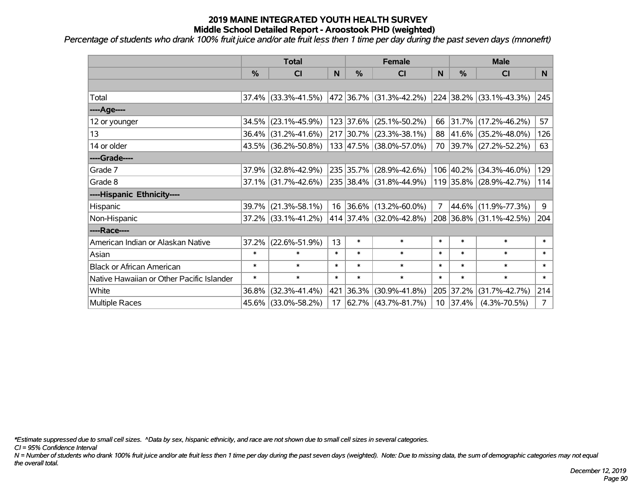*Percentage of students who drank 100% fruit juice and/or ate fruit less then 1 time per day during the past seven days (mnonefrt)*

|                                           | <b>Total</b>  |                                                |        |               | <b>Female</b>                    | <b>Male</b>    |            |                         |        |
|-------------------------------------------|---------------|------------------------------------------------|--------|---------------|----------------------------------|----------------|------------|-------------------------|--------|
|                                           | $\frac{0}{0}$ | <b>CI</b>                                      | N      | $\frac{9}{6}$ | <b>CI</b>                        | <sub>N</sub>   | %          | <b>CI</b>               | N.     |
|                                           |               |                                                |        |               |                                  |                |            |                         |        |
| Total                                     |               | $37.4\%$ (33.3%-41.5%)                         |        |               | $ 472 36.7\%  (31.3\% - 42.2\%)$ |                |            | 224 38.2% (33.1%-43.3%) | 245    |
| ----Age----                               |               |                                                |        |               |                                  |                |            |                         |        |
| 12 or younger                             | 34.5%         | $(23.1\% - 45.9\%)$                            |        |               | 123 37.6% (25.1%-50.2%)          |                |            | 66 31.7% (17.2%-46.2%)  | 57     |
| 13                                        |               | 36.4% (31.2%-41.6%)                            |        |               | 217 30.7% (23.3%-38.1%)          |                |            | 88 41.6% (35.2%-48.0%)  | 126    |
| 14 or older                               |               | 43.5% (36.2%-50.8%)                            |        |               | 133 47.5% (38.0%-57.0%)          |                |            | 70 39.7% (27.2%-52.2%)  | 63     |
| ----Grade----                             |               |                                                |        |               |                                  |                |            |                         |        |
| Grade 7                                   | 37.9%         | $(32.8\% - 42.9\%)$                            |        |               | 235 35.7% (28.9%-42.6%)          |                | 106 40.2%  | $(34.3\% - 46.0\%)$     | 129    |
| Grade 8                                   |               | $37.1\%$ (31.7%-42.6%) 235 38.4% (31.8%-44.9%) |        |               |                                  |                |            | 119 35.8% (28.9%-42.7%) | 114    |
| ----Hispanic Ethnicity----                |               |                                                |        |               |                                  |                |            |                         |        |
| Hispanic                                  | 39.7%         | $(21.3\% - 58.1\%)$                            |        |               | 16 36.6% (13.2%-60.0%)           | $\overline{7}$ | 44.6%      | $(11.9\% - 77.3\%)$     | 9      |
| Non-Hispanic                              |               | 37.2% (33.1%-41.2%)                            |        |               | 414 37.4% (32.0%-42.8%)          |                |            | 208 36.8% (31.1%-42.5%) | 204    |
| ----Race----                              |               |                                                |        |               |                                  |                |            |                         |        |
| American Indian or Alaskan Native         | 37.2%         | $(22.6\% - 51.9\%)$                            | 13     | $\ast$        | $\ast$                           | $\ast$         | $\ast$     | $\ast$                  | $\ast$ |
| Asian                                     | $\ast$        | $\ast$                                         | $\ast$ | $\ast$        | $\ast$                           | $\ast$         | $\ast$     | $\ast$                  | $\ast$ |
| <b>Black or African American</b>          | $\ast$        | $\ast$                                         | $\ast$ | $\ast$        | $\ast$                           | $\ast$         | $\ast$     | $\ast$                  | $\ast$ |
| Native Hawaiian or Other Pacific Islander | $\ast$        | $\ast$                                         | $\ast$ | $\ast$        | $\ast$                           | $\ast$         | $\ast$     | $\ast$                  | $\ast$ |
| White                                     | 36.8%         | $(32.3\% - 41.4\%)$                            | 421    | 36.3%         | $(30.9\% - 41.8\%)$              | 205            | 37.2%      | $(31.7\% - 42.7\%)$     | 214    |
| Multiple Races                            |               | 45.6% (33.0%-58.2%)                            | 17     |               | 62.7%   (43.7%-81.7%)            |                | $10$ 37.4% | $(4.3\% - 70.5\%)$      | 7      |

*\*Estimate suppressed due to small cell sizes. ^Data by sex, hispanic ethnicity, and race are not shown due to small cell sizes in several categories.*

*CI = 95% Confidence Interval*

*N = Number of students who drank 100% fruit juice and/or ate fruit less then 1 time per day during the past seven days (weighted). Note: Due to missing data, the sum of demographic categories may not equal the overall total.*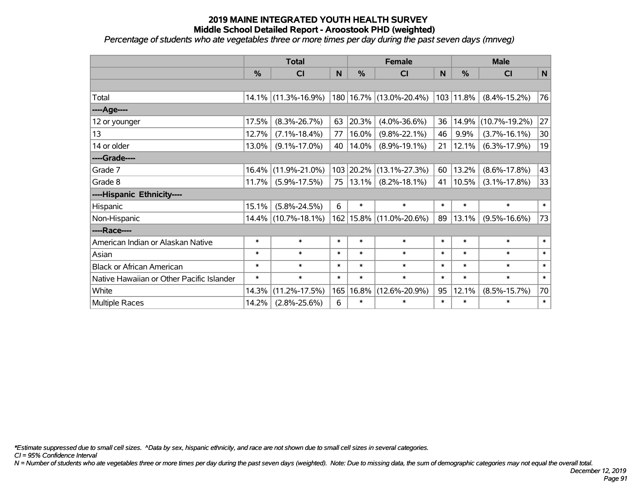*Percentage of students who ate vegetables three or more times per day during the past seven days (mnveg)*

|                                           | <b>Total</b> |                        |        |               | <b>Female</b>           |        | <b>Male</b> |                     |        |  |
|-------------------------------------------|--------------|------------------------|--------|---------------|-------------------------|--------|-------------|---------------------|--------|--|
|                                           | %            | CI                     | N      | $\frac{0}{0}$ | <b>CI</b>               | N      | %           | <b>CI</b>           | N      |  |
|                                           |              |                        |        |               |                         |        |             |                     |        |  |
| Total                                     |              | $14.1\%$ (11.3%-16.9%) |        |               | 180 16.7% (13.0%-20.4%) |        | 103 11.8%   | $(8.4\% - 15.2\%)$  | 76     |  |
| ----Age----                               |              |                        |        |               |                         |        |             |                     |        |  |
| 12 or younger                             | 17.5%        | $(8.3\% - 26.7\%)$     | 63     | 20.3%         | $(4.0\% - 36.6\%)$      | 36     | 14.9%       | $(10.7\% - 19.2\%)$ | 27     |  |
| 13                                        | 12.7%        | $(7.1\% - 18.4\%)$     | 77     | 16.0%         | $(9.8\% - 22.1\%)$      | 46     | 9.9%        | $(3.7\% - 16.1\%)$  | 30     |  |
| 14 or older                               | 13.0%        | $(9.1\% - 17.0\%)$     | 40     | 14.0%         | $(8.9\% - 19.1\%)$      | 21     | 12.1%       | $(6.3\% - 17.9\%)$  | 19     |  |
| ----Grade----                             |              |                        |        |               |                         |        |             |                     |        |  |
| Grade 7                                   | 16.4%        | $(11.9\% - 21.0\%)$    |        | 103 20.2%     | $(13.1\% - 27.3\%)$     | 60     | 13.2%       | $(8.6\% - 17.8\%)$  | 43     |  |
| Grade 8                                   | 11.7%        | $(5.9\% - 17.5\%)$     | 75     | 13.1%         | $(8.2\% - 18.1\%)$      | 41     | 10.5%       | $(3.1\% - 17.8\%)$  | 33     |  |
| ----Hispanic Ethnicity----                |              |                        |        |               |                         |        |             |                     |        |  |
| Hispanic                                  | 15.1%        | $(5.8\% - 24.5\%)$     | 6      | $\ast$        | $\ast$                  | $\ast$ | $\ast$      | $\ast$              | $\ast$ |  |
| Non-Hispanic                              |              | 14.4% (10.7%-18.1%)    |        | 162 15.8%     | $(11.0\% - 20.6\%)$     | 89     | 13.1%       | $(9.5\% - 16.6\%)$  | 73     |  |
| ----Race----                              |              |                        |        |               |                         |        |             |                     |        |  |
| American Indian or Alaskan Native         | $\ast$       | $\ast$                 | $\ast$ | $\ast$        | $\ast$                  | $\ast$ | $\ast$      | $\ast$              | $\ast$ |  |
| Asian                                     | $\ast$       | $\ast$                 | $\ast$ | $\ast$        | $\ast$                  | $\ast$ | $\ast$      | $\ast$              | $\ast$ |  |
| <b>Black or African American</b>          | $\ast$       | $\ast$                 | $\ast$ | $\ast$        | $\ast$                  | $\ast$ | $\ast$      | $\ast$              | $\ast$ |  |
| Native Hawaiian or Other Pacific Islander | $\ast$       | $\ast$                 | $\ast$ | $\ast$        | $\ast$                  | $\ast$ | $\ast$      | $\ast$              | $\ast$ |  |
| White                                     | 14.3%        | $(11.2\% - 17.5\%)$    | 165    | 16.8%         | $(12.6\% - 20.9\%)$     | 95     | 12.1%       | $(8.5\% - 15.7\%)$  | 70     |  |
| Multiple Races                            | 14.2%        | $(2.8\% - 25.6\%)$     | 6      | $\ast$        | $\ast$                  | $\ast$ | $\ast$      | $\ast$              | $\ast$ |  |

*\*Estimate suppressed due to small cell sizes. ^Data by sex, hispanic ethnicity, and race are not shown due to small cell sizes in several categories.*

*CI = 95% Confidence Interval*

*N = Number of students who ate vegetables three or more times per day during the past seven days (weighted). Note: Due to missing data, the sum of demographic categories may not equal the overall total.*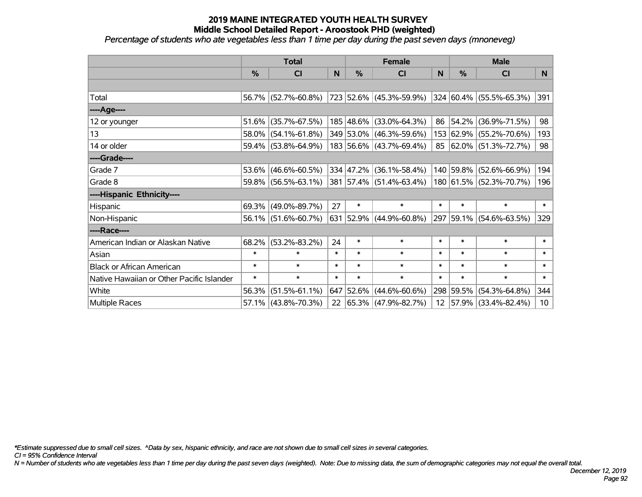*Percentage of students who ate vegetables less than 1 time per day during the past seven days (mnoneveg)*

|                                           | <b>Total</b>  |                        |        |               | <b>Female</b>            | <b>Male</b> |           |                         |                 |
|-------------------------------------------|---------------|------------------------|--------|---------------|--------------------------|-------------|-----------|-------------------------|-----------------|
|                                           | $\frac{0}{0}$ | CI                     | N      | $\frac{9}{6}$ | <b>CI</b>                | N           | %         | <b>CI</b>               | N.              |
|                                           |               |                        |        |               |                          |             |           |                         |                 |
| Total                                     |               | 56.7% (52.7%-60.8%)    |        |               | 723 52.6% (45.3%-59.9%)  |             |           | 324 60.4% (55.5%-65.3%) | 391             |
| ----Age----                               |               |                        |        |               |                          |             |           |                         |                 |
| 12 or younger                             | 51.6%         | $(35.7\% - 67.5\%)$    |        |               | 185 48.6% (33.0%-64.3%)  |             | 86 54.2%  | $(36.9\% - 71.5\%)$     | 98              |
| 13                                        |               | 58.0% (54.1%-61.8%)    |        |               | 349 53.0% (46.3%-59.6%)  |             |           | 153 62.9% (55.2%-70.6%) | 193             |
| 14 or older                               |               | 59.4% (53.8%-64.9%)    |        |               | 183 56.6% (43.7%-69.4%)  |             |           | 85 62.0% (51.3%-72.7%)  | 98              |
| ----Grade----                             |               |                        |        |               |                          |             |           |                         |                 |
| Grade 7                                   | 53.6%         | $(46.6\% - 60.5\%)$    |        |               | 334 47.2% (36.1%-58.4%)  |             | 140 59.8% | $(52.6\% - 66.9\%)$     | 194             |
| Grade 8                                   |               | 59.8% (56.5%-63.1%)    |        |               | 381 57.4% (51.4%-63.4%)  |             |           | 180 61.5% (52.3%-70.7%) | 196             |
| ----Hispanic Ethnicity----                |               |                        |        |               |                          |             |           |                         |                 |
| Hispanic                                  | 69.3%         | $(49.0\% - 89.7\%)$    | 27     | $\ast$        | $\ast$                   | $\ast$      | $\ast$    | $\ast$                  | $\ast$          |
| Non-Hispanic                              |               | $56.1\%$ (51.6%-60.7%) |        |               | 631 52.9% (44.9%-60.8%)  |             |           | 297 59.1% (54.6%-63.5%) | 329             |
| ----Race----                              |               |                        |        |               |                          |             |           |                         |                 |
| American Indian or Alaskan Native         | 68.2%         | $(53.2\% - 83.2\%)$    | 24     | $\ast$        | $\ast$                   | $\ast$      | $\ast$    | $\ast$                  | $\ast$          |
| Asian                                     | $\ast$        | $\ast$                 | $\ast$ | $\ast$        | $\ast$                   | $\ast$      | $\ast$    | $\ast$                  | $\ast$          |
| <b>Black or African American</b>          | $\ast$        | $\ast$                 | $\ast$ | $\ast$        | $\ast$                   | $\ast$      | $\ast$    | $\ast$                  | $\ast$          |
| Native Hawaiian or Other Pacific Islander | $\ast$        | $\ast$                 | $\ast$ | $\ast$        | $\ast$                   | $\ast$      | $\ast$    | $\ast$                  | $\pmb{\ast}$    |
| White                                     | 56.3%         | $(51.5\% - 61.1\%)$    | 647    | $ 52.6\% $    | $(44.6\% - 60.6\%)$      |             | 298 59.5% | $(54.3\% - 64.8\%)$     | 344             |
| Multiple Races                            |               | $57.1\%$ (43.8%-70.3%) | 22     |               | $ 65.3\% $ (47.9%-82.7%) |             |           | 12 57.9% (33.4%-82.4%)  | 10 <sup>1</sup> |

*\*Estimate suppressed due to small cell sizes. ^Data by sex, hispanic ethnicity, and race are not shown due to small cell sizes in several categories.*

*CI = 95% Confidence Interval*

*N = Number of students who ate vegetables less than 1 time per day during the past seven days (weighted). Note: Due to missing data, the sum of demographic categories may not equal the overall total.*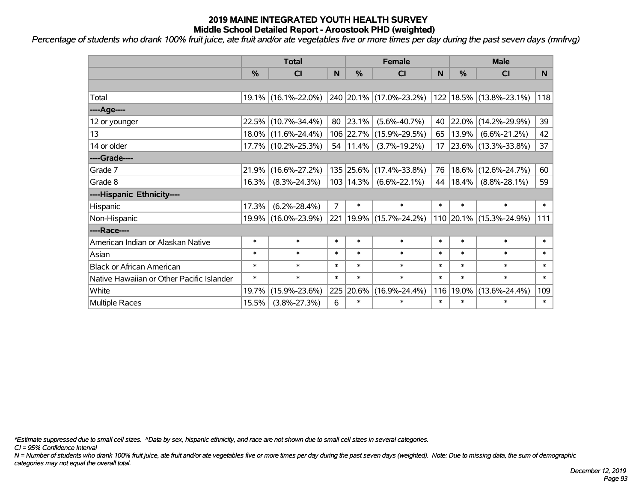*Percentage of students who drank 100% fruit juice, ate fruit and/or ate vegetables five or more times per day during the past seven days (mnfrvg)*

|                                           | <b>Total</b>  |                     |                |             | <b>Female</b>               |        | <b>Male</b>   |                          |        |  |
|-------------------------------------------|---------------|---------------------|----------------|-------------|-----------------------------|--------|---------------|--------------------------|--------|--|
|                                           | $\frac{0}{0}$ | <b>CI</b>           | N              | %           | <b>CI</b>                   | N      | $\frac{0}{0}$ | <b>CI</b>                | N      |  |
|                                           |               |                     |                |             |                             |        |               |                          |        |  |
| Total                                     |               | 19.1% (16.1%-22.0%) |                |             | 240 20.1% (17.0%-23.2%)     |        |               | 122 18.5% (13.8%-23.1%)  | 118    |  |
| ----Age----                               |               |                     |                |             |                             |        |               |                          |        |  |
| 12 or younger                             |               | 22.5% (10.7%-34.4%) | 80             | 23.1%       | $(5.6\% - 40.7\%)$          | 40     | 22.0%         | $(14.2\% - 29.9\%)$      | 39     |  |
| 13                                        |               | 18.0% (11.6%-24.4%) |                | 106 22.7%   | $(15.9\% - 29.5\%)$         | 65     | 13.9%         | $(6.6\% - 21.2\%)$       | 42     |  |
| 14 or older                               |               | 17.7% (10.2%-25.3%) |                | 54   11.4%  | $(3.7\% - 19.2\%)$          | 17     |               | $ 23.6\% $ (13.3%-33.8%) | 37     |  |
| ----Grade----                             |               |                     |                |             |                             |        |               |                          |        |  |
| Grade 7                                   | 21.9%         | $(16.6\% - 27.2\%)$ |                | 135 25.6%   | $(17.4\% - 33.8\%)$         | 76     | 18.6%         | $(12.6\% - 24.7\%)$      | 60     |  |
| Grade 8                                   | 16.3%         | $(8.3\% - 24.3\%)$  |                | 103   14.3% | $(6.6\% - 22.1\%)$          | 44     | 18.4%         | $(8.8\% - 28.1\%)$       | 59     |  |
| ----Hispanic Ethnicity----                |               |                     |                |             |                             |        |               |                          |        |  |
| Hispanic                                  | 17.3%         | $(6.2\% - 28.4\%)$  | $\overline{7}$ | $\ast$      | $\ast$                      | $\ast$ | $\ast$        | $\ast$                   | $\ast$ |  |
| Non-Hispanic                              |               | 19.9% (16.0%-23.9%) |                |             | 221   19.9%   (15.7%-24.2%) |        |               | 110 20.1% (15.3%-24.9%)  | 111    |  |
| ----Race----                              |               |                     |                |             |                             |        |               |                          |        |  |
| American Indian or Alaskan Native         | $\ast$        | $\ast$              | $\ast$         | $\ast$      | $\ast$                      | $\ast$ | $\ast$        | $\ast$                   | $\ast$ |  |
| Asian                                     | $\ast$        | $\ast$              | $\ast$         | $\ast$      | $\ast$                      | $\ast$ | $\ast$        | $\ast$                   | $\ast$ |  |
| <b>Black or African American</b>          | $\ast$        | $\ast$              | $\ast$         | $\ast$      | $\ast$                      | $\ast$ | $\ast$        | $\ast$                   | $\ast$ |  |
| Native Hawaiian or Other Pacific Islander | $\ast$        | $\ast$              | $\ast$         | $\ast$      | $\ast$                      | $\ast$ | $\ast$        | $\ast$                   | $\ast$ |  |
| White                                     | 19.7%         | $(15.9\% - 23.6\%)$ | 225            | 20.6%       | $(16.9\% - 24.4\%)$         | 116    | 19.0%         | $(13.6\% - 24.4\%)$      | 109    |  |
| <b>Multiple Races</b>                     | 15.5%         | $(3.8\% - 27.3\%)$  | 6              | $\ast$      | $\ast$                      | $\ast$ | $\ast$        | $\ast$                   | $\ast$ |  |

*\*Estimate suppressed due to small cell sizes. ^Data by sex, hispanic ethnicity, and race are not shown due to small cell sizes in several categories.*

*CI = 95% Confidence Interval*

*N = Number of students who drank 100% fruit juice, ate fruit and/or ate vegetables five or more times per day during the past seven days (weighted). Note: Due to missing data, the sum of demographic categories may not equal the overall total.*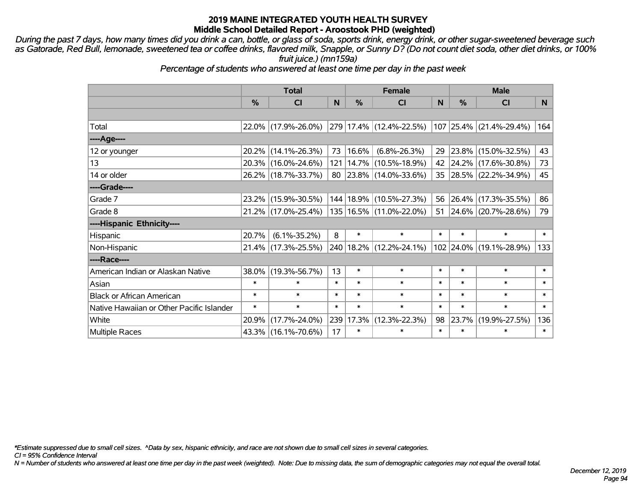*During the past 7 days, how many times did you drink a can, bottle, or glass of soda, sports drink, energy drink, or other sugar-sweetened beverage such as Gatorade, Red Bull, lemonade, sweetened tea or coffee drinks, flavored milk, Snapple, or Sunny D? (Do not count diet soda, other diet drinks, or 100% fruit juice.) (mn159a)*

*Percentage of students who answered at least one time per day in the past week*

|                                           | <b>Total</b> |                     |        | <b>Female</b> | <b>Male</b>                      |        |           |                         |        |
|-------------------------------------------|--------------|---------------------|--------|---------------|----------------------------------|--------|-----------|-------------------------|--------|
|                                           | %            | <b>CI</b>           | N      | $\frac{9}{6}$ | <b>CI</b>                        | N      | %         | <b>CI</b>               | N.     |
|                                           |              |                     |        |               |                                  |        |           |                         |        |
| Total                                     |              | 22.0% (17.9%-26.0%) |        |               | 279 17.4% (12.4%-22.5%)          |        |           | 107 25.4% (21.4%-29.4%) | 164    |
| ----Age----                               |              |                     |        |               |                                  |        |           |                         |        |
| 12 or younger                             | $20.2\%$     | $(14.1\% - 26.3\%)$ | 73     | $ 16.6\% $    | $(6.8\% - 26.3\%)$               | 29     | 23.8%     | $(15.0\% - 32.5\%)$     | 43     |
| 13                                        |              | 20.3% (16.0%-24.6%) |        |               | 121   14.7%   (10.5%-18.9%)      |        |           | 42 24.2% (17.6%-30.8%)  | 73     |
| 14 or older                               |              | 26.2% (18.7%-33.7%) |        |               | 80   23.8%   $(14.0\% - 33.6\%)$ |        |           | 35 28.5% (22.2%-34.9%)  | 45     |
| ----Grade----                             |              |                     |        |               |                                  |        |           |                         |        |
| Grade 7                                   | 23.2%        | $(15.9\% - 30.5\%)$ |        |               | 144   18.9%   (10.5%-27.3%)      | 56     | 26.4%     | $(17.3\% - 35.5\%)$     | 86     |
| Grade 8                                   |              | 21.2% (17.0%-25.4%) |        |               | 135   16.5%   (11.0%-22.0%)      | 51     |           | 24.6% (20.7%-28.6%)     | 79     |
| ----Hispanic Ethnicity----                |              |                     |        |               |                                  |        |           |                         |        |
| Hispanic                                  | 20.7%        | $(6.1\% - 35.2\%)$  | 8      | $\ast$        | $\ast$                           | $\ast$ | $\ast$    | $\ast$                  | $\ast$ |
| Non-Hispanic                              |              | 21.4% (17.3%-25.5%) |        |               | 240   18.2%   (12.2%-24.1%)      |        | 102 24.0% | $(19.1\% - 28.9\%)$     | 133    |
| ----Race----                              |              |                     |        |               |                                  |        |           |                         |        |
| American Indian or Alaskan Native         | 38.0%        | $(19.3\% - 56.7\%)$ | 13     | $\ast$        | $\ast$                           | $\ast$ | $\ast$    | $\ast$                  | $\ast$ |
| Asian                                     | $\ast$       | $\ast$              | $\ast$ | $\ast$        | $\ast$                           | $\ast$ | $\ast$    | $\ast$                  | $\ast$ |
| <b>Black or African American</b>          | $\ast$       | $\ast$              | $\ast$ | $\ast$        | $\ast$                           | $\ast$ | $\ast$    | $\ast$                  | $\ast$ |
| Native Hawaiian or Other Pacific Islander | $\ast$       | $\ast$              | $\ast$ | $\ast$        | $\ast$                           | $\ast$ | $\ast$    | $\ast$                  | $\ast$ |
| White                                     | 20.9%        | $(17.7\% - 24.0\%)$ |        | 239 17.3%     | $(12.3\% - 22.3\%)$              | 98     | 23.7%     | $(19.9\% - 27.5\%)$     | 136    |
| <b>Multiple Races</b>                     |              | 43.3% (16.1%-70.6%) | 17     | $\ast$        | $\ast$                           | $\ast$ | $\ast$    | $\ast$                  | $\ast$ |

*\*Estimate suppressed due to small cell sizes. ^Data by sex, hispanic ethnicity, and race are not shown due to small cell sizes in several categories.*

*CI = 95% Confidence Interval*

*N = Number of students who answered at least one time per day in the past week (weighted). Note: Due to missing data, the sum of demographic categories may not equal the overall total.*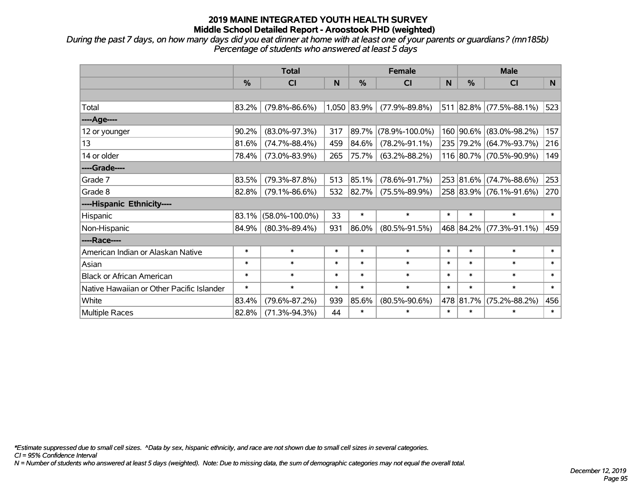*During the past 7 days, on how many days did you eat dinner at home with at least one of your parents or guardians? (mn185b) Percentage of students who answered at least 5 days*

|                                           | <b>Total</b> |                      |        | <b>Female</b> |                      | <b>Male</b> |           |                         |        |
|-------------------------------------------|--------------|----------------------|--------|---------------|----------------------|-------------|-----------|-------------------------|--------|
|                                           | $\%$         | <b>CI</b>            | N      | %             | <b>CI</b>            | N           | $\%$      | <b>CI</b>               | N      |
|                                           |              |                      |        |               |                      |             |           |                         |        |
| Total                                     | 83.2%        | $(79.8\% - 86.6\%)$  |        | 1,050 83.9%   | $(77.9\% - 89.8\%)$  |             |           | 511 82.8% (77.5%-88.1%) | 523    |
| ----Age----                               |              |                      |        |               |                      |             |           |                         |        |
| 12 or younger                             | 90.2%        | $(83.0\% - 97.3\%)$  | 317    | 89.7%         | $(78.9\% - 100.0\%)$ |             |           | 160 90.6% (83.0%-98.2%) | 157    |
| 13                                        | 81.6%        | $(74.7\% - 88.4\%)$  | 459    | 84.6%         | $(78.2\% - 91.1\%)$  |             |           | 235 79.2% (64.7%-93.7%) | 216    |
| 14 or older                               | 78.4%        | $(73.0\% - 83.9\%)$  | 265    | 75.7%         | $(63.2\% - 88.2\%)$  |             |           | 116 80.7% (70.5%-90.9%) | 149    |
| ----Grade----                             |              |                      |        |               |                      |             |           |                         |        |
| Grade 7                                   | 83.5%        | $(79.3\% - 87.8\%)$  | 513    | 85.1%         | $(78.6\% - 91.7\%)$  |             | 253 81.6% | $(74.7\% - 88.6\%)$     | 253    |
| Grade 8                                   | 82.8%        | $(79.1\% - 86.6\%)$  | 532    | 82.7%         | $(75.5\% - 89.9\%)$  |             |           | 258 83.9% (76.1%-91.6%) | 270    |
| ----Hispanic Ethnicity----                |              |                      |        |               |                      |             |           |                         |        |
| Hispanic                                  | 83.1%        | $(58.0\% - 100.0\%)$ | 33     | $\ast$        | $\ast$               | $\ast$      | $\ast$    | $\ast$                  | $\ast$ |
| Non-Hispanic                              | 84.9%        | $(80.3\% - 89.4\%)$  | 931    | 86.0%         | $(80.5\% - 91.5\%)$  |             |           | 468 84.2% (77.3%-91.1%) | 459    |
| ----Race----                              |              |                      |        |               |                      |             |           |                         |        |
| American Indian or Alaskan Native         | $\ast$       | $\ast$               | $\ast$ | $\ast$        | $\ast$               | $\ast$      | $\ast$    | $\ast$                  | $\ast$ |
| Asian                                     | $\ast$       | $\ast$               | $\ast$ | $\ast$        | $\ast$               | $\ast$      | $\ast$    | $\ast$                  | $\ast$ |
| <b>Black or African American</b>          | $\ast$       | $\ast$               | $\ast$ | $\ast$        | $\ast$               | $\ast$      | $\ast$    | $\ast$                  | $\ast$ |
| Native Hawaiian or Other Pacific Islander | $\ast$       | $\ast$               | $\ast$ | $\ast$        | $\ast$               | $\ast$      | $\ast$    | $\ast$                  | $\ast$ |
| White                                     | 83.4%        | $(79.6\% - 87.2\%)$  | 939    | 85.6%         | $(80.5\% - 90.6\%)$  |             | 478 81.7% | $(75.2\% - 88.2\%)$     | 456    |
| <b>Multiple Races</b>                     | 82.8%        | $(71.3\% - 94.3\%)$  | 44     | $\ast$        | $\ast$               | $\ast$      | $\ast$    | $\ast$                  | $\ast$ |

*\*Estimate suppressed due to small cell sizes. ^Data by sex, hispanic ethnicity, and race are not shown due to small cell sizes in several categories.*

*CI = 95% Confidence Interval*

*N = Number of students who answered at least 5 days (weighted). Note: Due to missing data, the sum of demographic categories may not equal the overall total.*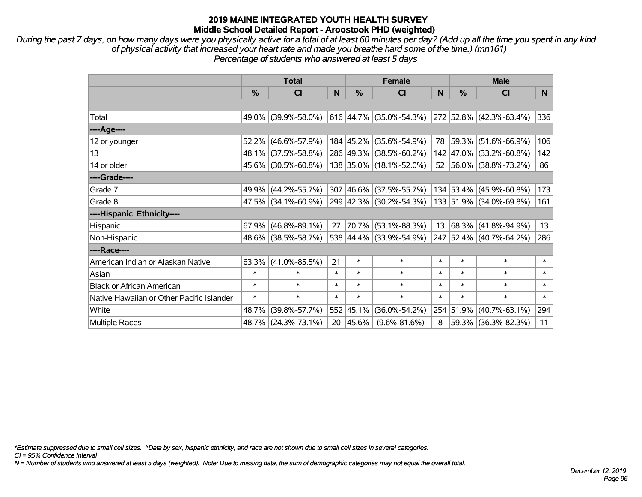*During the past 7 days, on how many days were you physically active for a total of at least 60 minutes per day? (Add up all the time you spent in any kind of physical activity that increased your heart rate and made you breathe hard some of the time.) (mn161) Percentage of students who answered at least 5 days*

|                                           | <b>Total</b>  |                        |        |               | <b>Female</b>             |        | <b>Male</b>   |                         |        |  |
|-------------------------------------------|---------------|------------------------|--------|---------------|---------------------------|--------|---------------|-------------------------|--------|--|
|                                           | $\frac{0}{0}$ | <b>CI</b>              | N      | $\frac{0}{0}$ | CI                        | N      | $\frac{0}{0}$ | <b>CI</b>               | N      |  |
|                                           |               |                        |        |               |                           |        |               |                         |        |  |
| Total                                     |               | 49.0% (39.9%-58.0%)    |        |               | $616$ 44.7% (35.0%-54.3%) |        |               | 272 52.8% (42.3%-63.4%) | 336    |  |
| ----Age----                               |               |                        |        |               |                           |        |               |                         |        |  |
| 12 or younger                             | 52.2%         | $(46.6\% - 57.9\%)$    |        |               | 184 45.2% (35.6%-54.9%)   |        | 78 59.3%      | $(51.6\% - 66.9\%)$     | 106    |  |
| 13                                        |               | 48.1% (37.5%-58.8%)    |        |               | 286 49.3% (38.5%-60.2%)   |        | 142 47.0%     | $(33.2\% - 60.8\%)$     | 142    |  |
| 14 or older                               |               | 45.6% (30.5%-60.8%)    |        |               | 138 35.0% (18.1%-52.0%)   |        |               | 52 56.0% (38.8%-73.2%)  | 86     |  |
| ----Grade----                             |               |                        |        |               |                           |        |               |                         |        |  |
| Grade 7                                   |               | 49.9% (44.2%-55.7%)    |        |               | 307 46.6% (37.5%-55.7%)   |        | 134 53.4%     | $(45.9\% - 60.8\%)$     | 173    |  |
| Grade 8                                   |               | $47.5\%$ (34.1%-60.9%) |        |               | 299 42.3% (30.2%-54.3%)   |        |               | 133 51.9% (34.0%-69.8%) | 161    |  |
| ----Hispanic Ethnicity----                |               |                        |        |               |                           |        |               |                         |        |  |
| Hispanic                                  | 67.9%         | $(46.8\% - 89.1\%)$    | 27     | 70.7%         | $(53.1\% - 88.3\%)$       | 13     | $ 68.3\% $    | $(41.8\% - 94.9\%)$     | 13     |  |
| Non-Hispanic                              |               | 48.6% (38.5%-58.7%)    |        |               | 538 44.4% (33.9%-54.9%)   |        |               | 247 52.4% (40.7%-64.2%) | 286    |  |
| ----Race----                              |               |                        |        |               |                           |        |               |                         |        |  |
| American Indian or Alaskan Native         |               | $63.3\%$ (41.0%-85.5%) | 21     | $\ast$        | $\ast$                    | $\ast$ | $\ast$        | $\ast$                  | $\ast$ |  |
| Asian                                     | $\ast$        | $\ast$                 | $\ast$ | $\ast$        | $\ast$                    | $\ast$ | $\ast$        | $\ast$                  | $\ast$ |  |
| <b>Black or African American</b>          | $\ast$        | $\ast$                 | $\ast$ | $\ast$        | $\ast$                    | $\ast$ | $\ast$        | $\ast$                  | $\ast$ |  |
| Native Hawaiian or Other Pacific Islander | $\ast$        | $\ast$                 | $\ast$ | $\ast$        | $\ast$                    | $\ast$ | $\ast$        | $\ast$                  | $\ast$ |  |
| White                                     | 48.7%         | $(39.8\% - 57.7\%)$    |        | 552 45.1%     | $(36.0\% - 54.2\%)$       |        | 254 51.9%     | $(40.7\% - 63.1\%)$     | 294    |  |
| Multiple Races                            |               | 48.7% (24.3%-73.1%)    |        | 20 45.6%      | $(9.6\% - 81.6\%)$        | 8      |               | 59.3% (36.3%-82.3%)     | 11     |  |

*\*Estimate suppressed due to small cell sizes. ^Data by sex, hispanic ethnicity, and race are not shown due to small cell sizes in several categories.*

*CI = 95% Confidence Interval*

*N = Number of students who answered at least 5 days (weighted). Note: Due to missing data, the sum of demographic categories may not equal the overall total.*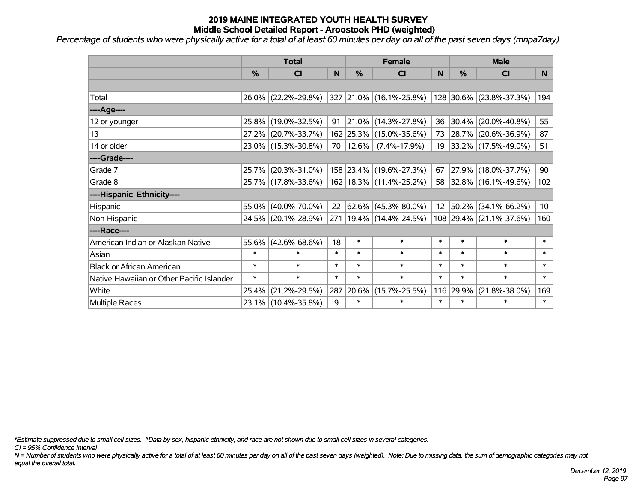*Percentage of students who were physically active for a total of at least 60 minutes per day on all of the past seven days (mnpa7day)*

|                                           | <b>Total</b>  |                     |        | <b>Female</b> | <b>Male</b>                 |                 |               |                         |                 |
|-------------------------------------------|---------------|---------------------|--------|---------------|-----------------------------|-----------------|---------------|-------------------------|-----------------|
|                                           | $\frac{0}{0}$ | <b>CI</b>           | N      | $\frac{0}{0}$ | <b>CI</b>                   | N               | $\frac{0}{0}$ | <b>CI</b>               | N.              |
|                                           |               |                     |        |               |                             |                 |               |                         |                 |
| Total                                     |               | 26.0% (22.2%-29.8%) |        |               | 327 21.0% (16.1%-25.8%)     |                 |               | 128 30.6% (23.8%-37.3%) | 194             |
| ----Age----                               |               |                     |        |               |                             |                 |               |                         |                 |
| 12 or younger                             | 25.8%         | $(19.0\% - 32.5\%)$ | 91     |               | $21.0\%$ (14.3%-27.8%)      | 36              | 30.4%         | $(20.0\% - 40.8\%)$     | 55              |
| 13                                        | $27.2\%$      | $(20.7\% - 33.7\%)$ |        |               | 162 25.3% (15.0%-35.6%)     |                 |               | 73 28.7% (20.6%-36.9%)  | 87              |
| 14 or older                               |               | 23.0% (15.3%-30.8%) |        | 70   12.6%    | $(7.4\% - 17.9\%)$          |                 |               | 19 33.2% (17.5%-49.0%)  | 51              |
| ----Grade----                             |               |                     |        |               |                             |                 |               |                         |                 |
| Grade 7                                   | $25.7\%$      | $(20.3\% - 31.0\%)$ |        |               | 158 23.4% (19.6%-27.3%)     | 67              | 27.9%         | $(18.0\% - 37.7\%)$     | 90              |
| Grade 8                                   |               | 25.7% (17.8%-33.6%) |        |               | 162 18.3% (11.4%-25.2%)     |                 |               | 58 32.8% (16.1%-49.6%)  | 102             |
| ----Hispanic Ethnicity----                |               |                     |        |               |                             |                 |               |                         |                 |
| Hispanic                                  | 55.0%         | $(40.0\% - 70.0\%)$ | 22     | 62.6%         | $(45.3\% - 80.0\%)$         | 12 <sup>2</sup> | 50.2%         | $(34.1\% - 66.2\%)$     | 10 <sup>1</sup> |
| Non-Hispanic                              |               | 24.5% (20.1%-28.9%) |        |               | 271   19.4%   (14.4%-24.5%) |                 |               | 108 29.4% (21.1%-37.6%) | 160             |
| ----Race----                              |               |                     |        |               |                             |                 |               |                         |                 |
| American Indian or Alaskan Native         | 55.6%         | $(42.6\% - 68.6\%)$ | 18     | $\ast$        | $\ast$                      | $\ast$          | $\ast$        | $\ast$                  | $\ast$          |
| Asian                                     | $\ast$        | $\ast$              | $\ast$ | $\ast$        | $\ast$                      | $\ast$          | $\ast$        | $\ast$                  | $\ast$          |
| <b>Black or African American</b>          | $\ast$        | $\ast$              | $\ast$ | $\ast$        | $\ast$                      | $\ast$          | $\ast$        | $\ast$                  | $\ast$          |
| Native Hawaiian or Other Pacific Islander | $\ast$        | $\ast$              | $\ast$ | $\ast$        | $\ast$                      | $\ast$          | $\ast$        | $\ast$                  | $\pmb{\ast}$    |
| White                                     | 25.4%         | $(21.2\% - 29.5\%)$ | 287    | 20.6%         | $(15.7\% - 25.5\%)$         | 116             | 29.9%         | $(21.8\% - 38.0\%)$     | 169             |
| <b>Multiple Races</b>                     |               | 23.1% (10.4%-35.8%) | 9      | $\ast$        | $\ast$                      | $\ast$          | $\ast$        | $\ast$                  | $\ast$          |

*\*Estimate suppressed due to small cell sizes. ^Data by sex, hispanic ethnicity, and race are not shown due to small cell sizes in several categories.*

*CI = 95% Confidence Interval*

*N = Number of students who were physically active for a total of at least 60 minutes per day on all of the past seven days (weighted). Note: Due to missing data, the sum of demographic categories may not equal the overall total.*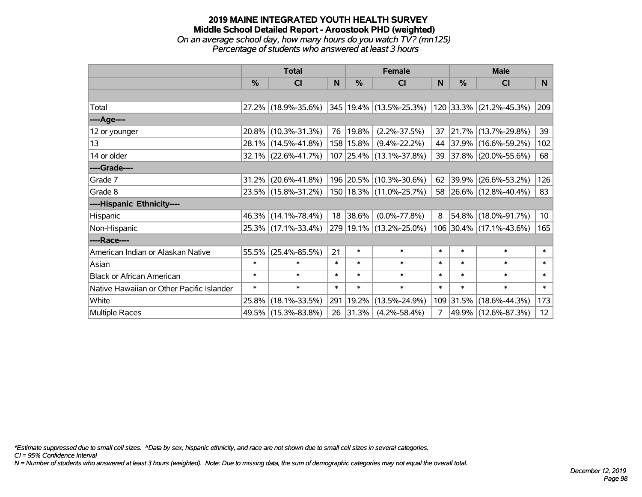### **2019 MAINE INTEGRATED YOUTH HEALTH SURVEY Middle School Detailed Report - Aroostook PHD (weighted)** *On an average school day, how many hours do you watch TV? (mn125) Percentage of students who answered at least 3 hours*

|                                           | <b>Total</b> |                        | <b>Female</b> |            |                         | <b>Male</b>    |           |                         |                 |
|-------------------------------------------|--------------|------------------------|---------------|------------|-------------------------|----------------|-----------|-------------------------|-----------------|
|                                           | %            | CI                     | N             | %          | CI                      | N              | %         | <b>CI</b>               | N               |
|                                           |              |                        |               |            |                         |                |           |                         |                 |
| Total                                     |              | 27.2% (18.9%-35.6%)    |               |            | 345 19.4% (13.5%-25.3%) |                |           | 120 33.3% (21.2%-45.3%) | 209             |
| ----Age----                               |              |                        |               |            |                         |                |           |                         |                 |
| 12 or younger                             | $20.8\%$     | $(10.3\% - 31.3\%)$    | 76            | $ 19.8\% $ | $(2.2\% - 37.5\%)$      | 37             | 21.7%     | $(13.7\% - 29.8\%)$     | 39              |
| 13                                        | $28.1\%$     | $(14.5\% - 41.8\%)$    |               | 158 15.8%  | $(9.4\% - 22.2\%)$      | 44             |           | 37.9% (16.6%-59.2%)     | 102             |
| 14 or older                               |              | $32.1\%$ (22.6%-41.7%) |               |            | 107 25.4% (13.1%-37.8%) |                |           | 39 37.8% (20.0%-55.6%)  | 68              |
| ----Grade----                             |              |                        |               |            |                         |                |           |                         |                 |
| Grade 7                                   | 31.2%        | $(20.6\% - 41.8\%)$    |               |            | 196 20.5% (10.3%-30.6%) | 62             | 39.9%     | $(26.6\% - 53.2\%)$     | 126             |
| Grade 8                                   |              | 23.5% (15.8%-31.2%)    |               |            | 150 18.3% (11.0%-25.7%) |                |           | 58 26.6% (12.8%-40.4%)  | 83              |
| ----Hispanic Ethnicity----                |              |                        |               |            |                         |                |           |                         |                 |
| Hispanic                                  |              | 46.3% (14.1%-78.4%)    | 18            | 38.6%      | $(0.0\% - 77.8\%)$      | 8              | 54.8%     | $(18.0\% - 91.7\%)$     | 10 <sup>1</sup> |
| Non-Hispanic                              |              | 25.3% (17.1%-33.4%)    |               |            | 279 19.1% (13.2%-25.0%) |                |           | 106 30.4% (17.1%-43.6%) | 165             |
| ----Race----                              |              |                        |               |            |                         |                |           |                         |                 |
| American Indian or Alaskan Native         | 55.5%        | $(25.4\% - 85.5\%)$    | 21            | $\ast$     | $\ast$                  | $\ast$         | $\ast$    | $\ast$                  | $\ast$          |
| Asian                                     | $\ast$       | $\ast$                 | $\ast$        | $\ast$     | $\ast$                  | $\ast$         | $\ast$    | $\ast$                  | $\ast$          |
| <b>Black or African American</b>          | $\ast$       | $\ast$                 | $\ast$        | $\ast$     | $\ast$                  | $\ast$         | $\ast$    | $\ast$                  | $\ast$          |
| Native Hawaiian or Other Pacific Islander | $\ast$       | $\ast$                 | $\ast$        | $\ast$     | $\ast$                  | $\ast$         | $\ast$    | $\ast$                  | $\ast$          |
| White                                     | 25.8%        | $(18.1\% - 33.5\%)$    | 291           | 19.2%      | $(13.5\% - 24.9\%)$     |                | 109 31.5% | $(18.6\% - 44.3\%)$     | 173             |
| Multiple Races                            |              | 49.5% (15.3%-83.8%)    |               | 26 31.3%   | $(4.2\% - 58.4\%)$      | $\overline{7}$ |           | 49.9% (12.6%-87.3%)     | 12              |

*\*Estimate suppressed due to small cell sizes. ^Data by sex, hispanic ethnicity, and race are not shown due to small cell sizes in several categories.*

*CI = 95% Confidence Interval*

*N = Number of students who answered at least 3 hours (weighted). Note: Due to missing data, the sum of demographic categories may not equal the overall total.*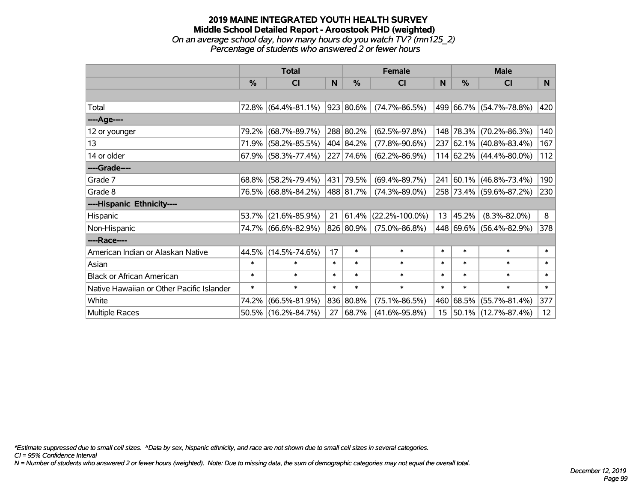## **2019 MAINE INTEGRATED YOUTH HEALTH SURVEY Middle School Detailed Report - Aroostook PHD (weighted)** *On an average school day, how many hours do you watch TV? (mn125\_2) Percentage of students who answered 2 or fewer hours*

|                                           | <b>Total</b> |                        |        |           | <b>Female</b>        | <b>Male</b>      |            |                          |        |
|-------------------------------------------|--------------|------------------------|--------|-----------|----------------------|------------------|------------|--------------------------|--------|
|                                           | $\%$         | CI                     | N      | $\%$      | <b>CI</b>            | N                | %          | <b>CI</b>                | N      |
|                                           |              |                        |        |           |                      |                  |            |                          |        |
| Total                                     |              | 72.8% (64.4%-81.1%)    |        | 923 80.6% | $(74.7\% - 86.5\%)$  |                  |            | 499 66.7% (54.7%-78.8%)  | 420    |
| ----Age----                               |              |                        |        |           |                      |                  |            |                          |        |
| 12 or younger                             | 79.2%        | $(68.7\% - 89.7\%)$    |        | 288 80.2% | $(62.5\% - 97.8\%)$  |                  | 148 78.3%  | $(70.2\% - 86.3\%)$      | 140    |
| 13                                        |              | 71.9% (58.2%-85.5%)    |        | 404 84.2% | $(77.8\% - 90.6\%)$  |                  |            | 237 62.1% (40.8%-83.4%)  | 167    |
| 14 or older                               |              | $67.9\%$ (58.3%-77.4%) |        | 227 74.6% | $(62.2\% - 86.9\%)$  |                  |            | 114 62.2% (44.4%-80.0%)  | 112    |
| ----Grade----                             |              |                        |        |           |                      |                  |            |                          |        |
| Grade 7                                   | 68.8%        | $(58.2\% - 79.4\%)$    | 431    | 79.5%     | $(69.4\% - 89.7\%)$  | 241              | $ 60.1\% $ | $(46.8\% - 73.4\%)$      | 190    |
| Grade 8                                   |              | 76.5% (68.8%-84.2%)    |        | 488 81.7% | $(74.3\% - 89.0\%)$  |                  |            | 258 73.4% (59.6%-87.2%)  | 230    |
| ----Hispanic Ethnicity----                |              |                        |        |           |                      |                  |            |                          |        |
| Hispanic                                  | 53.7%        | $(21.6\% - 85.9\%)$    | 21     | 61.4%     | $(22.2\% - 100.0\%)$ | 13               | 45.2%      | $(8.3\% - 82.0\%)$       | 8      |
| Non-Hispanic                              |              | 74.7% (66.6%-82.9%)    |        | 826 80.9% | $(75.0\% - 86.8\%)$  |                  |            | 448 69.6% (56.4%-82.9%)  | 378    |
| ----Race----                              |              |                        |        |           |                      |                  |            |                          |        |
| American Indian or Alaskan Native         |              | 44.5% (14.5%-74.6%)    | 17     | $\ast$    | $\ast$               | $\ast$           | $\ast$     | $\ast$                   | $\ast$ |
| Asian                                     | $\ast$       | $\ast$                 | $\ast$ | $\ast$    | $\ast$               | $\ast$           | $\ast$     | $\ast$                   | $\ast$ |
| <b>Black or African American</b>          | $\ast$       | $\ast$                 | $\ast$ | $\ast$    | $\ast$               | $\ast$           | $\ast$     | $\ast$                   | $\ast$ |
| Native Hawaiian or Other Pacific Islander | $\ast$       | $\ast$                 | $\ast$ | $\ast$    | $\ast$               | $\ast$           | $\ast$     | $\ast$                   | $\ast$ |
| White                                     | 74.2%        | $(66.5\% - 81.9\%)$    | 836    | 80.8%     | $(75.1\% - 86.5\%)$  | 460              | 68.5%      | $(55.7\% - 81.4\%)$      | 377    |
| Multiple Races                            |              | 50.5% (16.2%-84.7%)    | 27     | 68.7%     | $(41.6\% - 95.8\%)$  | 15 <sub>15</sub> |            | $ 50.1\% $ (12.7%-87.4%) | 12     |

*\*Estimate suppressed due to small cell sizes. ^Data by sex, hispanic ethnicity, and race are not shown due to small cell sizes in several categories.*

*CI = 95% Confidence Interval*

*N = Number of students who answered 2 or fewer hours (weighted). Note: Due to missing data, the sum of demographic categories may not equal the overall total.*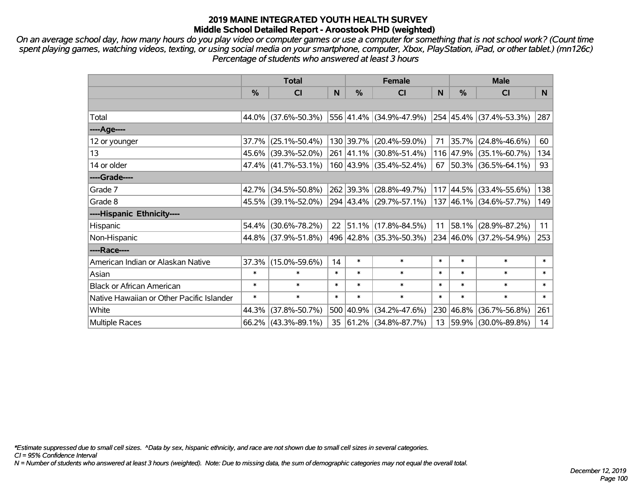*On an average school day, how many hours do you play video or computer games or use a computer for something that is not school work? (Count time spent playing games, watching videos, texting, or using social media on your smartphone, computer, Xbox, PlayStation, iPad, or other tablet.) (mn126c) Percentage of students who answered at least 3 hours*

|                                           | <b>Total</b>  |                        |        | <b>Female</b> | <b>Male</b>                      |        |                   |                                  |        |
|-------------------------------------------|---------------|------------------------|--------|---------------|----------------------------------|--------|-------------------|----------------------------------|--------|
|                                           | $\frac{0}{0}$ | <b>CI</b>              | N      | $\frac{9}{6}$ | <b>CI</b>                        | N      | %                 | <b>CI</b>                        | N.     |
|                                           |               |                        |        |               |                                  |        |                   |                                  |        |
| Total                                     |               | 44.0% (37.6%-50.3%)    |        |               | 556 41.4% (34.9%-47.9%)          |        |                   | $ 254 45.4\%  (37.4\% - 53.3\%)$ | 287    |
| ----Age----                               |               |                        |        |               |                                  |        |                   |                                  |        |
| 12 or younger                             |               | $37.7\%$ (25.1%-50.4%) |        |               | 130 39.7% (20.4%-59.0%)          | 71     |                   | 35.7% (24.8%-46.6%)              | 60     |
| 13                                        |               | 45.6% (39.3%-52.0%)    |        |               | 261 41.1% (30.8%-51.4%)          |        |                   | 116 47.9% (35.1%-60.7%)          | 134    |
| 14 or older                               |               | $47.4\%$ (41.7%-53.1%) |        |               | 160 43.9% (35.4%-52.4%)          |        |                   | 67   50.3%   (36.5%-64.1%)       | 93     |
| ----Grade----                             |               |                        |        |               |                                  |        |                   |                                  |        |
| Grade 7                                   |               | 42.7% (34.5%-50.8%)    |        |               | 262 39.3% (28.8%-49.7%)          |        | $117 \,   44.5\%$ | $(33.4\% - 55.6\%)$              | 138    |
| Grade 8                                   |               | 45.5% (39.1%-52.0%)    |        |               | $ 294 43.4\%  (29.7\% - 57.1\%)$ |        |                   | 137 46.1% (34.6%-57.7%)          | 149    |
| ----Hispanic Ethnicity----                |               |                        |        |               |                                  |        |                   |                                  |        |
| Hispanic                                  |               | 54.4% (30.6%-78.2%)    | 22     | 51.1%         | $(17.8\% - 84.5\%)$              | 11     | 58.1%             | $(28.9\% - 87.2\%)$              | 11     |
| Non-Hispanic                              |               | 44.8% (37.9%-51.8%)    |        |               | 496 42.8% (35.3%-50.3%)          |        |                   | 234 46.0% (37.2%-54.9%)          | 253    |
| ----Race----                              |               |                        |        |               |                                  |        |                   |                                  |        |
| American Indian or Alaskan Native         |               | 37.3% (15.0%-59.6%)    | 14     | $\ast$        | $\ast$                           | $\ast$ | $\ast$            | $\ast$                           | $\ast$ |
| Asian                                     | $\ast$        | $\ast$                 | $\ast$ | $\ast$        | $\ast$                           | $\ast$ | $\ast$            | $\ast$                           | $\ast$ |
| <b>Black or African American</b>          | $\ast$        | $\ast$                 | $\ast$ | $\ast$        | $\ast$                           | $\ast$ | $\ast$            | $\ast$                           | $\ast$ |
| Native Hawaiian or Other Pacific Islander | $\ast$        | $\ast$                 | $\ast$ | $\ast$        | $\ast$                           | $\ast$ | $\ast$            | $\ast$                           | $\ast$ |
| White                                     | 44.3%         | $(37.8\% - 50.7\%)$    |        | 500 40.9%     | $(34.2\% - 47.6\%)$              |        | 230 46.8%         | $(36.7\% - 56.8\%)$              | 261    |
| Multiple Races                            |               | $66.2\%$ (43.3%-89.1%) | 35     |               | $ 61.2\% $ (34.8%-87.7%)         |        |                   | 13 59.9% (30.0%-89.8%)           | 14     |

*\*Estimate suppressed due to small cell sizes. ^Data by sex, hispanic ethnicity, and race are not shown due to small cell sizes in several categories.*

*CI = 95% Confidence Interval*

*N = Number of students who answered at least 3 hours (weighted). Note: Due to missing data, the sum of demographic categories may not equal the overall total.*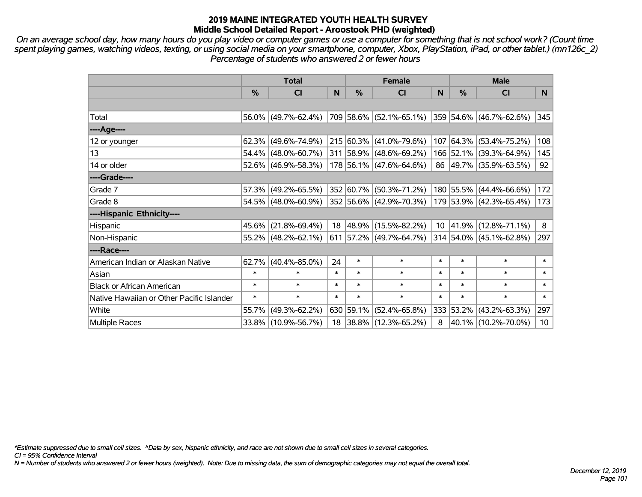*On an average school day, how many hours do you play video or computer games or use a computer for something that is not school work? (Count time spent playing games, watching videos, texting, or using social media on your smartphone, computer, Xbox, PlayStation, iPad, or other tablet.) (mn126c\_2) Percentage of students who answered 2 or fewer hours*

|                                           | <b>Total</b>  |                        |              |               | <b>Female</b>                                   | <b>Male</b> |           |                         |        |
|-------------------------------------------|---------------|------------------------|--------------|---------------|-------------------------------------------------|-------------|-----------|-------------------------|--------|
|                                           | $\frac{0}{0}$ | <b>CI</b>              | $\mathsf{N}$ | $\frac{0}{0}$ | <b>CI</b>                                       | N           | %         | <b>CI</b>               | N.     |
|                                           |               |                        |              |               |                                                 |             |           |                         |        |
| Total                                     |               | $56.0\%$ (49.7%-62.4%) |              |               | 709 58.6% (52.1%-65.1%) 359 54.6% (46.7%-62.6%) |             |           |                         | 345    |
| ----Age----                               |               |                        |              |               |                                                 |             |           |                         |        |
| 12 or younger                             |               | $62.3\%$ (49.6%-74.9%) |              |               | 215 60.3% (41.0%-79.6%)                         |             |           | 107 64.3% (53.4%-75.2%) | 108    |
| 13                                        |               | $54.4\%$ (48.0%-60.7%) |              |               | 311 58.9% (48.6%-69.2%)                         |             |           | 166 52.1% (39.3%-64.9%) | 145    |
| 14 or older                               |               | $52.6\%$ (46.9%-58.3%) |              |               | 178 56.1% (47.6%-64.6%)                         |             |           | 86 49.7% (35.9%-63.5%)  | 92     |
| ----Grade----                             |               |                        |              |               |                                                 |             |           |                         |        |
| Grade 7                                   |               | $57.3\%$ (49.2%-65.5%) |              |               | 352 60.7% (50.3%-71.2%)                         |             |           | 180 55.5% (44.4%-66.6%) | 172    |
| Grade 8                                   |               | $54.5\%$ (48.0%-60.9%) |              |               | 352 56.6% (42.9%-70.3%)                         |             |           | 179 53.9% (42.3%-65.4%) | 173    |
| ----Hispanic Ethnicity----                |               |                        |              |               |                                                 |             |           |                         |        |
| Hispanic                                  |               | $45.6\%$ (21.8%-69.4%) | 18           | 48.9%         | $(15.5\% - 82.2\%)$                             |             | 10 41.9%  | $(12.8\% - 71.1\%)$     | 8      |
| Non-Hispanic                              |               | $55.2\%$ (48.2%-62.1%) |              |               | 611 57.2% (49.7%-64.7%)                         |             |           | 314 54.0% (45.1%-62.8%) | 297    |
| ----Race----                              |               |                        |              |               |                                                 |             |           |                         |        |
| American Indian or Alaskan Native         |               | $62.7\%$ (40.4%-85.0%) | 24           | $\ast$        | $\ast$                                          | $\ast$      | $\ast$    | $\ast$                  | $\ast$ |
| Asian                                     | $\ast$        | $\ast$                 | $\ast$       | $\ast$        | $\ast$                                          | $\ast$      | $\ast$    | $\ast$                  | $\ast$ |
| <b>Black or African American</b>          | $\ast$        | $\ast$                 | $\ast$       | $\ast$        | $\ast$                                          | $\ast$      | $\ast$    | $\ast$                  | $\ast$ |
| Native Hawaiian or Other Pacific Islander | $\ast$        | $\ast$                 | $\ast$       | $\ast$        | $\ast$                                          | $\ast$      | $\ast$    | $\ast$                  | $\ast$ |
| White                                     | 55.7%         | $(49.3\% - 62.2\%)$    |              | 630 59.1%     | $(52.4\% - 65.8\%)$                             |             | 333 53.2% | $(43.2\% - 63.3\%)$     | 297    |
| Multiple Races                            |               | 33.8% (10.9%-56.7%)    |              |               | 18 38.8% (12.3%-65.2%)                          | 8           |           | 40.1% (10.2%-70.0%)     | 10     |

*\*Estimate suppressed due to small cell sizes. ^Data by sex, hispanic ethnicity, and race are not shown due to small cell sizes in several categories.*

*CI = 95% Confidence Interval*

*N = Number of students who answered 2 or fewer hours (weighted). Note: Due to missing data, the sum of demographic categories may not equal the overall total.*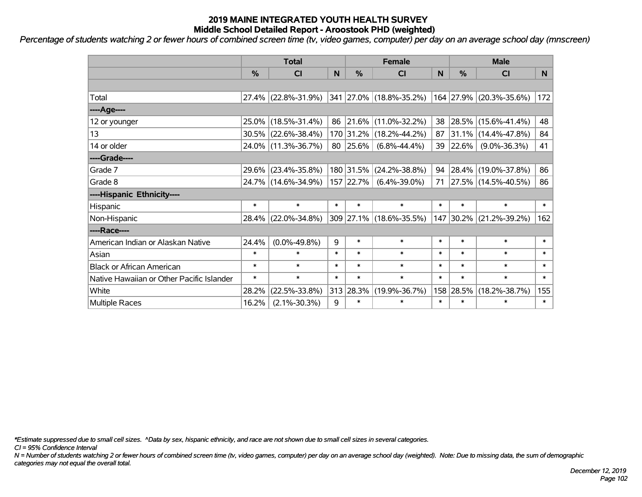*Percentage of students watching 2 or fewer hours of combined screen time (tv, video games, computer) per day on an average school day (mnscreen)*

|                                           | <b>Total</b> |                        | <b>Female</b> |               |                         | <b>Male</b> |               |                          |          |
|-------------------------------------------|--------------|------------------------|---------------|---------------|-------------------------|-------------|---------------|--------------------------|----------|
|                                           | $\%$         | <b>CI</b>              | N             | $\frac{9}{6}$ | CI                      | N           | $\frac{0}{0}$ | <b>CI</b>                | <b>N</b> |
|                                           |              |                        |               |               |                         |             |               |                          |          |
| Total                                     |              | $27.4\%$ (22.8%-31.9%) |               |               | 341 27.0% (18.8%-35.2%) |             |               | 164 27.9% (20.3%-35.6%)  | 172      |
| ----Age----                               |              |                        |               |               |                         |             |               |                          |          |
| 12 or younger                             |              | 25.0% (18.5%-31.4%)    | 86            | 21.6%         | $(11.0\% - 32.2\%)$     | 38          | $ 28.5\% $    | $(15.6\% - 41.4\%)$      | 48       |
| 13                                        |              | $30.5\%$ (22.6%-38.4%) |               | 170 31.2%     | $(18.2\% - 44.2\%)$     | 87          |               | $31.1\%$ (14.4%-47.8%)   | 84       |
| 14 or older                               |              | 24.0% (11.3%-36.7%)    |               | 80 25.6%      | $(6.8\% - 44.4\%)$      |             | 39 22.6%      | $(9.0\% - 36.3\%)$       | 41       |
| ----Grade----                             |              |                        |               |               |                         |             |               |                          |          |
| Grade 7                                   |              | 29.6% (23.4%-35.8%)    |               | 180 31.5%     | $(24.2\% - 38.8\%)$     | 94          | $28.4\%$      | $(19.0\% - 37.8\%)$      | 86       |
| Grade 8                                   |              | 24.7% (14.6%-34.9%)    |               | 157 22.7%     | $(6.4\% - 39.0\%)$      | 71          |               | $ 27.5\% $ (14.5%-40.5%) | 86       |
| ----Hispanic Ethnicity----                |              |                        |               |               |                         |             |               |                          |          |
| Hispanic                                  | $\ast$       | $\ast$                 | $\ast$        | $\ast$        | $\ast$                  | $\ast$      | $\ast$        | $\ast$                   | $\ast$   |
| Non-Hispanic                              |              | 28.4% (22.0%-34.8%)    |               |               | 309 27.1% (18.6%-35.5%) |             | 147 30.2%     | $(21.2\% - 39.2\%)$      | 162      |
| ----Race----                              |              |                        |               |               |                         |             |               |                          |          |
| American Indian or Alaskan Native         | 24.4%        | $(0.0\% - 49.8\%)$     | 9             | $\ast$        | $\ast$                  | $\ast$      | $\ast$        | $\ast$                   | $\ast$   |
| Asian                                     | $\ast$       | $\ast$                 | $\ast$        | $\ast$        | $\ast$                  | $\ast$      | $\ast$        | $\ast$                   | $\ast$   |
| <b>Black or African American</b>          | $\ast$       | $\ast$                 | $\ast$        | $\ast$        | $\ast$                  | $\ast$      | $\ast$        | $\ast$                   | $\ast$   |
| Native Hawaiian or Other Pacific Islander | $\ast$       | $\ast$                 | $\ast$        | $\ast$        | $\ast$                  | $\ast$      | $\ast$        | $\ast$                   | $\ast$   |
| White                                     | 28.2%        | $(22.5\% - 33.8\%)$    |               | 313 28.3%     | $(19.9\% - 36.7\%)$     | 158         | 28.5%         | $(18.2\% - 38.7\%)$      | 155      |
| Multiple Races                            | 16.2%        | $(2.1\% - 30.3\%)$     | 9             | $\ast$        | $\ast$                  | $\ast$      | $\ast$        | $\ast$                   | $\ast$   |

*\*Estimate suppressed due to small cell sizes. ^Data by sex, hispanic ethnicity, and race are not shown due to small cell sizes in several categories.*

*CI = 95% Confidence Interval*

*N = Number of students watching 2 or fewer hours of combined screen time (tv, video games, computer) per day on an average school day (weighted). Note: Due to missing data, the sum of demographic categories may not equal the overall total.*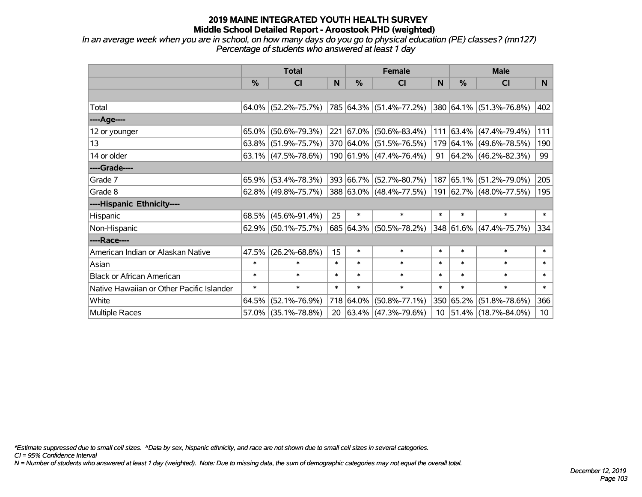*In an average week when you are in school, on how many days do you go to physical education (PE) classes? (mn127) Percentage of students who answered at least 1 day*

|                                           | <b>Total</b> |                        | <b>Female</b> |           |                         | <b>Male</b>     |           |                         |        |
|-------------------------------------------|--------------|------------------------|---------------|-----------|-------------------------|-----------------|-----------|-------------------------|--------|
|                                           | $\%$         | <b>CI</b>              | N             | $\%$      | <b>CI</b>               | N               | %         | <b>CI</b>               | N      |
|                                           |              |                        |               |           |                         |                 |           |                         |        |
| Total                                     |              | $64.0\%$ (52.2%-75.7%) |               |           | 785 64.3% (51.4%-77.2%) |                 |           | 380 64.1% (51.3%-76.8%) | 402    |
| ----Age----                               |              |                        |               |           |                         |                 |           |                         |        |
| 12 or younger                             | 65.0%        | $(50.6\% - 79.3\%)$    |               |           | 221 67.0% (50.6%-83.4%) | 111             |           | $63.4\%$ (47.4%-79.4%)  | 111    |
| 13                                        |              | $63.8\%$ (51.9%-75.7%) |               |           | 370 64.0% (51.5%-76.5%) |                 |           | 179 64.1% (49.6%-78.5%) | 190    |
| 14 or older                               |              | $63.1\%$ (47.5%-78.6%) |               |           | 190 61.9% (47.4%-76.4%) | 91              |           | $64.2\%$ (46.2%-82.3%)  | 99     |
| ----Grade----                             |              |                        |               |           |                         |                 |           |                         |        |
| Grade 7                                   | 65.9%        | $(53.4\% - 78.3\%)$    |               |           | 393 66.7% (52.7%-80.7%) |                 | 187 65.1% | $(51.2\% - 79.0\%)$     | 205    |
| Grade 8                                   |              | $62.8\%$ (49.8%-75.7%) |               |           | 388 63.0% (48.4%-77.5%) |                 |           | 191 62.7% (48.0%-77.5%) | 195    |
| ----Hispanic Ethnicity----                |              |                        |               |           |                         |                 |           |                         |        |
| Hispanic                                  | $68.5\%$     | $(45.6\% - 91.4\%)$    | 25            | $\ast$    | $\ast$                  | $\ast$          | $\ast$    | $\ast$                  | $\ast$ |
| Non-Hispanic                              |              | 62.9% (50.1%-75.7%)    |               |           | 685 64.3% (50.5%-78.2%) |                 |           | 348 61.6% (47.4%-75.7%) | 334    |
| ----Race----                              |              |                        |               |           |                         |                 |           |                         |        |
| American Indian or Alaskan Native         | 47.5%        | $(26.2\% - 68.8\%)$    | 15            | $\ast$    | $\ast$                  | $\ast$          | $\ast$    | $\ast$                  | $\ast$ |
| Asian                                     | $\ast$       | $\ast$                 | $\ast$        | $\ast$    | $\ast$                  | $\ast$          | $\ast$    | $\ast$                  | $\ast$ |
| <b>Black or African American</b>          | $\ast$       | $\ast$                 | $\ast$        | $\ast$    | $\ast$                  | $\ast$          | $\ast$    | $\ast$                  | $\ast$ |
| Native Hawaiian or Other Pacific Islander | $\ast$       | $\ast$                 | $\ast$        | $\ast$    | $\ast$                  | $\ast$          | $\ast$    | $\ast$                  | $\ast$ |
| White                                     | 64.5%        | $(52.1\% - 76.9\%)$    |               | 718 64.0% | $(50.8\% - 77.1\%)$     |                 | 350 65.2% | $(51.8\% - 78.6\%)$     | 366    |
| Multiple Races                            |              | 57.0% (35.1%-78.8%)    |               |           | 20 63.4% (47.3%-79.6%)  | 10 <sup>1</sup> |           | 51.4% (18.7%-84.0%)     | 10     |

*\*Estimate suppressed due to small cell sizes. ^Data by sex, hispanic ethnicity, and race are not shown due to small cell sizes in several categories.*

*CI = 95% Confidence Interval*

*N = Number of students who answered at least 1 day (weighted). Note: Due to missing data, the sum of demographic categories may not equal the overall total.*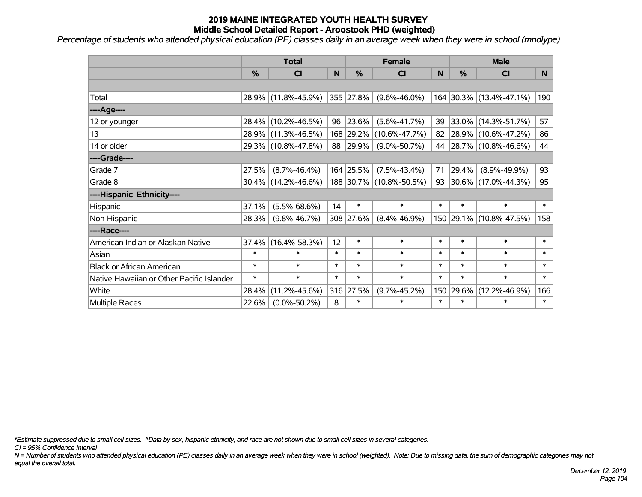*Percentage of students who attended physical education (PE) classes daily in an average week when they were in school (mndlype)*

|                                           | <b>Total</b>  |                     | <b>Female</b> |               |                         | <b>Male</b> |        |                         |              |
|-------------------------------------------|---------------|---------------------|---------------|---------------|-------------------------|-------------|--------|-------------------------|--------------|
|                                           | $\frac{0}{0}$ | <b>CI</b>           | N             | $\frac{9}{6}$ | CI                      | N           | %      | <b>CI</b>               | <b>N</b>     |
|                                           |               |                     |               |               |                         |             |        |                         |              |
| Total                                     |               | 28.9% (11.8%-45.9%) |               | 355 27.8%     | $(9.6\% - 46.0\%)$      |             |        | 164 30.3% (13.4%-47.1%) | 190          |
| ----Age----                               |               |                     |               |               |                         |             |        |                         |              |
| 12 or younger                             | 28.4%         | $(10.2\% - 46.5\%)$ | 96            | 23.6%         | $(5.6\% - 41.7\%)$      | 39          | 33.0%  | $(14.3\% - 51.7\%)$     | 57           |
| 13                                        | 28.9%         | $(11.3\% - 46.5\%)$ |               | 168 29.2%     | $(10.6\% - 47.7\%)$     | 82          | 28.9%  | $(10.6\% - 47.2\%)$     | 86           |
| 14 or older                               |               | 29.3% (10.8%-47.8%) |               | 88 29.9%      | $(9.0\% - 50.7\%)$      |             |        | 44 28.7% (10.8%-46.6%)  | 44           |
| ----Grade----                             |               |                     |               |               |                         |             |        |                         |              |
| Grade 7                                   | 27.5%         | $(8.7\% - 46.4\%)$  |               | 164 25.5%     | $(7.5\% - 43.4\%)$      | 71          | 29.4%  | $(8.9\% - 49.9\%)$      | 93           |
| Grade 8                                   |               | 30.4% (14.2%-46.6%) |               |               | 188 30.7% (10.8%-50.5%) |             |        | 93 30.6% (17.0%-44.3%)  | 95           |
| ----Hispanic Ethnicity----                |               |                     |               |               |                         |             |        |                         |              |
| Hispanic                                  | 37.1%         | $(5.5\% - 68.6\%)$  | 14            | $\ast$        | $\ast$                  | $\ast$      | $\ast$ | $\ast$                  | $\ast$       |
| Non-Hispanic                              | 28.3%         | $(9.8\% - 46.7\%)$  |               | 308 27.6%     | $(8.4\% - 46.9\%)$      |             |        | 150 29.1% (10.8%-47.5%) | 158          |
| ----Race----                              |               |                     |               |               |                         |             |        |                         |              |
| American Indian or Alaskan Native         | 37.4%         | $(16.4\% - 58.3\%)$ | 12            | $\ast$        | $\ast$                  | $\ast$      | $\ast$ | $\ast$                  | $\ast$       |
| Asian                                     | $\ast$        | $\ast$              | $\ast$        | $\ast$        | $\ast$                  | $\ast$      | $\ast$ | $\ast$                  | $\ast$       |
| <b>Black or African American</b>          | $\ast$        | $\ast$              | $\ast$        | $\ast$        | $\ast$                  | $\ast$      | $\ast$ | $\ast$                  | $\ast$       |
| Native Hawaiian or Other Pacific Islander | $\ast$        | $\ast$              | $\ast$        | $\ast$        | $\ast$                  | $\ast$      | $\ast$ | $\ast$                  | $\pmb{\ast}$ |
| White                                     | 28.4%         | $(11.2\% - 45.6\%)$ |               | 316 27.5%     | $(9.7\% - 45.2\%)$      | 150         | 29.6%  | $(12.2\% - 46.9\%)$     | 166          |
| Multiple Races                            | 22.6%         | $(0.0\% - 50.2\%)$  | 8             | $\ast$        | $\ast$                  | $\ast$      | $\ast$ | *                       | $\ast$       |

*\*Estimate suppressed due to small cell sizes. ^Data by sex, hispanic ethnicity, and race are not shown due to small cell sizes in several categories.*

*CI = 95% Confidence Interval*

*N = Number of students who attended physical education (PE) classes daily in an average week when they were in school (weighted). Note: Due to missing data, the sum of demographic categories may not equal the overall total.*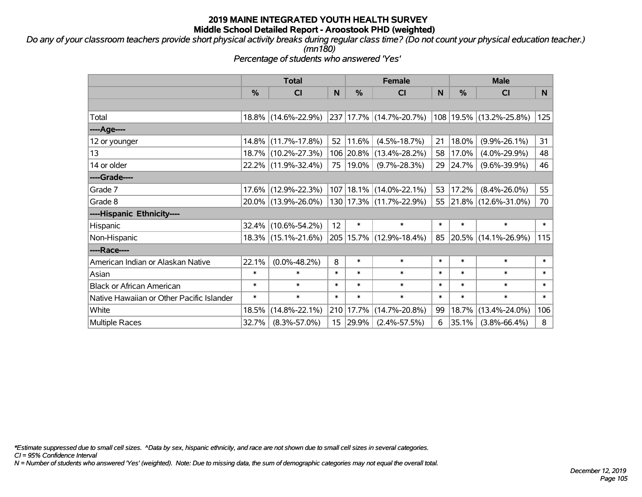*Do any of your classroom teachers provide short physical activity breaks during regular class time? (Do not count your physical education teacher.) (mn180)*

*Percentage of students who answered 'Yes'*

|                                           | <b>Total</b>  |                     | <b>Female</b> |            |                             | <b>Male</b>  |        |                         |        |
|-------------------------------------------|---------------|---------------------|---------------|------------|-----------------------------|--------------|--------|-------------------------|--------|
|                                           | $\frac{0}{0}$ | <b>CI</b>           | N             | $\%$       | <b>CI</b>                   | <sub>N</sub> | $\%$   | <b>CI</b>               | N      |
|                                           |               |                     |               |            |                             |              |        |                         |        |
| Total                                     |               | 18.8% (14.6%-22.9%) |               |            | 237 17.7% (14.7%-20.7%)     |              |        | 108 19.5% (13.2%-25.8%) | 125    |
| ----Age----                               |               |                     |               |            |                             |              |        |                         |        |
| 12 or younger                             |               | 14.8% (11.7%-17.8%) | 52            | 11.6%      | $(4.5\% - 18.7\%)$          | 21           | 18.0%  | $(9.9\% - 26.1\%)$      | 31     |
| 13                                        |               | 18.7% (10.2%-27.3%) |               |            | 106 20.8% (13.4%-28.2%)     | 58           | 17.0%  | $(4.0\% - 29.9\%)$      | 48     |
| 14 or older                               |               | 22.2% (11.9%-32.4%) |               | 75   19.0% | $(9.7\% - 28.3\%)$          | 29           | 24.7%  | $(9.6\% - 39.9\%)$      | 46     |
| ----Grade----                             |               |                     |               |            |                             |              |        |                         |        |
| Grade 7                                   | $17.6\%$      | $(12.9\% - 22.3\%)$ |               |            | 107   18.1%   (14.0%-22.1%) | 53           | 17.2%  | $(8.4\% - 26.0\%)$      | 55     |
| Grade 8                                   |               | 20.0% (13.9%-26.0%) |               |            | 130   17.3%   (11.7%-22.9%) |              |        | 55 21.8% (12.6%-31.0%)  | 70     |
| ----Hispanic Ethnicity----                |               |                     |               |            |                             |              |        |                         |        |
| Hispanic                                  | 32.4%         | $(10.6\% - 54.2\%)$ | 12            | $\ast$     | $\ast$                      | $\ast$       | $\ast$ | $\ast$                  | $\ast$ |
| Non-Hispanic                              |               | 18.3% (15.1%-21.6%) |               |            | 205   15.7%   (12.9%-18.4%) | 85           |        | 20.5% (14.1%-26.9%)     | 115    |
| ----Race----                              |               |                     |               |            |                             |              |        |                         |        |
| American Indian or Alaskan Native         | 22.1%         | $(0.0\% - 48.2\%)$  | 8             | $\ast$     | $\ast$                      | $\ast$       | $\ast$ | $\ast$                  | $\ast$ |
| Asian                                     | $\ast$        | $\ast$              | $\ast$        | $\ast$     | $\ast$                      | $\ast$       | $\ast$ | $\ast$                  | $\ast$ |
| <b>Black or African American</b>          | $\ast$        | $\ast$              | $\ast$        | $\ast$     | $\ast$                      | $\ast$       | $\ast$ | $\ast$                  | $\ast$ |
| Native Hawaiian or Other Pacific Islander | $\ast$        | $\ast$              | $\ast$        | $\ast$     | $\ast$                      | $\ast$       | $\ast$ | $\ast$                  | $\ast$ |
| White                                     | 18.5%         | $(14.8\% - 22.1\%)$ |               | 210 17.7%  | $(14.7\% - 20.8\%)$         | 99           | 18.7%  | $(13.4\% - 24.0\%)$     | 106    |
| <b>Multiple Races</b>                     | 32.7%         | $(8.3\% - 57.0\%)$  |               | 15 29.9%   | $(2.4\% - 57.5\%)$          | 6            | 35.1%  | $(3.8\% - 66.4\%)$      | 8      |

*\*Estimate suppressed due to small cell sizes. ^Data by sex, hispanic ethnicity, and race are not shown due to small cell sizes in several categories.*

*CI = 95% Confidence Interval*

*N = Number of students who answered 'Yes' (weighted). Note: Due to missing data, the sum of demographic categories may not equal the overall total.*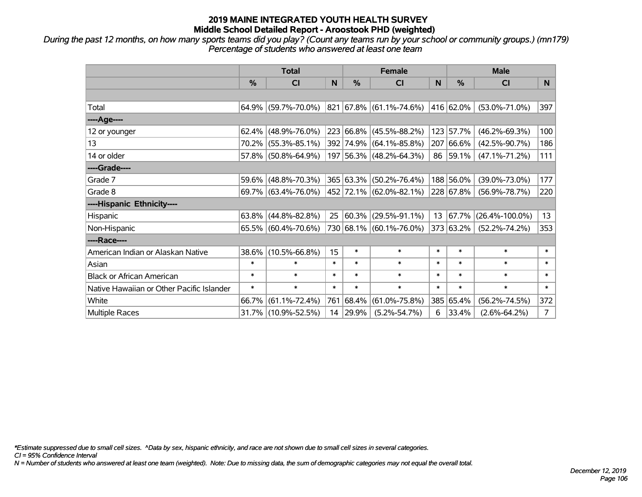*During the past 12 months, on how many sports teams did you play? (Count any teams run by your school or community groups.) (mn179) Percentage of students who answered at least one team*

|                                           | <b>Total</b> |                        |        |               | <b>Female</b>                      |        | <b>Male</b>    |                      |                |  |
|-------------------------------------------|--------------|------------------------|--------|---------------|------------------------------------|--------|----------------|----------------------|----------------|--|
|                                           | %            | <b>CI</b>              | N      | $\frac{0}{0}$ | <b>CI</b>                          | N      | $\frac{0}{0}$  | <b>CI</b>            | N.             |  |
|                                           |              |                        |        |               |                                    |        |                |                      |                |  |
| Total                                     |              | $64.9\%$ (59.7%-70.0%) |        |               | $821   67.8\%   (61.1\% - 74.6\%)$ |        | 416 62.0%      | $(53.0\% - 71.0\%)$  | 397            |  |
| ----Age----                               |              |                        |        |               |                                    |        |                |                      |                |  |
| 12 or younger                             | 62.4%        | $(48.9\% - 76.0\%)$    |        | 223 66.8%     | $(45.5\% - 88.2\%)$                |        | 123 57.7%      | $(46.2\% - 69.3\%)$  | 100            |  |
| 13                                        |              | 70.2% (55.3%-85.1%)    |        |               | 392 74.9% (64.1%-85.8%)            |        | 207 66.6%      | $(42.5\% - 90.7\%)$  | 186            |  |
| 14 or older                               |              | 57.8% (50.8%-64.9%)    |        |               | 197 56.3% (48.2%-64.3%)            |        | 86 59.1%       | $(47.1\% - 71.2\%)$  | 111            |  |
| ----Grade----                             |              |                        |        |               |                                    |        |                |                      |                |  |
| Grade 7                                   |              | 59.6% (48.8%-70.3%)    |        | 365 63.3%     | $(50.2\% - 76.4\%)$                |        | 188 56.0%      | $(39.0\% - 73.0\%)$  | 177            |  |
| Grade 8                                   |              | $69.7\%$ (63.4%-76.0%) |        |               | 452 72.1% (62.0%-82.1%)            |        | $ 228 67.8\% $ | $(56.9\% - 78.7\%)$  | 220            |  |
| ----Hispanic Ethnicity----                |              |                        |        |               |                                    |        |                |                      |                |  |
| Hispanic                                  |              | $63.8\%$ (44.8%-82.8%) |        | 25 60.3%      | $(29.5\% - 91.1\%)$                | 13     | 67.7%          | $(26.4\% - 100.0\%)$ | 13             |  |
| Non-Hispanic                              |              | 65.5% (60.4%-70.6%)    |        |               | 730 68.1% (60.1%-76.0%)            |        | 373 63.2%      | $(52.2\% - 74.2\%)$  | 353            |  |
| ----Race----                              |              |                        |        |               |                                    |        |                |                      |                |  |
| American Indian or Alaskan Native         | 38.6%        | $(10.5\% - 66.8\%)$    | 15     | $\ast$        | $\ast$                             | $\ast$ | $\ast$         | $\ast$               | $\ast$         |  |
| Asian                                     | $\ast$       | $\ast$                 | $\ast$ | $\ast$        | $\ast$                             | $\ast$ | $\ast$         | $\ast$               | $\ast$         |  |
| <b>Black or African American</b>          | $\ast$       | $\ast$                 | $\ast$ | $\ast$        | $\ast$                             | $\ast$ | $\ast$         | $\ast$               | $\ast$         |  |
| Native Hawaiian or Other Pacific Islander | $\ast$       | $\ast$                 | $\ast$ | $\ast$        | $\ast$                             | $\ast$ | $\ast$         | $\ast$               | $\ast$         |  |
| White                                     | 66.7%        | $(61.1\% - 72.4\%)$    |        | 761 68.4%     | $(61.0\% - 75.8\%)$                |        | 385 65.4%      | $(56.2\% - 74.5\%)$  | 372            |  |
| Multiple Races                            |              | 31.7% (10.9%-52.5%)    |        | 14 29.9%      | $(5.2\% - 54.7\%)$                 | 6      | 33.4%          | $(2.6\% - 64.2\%)$   | $\overline{7}$ |  |

*\*Estimate suppressed due to small cell sizes. ^Data by sex, hispanic ethnicity, and race are not shown due to small cell sizes in several categories.*

*CI = 95% Confidence Interval*

*N = Number of students who answered at least one team (weighted). Note: Due to missing data, the sum of demographic categories may not equal the overall total.*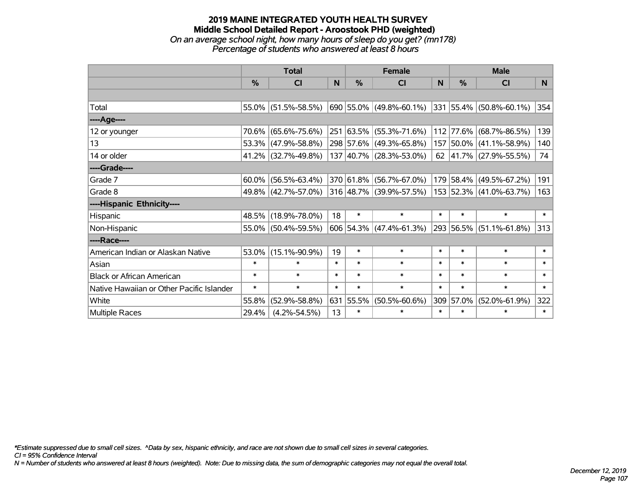## **2019 MAINE INTEGRATED YOUTH HEALTH SURVEY Middle School Detailed Report - Aroostook PHD (weighted)** *On an average school night, how many hours of sleep do you get? (mn178) Percentage of students who answered at least 8 hours*

|                                           | <b>Total</b> |                     |        |               | <b>Female</b>             | <b>Male</b> |           |                             |        |
|-------------------------------------------|--------------|---------------------|--------|---------------|---------------------------|-------------|-----------|-----------------------------|--------|
|                                           | %            | <b>CI</b>           | N      | $\frac{9}{6}$ | CI                        | N           | %         | <b>CI</b>                   | N      |
|                                           |              |                     |        |               |                           |             |           |                             |        |
| Total                                     |              | 55.0% (51.5%-58.5%) |        |               | 690 55.0% (49.8%-60.1%)   |             |           | 331 55.4% (50.8%-60.1%)     | 354    |
| ----Age----                               |              |                     |        |               |                           |             |           |                             |        |
| 12 or younger                             | 70.6%        | $(65.6\% - 75.6\%)$ |        |               | 251 63.5% (55.3%-71.6%)   |             | 112 77.6% | $(68.7\% - 86.5\%)$         | 139    |
| 13                                        |              | 53.3% (47.9%-58.8%) |        |               | 298 57.6% (49.3%-65.8%)   |             | 157 50.0% | $(41.1\% - 58.9\%)$         | 140    |
| 14 or older                               |              | 41.2% (32.7%-49.8%) |        |               | 137 40.7% (28.3%-53.0%)   |             |           | 62 $ 41.7\% $ (27.9%-55.5%) | 74     |
| ----Grade----                             |              |                     |        |               |                           |             |           |                             |        |
| Grade 7                                   | $60.0\%$     | $(56.5\% - 63.4\%)$ |        |               | 370 61.8% (56.7%-67.0%)   |             | 179 58.4% | $(49.5\% - 67.2\%)$         | 191    |
| Grade 8                                   |              | 49.8% (42.7%-57.0%) |        |               | 316 48.7% (39.9%-57.5%)   |             |           | 153 52.3% (41.0%-63.7%)     | 163    |
| ----Hispanic Ethnicity----                |              |                     |        |               |                           |             |           |                             |        |
| Hispanic                                  | 48.5%        | $(18.9\% - 78.0\%)$ | 18     | $\ast$        | $\ast$                    | $\ast$      | $\ast$    | $\ast$                      | $\ast$ |
| Non-Hispanic                              |              | 55.0% (50.4%-59.5%) |        |               | $606$ 54.3% (47.4%-61.3%) |             |           | 293 56.5% (51.1%-61.8%)     | 313    |
| ----Race----                              |              |                     |        |               |                           |             |           |                             |        |
| American Indian or Alaskan Native         | 53.0%        | $(15.1\% - 90.9\%)$ | 19     | $\ast$        | $\ast$                    | $\ast$      | $\ast$    | $\ast$                      | $\ast$ |
| Asian                                     | $\ast$       | $\ast$              | $\ast$ | $\ast$        | $\ast$                    | $\ast$      | $\ast$    | $\ast$                      | $\ast$ |
| <b>Black or African American</b>          | $\ast$       | $\ast$              | $\ast$ | $\ast$        | $\ast$                    | $\ast$      | $\ast$    | $\ast$                      | $\ast$ |
| Native Hawaiian or Other Pacific Islander | $\ast$       | $\ast$              | $\ast$ | $\ast$        | $\ast$                    | $\ast$      | $\ast$    | $\ast$                      | $\ast$ |
| White                                     | 55.8%        | $(52.9\% - 58.8\%)$ |        | 631 55.5%     | $(50.5\% - 60.6\%)$       |             | 309 57.0% | $(52.0\% - 61.9\%)$         | 322    |
| <b>Multiple Races</b>                     | 29.4%        | $(4.2\% - 54.5\%)$  | 13     | *             | $\ast$                    | $\ast$      | $\ast$    | $\ast$                      | $\ast$ |

*\*Estimate suppressed due to small cell sizes. ^Data by sex, hispanic ethnicity, and race are not shown due to small cell sizes in several categories.*

*CI = 95% Confidence Interval*

*N = Number of students who answered at least 8 hours (weighted). Note: Due to missing data, the sum of demographic categories may not equal the overall total.*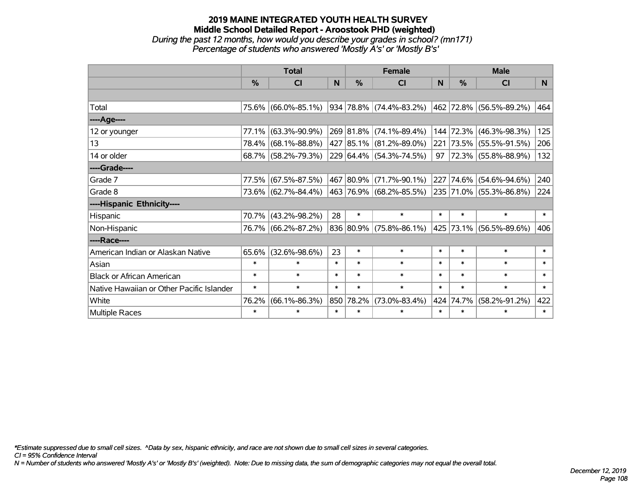## **2019 MAINE INTEGRATED YOUTH HEALTH SURVEY Middle School Detailed Report - Aroostook PHD (weighted)** *During the past 12 months, how would you describe your grades in school? (mn171) Percentage of students who answered 'Mostly A's' or 'Mostly B's'*

|                                           | <b>Total</b>  |                     |        | <b>Female</b> |                         |              | <b>Male</b> |                         |        |
|-------------------------------------------|---------------|---------------------|--------|---------------|-------------------------|--------------|-------------|-------------------------|--------|
|                                           | $\frac{0}{0}$ | <b>CI</b>           | N      | $\%$          | <b>CI</b>               | <sub>N</sub> | $\%$        | <b>CI</b>               | N      |
|                                           |               |                     |        |               |                         |              |             |                         |        |
| Total                                     |               | 75.6% (66.0%-85.1%) |        |               | 934 78.8% (74.4%-83.2%) |              |             | 462 72.8% (56.5%-89.2%) | 464    |
| ----Age----                               |               |                     |        |               |                         |              |             |                         |        |
| 12 or younger                             | 77.1%         | $(63.3\% - 90.9\%)$ |        |               | 269 81.8% (74.1%-89.4%) | 144          | 72.3%       | $(46.3\% - 98.3\%)$     | 125    |
| 13                                        |               | 78.4% (68.1%-88.8%) |        |               | 427 85.1% (81.2%-89.0%) |              |             | 221 73.5% (55.5%-91.5%) | 206    |
| 14 or older                               |               | 68.7% (58.2%-79.3%) |        |               | 229 64.4% (54.3%-74.5%) | $97 \mid$    |             | 72.3% (55.8%-88.9%)     | 132    |
| ----Grade----                             |               |                     |        |               |                         |              |             |                         |        |
| Grade 7                                   | 77.5%         | $(67.5\% - 87.5\%)$ |        |               | 467 80.9% (71.7%-90.1%) | 227          | 74.6%       | $(54.6\% - 94.6\%)$     | 240    |
| Grade 8                                   |               | 73.6% (62.7%-84.4%) |        |               | 463 76.9% (68.2%-85.5%) |              |             | 235 71.0% (55.3%-86.8%) | 224    |
| ----Hispanic Ethnicity----                |               |                     |        |               |                         |              |             |                         |        |
| Hispanic                                  |               | 70.7% (43.2%-98.2%) | 28     | $\ast$        | $\ast$                  | $\ast$       | $\ast$      | $\ast$                  | $\ast$ |
| Non-Hispanic                              |               | 76.7% (66.2%-87.2%) |        |               | 836 80.9% (75.8%-86.1%) |              | 425 73.1%   | $(56.5\% - 89.6\%)$     | 406    |
| ----Race----                              |               |                     |        |               |                         |              |             |                         |        |
| American Indian or Alaskan Native         | 65.6%         | $(32.6\% - 98.6\%)$ | 23     | $\ast$        | $\ast$                  | $\ast$       | $\ast$      | $\ast$                  | $\ast$ |
| Asian                                     | $\ast$        | $\ast$              | $\ast$ | $\ast$        | $\ast$                  | $\ast$       | $\ast$      | $\ast$                  | $\ast$ |
| <b>Black or African American</b>          | $\ast$        | $\ast$              | $\ast$ | $\ast$        | $\ast$                  | $\ast$       | $\ast$      | $\ast$                  | $\ast$ |
| Native Hawaiian or Other Pacific Islander | $\ast$        | $\ast$              | $\ast$ | $\ast$        | $\ast$                  | $\ast$       | $\ast$      | $\ast$                  | $\ast$ |
| White                                     | 76.2%         | $(66.1\% - 86.3\%)$ |        | 850 78.2%     | $(73.0\% - 83.4\%)$     | 424          | 74.7%       | $(58.2\% - 91.2\%)$     | 422    |
| <b>Multiple Races</b>                     | $\ast$        | $\ast$              | $\ast$ | $\ast$        | $\ast$                  | $\ast$       | $\ast$      | $\ast$                  | $\ast$ |

*\*Estimate suppressed due to small cell sizes. ^Data by sex, hispanic ethnicity, and race are not shown due to small cell sizes in several categories.*

*CI = 95% Confidence Interval*

*N = Number of students who answered 'Mostly A's' or 'Mostly B's' (weighted). Note: Due to missing data, the sum of demographic categories may not equal the overall total.*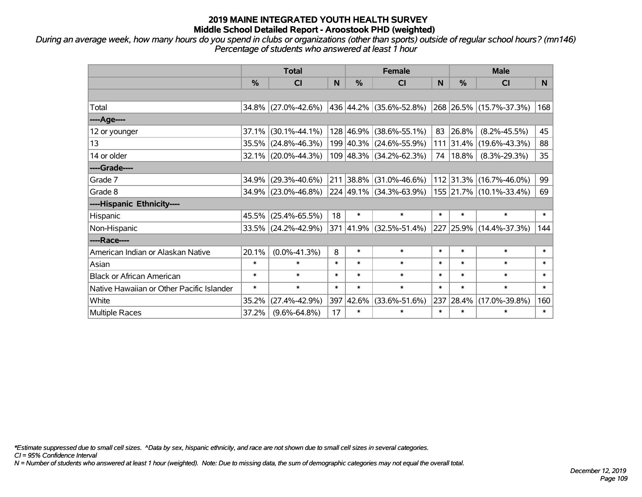*During an average week, how many hours do you spend in clubs or organizations (other than sports) outside of regular school hours? (mn146) Percentage of students who answered at least 1 hour*

|                                           | <b>Total</b>  |                        |        |           | <b>Female</b>           |        | <b>Male</b> |                         |                |  |
|-------------------------------------------|---------------|------------------------|--------|-----------|-------------------------|--------|-------------|-------------------------|----------------|--|
|                                           | $\frac{0}{0}$ | <b>CI</b>              | N      | $\%$      | <b>CI</b>               | N      | %           | <b>CI</b>               | N <sub>1</sub> |  |
|                                           |               |                        |        |           |                         |        |             |                         |                |  |
| Total                                     |               | $34.8\%$ (27.0%-42.6%) |        |           | 436 44.2% (35.6%-52.8%) |        |             | 268 26.5% (15.7%-37.3%) | 168            |  |
| ----Age----                               |               |                        |        |           |                         |        |             |                         |                |  |
| 12 or younger                             | 37.1%         | $(30.1\% - 44.1\%)$    |        | 128 46.9% | $(38.6\% - 55.1\%)$     | 83     | 26.8%       | $(8.2\% - 45.5\%)$      | 45             |  |
| 13                                        |               | 35.5% (24.8%-46.3%)    |        |           | 199 40.3% (24.6%-55.9%) |        | $111$ 31.4% | $(19.6\% - 43.3\%)$     | 88             |  |
| 14 or older                               |               | 32.1% (20.0%-44.3%)    |        |           | 109 48.3% (34.2%-62.3%) | 74     | $18.8\%$    | $(8.3\% - 29.3\%)$      | 35             |  |
| ----Grade----                             |               |                        |        |           |                         |        |             |                         |                |  |
| Grade 7                                   | 34.9%         | $(29.3\% - 40.6\%)$    |        |           | 211 38.8% (31.0%-46.6%) |        | 112 31.3%   | $(16.7\% - 46.0\%)$     | 99             |  |
| Grade 8                                   |               | 34.9% (23.0%-46.8%)    |        |           | 224 49.1% (34.3%-63.9%) |        |             | 155 21.7% (10.1%-33.4%) | 69             |  |
| ----Hispanic Ethnicity----                |               |                        |        |           |                         |        |             |                         |                |  |
| Hispanic                                  |               | 45.5% (25.4%-65.5%)    | 18     | $\ast$    | $\ast$                  | $\ast$ | $\ast$      | $\ast$                  | $\ast$         |  |
| Non-Hispanic                              |               | 33.5% (24.2%-42.9%)    |        |           | 371 41.9% (32.5%-51.4%) |        |             | 227 25.9% (14.4%-37.3%) | 144            |  |
| ----Race----                              |               |                        |        |           |                         |        |             |                         |                |  |
| American Indian or Alaskan Native         | 20.1%         | $(0.0\% - 41.3\%)$     | 8      | $\ast$    | $\ast$                  | $\ast$ | $\ast$      | $\ast$                  | $\ast$         |  |
| Asian                                     | $\ast$        | $\ast$                 | $\ast$ | $\ast$    | $\ast$                  | $\ast$ | $\ast$      | $\ast$                  | $\ast$         |  |
| <b>Black or African American</b>          | $\ast$        | $\ast$                 | $\ast$ | $\ast$    | $\ast$                  | $\ast$ | $\ast$      | $\ast$                  | $\ast$         |  |
| Native Hawaiian or Other Pacific Islander | $\ast$        | $\ast$                 | $\ast$ | $\ast$    | $\ast$                  | $\ast$ | $\ast$      | $\ast$                  | $\ast$         |  |
| White                                     | 35.2%         | $(27.4\% - 42.9\%)$    | 397    | 42.6%     | $(33.6\% - 51.6\%)$     | 237    | 28.4%       | $(17.0\% - 39.8\%)$     | 160            |  |
| <b>Multiple Races</b>                     | 37.2%         | $(9.6\% - 64.8\%)$     | 17     | $\ast$    | $\ast$                  | $\ast$ | $\ast$      | $\ast$                  | $\ast$         |  |

*\*Estimate suppressed due to small cell sizes. ^Data by sex, hispanic ethnicity, and race are not shown due to small cell sizes in several categories.*

*CI = 95% Confidence Interval*

*N = Number of students who answered at least 1 hour (weighted). Note: Due to missing data, the sum of demographic categories may not equal the overall total.*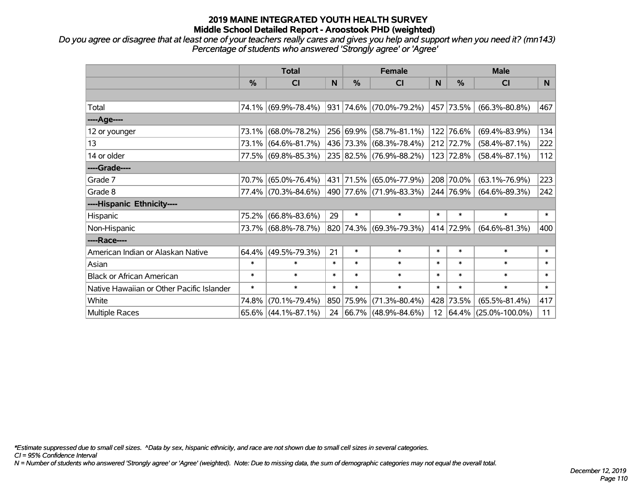*Do you agree or disagree that at least one of your teachers really cares and gives you help and support when you need it? (mn143) Percentage of students who answered 'Strongly agree' or 'Agree'*

|                                           | <b>Total</b> |                        |              | <b>Female</b> |                                  |        | <b>Male</b>   |                      |        |  |
|-------------------------------------------|--------------|------------------------|--------------|---------------|----------------------------------|--------|---------------|----------------------|--------|--|
|                                           | %            | <b>CI</b>              | <sub>N</sub> | %             | <b>CI</b>                        | N      | $\frac{0}{0}$ | <b>CI</b>            | N      |  |
|                                           |              |                        |              |               |                                  |        |               |                      |        |  |
| Total                                     |              | 74.1% (69.9%-78.4%)    |              |               | $ 931 74.6\%  (70.0\% - 79.2\%)$ |        | 457 73.5%     | $(66.3\% - 80.8\%)$  | 467    |  |
| ----Age----                               |              |                        |              |               |                                  |        |               |                      |        |  |
| 12 or younger                             | 73.1%        | $(68.0\% - 78.2\%)$    |              | 256 69.9%     | $(58.7\% - 81.1\%)$              |        | 122 76.6%     | $(69.4\% - 83.9\%)$  | 134    |  |
| 13                                        |              | 73.1% (64.6%-81.7%)    |              | 436 73.3%     | $(68.3\% - 78.4\%)$              |        | 212 72.7%     | $(58.4\% - 87.1\%)$  | 222    |  |
| 14 or older                               |              | 77.5% (69.8%-85.3%)    |              |               | 235 82.5% (76.9%-88.2%)          |        | 123 72.8%     | $(58.4\% - 87.1\%)$  | 112    |  |
| ----Grade----                             |              |                        |              |               |                                  |        |               |                      |        |  |
| Grade 7                                   |              | 70.7% (65.0%-76.4%)    |              | 431 71.5%     | $(65.0\% - 77.9\%)$              |        | 208 70.0%     | $(63.1\% - 76.9\%)$  | 223    |  |
| Grade 8                                   |              | 77.4% (70.3%-84.6%)    |              |               | 490   77.6%   (71.9%-83.3%)      |        | 244 76.9%     | $(64.6\% - 89.3\%)$  | 242    |  |
| ----Hispanic Ethnicity----                |              |                        |              |               |                                  |        |               |                      |        |  |
| Hispanic                                  | 75.2%        | $(66.8\% - 83.6\%)$    | 29           | $\ast$        | $\ast$                           | $\ast$ | $\ast$        | $\ast$               | $\ast$ |  |
| Non-Hispanic                              |              | 73.7% (68.8%-78.7%)    |              |               | 820 74.3% (69.3%-79.3%)          |        | 414 72.9%     | $(64.6\% - 81.3\%)$  | 400    |  |
| ----Race----                              |              |                        |              |               |                                  |        |               |                      |        |  |
| American Indian or Alaskan Native         |              | $64.4\%$ (49.5%-79.3%) | 21           | $\ast$        | $\ast$                           | $\ast$ | $\ast$        | $\ast$               | $\ast$ |  |
| Asian                                     | $\ast$       | $\ast$                 | $\ast$       | $\ast$        | $\ast$                           | $\ast$ | $\ast$        | $\ast$               | $\ast$ |  |
| <b>Black or African American</b>          | $\ast$       | $\ast$                 | $\ast$       | $\ast$        | $\ast$                           | $\ast$ | $\ast$        | $\ast$               | $\ast$ |  |
| Native Hawaiian or Other Pacific Islander | $\ast$       | $\ast$                 | $\ast$       | $\ast$        | $\ast$                           | $\ast$ | $\ast$        | $\ast$               | $\ast$ |  |
| White                                     | 74.8%        | $(70.1\% - 79.4\%)$    | 850          | 75.9%         | $(71.3\% - 80.4\%)$              | 428    | 73.5%         | $(65.5\% - 81.4\%)$  | 417    |  |
| Multiple Races                            |              | $65.6\%$ (44.1%-87.1%) |              |               | 24 66.7% (48.9%-84.6%)           |        | 12   64.4%    | $(25.0\% - 100.0\%)$ | 11     |  |

*\*Estimate suppressed due to small cell sizes. ^Data by sex, hispanic ethnicity, and race are not shown due to small cell sizes in several categories.*

*CI = 95% Confidence Interval*

*N = Number of students who answered 'Strongly agree' or 'Agree' (weighted). Note: Due to missing data, the sum of demographic categories may not equal the overall total.*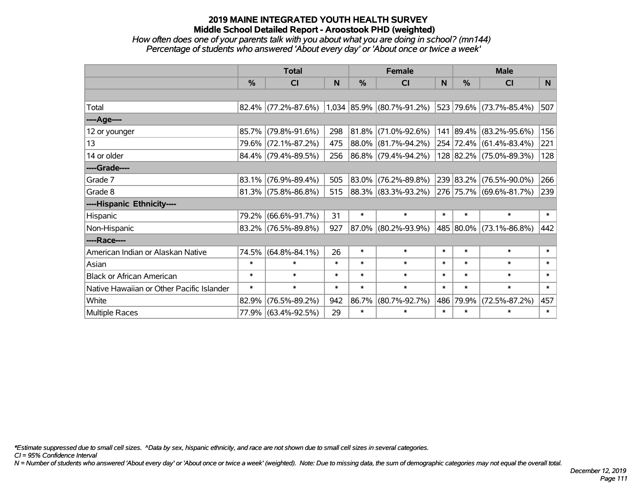### *How often does one of your parents talk with you about what you are doing in school? (mn144) Percentage of students who answered 'About every day' or 'About once or twice a week'*

|                                           | <b>Total</b> |                        |        | <b>Female</b> |                           |        | <b>Male</b>   |                         |                |  |
|-------------------------------------------|--------------|------------------------|--------|---------------|---------------------------|--------|---------------|-------------------------|----------------|--|
|                                           | %            | CI                     | N      | %             | <b>CI</b>                 | N      | $\frac{0}{0}$ | <b>CI</b>               | N <sub>1</sub> |  |
|                                           |              |                        |        |               |                           |        |               |                         |                |  |
| Total                                     |              | $82.4\%$ (77.2%-87.6%) |        |               | 1,034 85.9% (80.7%-91.2%) |        |               | 523 79.6% (73.7%-85.4%) | 507            |  |
| ----Age----                               |              |                        |        |               |                           |        |               |                         |                |  |
| 12 or younger                             | 85.7%        | $(79.8\% - 91.6\%)$    | 298    | 81.8%         | $(71.0\% - 92.6\%)$       | 141    |               | 89.4% (83.2%-95.6%)     | 156            |  |
| 13                                        |              | 79.6% (72.1%-87.2%)    | 475    | 88.0%         | $(81.7\% - 94.2\%)$       |        |               | 254 72.4% (61.4%-83.4%) | 221            |  |
| 14 or older                               |              | $84.4\%$ (79.4%-89.5%) | 256    |               | 86.8% (79.4%-94.2%)       |        |               | 128 82.2% (75.0%-89.3%) | 128            |  |
| ----Grade----                             |              |                        |        |               |                           |        |               |                         |                |  |
| Grade 7                                   | 83.1%        | $(76.9\% - 89.4\%)$    | 505    | 83.0%         | $(76.2\% - 89.8\%)$       |        | 239 83.2%     | $(76.5\% - 90.0\%)$     | 266            |  |
| Grade 8                                   |              | $81.3\%$ (75.8%-86.8%) | 515    |               | 88.3% (83.3%-93.2%)       |        |               | 276 75.7% (69.6%-81.7%) | 239            |  |
| ----Hispanic Ethnicity----                |              |                        |        |               |                           |        |               |                         |                |  |
| Hispanic                                  | 79.2%        | $(66.6\% - 91.7\%)$    | 31     | $\ast$        | $\ast$                    | $\ast$ | $\ast$        | $\ast$                  | $\ast$         |  |
| Non-Hispanic                              |              | $83.2\%$ (76.5%-89.8%) | 927    | 87.0%         | $(80.2\% - 93.9\%)$       |        |               | 485 80.0% (73.1%-86.8%) | 442            |  |
| ----Race----                              |              |                        |        |               |                           |        |               |                         |                |  |
| American Indian or Alaskan Native         | 74.5%        | $(64.8\% - 84.1\%)$    | 26     | $\ast$        | $\ast$                    | $\ast$ | $\ast$        | $\ast$                  | $\ast$         |  |
| Asian                                     | $\ast$       | $\ast$                 | $\ast$ | $\ast$        | $\ast$                    | $\ast$ | $\ast$        | $\ast$                  | $\ast$         |  |
| <b>Black or African American</b>          | $\ast$       | $\ast$                 | $\ast$ | $\ast$        | $\ast$                    | $\ast$ | $\ast$        | $\ast$                  | $\ast$         |  |
| Native Hawaiian or Other Pacific Islander | $\ast$       | $\ast$                 | $\ast$ | $\ast$        | $\ast$                    | $\ast$ | $\ast$        | $\ast$                  | $\ast$         |  |
| White                                     | 82.9%        | $(76.5\% - 89.2\%)$    | 942    | 86.7%         | $(80.7\% - 92.7\%)$       | 486    | 79.9%         | $(72.5\% - 87.2\%)$     | 457            |  |
| Multiple Races                            |              | 77.9% (63.4%-92.5%)    | 29     | $\ast$        | $\ast$                    | $\ast$ | $\ast$        | $\ast$                  | $\ast$         |  |

*\*Estimate suppressed due to small cell sizes. ^Data by sex, hispanic ethnicity, and race are not shown due to small cell sizes in several categories.*

*CI = 95% Confidence Interval*

*N = Number of students who answered 'About every day' or 'About once or twice a week' (weighted). Note: Due to missing data, the sum of demographic categories may not equal the overall total.*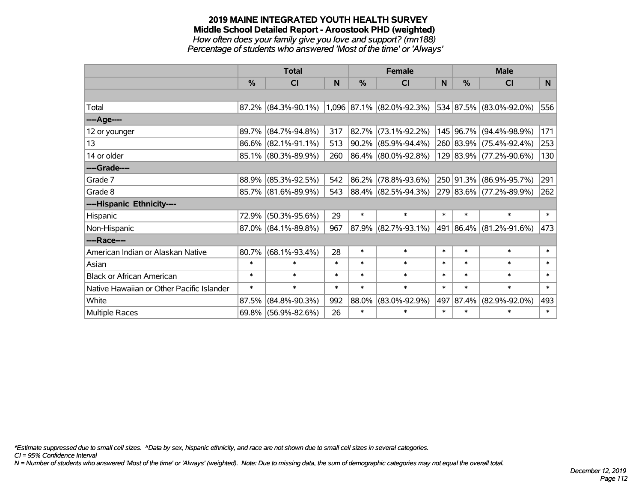#### **2019 MAINE INTEGRATED YOUTH HEALTH SURVEY Middle School Detailed Report - Aroostook PHD (weighted)** *How often does your family give you love and support? (mn188) Percentage of students who answered 'Most of the time' or 'Always'*

|                                           | <b>Total</b>  |                        |        |               | <b>Female</b>             |        | <b>Male</b>   |                         |        |  |
|-------------------------------------------|---------------|------------------------|--------|---------------|---------------------------|--------|---------------|-------------------------|--------|--|
|                                           | $\frac{0}{0}$ | <b>CI</b>              | N      | $\frac{0}{0}$ | <b>CI</b>                 | N      | $\frac{0}{0}$ | <b>CI</b>               | N      |  |
|                                           |               |                        |        |               |                           |        |               |                         |        |  |
| Total                                     |               | $87.2\%$ (84.3%-90.1%) |        |               | 1,096 87.1% (82.0%-92.3%) |        |               | 534 87.5% (83.0%-92.0%) | 556    |  |
| ----Age----                               |               |                        |        |               |                           |        |               |                         |        |  |
| 12 or younger                             | 89.7%         | $(84.7\% - 94.8\%)$    | 317    | 82.7%         | $(73.1\% - 92.2\%)$       |        |               | 145 96.7% (94.4%-98.9%) | 171    |  |
| 13                                        |               | 86.6% (82.1%-91.1%)    | 513    | 90.2%         | $(85.9\% - 94.4\%)$       |        |               | 260 83.9% (75.4%-92.4%) | 253    |  |
| 14 or older                               |               | 85.1% (80.3%-89.9%)    | 260    |               | $ 86.4\% $ (80.0%-92.8%)  |        |               | 129 83.9% (77.2%-90.6%) | 130    |  |
| ----Grade----                             |               |                        |        |               |                           |        |               |                         |        |  |
| Grade 7                                   |               | 88.9% (85.3%-92.5%)    | 542    | 86.2%         | $(78.8\% - 93.6\%)$       |        |               | 250 91.3% (86.9%-95.7%) | 291    |  |
| Grade 8                                   |               | 85.7% (81.6%-89.9%)    | 543    |               | 88.4% (82.5%-94.3%)       |        |               | 279 83.6% (77.2%-89.9%) | 262    |  |
| ----Hispanic Ethnicity----                |               |                        |        |               |                           |        |               |                         |        |  |
| Hispanic                                  | 72.9%         | $(50.3\% - 95.6\%)$    | 29     | $\ast$        | $\ast$                    | $\ast$ | $\ast$        | $\ast$                  | $\ast$ |  |
| Non-Hispanic                              |               | $87.0\%$ (84.1%-89.8%) | 967    | 87.9%         | $(82.7\% - 93.1\%)$       |        |               | 491 86.4% (81.2%-91.6%) | 473    |  |
| ----Race----                              |               |                        |        |               |                           |        |               |                         |        |  |
| American Indian or Alaskan Native         | 80.7%         | $(68.1\% - 93.4\%)$    | 28     | $\ast$        | $\ast$                    | $\ast$ | $\ast$        | $\ast$                  | $\ast$ |  |
| Asian                                     | $\ast$        | $\ast$                 | $\ast$ | $\ast$        | $\ast$                    | $\ast$ | $\ast$        | $\ast$                  | $\ast$ |  |
| <b>Black or African American</b>          | $\ast$        | $\ast$                 | $\ast$ | $\ast$        | $\ast$                    | $\ast$ | $\ast$        | $\ast$                  | $\ast$ |  |
| Native Hawaiian or Other Pacific Islander | $\ast$        | $\ast$                 | $\ast$ | $\ast$        | $\ast$                    | $\ast$ | $\ast$        | $\ast$                  | $\ast$ |  |
| White                                     | 87.5%         | $(84.8\% - 90.3\%)$    | 992    | 88.0%         | $(83.0\% - 92.9\%)$       | 497    | 87.4%         | $(82.9\% - 92.0\%)$     | 493    |  |
| Multiple Races                            |               | 69.8% (56.9%-82.6%)    | 26     | $\ast$        | $\ast$                    | $\ast$ | $\ast$        | $\ast$                  | $\ast$ |  |

*\*Estimate suppressed due to small cell sizes. ^Data by sex, hispanic ethnicity, and race are not shown due to small cell sizes in several categories.*

*CI = 95% Confidence Interval*

*N = Number of students who answered 'Most of the time' or 'Always' (weighted). Note: Due to missing data, the sum of demographic categories may not equal the overall total.*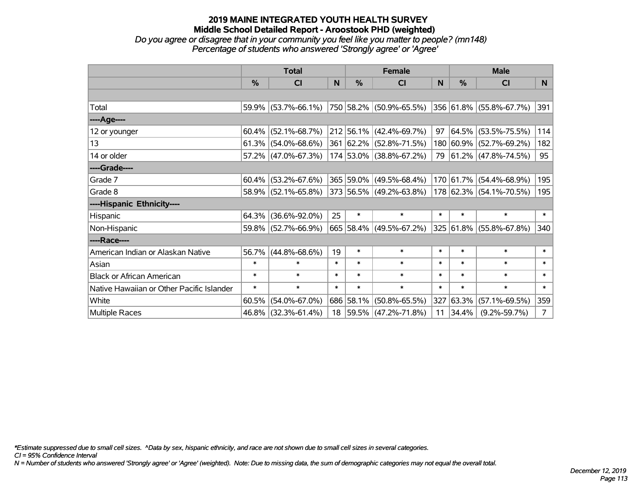### **2019 MAINE INTEGRATED YOUTH HEALTH SURVEY Middle School Detailed Report - Aroostook PHD (weighted)** *Do you agree or disagree that in your community you feel like you matter to people? (mn148)*

*Percentage of students who answered 'Strongly agree' or 'Agree'*

|                                           | <b>Total</b> |                        |        |           | <b>Female</b>                |        | <b>Male</b>   |                         |                |  |
|-------------------------------------------|--------------|------------------------|--------|-----------|------------------------------|--------|---------------|-------------------------|----------------|--|
|                                           | %            | <b>CI</b>              | N      | $\%$      | <b>CI</b>                    | N      | $\frac{0}{0}$ | <b>CI</b>               | N <sub>1</sub> |  |
|                                           |              |                        |        |           |                              |        |               |                         |                |  |
| Total                                     |              | 59.9% (53.7%-66.1%)    |        |           | $ 750 58.2\% $ (50.9%-65.5%) |        |               | 356 61.8% (55.8%-67.7%) | 391            |  |
| ----Age----                               |              |                        |        |           |                              |        |               |                         |                |  |
| 12 or younger                             | 60.4%        | $(52.1\% - 68.7\%)$    |        |           | $212$ 56.1% (42.4%-69.7%)    | 97     | 64.5%         | $(53.5\% - 75.5\%)$     | 114            |  |
| 13                                        |              | $61.3\%$ (54.0%-68.6%) |        |           | 361 62.2% (52.8%-71.5%)      |        | 180 60.9%     | $(52.7\% - 69.2\%)$     | 182            |  |
| 14 or older                               |              | 57.2% (47.0%-67.3%)    |        |           | 174 53.0% (38.8%-67.2%)      |        |               | 79 61.2% (47.8%-74.5%)  | 95             |  |
| ----Grade----                             |              |                        |        |           |                              |        |               |                         |                |  |
| Grade 7                                   | 60.4%        | $(53.2\% - 67.6\%)$    |        |           | 365 59.0% (49.5%-68.4%)      |        | 170 61.7%     | $(54.4\% - 68.9\%)$     | 195            |  |
| Grade 8                                   |              | 58.9% (52.1%-65.8%)    |        |           | 373 56.5% (49.2%-63.8%)      |        |               | 178 62.3% (54.1%-70.5%) | 195            |  |
| ----Hispanic Ethnicity----                |              |                        |        |           |                              |        |               |                         |                |  |
| Hispanic                                  | 64.3%        | $(36.6\% - 92.0\%)$    | 25     | $\ast$    | $\ast$                       | $\ast$ | $\ast$        | $\ast$                  | $\ast$         |  |
| Non-Hispanic                              |              | 59.8% (52.7%-66.9%)    |        |           | 665 58.4% (49.5%-67.2%)      |        |               | 325 61.8% (55.8%-67.8%) | 340            |  |
| ----Race----                              |              |                        |        |           |                              |        |               |                         |                |  |
| American Indian or Alaskan Native         | 56.7%        | $(44.8\% - 68.6\%)$    | 19     | $\ast$    | $\ast$                       | $\ast$ | $\ast$        | $\ast$                  | $\ast$         |  |
| Asian                                     | $\ast$       | $\ast$                 | $\ast$ | $\ast$    | $\ast$                       | $\ast$ | $\ast$        | $\ast$                  | $\ast$         |  |
| <b>Black or African American</b>          | $\ast$       | $\ast$                 | $\ast$ | $\ast$    | $\ast$                       | $\ast$ | $\ast$        | $\ast$                  | $\ast$         |  |
| Native Hawaiian or Other Pacific Islander | $\ast$       | $\ast$                 | $\ast$ | $\ast$    | $\ast$                       | $\ast$ | $\ast$        | $\ast$                  | $\ast$         |  |
| White                                     | 60.5%        | $(54.0\% - 67.0\%)$    |        | 686 58.1% | $(50.8\% - 65.5\%)$          |        | 327 63.3%     | $(57.1\% - 69.5\%)$     | 359            |  |
| Multiple Races                            | 46.8%        | $(32.3\% - 61.4\%)$    | 18     |           | $ 59.5\% $ (47.2%-71.8%)     | 11     | 34.4%         | $(9.2\% - 59.7\%)$      | 7 <sup>1</sup> |  |

*\*Estimate suppressed due to small cell sizes. ^Data by sex, hispanic ethnicity, and race are not shown due to small cell sizes in several categories.*

*CI = 95% Confidence Interval*

*N = Number of students who answered 'Strongly agree' or 'Agree' (weighted). Note: Due to missing data, the sum of demographic categories may not equal the overall total.*